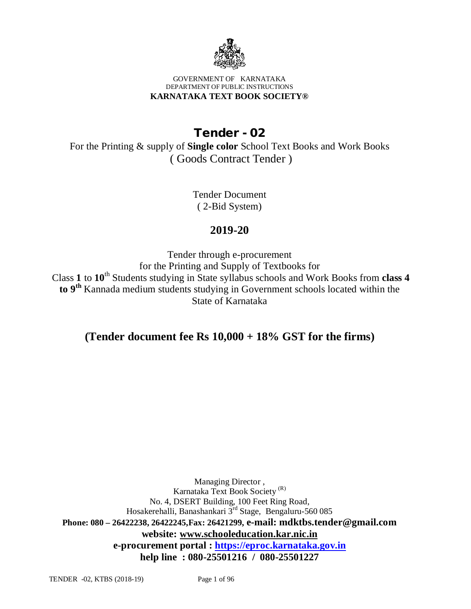

#### GOVERNMENT OF KARNATAKA DEPARTMENT OF PUBLIC INSTRUCTIONS **KARNATAKA TEXT BOOK SOCIETY®**

# **Tender - 02**

For the Printing & supply of **Single color** School Text Books and Work Books ( Goods Contract Tender )

> Tender Document ( 2-Bid System)

# **2019-20**

Tender through e-procurement for the Printing and Supply of Textbooks for Class **1** to **10**th Students studying in State syllabus schools and Work Books from **class 4 to 9th** Kannada medium students studying in Government schools located within the State of Karnataka

# **(Tender document fee Rs 10,000 + 18% GST for the firms)**

Managing Director , Karnataka Text Book Society (R) No. 4, DSERT Building, 100 Feet Ring Road, Hosakerehalli, Banashankari 3rd Stage, Bengaluru-560 085 **Phone: 080 – 26422238, 26422245,Fax: 26421299, e-mail: [mdktbs.tender@gmail.com](mailto:mdktbs.tender@gmail.com) website: [www.schooleducation.kar.nic.in](http://www.schooleducation.kar.nic.in) e-procurement portal :<https://eproc.karnataka.gov.in> help line : 080-25501216 / 080-25501227**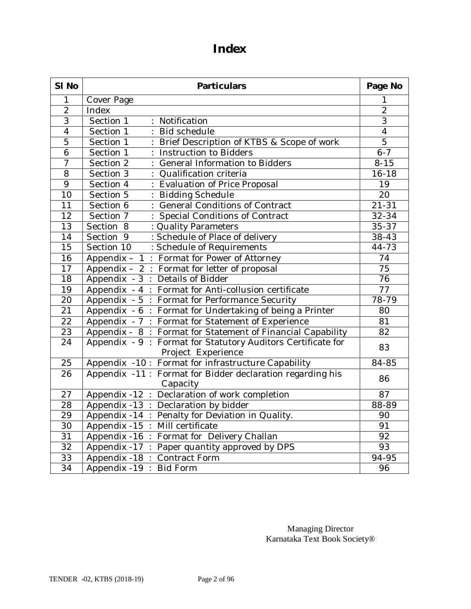# **Index**

| SI No           | <b>Particulars</b>                                                                 |                 |
|-----------------|------------------------------------------------------------------------------------|-----------------|
| 1               | Cover Page                                                                         | 1               |
| $\overline{2}$  | Index                                                                              | $\overline{2}$  |
| $\overline{3}$  | Section 1<br>Notification<br>÷.                                                    | $\overline{3}$  |
| $\overline{4}$  | Section 1<br>Bid schedule                                                          | $\overline{4}$  |
| $\overline{5}$  | Section 1<br>Brief Description of KTBS & Scope of work                             | $\overline{5}$  |
| $\overline{6}$  | Section 1<br>Instruction to Bidders                                                | $6 - 7$         |
| $\overline{7}$  | Section 2<br>General Information to Bidders                                        | $8 - 15$        |
| $\overline{8}$  | Section 3<br>Qualification criteria                                                | $16 - 18$       |
| 9               | Evaluation of Price Proposal<br>Section 4                                          | 19              |
| 10              | Section 5<br><b>Bidding Schedule</b>                                               | 20              |
| $\overline{11}$ | <b>General Conditions of Contract</b><br>Section 6                                 | $21 - 31$       |
| $\overline{12}$ | Section 7<br>Special Conditions of Contract                                        | $32 - 34$       |
| $\overline{13}$ | Section 8<br>: Quality Parameters                                                  | $35 - 37$       |
| $\overline{14}$ | Section 9<br>: Schedule of Place of delivery                                       | 38-43           |
| $\overline{15}$ | Section 10<br>: Schedule of Requirements                                           | $44 - 73$       |
| 16              | Appendix - 1 : Format for Power of Attorney                                        | 74              |
| $\overline{17}$ | Appendix - 2 : Format for letter of proposal                                       | $\overline{75}$ |
| 18              | Appendix - 3 : Details of Bidder                                                   | 76              |
| 19              | Appendix - 4 : Format for Anti-collusion certificate                               | 77              |
| $\overline{20}$ | Appendix - 5 : Format for Performance Security                                     | 78-79           |
| $\overline{21}$ | Appendix - 6: Format for Undertaking of being a Printer                            | 80              |
| $\overline{22}$ | Appendix - 7 : Format for Statement of Experience                                  | 81              |
| 23              | Appendix - 8 : Format for Statement of Financial Capability                        | 82              |
| $\overline{24}$ | Appendix - 9 : Format for Statutory Auditors Certificate for<br>Project Experience | 83              |
| 25              | Appendix -10 : Format for infrastructure Capability                                | $84 - 85$       |
| 26              | Appendix -11 : Format for Bidder declaration regarding his<br>Capacity             | 86              |
| 27              | Declaration of work completion<br>Appendix -12 :                                   | 87              |
| 28              | Appendix -13 : Declaration by bidder                                               | 88-89           |
| 29              | Appendix -14 :<br>Penalty for Deviation in Quality.                                | 90              |
| 30              | Appendix -15 :<br>Mill certificate                                                 | 91              |
| 31              | Format for Delivery Challan<br>Appendix -16 :                                      | 92              |
| 32              | Appendix -17 :<br>Paper quantity approved by DPS                                   | 93              |
| 33              | Appendix -18 :<br>Contract Form                                                    | 94-95           |
| $\overline{34}$ | Appendix -19<br><b>Bid Form</b>                                                    | 96              |

Managing Director Karnataka Text Book Society®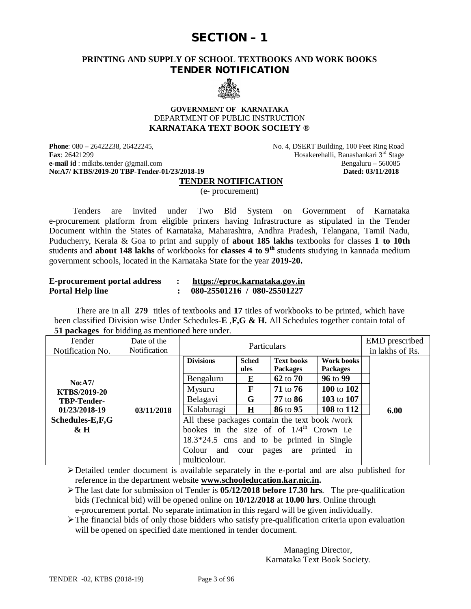# **SECTION – 1**

### **PRINTING AND SUPPLY OF SCHOOL TEXTBOOKS AND WORK BOOKS TENDER NOTIFICATION**



#### **GOVERNMENT OF KARNATAKA** DEPARTMENT OF PUBLIC INSTRUCTION **KARNATAKA TEXT BOOK SOCIETY ®**

**Phone**: 080 – 26422238, 26422245, No. 4, DSERT Building, 100 Feet Ring Road **Fax**: 26421299 Hosakerehalli, Banashankari 3<sup>rd</sup> Stage<br> **e-mail id**: mdktbs.tender @gmail.com Bengaluru – 560085 **e-mail id** : mdktbs.tender [@gmail.com](mailto:@gmail.com) Bengaluru – 560085<br> **No:A7/ KTBS/2019-20 TBP-Tender-01/23/2018-19** Bengaluru – 560085 No:A7/ KTBS/2019-20 TBP-Tender-01/23/2018-19

### **TENDER NOTIFICATION**

(e- procurement)

 Tenders are invited under Two Bid System on Government of Karnataka e-procurement platform from eligible printers having Infrastructure as stipulated in the Tender Document within the States of Karnataka, Maharashtra, Andhra Pradesh, Telangana, Tamil Nadu, Puducherry, Kerala & Goa to print and supply of **about 185 lakhs** textbooks for classes **1 to 10th** students and **about 148 lakhs** of workbooks for **classes 4 to 9th** students studying in kannada medium government schools, located in the Karnataka State for the year **2019-20.**

| <b>E-procurement portal address</b> | https://eproc.karnataka.gov.in |
|-------------------------------------|--------------------------------|
| <b>Portal Help line</b>             | 080-25501216 / 080-25501227    |

 There are in all **279** titles of textbooks and **17** titles of workbooks to be printed, which have been classified Division wise Under Schedules-**E** ,**F,G & H.** All Schedules together contain total of **51 packages** for bidding as mentioned here under.

| Tender<br>Notification No. | Date of the<br><b>Notification</b> | Particulars                                          |                      |                                      | <b>EMD</b> prescribed<br>in lakhs of Rs. |      |
|----------------------------|------------------------------------|------------------------------------------------------|----------------------|--------------------------------------|------------------------------------------|------|
|                            |                                    | <b>Divisions</b>                                     | <b>Sched</b><br>ules | <b>Text books</b><br><b>Packages</b> | Work books<br><b>Packages</b>            |      |
| No: A7/                    |                                    | Bengaluru                                            | E                    | 62 to 70                             | 96 to 99                                 |      |
| KTBS/2019-20               |                                    | Mysuru                                               | F                    | 71 to 76                             | 100 to 102                               |      |
| <b>TBP-Tender-</b>         |                                    | Belagavi                                             | G                    | 77 to 86                             | 103 to 107                               |      |
| 01/23/2018-19              | 03/11/2018                         | Kalaburagi                                           | $\bf H$              | 86 to 95                             | 108 to 112                               | 6.00 |
| Schedules-E,F,G            |                                    | All these packages contain the text book /work       |                      |                                      |                                          |      |
| $\&$ H                     |                                    | bookes in the size of of $1/4^{\text{th}}$ Crown i.e |                      |                                      |                                          |      |
|                            |                                    | $18.3*24.5$ cms and to be printed in Single          |                      |                                      |                                          |      |
|                            |                                    | Colour and                                           | cour                 | pages<br>are                         | printed<br>in                            |      |
|                            |                                    | multicolour.                                         |                      |                                      |                                          |      |

Detailed tender document is available separately in the e-portal and are also published for reference in the department website **[www.schooleducation.kar.nic.in.](http://www.schooleducation.kar.nic.in.)**

The last date for submission of Tender is **05/12/2018 before 17.30 hrs**. The pre-qualification bids (Technical bid) will be opened online on **10/12/2018** at **10.00 hrs**. Online through e-procurement portal. No separate intimation in this regard will be given individually.

The financial bids of only those bidders who satisfy pre-qualification criteria upon evaluation will be opened on specified date mentioned in tender document.

> Managing Director, Karnataka Text Book Society.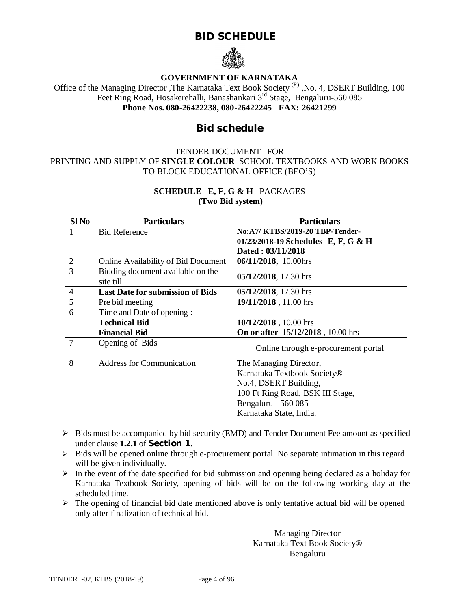# **BID SCHEDULE**



### **GOVERNMENT OF KARNATAKA**

Office of the Managing Director , The Karnataka Text Book Society<sup>(R)</sup>, No. 4, DSERT Building, 100 Feet Ring Road, Hosakerehalli, Banashankari 3rd Stage, Bengaluru-560 085 **Phone Nos. 080-26422238, 080-26422245 FAX: 26421299**

# **Bid schedule**

### TENDER DOCUMENT FOR PRINTING AND SUPPLY OF **SINGLE COLOUR** SCHOOL TEXTBOOKS AND WORK BOOKS TO BLOCK EDUCATIONAL OFFICE (BEO'S)

### **SCHEDULE –E, F, G & H** PACKAGES **(Two Bid system)**

| Sl No          | <b>Particulars</b>                      | <b>Particulars</b>                   |  |
|----------------|-----------------------------------------|--------------------------------------|--|
|                | <b>Bid Reference</b>                    | No:A7/ KTBS/2019-20 TBP-Tender-      |  |
|                |                                         | 01/23/2018-19 Schedules- E, F, G & H |  |
|                |                                         | Dated: 03/11/2018                    |  |
| $\overline{2}$ | Online Availability of Bid Document     | 06/11/2018, 10.00hrs                 |  |
| 3              | Bidding document available on the       | 05/12/2018, 17.30 hrs                |  |
|                | site till                               |                                      |  |
| 4              | <b>Last Date for submission of Bids</b> | 05/12/2018, 17.30 hrs                |  |
| 5              | Pre bid meeting                         | 19/11/2018, 11.00 hrs                |  |
| 6              | Time and Date of opening :              |                                      |  |
|                | <b>Technical Bid</b>                    | 10/12/2018, 10.00 hrs                |  |
|                | <b>Financial Bid</b>                    | On or after 15/12/2018, 10.00 hrs    |  |
| 7              | Opening of Bids                         | Online through e-procurement portal  |  |
| 8              | <b>Address for Communication</b>        | The Managing Director,               |  |
|                |                                         | Karnataka Textbook Society®          |  |
|                |                                         | No.4, DSERT Building,                |  |
|                |                                         | 100 Ft Ring Road, BSK III Stage,     |  |
|                |                                         | Bengaluru - 560 085                  |  |
|                |                                         | Karnataka State, India.              |  |

- $\triangleright$  Bids must be accompanied by bid security (EMD) and Tender Document Fee amount as specified under clause **1.2.1** of **Section 1**.
- $\triangleright$  Bids will be opened online through e-procurement portal. No separate intimation in this regard will be given individually.
- $\triangleright$  In the event of the date specified for bid submission and opening being declared as a holiday for Karnataka Textbook Society, opening of bids will be on the following working day at the scheduled time.
- $\triangleright$  The opening of financial bid date mentioned above is only tentative actual bid will be opened only after finalization of technical bid.

Managing Director Karnataka Text Book Society® Bengaluru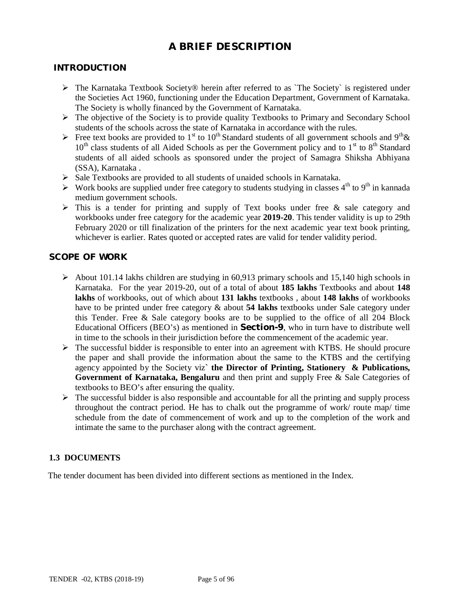# **A BRIEF DESCRIPTION**

### **INTRODUCTION**

- $\triangleright$  The Karnataka Textbook Society® herein after referred to as `The Society` is registered under the Societies Act 1960, functioning under the Education Department, Government of Karnataka. The Society is wholly financed by the Government of Karnataka.
- $\triangleright$  The objective of the Society is to provide quality Textbooks to Primary and Secondary School students of the schools across the state of Karnataka in accordance with the rules.
- Free text books are provided to 1<sup>st</sup> to 10<sup>th</sup> Standard students of all government schools and 9<sup>th</sup> &  $10<sup>th</sup>$  class students of all Aided Schools as per the Government policy and to  $1<sup>st</sup>$  to  $8<sup>th</sup>$  Standard students of all aided schools as sponsored under the project of Samagra Shiksha Abhiyana (SSA), Karnataka .
- $\triangleright$  Sale Textbooks are provided to all students of unaided schools in Karnataka.
- $\triangleright$  Work books are supplied under free category to students studying in classes 4<sup>th</sup> to 9<sup>th</sup> in kannada medium government schools.
- $\triangleright$  This is a tender for printing and supply of Text books under free & sale category and workbooks under free category for the academic year **2019-20**. This tender validity is up to 29th February 2020 or till finalization of the printers for the next academic year text book printing, whichever is earlier. Rates quoted or accepted rates are valid for tender validity period.

### **SCOPE OF WORK**

- $\triangleright$  About 101.14 lakhs children are studying in 60,913 primary schools and 15,140 high schools in Karnataka. For the year 2019-20, out of a total of about **185 lakhs** Textbooks and about **148 lakhs** of workbooks, out of which about **131 lakhs** textbooks , about **148 lakhs** of workbooks have to be printed under free category & about **54 lakhs** textbooks under Sale category under this Tender. Free & Sale category books are to be supplied to the office of all 204 Block Educational Officers (BEO's) as mentioned in **Section-9**, who in turn have to distribute well in time to the schools in their jurisdiction before the commencement of the academic year.
- $\triangleright$  The successful bidder is responsible to enter into an agreement with KTBS. He should procure the paper and shall provide the information about the same to the KTBS and the certifying agency appointed by the Society viz**` the Director of Printing, Stationery & Publications, Government of Karnataka, Bengaluru** and then print and supply Free & Sale Categories of textbooks to BEO's after ensuring the quality.
- $\triangleright$  The successful bidder is also responsible and accountable for all the printing and supply process throughout the contract period. He has to chalk out the programme of work/ route map/ time schedule from the date of commencement of work and up to the completion of the work and intimate the same to the purchaser along with the contract agreement.

### **1.3 DOCUMENTS**

The tender document has been divided into different sections as mentioned in the Index.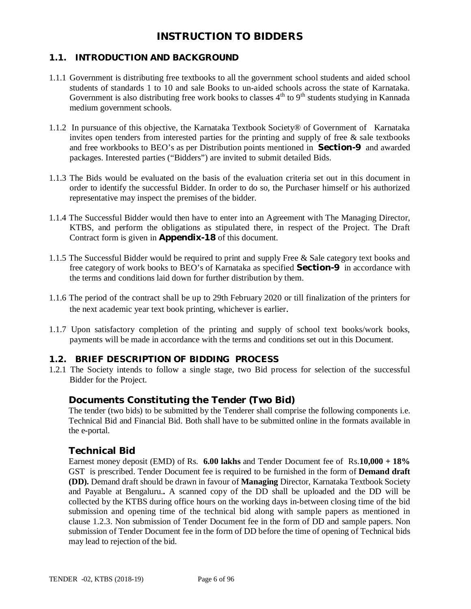# **INSTRUCTION TO BIDDERS**

# **1.1. INTRODUCTION AND BACKGROUND**

- 1.1.1 Government is distributing free textbooks to all the government school students and aided school students of standards 1 to 10 and sale Books to un-aided schools across the state of Karnataka. Government is also distributing free work books to classes  $4<sup>th</sup>$  to  $9<sup>th</sup>$  students studying in Kannada medium government schools.
- 1.1.2 In pursuance of this objective, the Karnataka Textbook Society® of Government of Karnataka invites open tenders from interested parties for the printing and supply of free  $\&$  sale textbooks and free workbooks to BEO's as per Distribution points mentioned in **Section-9** and awarded packages. Interested parties ("Bidders") are invited to submit detailed Bids.
- 1.1.3 The Bids would be evaluated on the basis of the evaluation criteria set out in this document in order to identify the successful Bidder. In order to do so, the Purchaser himself or his authorized representative may inspect the premises of the bidder.
- 1.1.4 The Successful Bidder would then have to enter into an Agreement with The Managing Director, KTBS, and perform the obligations as stipulated there, in respect of the Project. The Draft Contract form is given in **Appendix-18** of this document.
- 1.1.5 The Successful Bidder would be required to print and supply Free & Sale category text books and free category of work books to BEO's of Karnataka as specified **Section-9** in accordance with the terms and conditions laid down for further distribution by them.
- 1.1.6 The period of the contract shall be up to 29th February 2020 or till finalization of the printers for the next academic year text book printing, whichever is earlier.
- 1.1.7 Upon satisfactory completion of the printing and supply of school text books/work books, payments will be made in accordance with the terms and conditions set out in this Document.

### **1.2. BRIEF DESCRIPTION OF BIDDING PROCESS**

1.2.1 The Society intends to follow a single stage, two Bid process for selection of the successful Bidder for the Project.

### **Documents Constituting the Tender (Two Bid)**

The tender (two bids) to be submitted by the Tenderer shall comprise the following components i.e. Technical Bid and Financial Bid. Both shall have to be submitted online in the formats available in the e-portal.

### **Technical Bid**

Earnest money deposit (EMD) of Rs. **6.00 lakhs** and Tender Document fee of Rs.**10,000 + 18%**  GST is prescribed. Tender Document fee is required to be furnished in the form of **Demand draft (DD).** Demand draft should be drawn in favour of **Managing** Director, Karnataka Textbook Society and Payable at Bengaluru.**.** A scanned copy of the DD shall be uploaded and the DD will be collected by the KTBS during office hours on the working days in-between closing time of the bid submission and opening time of the technical bid along with sample papers as mentioned in clause 1.2.3. Non submission of Tender Document fee in the form of DD and sample papers. Non submission of Tender Document fee in the form of DD before the time of opening of Technical bids may lead to rejection of the bid.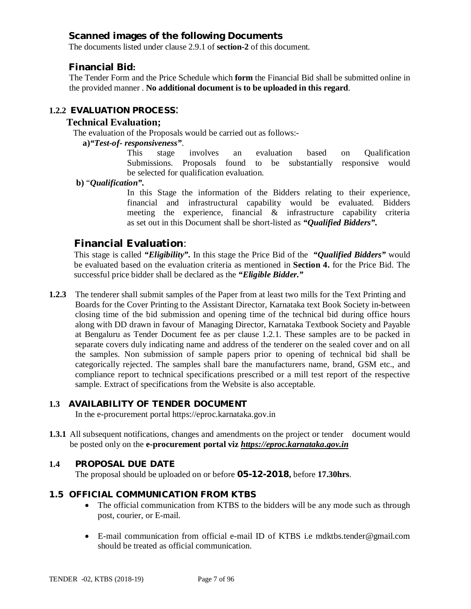# **Scanned images of the following Documents**

The documents listed under clause 2.9.1 of **section-2** of this document.

## **Financial Bid:**

The Tender Form and the Price Schedule which **form** the Financial Bid shall be submitted online in the provided manner . **No additional document is to be uploaded in this regard**.

# **1.2.2 EVALUATION PROCESS**:

### **Technical Evaluation;**

The evaluation of the Proposals would be carried out as follows:-

### **a)***"Test-of- responsiveness"*.

This stage involves an evaluation based on Qualification Submissions. Proposals found to be substantially responsive would be selected for qualification evaluation.

**b)** "*Qualification".*

In this Stage the information of the Bidders relating to their experience, financial and infrastructural capability would be evaluated. Bidders meeting the experience, financial & infrastructure capability criteria as set out in this Document shall be short-listed as *"Qualified Bidders".*

# **Financial Evaluation**:

This stage is called *"Eligibility".* In this stage the Price Bid of the *"Qualified Bidders"* would be evaluated based on the evaluation criteria as mentioned in **Section 4.** for the Price Bid. The successful price bidder shall be declared as the *"Eligible Bidder."*

**1.2.3** The tenderer shall submit samples of the Paper from at least two mills for the Text Printing and Boards for the Cover Printing to the Assistant Director, Karnataka text Book Society in-between closing time of the bid submission and opening time of the technical bid during office hours along with DD drawn in favour of Managing Director, Karnataka Textbook Society and Payable at Bengaluru as Tender Document fee as per clause 1.2.1. These samples are to be packed in separate covers duly indicating name and address of the tenderer on the sealed cover and on all the samples. Non submission of sample papers prior to opening of technical bid shall be categorically rejected. The samples shall bare the manufacturers name, brand, GSM etc., and compliance report to technical specifications prescribed or a mill test report of the respective sample. Extract of specifications from the Website is also acceptable.

### **1.3 AVAILABILITY OF TENDER DOCUMENT**

In the e-procurement portal<https://eproc.karnataka.gov.in>

**1.3.1** All subsequent notifications, changes and amendments on the project or tender document would be posted only on the **e-procurement portal viz** *<https://eproc.karnataka.gov.in>*

### **1.4 PROPOSAL DUE DATE**

The proposal should be uploaded on or before **05-12-2018,** before **17.30hrs**.

### **1.5 OFFICIAL COMMUNICATION FROM KTBS**

- The official communication from KTBS to the bidders will be any mode such as through post, courier, or E-mail.
- E-mail communication from official e-mail ID of KTBS i.e [mdktbs.tender@gmail.com](mailto:mdktbs.tender@gmail.com) should be treated as official communication.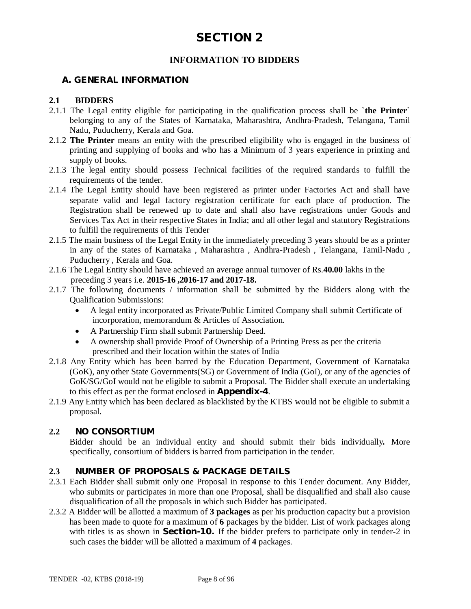# **INFORMATION TO BIDDERS**

### **A. GENERAL INFORMATION**

### **2.1 BIDDERS**

- 2.1.1 The Legal entity eligible for participating in the qualification process shall be `**the Printer**` belonging to any of the States of Karnataka, Maharashtra, Andhra-Pradesh, Telangana, Tamil Nadu, Puducherry, Kerala and Goa.
- 2.1.2 **The Printer** means an entity with the prescribed eligibility who is engaged in the business of printing and supplying of books and who has a Minimum of 3 years experience in printing and supply of books.
- 2.1.3 The legal entity should possess Technical facilities of the required standards to fulfill the requirements of the tender.
- 2.1.4 The Legal Entity should have been registered as printer under Factories Act and shall have separate valid and legal factory registration certificate for each place of production. The Registration shall be renewed up to date and shall also have registrations under Goods and Services Tax Act in their respective States in India; and all other legal and statutory Registrations to fulfill the requirements of this Tender
- 2.1.5 The main business of the Legal Entity in the immediately preceding 3 years should be as a printer in any of the states of Karnataka , Maharashtra , Andhra-Pradesh , Telangana, Tamil-Nadu , Puducherry , Kerala and Goa.
- 2.1.6 The Legal Entity should have achieved an average annual turnover of Rs.**40.00** lakhs in the preceding 3 years i.e. **2015-16 ,2016-17 and 2017-18.**
- 2.1.7 The following documents / information shall be submitted by the Bidders along with the Qualification Submissions:
	- A legal entity incorporated as Private/Public Limited Company shall submit Certificate of incorporation, memorandum & Articles of Association.
	- A Partnership Firm shall submit Partnership Deed.
	- A ownership shall provide Proof of Ownership of a Printing Press as per the criteria prescribed and their location within the states of India
- 2.1.8 Any Entity which has been barred by the Education Department, Government of Karnataka (GoK), any other State Governments(SG) or Government of India (GoI), or any of the agencies of GoK/SG/GoI would not be eligible to submit a Proposal. The Bidder shall execute an undertaking to this effect as per the format enclosed in **Appendix-4**.
- 2.1.9 Any Entity which has been declared as blacklisted by the KTBS would not be eligible to submit a proposal.

### **2.2 NO CONSORTIUM**

Bidder should be an individual entity and should submit their bids individually*.* More specifically, consortium of bidders is barred from participation in the tender.

### **2.3 NUMBER OF PROPOSALS & PACKAGE DETAILS**

- 2.3.1 Each Bidder shall submit only one Proposal in response to this Tender document. Any Bidder, who submits or participates in more than one Proposal, shall be disqualified and shall also cause disqualification of all the proposals in which such Bidder has participated.
- 2.3.2 A Bidder will be allotted a maximum of **3 packages** as per his production capacity but a provision has been made to quote for a maximum of **6** packages by the bidder. List of work packages along with titles is as shown in **Section-10.** If the bidder prefers to participate only in tender-2 in such cases the bidder will be allotted a maximum of **4** packages.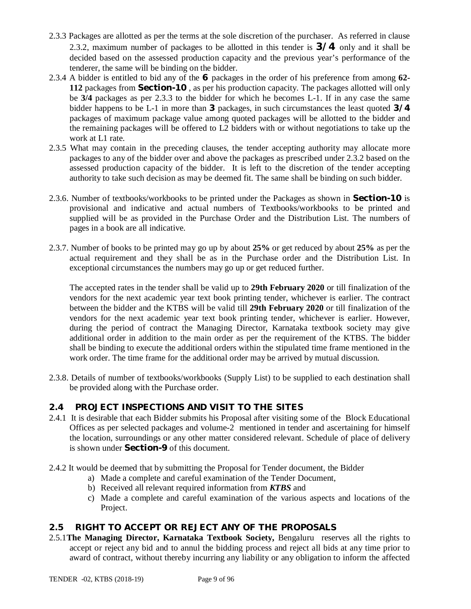- 2.3.3 Packages are allotted as per the terms at the sole discretion of the purchaser. As referred in clause 2.3.2, maximum number of packages to be allotted in this tender is **3/4** only and it shall be decided based on the assessed production capacity and the previous year's performance of the tenderer, the same will be binding on the bidder.
- 2.3.4 A bidder is entitled to bid any of the **6** packages in the order of his preference from among **62- 112** packages from **Section-10** , as per his production capacity. The packages allotted will only be **3/4** packages as per 2.3.3 to the bidder for which he becomes L-1. If in any case the same bidder happens to be L-1 in more than **3** packages, in such circumstances the least quoted **3/4** packages of maximum package value among quoted packages will be allotted to the bidder and the remaining packages will be offered to L2 bidders with or without negotiations to take up the work at L1 rate.
- 2.3.5 What may contain in the preceding clauses, the tender accepting authority may allocate more packages to any of the bidder over and above the packages as prescribed under 2.3.2 based on the assessed production capacity of the bidder. It is left to the discretion of the tender accepting authority to take such decision as may be deemed fit. The same shall be binding on such bidder.
- 2.3.6. Number of textbooks/workbooks to be printed under the Packages as shown in **Section-10** is provisional and indicative and actual numbers of Textbooks/workbooks to be printed and supplied will be as provided in the Purchase Order and the Distribution List. The numbers of pages in a book are all indicative.
- 2.3.7. Number of books to be printed may go up by about **25%** or get reduced by about **25%** as per the actual requirement and they shall be as in the Purchase order and the Distribution List. In exceptional circumstances the numbers may go up or get reduced further.

The accepted rates in the tender shall be valid up to **29th February 2020** or till finalization of the vendors for the next academic year text book printing tender, whichever is earlier. The contract between the bidder and the KTBS will be valid till **29th February 2020** or till finalization of the vendors for the next academic year text book printing tender, whichever is earlier. However, during the period of contract the Managing Director, Karnataka textbook society may give additional order in addition to the main order as per the requirement of the KTBS. The bidder shall be binding to execute the additional orders within the stipulated time frame mentioned in the work order. The time frame for the additional order may be arrived by mutual discussion.

2.3.8. Details of number of textbooks/workbooks (Supply List) to be supplied to each destination shall be provided along with the Purchase order.

# **2.4 PROJECT INSPECTIONS AND VISIT TO THE SITES**

- 2.4.1 It is desirable that each Bidder submits his Proposal after visiting some of the Block Educational Offices as per selected packages and volume-2 mentioned in tender and ascertaining for himself the location, surroundings or any other matter considered relevant. Schedule of place of delivery is shown under **Section-9** of this document.
- 2.4.2 It would be deemed that by submitting the Proposal for Tender document, the Bidder
	- a) Made a complete and careful examination of the Tender Document,
	- b) Received all relevant required information from *KTBS* and
	- c) Made a complete and careful examination of the various aspects and locations of the Project.

### **2.5 RIGHT TO ACCEPT OR REJECT ANY OF THE PROPOSALS**

2.5.1**The Managing Director, Karnataka Textbook Society,** Bengaluru reserves all the rights to accept or reject any bid and to annul the bidding process and reject all bids at any time prior to award of contract, without thereby incurring any liability or any obligation to inform the affected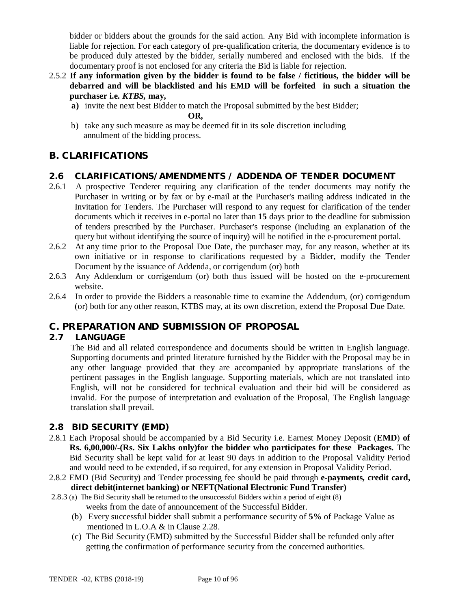bidder or bidders about the grounds for the said action. Any Bid with incomplete information is liable for rejection. For each category of pre-qualification criteria, the documentary evidence is to be produced duly attested by the bidder, serially numbered and enclosed with the bids. If the documentary proof is not enclosed for any criteria the Bid is liable for rejection.

- 2.5.2 **If any information given by the bidder is found to be false / fictitious, the bidder will be debarred and will be blacklisted and his EMD will be forfeited in such a situation the purchaser i.e.** *KTBS,* **may,**
	- **a)** invite the next best Bidder to match the Proposal submitted by the best Bidder;

**OR,** 

b) take any such measure as may be deemed fit in its sole discretion including annulment of the bidding process.

# **B. CLARIFICATIONS**

# **2.6 CLARIFICATIONS/AMENDMENTS / ADDENDA OF TENDER DOCUMENT**

- 2.6.1 A prospective Tenderer requiring any clarification of the tender documents may notify the Purchaser in writing or by fax or by e-mail at the Purchaser's mailing address indicated in the Invitation for Tenders. The Purchaser will respond to any request for clarification of the tender documents which it receives in e-portal no later than **15** days prior to the deadline for submission of tenders prescribed by the Purchaser. Purchaser's response (including an explanation of the query but without identifying the source of inquiry) will be notified in the e-procurement portal.
- 2.6.2 At any time prior to the Proposal Due Date, the purchaser may, for any reason, whether at its own initiative or in response to clarifications requested by a Bidder, modify the Tender Document by the issuance of Addenda, or corrigendum (or) both
- 2.6.3 Any Addendum or corrigendum (or) both thus issued will be hosted on the e-procurement website.
- 2.6.4 In order to provide the Bidders a reasonable time to examine the Addendum, (or) corrigendum (or) both for any other reason, KTBS may, at its own discretion, extend the Proposal Due Date.

# **C. PREPARATION AND SUBMISSION OF PROPOSAL**

# **2.7 LANGUAGE**

The Bid and all related correspondence and documents should be written in English language. Supporting documents and printed literature furnished by the Bidder with the Proposal may be in any other language provided that they are accompanied by appropriate translations of the pertinent passages in the English language. Supporting materials, which are not translated into English, will not be considered for technical evaluation and their bid will be considered as invalid. For the purpose of interpretation and evaluation of the Proposal, The English language translation shall prevail.

# **2.8 BID SECURITY (EMD)**

- 2.8.1 Each Proposal should be accompanied by a Bid Security i.e. Earnest Money Deposit (**EMD**) **of Rs. 6,00,000/-(Rs. Six Lakhs only)for the bidder who participates for these Packages.** The Bid Security shall be kept valid for at least 90 days in addition to the Proposal Validity Period and would need to be extended, if so required, for any extension in Proposal Validity Period.
- 2.8.2 EMD (Bid Security) and Tender processing fee should be paid through **e-payments, credit card, direct debit(internet banking) or NEFT(National Electronic Fund Transfer)**
- 2.8.3 (a) The Bid Security shall be returned to the unsuccessful Bidders within a period of eight (8) weeks from the date of announcement of the Successful Bidder.
	- (b) Every successful bidder shall submit a performance security of **5%** of Package Value as mentioned in L.O.A & in Clause 2.28.
	- (c) The Bid Security (EMD) submitted by the Successful Bidder shall be refunded only after getting the confirmation of performance security from the concerned authorities.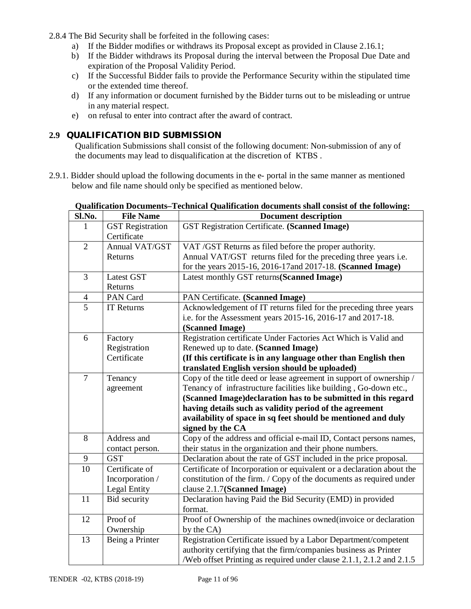2.8.4 The Bid Security shall be forfeited in the following cases:

- a) If the Bidder modifies or withdraws its Proposal except as provided in Clause 2.16.1;
- b) If the Bidder withdraws its Proposal during the interval between the Proposal Due Date and expiration of the Proposal Validity Period.
- c) If the Successful Bidder fails to provide the Performance Security within the stipulated time or the extended time thereof.
- d) If any information or document furnished by the Bidder turns out to be misleading or untrue in any material respect.
- e) on refusal to enter into contract after the award of contract.

# **2.9 QUALIFICATION BID SUBMISSION**

Qualification Submissions shall consist of the following document: Non-submission of any of the documents may lead to disqualification at the discretion of KTBS .

2.9.1. Bidder should upload the following documents in the e- portal in the same manner as mentioned below and file name should only be specified as mentioned below.

| Sl.No.         | <b>File Name</b>        | recomment guardination abcuments shah consist of the following.<br><b>Document description</b> |  |  |
|----------------|-------------------------|------------------------------------------------------------------------------------------------|--|--|
| 1              | <b>GST</b> Registration | <b>GST Registration Certificate. (Scanned Image)</b>                                           |  |  |
|                | Certificate             |                                                                                                |  |  |
| $\overline{2}$ | Annual VAT/GST          | VAT /GST Returns as filed before the proper authority.                                         |  |  |
|                | Returns                 | Annual VAT/GST returns filed for the preceding three years i.e.                                |  |  |
|                |                         | for the years 2015-16, 2016-17 and 2017-18. (Scanned Image)                                    |  |  |
| 3              | <b>Latest GST</b>       | Latest monthly GST returns (Scanned Image)                                                     |  |  |
|                | Returns                 |                                                                                                |  |  |
| $\overline{4}$ | PAN Card                | PAN Certificate. (Scanned Image)                                                               |  |  |
| $\overline{5}$ | <b>IT Returns</b>       | Acknowledgement of IT returns filed for the preceding three years                              |  |  |
|                |                         | i.e. for the Assessment years 2015-16, 2016-17 and 2017-18.                                    |  |  |
|                |                         | (Scanned Image)                                                                                |  |  |
| 6              | Factory                 | Registration certificate Under Factories Act Which is Valid and                                |  |  |
|                | Registration            | Renewed up to date. (Scanned Image)                                                            |  |  |
|                | Certificate             | (If this certificate is in any language other than English then                                |  |  |
|                |                         | translated English version should be uploaded)                                                 |  |  |
| $\overline{7}$ | Tenancy                 | Copy of the title deed or lease agreement in support of ownership /                            |  |  |
|                | agreement               | Tenancy of infrastructure facilities like building, Go-down etc.,                              |  |  |
|                |                         | (Scanned Image)declaration has to be submitted in this regard                                  |  |  |
|                |                         | having details such as validity period of the agreement                                        |  |  |
|                |                         | availability of space in sq feet should be mentioned and duly                                  |  |  |
|                |                         | signed by the CA                                                                               |  |  |
| 8              | Address and             | Copy of the address and official e-mail ID, Contact persons names,                             |  |  |
|                | contact person.         | their status in the organization and their phone numbers.                                      |  |  |
| 9              | <b>GST</b>              | Declaration about the rate of GST included in the price proposal.                              |  |  |
| 10             | Certificate of          | Certificate of Incorporation or equivalent or a declaration about the                          |  |  |
|                | Incorporation /         | constitution of the firm. / Copy of the documents as required under                            |  |  |
|                | Legal Entity            | clause 2.1.7(Scanned Image)                                                                    |  |  |
| 11             | Bid security            | Declaration having Paid the Bid Security (EMD) in provided                                     |  |  |
|                |                         | format.                                                                                        |  |  |
| 12             | Proof of                | Proof of Ownership of the machines owned(invoice or declaration                                |  |  |
|                | Ownership               | by the CA)                                                                                     |  |  |
| 13             | Being a Printer         | Registration Certificate issued by a Labor Department/competent                                |  |  |
|                |                         | authority certifying that the firm/companies business as Printer                               |  |  |
|                |                         | /Web offset Printing as required under clause 2.1.1, 2.1.2 and 2.1.5                           |  |  |

### **Qualification Documents***–***Technical Qualification documents shall consist of the following:**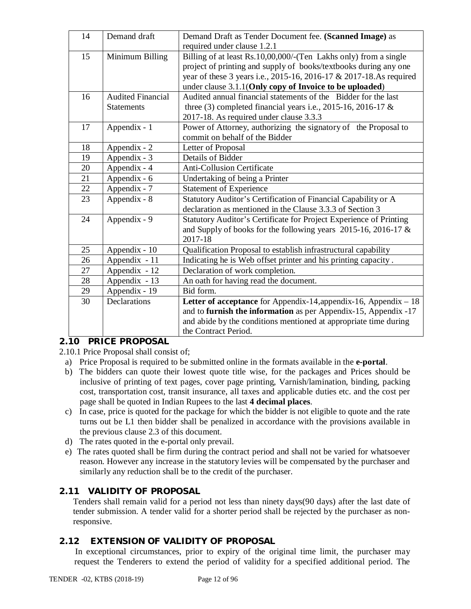| 14 | Demand draft             | Demand Draft as Tender Document fee. (Scanned Image) as                |  |
|----|--------------------------|------------------------------------------------------------------------|--|
|    |                          | required under clause 1.2.1                                            |  |
| 15 | Minimum Billing          | Billing of at least Rs.10,00,000/-(Ten Lakhs only) from a single       |  |
|    |                          | project of printing and supply of books/textbooks during any one       |  |
|    |                          | year of these 3 years i.e., 2015-16, 2016-17 & 2017-18.As required     |  |
|    |                          | under clause 3.1.1(Only copy of Invoice to be uploaded)                |  |
| 16 | <b>Audited Financial</b> | Audited annual financial statements of the Bidder for the last         |  |
|    | <b>Statements</b>        | three (3) completed financial years i.e., 2015-16, 2016-17 $\&$        |  |
|    |                          | 2017-18. As required under clause 3.3.3                                |  |
| 17 | Appendix - 1             | Power of Attorney, authorizing the signatory of the Proposal to        |  |
|    |                          | commit on behalf of the Bidder                                         |  |
| 18 | Appendix - 2             | Letter of Proposal                                                     |  |
| 19 | Appendix - 3             | Details of Bidder                                                      |  |
| 20 | Appendix - 4             | <b>Anti-Collusion Certificate</b>                                      |  |
| 21 | Appendix - 6             | Undertaking of being a Printer                                         |  |
| 22 | Appendix - 7             | <b>Statement of Experience</b>                                         |  |
| 23 | Appendix - 8             | Statutory Auditor's Certification of Financial Capability or A         |  |
|    |                          | declaration as mentioned in the Clause 3.3.3 of Section 3              |  |
| 24 | Appendix - 9             | Statutory Auditor's Certificate for Project Experience of Printing     |  |
|    |                          | and Supply of books for the following years 2015-16, 2016-17 $\&$      |  |
|    |                          | 2017-18                                                                |  |
| 25 | Appendix - 10            | Qualification Proposal to establish infrastructural capability         |  |
| 26 | Appendix - 11            | Indicating he is Web offset printer and his printing capacity.         |  |
| 27 | Appendix - 12            | Declaration of work completion.                                        |  |
| 28 | Appendix - 13            | An oath for having read the document.                                  |  |
| 29 | Appendix - 19            | Bid form.                                                              |  |
| 30 | <b>Declarations</b>      | Letter of acceptance for Appendix-14, appendix-16, Appendix $-18$      |  |
|    |                          | and to <b>furnish the information</b> as per Appendix-15, Appendix -17 |  |
|    |                          | and abide by the conditions mentioned at appropriate time during       |  |
|    |                          | the Contract Period.                                                   |  |

# **2.10 PRICE PROPOSAL**

2.10.1 Price Proposal shall consist of;

- a) Price Proposal is required to be submitted online in the formats available in the **e-portal**.
- b) The bidders can quote their lowest quote title wise, for the packages and Prices should be inclusive of printing of text pages, cover page printing, Varnish/lamination, binding, packing cost, transportation cost, transit insurance, all taxes and applicable duties etc. and the cost per page shall be quoted in Indian Rupees to the last **4 decimal places**.
- c) In case, price is quoted for the package for which the bidder is not eligible to quote and the rate turns out be L1 then bidder shall be penalized in accordance with the provisions available in the previous clause 2.3 of this document.
- d) The rates quoted in the e-portal only prevail.
- e) The rates quoted shall be firm during the contract period and shall not be varied for whatsoever reason. However any increase in the statutory levies will be compensated by the purchaser and similarly any reduction shall be to the credit of the purchaser.

# **2.11 VALIDITY OF PROPOSAL**

Tenders shall remain valid for a period not less than ninety days(90 days) after the last date of tender submission. A tender valid for a shorter period shall be rejected by the purchaser as nonresponsive.

# **2.12 EXTENSION OF VALIDITY OF PROPOSAL**

In exceptional circumstances, prior to expiry of the original time limit, the purchaser may request the Tenderers to extend the period of validity for a specified additional period. The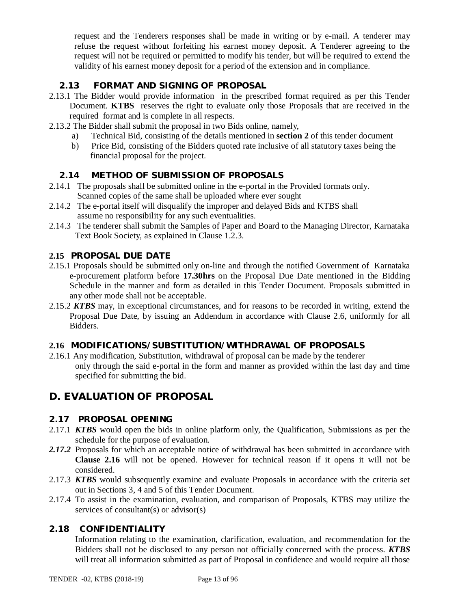request and the Tenderers responses shall be made in writing or by e-mail. A tenderer may refuse the request without forfeiting his earnest money deposit. A Tenderer agreeing to the request will not be required or permitted to modify his tender, but will be required to extend the validity of his earnest money deposit for a period of the extension and in compliance.

# **2.13 FORMAT AND SIGNING OF PROPOSAL**

- 2.13.1 The Bidder would provide information in the prescribed format required as per this Tender Document. **KTBS** reserves the right to evaluate only those Proposals that are received in the required format and is complete in all respects.
- 2.13.2 The Bidder shall submit the proposal in two Bids online, namely,
	- a) Technical Bid, consisting of the details mentioned in **section 2** of this tender document
	- b) Price Bid, consisting of the Bidders quoted rate inclusive of all statutory taxes being the financial proposal for the project.

# **2.14 METHOD OF SUBMISSION OF PROPOSALS**

- 2.14.1 The proposals shall be submitted online in the e-portal in the Provided formats only. Scanned copies of the same shall be uploaded where ever sought
- 2.14.2 The e-portal itself will disqualify the improper and delayed Bids and KTBS shall assume no responsibility for any such eventualities.
- 2.14.3 The tenderer shall submit the Samples of Paper and Board to the Managing Director, Karnataka Text Book Society, as explained in Clause 1.2.3.

# **2.15 PROPOSAL DUE DATE**

- 2.15.1 Proposals should be submitted only on-line and through the notified Government of Karnataka e-procurement platform before **17.30hrs** on the Proposal Due Date mentioned in the Bidding Schedule in the manner and form as detailed in this Tender Document. Proposals submitted in any other mode shall not be acceptable.
- 2.15.2 *KTBS* may, in exceptional circumstances, and for reasons to be recorded in writing, extend the Proposal Due Date, by issuing an Addendum in accordance with Clause 2.6, uniformly for all Bidders.

# **2.16 MODIFICATIONS/SUBSTITUTION/WITHDRAWAL OF PROPOSALS**

2.16.1 Any modification, Substitution, withdrawal of proposal can be made by the tenderer only through the said e-portal in the form and manner as provided within the last day and time specified for submitting the bid.

# **D. EVALUATION OF PROPOSAL**

### **2.17 PROPOSAL OPENING**

- 2.17.1 *KTBS* would open the bids in online platform only, the Qualification, Submissions as per the schedule for the purpose of evaluation.
- 2.17.2 Proposals for which an acceptable notice of withdrawal has been submitted in accordance with **Clause 2.16** will not be opened. However for technical reason if it opens it will not be considered.
- 2.17.3 *KTBS* would subsequently examine and evaluate Proposals in accordance with the criteria set out in Sections 3, 4 and 5 of this Tender Document.
- 2.17.4 To assist in the examination, evaluation, and comparison of Proposals, KTBS may utilize the services of consultant(s) or advisor(s)

### **2.18 CONFIDENTIALITY**

Information relating to the examination, clarification, evaluation, and recommendation for the Bidders shall not be disclosed to any person not officially concerned with the process. *KTBS* will treat all information submitted as part of Proposal in confidence and would require all those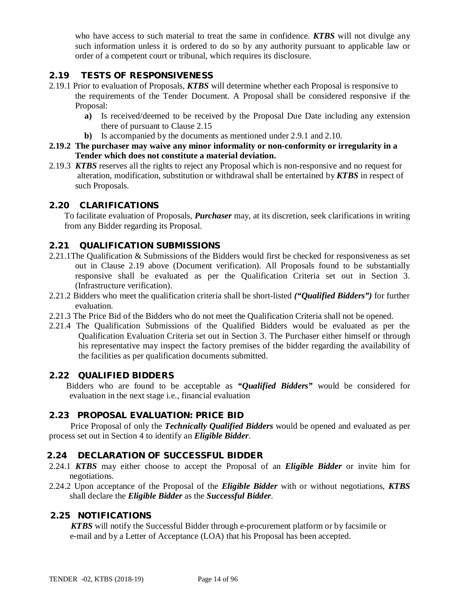who have access to such material to treat the same in confidence. *KTBS* will not divulge any such information unless it is ordered to do so by any authority pursuant to applicable law or order of a competent court or tribunal, which requires its disclosure.

## **2.19 TESTS OF RESPONSIVENESS**

- 2.19.1 Prior to evaluation of Proposals, *KTBS* will determine whether each Proposal is responsive to the requirements of the Tender Document. A Proposal shall be considered responsive if the Proposal:
	- **a)** Is received/deemed to be received by the Proposal Due Date including any extension there of pursuant to Clause 2.15
	- **b)** Is accompanied by the documents as mentioned under 2.9.1 and 2.10.
- **2.19.2 The purchaser may waive any minor informality or non-conformity or irregularity in a Tender which does not constitute a material deviation.**
- 2.19.3 *KTBS* reserves all the rights to reject any Proposal which is non-responsive and no request for alteration, modification, substitution or withdrawal shall be entertained by *KTBS* in respect of such Proposals.

### **2.20 CLARIFICATIONS**

To facilitate evaluation of Proposals, *Purchaser* may, at its discretion, seek clarifications in writing from any Bidder regarding its Proposal.

### **2.21 QUALIFICATION SUBMISSIONS**

- 2.21.1The Qualification & Submissions of the Bidders would first be checked for responsiveness as set out in Clause 2.19 above (Document verification). All Proposals found to be substantially responsive shall be evaluated as per the Qualification Criteria set out in Section 3. (Infrastructure verification).
- 2.21.2 Bidders who meet the qualification criteria shall be short-listed *("Qualified Bidders")* for further evaluation.
- 2.21.3 The Price Bid of the Bidders who do not meet the Qualification Criteria shall not be opened.
- 2.21.4 The Qualification Submissions of the Qualified Bidders would be evaluated as per the Qualification Evaluation Criteria set out in Section 3. The Purchaser either himself or through his representative may inspect the factory premises of the bidder regarding the availability of the facilities as per qualification documents submitted.

### **2.22 QUALIFIED BIDDERS**

 Bidders who are found to be acceptable as *"Qualified Bidders"* would be considered for evaluation in the next stage i.e., financial evaluation

### **2.23 PROPOSAL EVALUATION: PRICE BID**

 Price Proposal of only the *Technically Qualified Bidders* would be opened and evaluated as per process set out in Section 4 to identify an *Eligible Bidder*.

### **2.24 DECLARATION OF SUCCESSFUL BIDDER**

- 2.24.1 *KTBS* may either choose to accept the Proposal of an *Eligible Bidder* or invite him for negotiations.
- 2.24.2 Upon acceptance of the Proposal of the *Eligible Bidder* with or without negotiations, *KTBS*  shall declare the *Eligible Bidder* as the *Successful Bidder*.

### **2.25 NOTIFICATIONS**

 *KTBS* will notify the Successful Bidder through e-procurement platform or by facsimile or e-mail and by a Letter of Acceptance (LOA) that his Proposal has been accepted.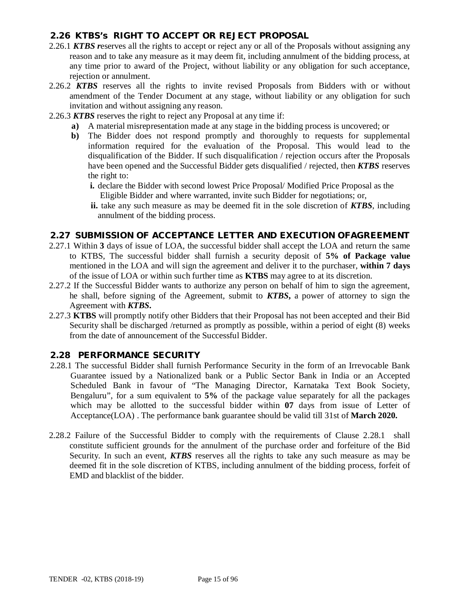# **2.26 KTBS's RIGHT TO ACCEPT OR REJECT PROPOSAL**

- 2.26.1 *KTBS r*eserves all the rights to accept or reject any or all of the Proposals without assigning any reason and to take any measure as it may deem fit, including annulment of the bidding process, at any time prior to award of the Project, without liability or any obligation for such acceptance, rejection or annulment.
- 2.26.2 *KTBS* reserves all the rights to invite revised Proposals from Bidders with or without amendment of the Tender Document at any stage, without liability or any obligation for such invitation and without assigning any reason.
- 2.26.3 *KTBS* reserves the right to reject any Proposal at any time if:
	- **a)** A material misrepresentation made at any stage in the bidding process is uncovered; or
	- **b)** The Bidder does not respond promptly and thoroughly to requests for supplemental information required for the evaluation of the Proposal. This would lead to the disqualification of the Bidder. If such disqualification / rejection occurs after the Proposals have been opened and the Successful Bidder gets disqualified / rejected, then *KTBS* reserves the right to:
		- **i.** declare the Bidder with second lowest Price Proposal/ Modified Price Proposal as the Eligible Bidder and where warranted, invite such Bidder for negotiations; or,
		- **ii.** take any such measure as may be deemed fit in the sole discretion of *KTBS*, including annulment of the bidding process.

### **2.27 SUBMISSION OF ACCEPTANCE LETTER AND EXECUTION OFAGREEMENT**

- 2.27.1 Within **3** days of issue of LOA, the successful bidder shall accept the LOA and return the same to KTBS, The successful bidder shall furnish a security deposit of **5% of Package value**  mentioned in the LOA and will sign the agreement and deliver it to the purchaser, **within 7 days** of the issue of LOA or within such further time as **KTBS** may agree to at its discretion.
- 2.27.2 If the Successful Bidder wants to authorize any person on behalf of him to sign the agreement, he shall, before signing of the Agreement, submit to *KTBS***,** a power of attorney to sign the Agreement with *KTBS***.**
- 2.27.3 **KTBS** will promptly notify other Bidders that their Proposal has not been accepted and their Bid Security shall be discharged /returned as promptly as possible, within a period of eight (8) weeks from the date of announcement of the Successful Bidder.

# **2.28 PERFORMANCE SECURITY**

- 2.28.1 The successful Bidder shall furnish Performance Security in the form of an Irrevocable Bank Guarantee issued by a Nationalized bank or a Public Sector Bank in India or an Accepted Scheduled Bank in favour of "The Managing Director, Karnataka Text Book Society, Bengaluru", for a sum equivalent to **5%** of the package value separately for all the packages which may be allotted to the successful bidder within **07** days from issue of Letter of Acceptance(LOA) . The performance bank guarantee should be valid till 31st of **March 2020.**
- 2.28.2 Failure of the Successful Bidder to comply with the requirements of Clause 2.28.1 shall constitute sufficient grounds for the annulment of the purchase order and forfeiture of the Bid Security. In such an event, *KTBS* reserves all the rights to take any such measure as may be deemed fit in the sole discretion of KTBS, including annulment of the bidding process, forfeit of EMD and blacklist of the bidder.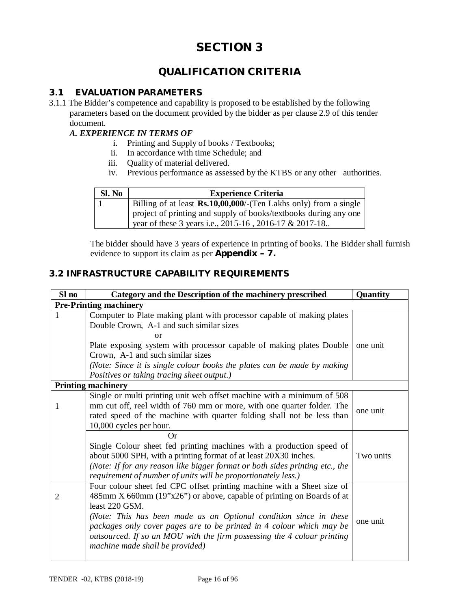# **QUALIFICATION CRITERIA**

### **3.1 EVALUATION PARAMETERS**

3.1.1 The Bidder's competence and capability is proposed to be established by the following parameters based on the document provided by the bidder as per clause 2.9 of this tender document.

### *A. EXPERIENCE IN TERMS OF*

- i. Printing and Supply of books / Textbooks;
- ii. In accordance with time Schedule; and
- iii. Quality of material delivered.
- iv. Previous performance as assessed by the KTBS or any other authorities.

| SI. No | <b>Experience Criteria</b>                                                                                                 |
|--------|----------------------------------------------------------------------------------------------------------------------------|
|        | Billing of at least $\mathbf{Rs.10,}00,000$ /-(Ten Lakhs only) from a single                                               |
|        | project of printing and supply of books/textbooks during any one<br>year of these 3 years i.e., 2015-16, 2016-17 & 2017-18 |

The bidder should have 3 years of experience in printing of books. The Bidder shall furnish evidence to support its claim as per **Appendix – 7.**

### **3.2 INFRASTRUCTURE CAPABILITY REQUIREMENTS**

| Sl no | Category and the Description of the machinery prescribed                                                                                                                                                                                                                                                                                                                                                                     | Quantity  |  |  |  |
|-------|------------------------------------------------------------------------------------------------------------------------------------------------------------------------------------------------------------------------------------------------------------------------------------------------------------------------------------------------------------------------------------------------------------------------------|-----------|--|--|--|
|       | <b>Pre-Printing machinery</b>                                                                                                                                                                                                                                                                                                                                                                                                |           |  |  |  |
| 1     | Computer to Plate making plant with processor capable of making plates<br>Double Crown, A-1 and such similar sizes                                                                                                                                                                                                                                                                                                           |           |  |  |  |
|       | or<br>Plate exposing system with processor capable of making plates Double<br>Crown, A-1 and such similar sizes<br>(Note: Since it is single colour books the plates can be made by making                                                                                                                                                                                                                                   | one unit  |  |  |  |
|       | Positives or taking tracing sheet output.)<br><b>Printing machinery</b>                                                                                                                                                                                                                                                                                                                                                      |           |  |  |  |
| 1     | Single or multi printing unit web offset machine with a minimum of 508<br>mm cut off, reel width of 760 mm or more, with one quarter folder. The<br>rated speed of the machine with quarter folding shall not be less than<br>10,000 cycles per hour.                                                                                                                                                                        | one unit  |  |  |  |
|       | Or<br>Single Colour sheet fed printing machines with a production speed of<br>about 5000 SPH, with a printing format of at least 20X30 inches.<br>(Note: If for any reason like bigger format or both sides printing etc., the<br>requirement of number of units will be proportionately less.)                                                                                                                              | Two units |  |  |  |
| 2     | Four colour sheet fed CPC offset printing machine with a Sheet size of<br>485mm X 660mm (19"x26") or above, capable of printing on Boards of at<br>least 220 GSM.<br>(Note: This has been made as an Optional condition since in these<br>packages only cover pages are to be printed in 4 colour which may be<br>outsourced. If so an MOU with the firm possessing the 4 colour printing<br>machine made shall be provided) | one unit  |  |  |  |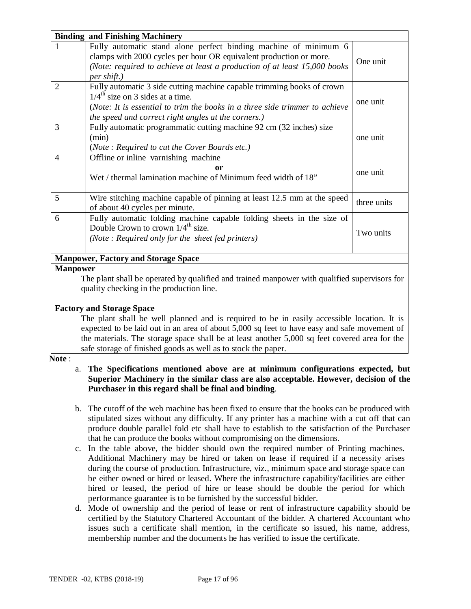|                | <b>Binding and Finishing Machinery</b>                                                                                                                                                                                                                       |             |
|----------------|--------------------------------------------------------------------------------------------------------------------------------------------------------------------------------------------------------------------------------------------------------------|-------------|
|                | Fully automatic stand alone perfect binding machine of minimum 6<br>clamps with 2000 cycles per hour OR equivalent production or more.<br>(Note: required to achieve at least a production of at least 15,000 books)<br>per shift.)                          | One unit    |
| $\overline{2}$ | Fully automatic 3 side cutting machine capable trimming books of crown<br>$1/4^{\text{th}}$ size on 3 sides at a time.<br>(Note: It is essential to trim the books in a three side trimmer to achieve<br>the speed and correct right angles at the corners.) | one unit    |
| 3              | Fully automatic programmatic cutting machine 92 cm (32 inches) size<br>(min)<br>(Note: Required to cut the Cover Boards etc.)                                                                                                                                | one unit    |
| $\overline{4}$ | Offline or inline varnishing machine<br>0r<br>Wet / thermal lamination machine of Minimum feed width of 18"                                                                                                                                                  | one unit    |
| 5              | Wire stitching machine capable of pinning at least 12.5 mm at the speed<br>of about 40 cycles per minute.                                                                                                                                                    | three units |
| 6              | Fully automatic folding machine capable folding sheets in the size of<br>Double Crown to crown $1/4^{\text{th}}$ size.<br>(Note: Required only for the sheet fed printers)                                                                                   | Two units   |
|                | <b>Manpower, Factory and Storage Space</b>                                                                                                                                                                                                                   |             |
| Monpower       |                                                                                                                                                                                                                                                              |             |

#### **Manpower**

The plant shall be operated by qualified and trained manpower with qualified supervisors for quality checking in the production line.

### **Factory and Storage Space**

The plant shall be well planned and is required to be in easily accessible location. It is expected to be laid out in an area of about 5,000 sq feet to have easy and safe movement of the materials. The storage space shall be at least another 5,000 sq feet covered area for the safe storage of finished goods as well as to stock the paper.

### **Note** :

### a. **The Specifications mentioned above are at minimum configurations expected, but Superior Machinery in the similar class are also acceptable. However, decision of the Purchaser in this regard shall be final and binding**.

- b. The cutoff of the web machine has been fixed to ensure that the books can be produced with stipulated sizes without any difficulty. If any printer has a machine with a cut off that can produce double parallel fold etc shall have to establish to the satisfaction of the Purchaser that he can produce the books without compromising on the dimensions.
- c. In the table above, the bidder should own the required number of Printing machines. Additional Machinery may be hired or taken on lease if required if a necessity arises during the course of production. Infrastructure, viz., minimum space and storage space can be either owned or hired or leased. Where the infrastructure capability/facilities are either hired or leased, the period of hire or lease should be double the period for which performance guarantee is to be furnished by the successful bidder.
- d. Mode of ownership and the period of lease or rent of infrastructure capability should be certified by the Statutory Chartered Accountant of the bidder. A chartered Accountant who issues such a certificate shall mention, in the certificate so issued, his name, address, membership number and the documents he has verified to issue the certificate.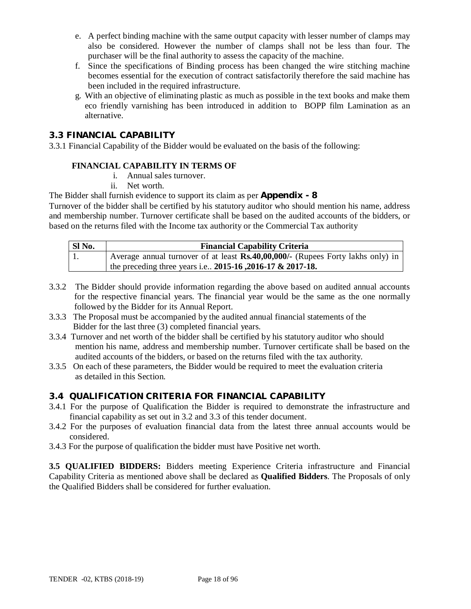- e. A perfect binding machine with the same output capacity with lesser number of clamps may also be considered. However the number of clamps shall not be less than four. The purchaser will be the final authority to assess the capacity of the machine.
- f. Since the specifications of Binding process has been changed the wire stitching machine becomes essential for the execution of contract satisfactorily therefore the said machine has been included in the required infrastructure.
- g. With an objective of eliminating plastic as much as possible in the text books and make them eco friendly varnishing has been introduced in addition to BOPP film Lamination as an alternative.

# **3.3 FINANCIAL CAPABILITY**

3.3.1 Financial Capability of the Bidder would be evaluated on the basis of the following:

### **FINANCIAL CAPABILITY IN TERMS OF**

- i. Annual sales turnover.
- ii. Net worth.

### The Bidder shall furnish evidence to support its claim as per **Appendix - 8**

Turnover of the bidder shall be certified by his statutory auditor who should mention his name, address and membership number. Turnover certificate shall be based on the audited accounts of the bidders, or based on the returns filed with the Income tax authority or the Commercial Tax authority

| Sl No. | <b>Financial Capability Criteria</b>                                            |
|--------|---------------------------------------------------------------------------------|
|        | Average annual turnover of at least Rs.40,00,000/- (Rupees Forty lakhs only) in |
|        | the preceding three years i.e 2015-16, 2016-17 & 2017-18.                       |

- 3.3.2 The Bidder should provide information regarding the above based on audited annual accounts for the respective financial years. The financial year would be the same as the one normally followed by the Bidder for its Annual Report.
- 3.3.3 The Proposal must be accompanied by the audited annual financial statements of the Bidder for the last three (3) completed financial years.
- 3.3.4 Turnover and net worth of the bidder shall be certified by his statutory auditor who should mention his name, address and membership number. Turnover certificate shall be based on the audited accounts of the bidders, or based on the returns filed with the tax authority.
- 3.3.5 On each of these parameters, the Bidder would be required to meet the evaluation criteria as detailed in this Section.

### **3.4 QUALIFICATION CRITERIA FOR FINANCIAL CAPABILITY**

- 3.4.1 For the purpose of Qualification the Bidder is required to demonstrate the infrastructure and financial capability as set out in 3.2 and 3.3 of this tender document.
- 3.4.2 For the purposes of evaluation financial data from the latest three annual accounts would be considered.
- 3.4.3 For the purpose of qualification the bidder must have Positive net worth.

**3.5 QUALIFIED BIDDERS:** Bidders meeting Experience Criteria infrastructure and Financial Capability Criteria as mentioned above shall be declared as **Qualified Bidders**. The Proposals of only the Qualified Bidders shall be considered for further evaluation.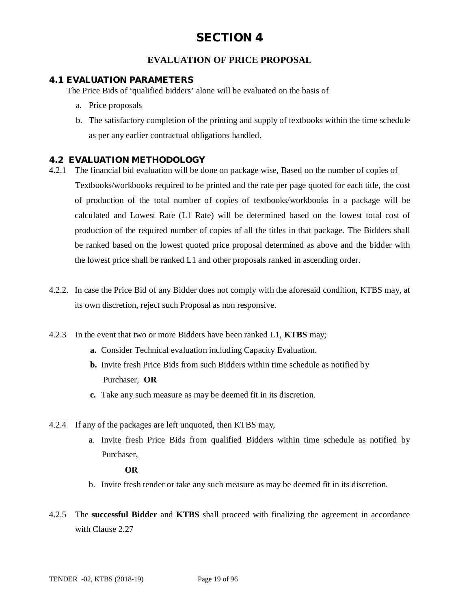# **EVALUATION OF PRICE PROPOSAL**

### **4.1 EVALUATION PARAMETERS**

The Price Bids of 'qualified bidders' alone will be evaluated on the basis of

- a. Price proposals
- b. The satisfactory completion of the printing and supply of textbooks within the time schedule as per any earlier contractual obligations handled.

### **4.2 EVALUATION METHODOLOGY**

- 4.2.1 The financial bid evaluation will be done on package wise, Based on the number of copies of Textbooks/workbooks required to be printed and the rate per page quoted for each title, the cost of production of the total number of copies of textbooks/workbooks in a package will be calculated and Lowest Rate (L1 Rate) will be determined based on the lowest total cost of production of the required number of copies of all the titles in that package. The Bidders shall be ranked based on the lowest quoted price proposal determined as above and the bidder with the lowest price shall be ranked L1 and other proposals ranked in ascending order.
- 4.2.2. In case the Price Bid of any Bidder does not comply with the aforesaid condition, KTBS may, at its own discretion, reject such Proposal as non responsive.
- 4.2.3 In the event that two or more Bidders have been ranked L1, **KTBS** may;
	- **a.** Consider Technical evaluation including Capacity Evaluation.
	- **b.** Invite fresh Price Bids from such Bidders within time schedule as notified by Purchaser, **OR**
	- **c.** Take any such measure as may be deemed fit in its discretion.
- 4.2.4 If any of the packages are left unquoted, then KTBS may,
	- a. Invite fresh Price Bids from qualified Bidders within time schedule as notified by Purchaser,

### **OR**

- b. Invite fresh tender or take any such measure as may be deemed fit in its discretion.
- 4.2.5 The **successful Bidder** and **KTBS** shall proceed with finalizing the agreement in accordance with Clause 2.27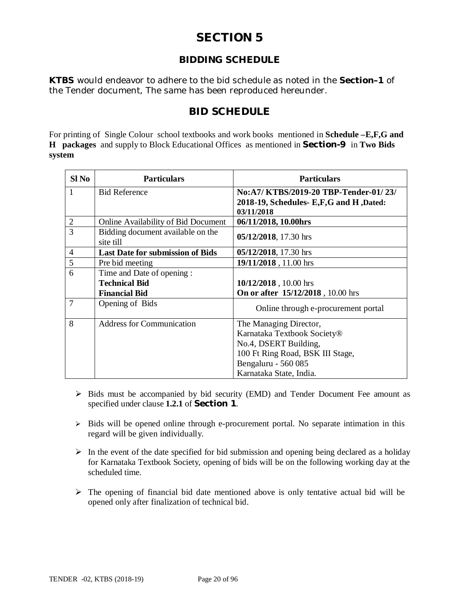# **BIDDING SCHEDULE**

*KTBS* would endeavor to adhere to the bid schedule as noted in the **Section–1** of the Tender document, The same has been reproduced hereunder.

# **BID SCHEDULE**

For printing of Single Colour school textbooks and work books mentioned in **Schedule –E,F,G and H packages** and supply to Block Educational Offices as mentioned in **Section-9** in **Two Bids system**

| Sl No          | <b>Particulars</b>                             | <b>Particulars</b>                                                                           |
|----------------|------------------------------------------------|----------------------------------------------------------------------------------------------|
| $\mathbf{1}$   | <b>Bid Reference</b>                           | No:A7/KTBS/2019-20 TBP-Tender-01/23/<br>2018-19, Schedules- E,F,G and H,Dated:<br>03/11/2018 |
| $\overline{2}$ | <b>Online Availability of Bid Document</b>     | 06/11/2018, 10.00hrs                                                                         |
| 3              | Bidding document available on the<br>site till | 05/12/2018, 17.30 hrs                                                                        |
| $\overline{4}$ | <b>Last Date for submission of Bids</b>        | 05/12/2018, 17.30 hrs                                                                        |
| 5              | Pre bid meeting                                | 19/11/2018, 11.00 hrs                                                                        |
| 6              | Time and Date of opening :                     |                                                                                              |
|                | <b>Technical Bid</b>                           | 10/12/2018, 10.00 hrs                                                                        |
|                | <b>Financial Bid</b>                           | On or after 15/12/2018, 10.00 hrs                                                            |
| $\overline{7}$ | Opening of Bids                                | Online through e-procurement portal                                                          |
| 8              | <b>Address for Communication</b>               | The Managing Director,                                                                       |
|                |                                                | Karnataka Textbook Society®                                                                  |
|                |                                                | No.4, DSERT Building,                                                                        |
|                |                                                | 100 Ft Ring Road, BSK III Stage,                                                             |
|                |                                                | Bengaluru - 560 085                                                                          |
|                |                                                | Karnataka State, India.                                                                      |

- $\triangleright$  Bids must be accompanied by bid security (EMD) and Tender Document Fee amount as specified under clause **1.2.1** of **Section 1**.
- $\triangleright$  Bids will be opened online through e-procurement portal. No separate intimation in this regard will be given individually.
- $\triangleright$  In the event of the date specified for bid submission and opening being declared as a holiday for Karnataka Textbook Society, opening of bids will be on the following working day at the scheduled time.
- $\triangleright$  The opening of financial bid date mentioned above is only tentative actual bid will be opened only after finalization of technical bid.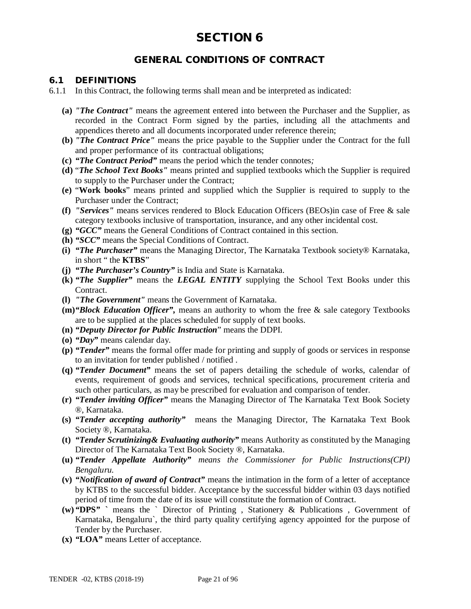# **GENERAL CONDITIONS OF CONTRACT**

### **6.1 DEFINITIONS**

- 6.1.1 In this Contract, the following terms shall mean and be interpreted as indicated:
	- **(a)** *"The Contract"* means the agreement entered into between the Purchaser and the Supplier, as recorded in the Contract Form signed by the parties, including all the attachments and appendices thereto and all documents incorporated under reference therein;
	- **(b)** *"The Contract Price"* means the price payable to the Supplier under the Contract for the full and proper performance of its contractual obligations;
	- **(c)** *"The Contract Period"* means the period which the tender connotes*;*
	- **(d)** "*The School Text Books"* means printed and supplied textbooks which the Supplier is required to supply to the Purchaser under the Contract;
	- **(e)** "**Work books**" means printed and supplied which the Supplier is required to supply to the Purchaser under the Contract;
	- **(f)** *"Services"* means services rendered to Block Education Officers (BEOs)in case of Free & sale category textbooks inclusive of transportation, insurance, and any other incidental cost.
	- **(g)** *"GCC"* means the General Conditions of Contract contained in this section.
	- **(h)** *"SCC"* means the Special Conditions of Contract.
	- **(i)** *"The Purchaser"* means the Managing Director, The Karnataka Textbook society® Karnataka, in short " the **KTBS**"
	- **(j)** *"The Purchaser's Country"* is India and State is Karnataka.
	- **(k)** *"The Supplier"* means the *LEGAL ENTITY* supplying the School Text Books under this Contract.
	- **(l)** *"The Government"* means the Government of Karnataka.
	- **(m)***"Block Education Officer",* means an authority to whom the free & sale category Textbooks are to be supplied at the places scheduled for supply of text books.
	- **(n)** *"Deputy Director for Public Instruction*" means the DDPI.
	- **(o)** *"Day"* means calendar day.
	- **(p)** *"Tender"* means the formal offer made for printing and supply of goods or services in response to an invitation for tender published / notified .
	- **(q)** *"Tender Document"* means the set of papers detailing the schedule of works, calendar of events, requirement of goods and services, technical specifications, procurement criteria and such other particulars, as may be prescribed for evaluation and comparison of tender.
	- **(r)** *"Tender inviting Officer"* means the Managing Director of The Karnataka Text Book Society ®, Karnataka.
	- **(s)** *"Tender accepting authority"* means the Managing Director, The Karnataka Text Book Society ®, Karnataka.
	- **(t)** *"Tender Scrutinizing& Evaluating authority"* means Authority as constituted by the Managing Director of The Karnataka Text Book Society ®, Karnataka.
	- **(u)** *"Tender Appellate Authority" means the Commissioner for Public Instructions(CPI) Bengaluru.*
	- **(v)** *"Notification of award of Contract"* means the intimation in the form of a letter of acceptance by KTBS to the successful bidder. Acceptance by the successful bidder within 03 days notified period of time from the date of its issue will constitute the formation of Contract.
	- **(w)** *"***DPS***"* **`** means the ` Director of Printing , Stationery & Publications , Government of Karnataka, Bengaluru`, the third party quality certifying agency appointed for the purpose of Tender by the Purchaser.
	- **(x)** *"***LOA***"* means Letter of acceptance.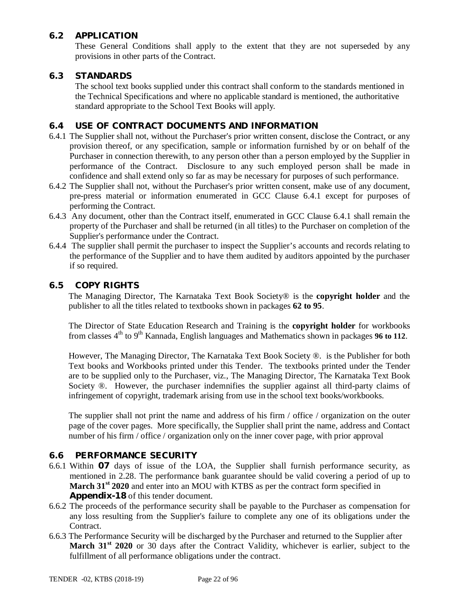# **6.2 APPLICATION**

These General Conditions shall apply to the extent that they are not superseded by any provisions in other parts of the Contract.

### **6.3 STANDARDS**

The school text books supplied under this contract shall conform to the standards mentioned in the Technical Specifications and where no applicable standard is mentioned, the authoritative standard appropriate to the School Text Books will apply.

## **6.4 USE OF CONTRACT DOCUMENTS AND INFORMATION**

- 6.4.1 The Supplier shall not, without the Purchaser's prior written consent, disclose the Contract, or any provision thereof, or any specification, sample or information furnished by or on behalf of the Purchaser in connection therewith, to any person other than a person employed by the Supplier in performance of the Contract. Disclosure to any such employed person shall be made in confidence and shall extend only so far as may be necessary for purposes of such performance.
- 6.4.2 The Supplier shall not, without the Purchaser's prior written consent, make use of any document, pre-press material or information enumerated in GCC Clause 6.4.1 except for purposes of performing the Contract.
- 6.4.3 Any document, other than the Contract itself, enumerated in GCC Clause 6.4.1 shall remain the property of the Purchaser and shall be returned (in all titles) to the Purchaser on completion of the Supplier's performance under the Contract.
- 6.4.4 The supplier shall permit the purchaser to inspect the Supplier's accounts and records relating to the performance of the Supplier and to have them audited by auditors appointed by the purchaser if so required.

### **6.5 COPY RIGHTS**

The Managing Director, The Karnataka Text Book Society® is the **copyright holder** and the publisher to all the titles related to textbooks shown in packages **62 to 95**.

The Director of State Education Research and Training is the **copyright holder** for workbooks from classes 4<sup>th</sup> to 9<sup>th</sup> Kannada, English languages and Mathematics shown in packages 96 to 112.

However, The Managing Director, The Karnataka Text Book Society ®. is the Publisher for both Text books and Workbooks printed under this Tender. The textbooks printed under the Tender are to be supplied only to the Purchaser, viz., The Managing Director, The Karnataka Text Book Society ®. However, the purchaser indemnifies the supplier against all third-party claims of infringement of copyright, trademark arising from use in the school text books/workbooks.

The supplier shall not print the name and address of his firm / office / organization on the outer page of the cover pages. More specifically, the Supplier shall print the name, address and Contact number of his firm / office / organization only on the inner cover page, with prior approval

### **6.6 PERFORMANCE SECURITY**

- 6.6.1 Within **07** days of issue of the LOA, the Supplier shall furnish performance security, as mentioned in 2.28. The performance bank guarantee should be valid covering a period of up to **March 31st 2020** and enter into an MOU with KTBS as per the contract form specified in **Appendix-18** of this tender document.
- 6.6.2 The proceeds of the performance security shall be payable to the Purchaser as compensation for any loss resulting from the Supplier's failure to complete any one of its obligations under the Contract.
- 6.6.3 The Performance Security will be discharged by the Purchaser and returned to the Supplier after **March 31st 2020** or 30 days after the Contract Validity, whichever is earlier, subject to the fulfillment of all performance obligations under the contract.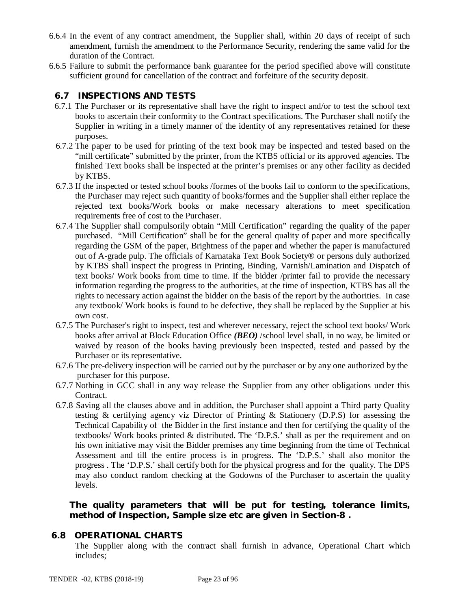- 6.6.4 In the event of any contract amendment, the Supplier shall, within 20 days of receipt of such amendment, furnish the amendment to the Performance Security, rendering the same valid for the duration of the Contract.
- 6.6.5 Failure to submit the performance bank guarantee for the period specified above will constitute sufficient ground for cancellation of the contract and forfeiture of the security deposit.

# **6.7 INSPECTIONS AND TESTS**

- 6.7.1 The Purchaser or its representative shall have the right to inspect and/or to test the school text books to ascertain their conformity to the Contract specifications. The Purchaser shall notify the Supplier in writing in a timely manner of the identity of any representatives retained for these purposes.
- 6.7.2 The paper to be used for printing of the text book may be inspected and tested based on the "mill certificate" submitted by the printer, from the KTBS official or its approved agencies. The finished Text books shall be inspected at the printer's premises or any other facility as decided by KTBS.
- 6.7.3 If the inspected or tested school books /formes of the books fail to conform to the specifications, the Purchaser may reject such quantity of books/formes and the Supplier shall either replace the rejected text books/Work books or make necessary alterations to meet specification requirements free of cost to the Purchaser.
- 6.7.4 The Supplier shall compulsorily obtain "Mill Certification" regarding the quality of the paper purchased. "Mill Certification" shall be for the general quality of paper and more specifically regarding the GSM of the paper, Brightness of the paper and whether the paper is manufactured out of A-grade pulp. The officials of Karnataka Text Book Society® or persons duly authorized by KTBS shall inspect the progress in Printing, Binding, Varnish/Lamination and Dispatch of text books/ Work books from time to time. If the bidder /printer fail to provide the necessary information regarding the progress to the authorities, at the time of inspection, KTBS has all the rights to necessary action against the bidder on the basis of the report by the authorities. In case any textbook/ Work books is found to be defective, they shall be replaced by the Supplier at his own cost.
- 6.7.5 The Purchaser's right to inspect, test and wherever necessary, reject the school text books/ Work books after arrival at Block Education Office *(BEO)* /school level shall, in no way, be limited or waived by reason of the books having previously been inspected, tested and passed by the Purchaser or its representative.
- 6.7.6 The pre-delivery inspection will be carried out by the purchaser or by any one authorized by the purchaser for this purpose.
- 6.7.7 Nothing in GCC shall in any way release the Supplier from any other obligations under this Contract.
- 6.7.8 Saving all the clauses above and in addition, the Purchaser shall appoint a Third party Quality testing & certifying agency viz Director of Printing & Stationery (D.P.S) for assessing the Technical Capability of the Bidder in the first instance and then for certifying the quality of the textbooks/ Work books printed & distributed. The 'D.P.S.' shall as per the requirement and on his own initiative may visit the Bidder premises any time beginning from the time of Technical Assessment and till the entire process is in progress. The 'D.P.S.' shall also monitor the progress . The 'D.P.S.' shall certify both for the physical progress and for the quality. The DPS may also conduct random checking at the Godowns of the Purchaser to ascertain the quality levels.

**The quality parameters that will be put for testing, tolerance limits, method of Inspection, Sample size etc are given in Section-8 .**

### **6.8 OPERATIONAL CHARTS**

The Supplier along with the contract shall furnish in advance, Operational Chart which includes;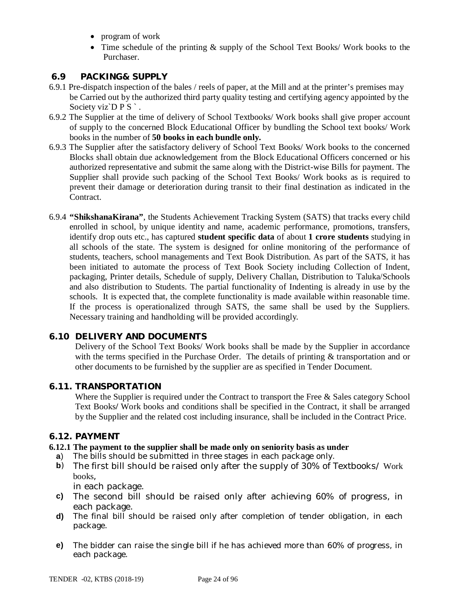- program of work
- Time schedule of the printing & supply of the School Text Books/ Work books to the Purchaser.

# **6.9 PACKING& SUPPLY**

- 6.9.1 Pre-dispatch inspection of the bales / reels of paper, at the Mill and at the printer's premises may be Carried out by the authorized third party quality testing and certifying agency appointed by the Society viz`D P S `.
- 6.9.2 The Supplier at the time of delivery of School Textbooks/ Work books shall give proper account of supply to the concerned Block Educational Officer by bundling the School text books/ Work books in the number of **50 books in each bundle only.**
- 6.9.3 The Supplier after the satisfactory delivery of School Text Books/ Work books to the concerned Blocks shall obtain due acknowledgement from the Block Educational Officers concerned or his authorized representative and submit the same along with the District-wise Bills for payment. The Supplier shall provide such packing of the School Text Books/ Work books as is required to prevent their damage or deterioration during transit to their final destination as indicated in the Contract.
- 6.9.4 **"ShikshanaKirana"**, the Students Achievement Tracking System (SATS) that tracks every child enrolled in school, by unique identity and name, academic performance, promotions, transfers, identify drop outs etc., has captured **student specific data** of about **1 crore students** studying in all schools of the state. The system is designed for online monitoring of the performance of students, teachers, school managements and Text Book Distribution. As part of the SATS, it has been initiated to automate the process of Text Book Society including Collection of Indent, packaging, Printer details, Schedule of supply, Delivery Challan, Distribution to Taluka/Schools and also distribution to Students. The partial functionality of Indenting is already in use by the schools. It is expected that, the complete functionality is made available within reasonable time. If the process is operationalized through SATS, the same shall be used by the Suppliers. Necessary training and handholding will be provided accordingly.

### **6.10 DELIVERY AND DOCUMENTS**

Delivery of the School Text Books/ Work books shall be made by the Supplier in accordance with the terms specified in the Purchase Order. The details of printing & transportation and or other documents to be furnished by the supplier are as specified in Tender Document.

### **6.11. TRANSPORTATION**

Where the Supplier is required under the Contract to transport the Free & Sales category School Text Books**/** Work books and conditions shall be specified in the Contract, it shall be arranged by the Supplier and the related cost including insurance, shall be included in the Contract Price.

### **6.12. PAYMENT**

### **6.12.1 The payment to the supplier shall be made only on seniority basis as under**

- **a**) The bills should be submitted in three stages in each package only.
- **b**) The first bill should be raised only after the supply of 30% of Textbooks/ Work books,

in each package.

- **c)** The second bill should be raised only after achieving 60% of progress, in each package.
- **d)** The final bill should be raised only after completion of tender obligation, in each package.
- **e)** The bidder can raise the single bill if he has achieved more than 60% of progress, in each package.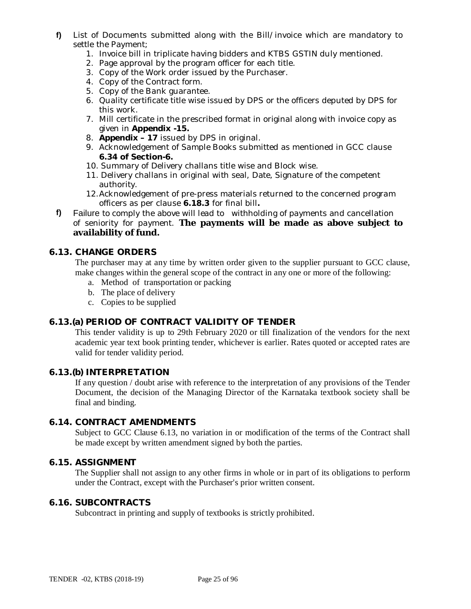- **f)** List of Documents submitted along with the Bill/invoice which are mandatory to settle the Payment;
	- 1. Invoice bill in triplicate having bidders and KTBS GSTIN duly mentioned.
	- 2. Page approval by the program officer for each title.
	- 3. Copy of the Work order issued by the Purchaser.
	- 4. Copy of the Contract form.
	- 5. Copy of the Bank guarantee.
	- 6. Quality certificate title wise issued by DPS or the officers deputed by DPS for this work.
	- 7. Mill certificate in the prescribed format in original along with invoice copy as given in **Appendix -15.**
	- 8. **Appendix – 17** issued by DPS in original.
	- 9. Acknowledgement of Sample Books submitted as mentioned in GCC clause **6.34 of Section-6.**
	- 10. Summary of Delivery challans title wise and Block wise.
	- 11. Delivery challans in original with seal, Date, Signature of the competent authority.
	- 12.Acknowledgement of pre-press materials returned to the concerned program officers as per clause **6.18.3** for final bill**.**
- **f)** Failure to comply the above will lead to withholding of payments and cancellation of seniority for payment. **The payments will be made as above subject to availability of fund.**

### **6.13. CHANGE ORDERS**

The purchaser may at any time by written order given to the supplier pursuant to GCC clause, make changes within the general scope of the contract in any one or more of the following:

- a. Method of transportation or packing
- b. The place of delivery
- c. Copies to be supplied

### **6.13.(a) PERIOD OF CONTRACT VALIDITY OF TENDER**

This tender validity is up to 29th February 2020 or till finalization of the vendors for the next academic year text book printing tender, whichever is earlier. Rates quoted or accepted rates are valid for tender validity period.

### **6.13.(b) INTERPRETATION**

If any question / doubt arise with reference to the interpretation of any provisions of the Tender Document, the decision of the Managing Director of the Karnataka textbook society shall be final and binding.

### **6.14. CONTRACT AMENDMENTS**

Subject to GCC Clause 6.13, no variation in or modification of the terms of the Contract shall be made except by written amendment signed by both the parties.

### **6.15. ASSIGNMENT**

The Supplier shall not assign to any other firms in whole or in part of its obligations to perform under the Contract, except with the Purchaser's prior written consent.

### **6.16. SUBCONTRACTS**

Subcontract in printing and supply of textbooks is strictly prohibited.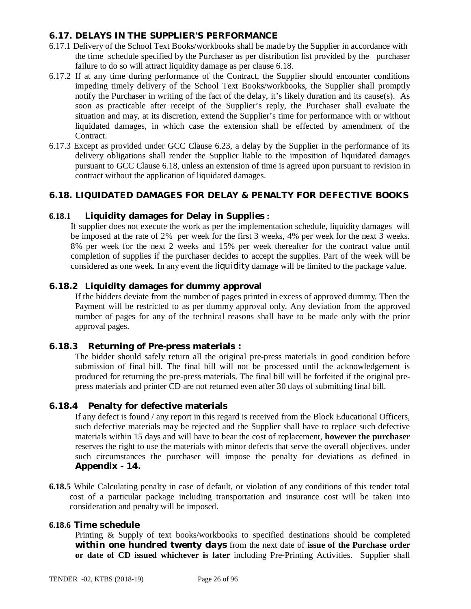## **6.17. DELAYS IN THE SUPPLIER'S PERFORMANCE**

- 6.17.1 Delivery of the School Text Books/workbooks shall be made by the Supplier in accordance with the time schedule specified by the Purchaser as per distribution list provided by the purchaser failure to do so will attract liquidity damage as per clause 6.18.
- 6.17.2 If at any time during performance of the Contract, the Supplier should encounter conditions impeding timely delivery of the School Text Books/workbooks, the Supplier shall promptly notify the Purchaser in writing of the fact of the delay, it's likely duration and its cause(s). As soon as practicable after receipt of the Supplier's reply, the Purchaser shall evaluate the situation and may, at its discretion, extend the Supplier's time for performance with or without liquidated damages, in which case the extension shall be effected by amendment of the Contract.
- 6.17.3 Except as provided under GCC Clause 6.23, a delay by the Supplier in the performance of its delivery obligations shall render the Supplier liable to the imposition of liquidated damages pursuant to GCC Clause 6.18, unless an extension of time is agreed upon pursuant to revision in contract without the application of liquidated damages.

# **6.18. LIQUIDATED DAMAGES FOR DELAY & PENALTY FOR DEFECTIVE BOOKS**

### **6.18.1 Liquidity damages for Delay in Supplies :**

If supplier does not execute the work as per the implementation schedule, liquidity damages will be imposed at the rate of 2% per week for the first 3 weeks, 4% per week for the next 3 weeks. 8% per week for the next 2 weeks and 15% per week thereafter for the contract value until completion of supplies if the purchaser decides to accept the supplies. Part of the week will be considered as one week. In any event the liquidity damage will be limited to the package value.

### **6.18.2 Liquidity damages for dummy approval**

If the bidders deviate from the number of pages printed in excess of approved dummy. Then the Payment will be restricted to as per dummy approval only. Any deviation from the approved number of pages for any of the technical reasons shall have to be made only with the prior approval pages.

### **6.18.3 Returning of Pre-press materials :**

The bidder should safely return all the original pre-press materials in good condition before submission of final bill. The final bill will not be processed until the acknowledgement is produced for returning the pre-press materials. The final bill will be forfeited if the original prepress materials and printer CD are not returned even after 30 days of submitting final bill.

### **6.18.4 Penalty for defective materials**

If any defect is found / any report in this regard is received from the Block Educational Officers, such defective materials may be rejected and the Supplier shall have to replace such defective materials within 15 days and will have to bear the cost of replacement, **however the purchaser**  reserves the right to use the materials with minor defects that serve the overall objectives. under such circumstances the purchaser will impose the penalty for deviations as defined in **Appendix - 14.**

**6.18.5** While Calculating penalty in case of default, or violation of any conditions of this tender total cost of a particular package including transportation and insurance cost will be taken into consideration and penalty will be imposed.

### **6.18.6 Time schedule**

Printing & Supply of text books/workbooks to specified destinations should be completed *within one hundred twenty days* from the next date of **issue of the Purchase order or date of CD issued whichever is later** including Pre-Printing Activities. Supplier shall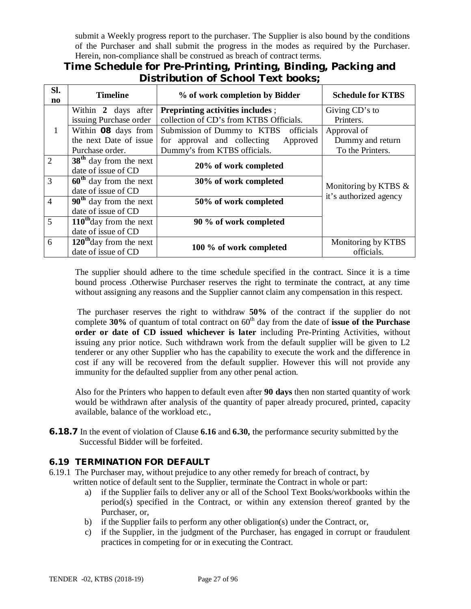submit a Weekly progress report to the purchaser. The Supplier is also bound by the conditions of the Purchaser and shall submit the progress in the modes as required by the Purchaser. Herein, non-compliance shall be construed as breach of contract terms.

# **Time Schedule for Pre-Printing, Printing, Binding, Packing and Distribution of School Text books;**

| SI.<br>no      | <b>Timeline</b>                     | % of work completion by Bidder           | <b>Schedule for KTBS</b>                          |  |
|----------------|-------------------------------------|------------------------------------------|---------------------------------------------------|--|
|                | Within 2 days after                 | <b>Preprinting activities includes ;</b> | Giving CD's to                                    |  |
|                | issuing Purchase order              | collection of CD's from KTBS Officials.  | Printers.                                         |  |
| $\mathbf{1}$   | Within 08 days from                 | Submission of Dummy to KTBS officials    | Approval of                                       |  |
|                | the next Date of issue              | for approval and collecting<br>Approved  | Dummy and return                                  |  |
|                | Purchase order.                     | Dummy's from KTBS officials.             | To the Printers.                                  |  |
| $\overline{2}$ | $38th$ day from the next            |                                          |                                                   |  |
|                | date of issue of CD                 | 20% of work completed                    |                                                   |  |
| 3              | $60th$ day from the next            | 30% of work completed                    |                                                   |  |
|                | date of issue of CD                 |                                          | Monitoring by KTBS $\&$<br>it's authorized agency |  |
| $\overline{4}$ | $90th$ day from the next            | 50% of work completed                    |                                                   |  |
|                | date of issue of CD                 |                                          |                                                   |  |
| 5              | $110^{\text{th}}$ day from the next | 90 % of work completed                   |                                                   |  |
|                | date of issue of CD                 |                                          |                                                   |  |
| 6              | $120th$ day from the next           |                                          | Monitoring by KTBS                                |  |
|                | date of issue of CD                 | 100 % of work completed                  | officials.                                        |  |

The supplier should adhere to the time schedule specified in the contract. Since it is a time bound process .Otherwise Purchaser reserves the right to terminate the contract, at any time without assigning any reasons and the Supplier cannot claim any compensation in this respect.

The purchaser reserves the right to withdraw **50%** of the contract if the supplier do not complete 30% of quantum of total contract on 60<sup>th</sup> day from the date of **issue of the Purchase order or date of CD issued whichever is later** including Pre-Printing Activities, without issuing any prior notice. Such withdrawn work from the default supplier will be given to L2 tenderer or any other Supplier who has the capability to execute the work and the difference in cost if any will be recovered from the default supplier. However this will not provide any immunity for the defaulted supplier from any other penal action.

Also for the Printers who happen to default even after **90 days** then non started quantity of work would be withdrawn after analysis of the quantity of paper already procured, printed, capacity available, balance of the workload etc.,

**6.18.7** In the event of violation of Clause **6.16** and **6.30,** the performance security submitted by the Successful Bidder will be forfeited.

# **6.19 TERMINATION FOR DEFAULT**

- 6.19.1 The Purchaser may, without prejudice to any other remedy for breach of contract, by written notice of default sent to the Supplier, terminate the Contract in whole or part:
	- a) if the Supplier fails to deliver any or all of the School Text Books/workbooks within the period(s) specified in the Contract, or within any extension thereof granted by the Purchaser, or,
	- b) if the Supplier fails to perform any other obligation(s) under the Contract, or,
	- c) if the Supplier, in the judgment of the Purchaser, has engaged in corrupt or fraudulent practices in competing for or in executing the Contract.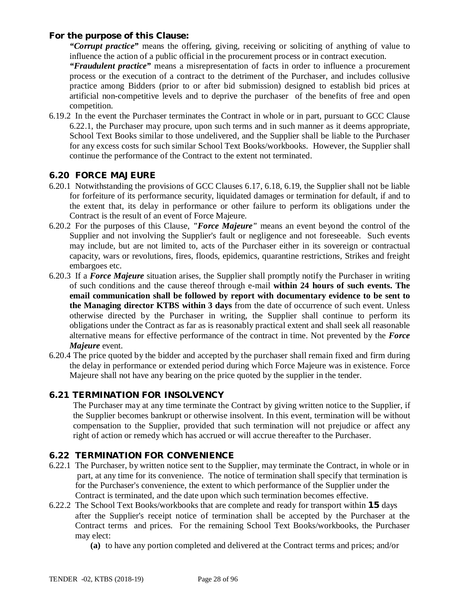### **For the purpose of this Clause:**

*"Corrupt practice"* means the offering, giving, receiving or soliciting of anything of value to influence the action of a public official in the procurement process or in contract execution.

*"Fraudulent practice"* means a misrepresentation of facts in order to influence a procurement process or the execution of a contract to the detriment of the Purchaser, and includes collusive practice among Bidders (prior to or after bid submission) designed to establish bid prices at artificial non-competitive levels and to deprive the purchaser of the benefits of free and open competition.

6.19.2 In the event the Purchaser terminates the Contract in whole or in part, pursuant to GCC Clause 6.22.1, the Purchaser may procure, upon such terms and in such manner as it deems appropriate, School Text Books similar to those undelivered, and the Supplier shall be liable to the Purchaser for any excess costs for such similar School Text Books/workbooks. However, the Supplier shall continue the performance of the Contract to the extent not terminated.

### **6.20 FORCE MAJEURE**

- 6.20.1 Notwithstanding the provisions of GCC Clauses 6.17, 6.18, 6.19, the Supplier shall not be liable for forfeiture of its performance security, liquidated damages or termination for default, if and to the extent that, its delay in performance or other failure to perform its obligations under the Contract is the result of an event of Force Majeure.
- 6.20.2 For the purposes of this Clause, *"Force Majeure"* means an event beyond the control of the Supplier and not involving the Supplier's fault or negligence and not foreseeable. Such events may include, but are not limited to, acts of the Purchaser either in its sovereign or contractual capacity, wars or revolutions, fires, floods, epidemics, quarantine restrictions, Strikes and freight embargoes etc.
- 6.20.3 If a *Force Majeure* situation arises, the Supplier shall promptly notify the Purchaser in writing of such conditions and the cause thereof through e-mail **within 24 hours of such events. The email communication shall be followed by report with documentary evidence to be sent to the Managing director KTBS within 3 days** from the date of occurrence of such event. Unless otherwise directed by the Purchaser in writing, the Supplier shall continue to perform its obligations under the Contract as far as is reasonably practical extent and shall seek all reasonable alternative means for effective performance of the contract in time. Not prevented by the *Force Majeure* event.
- 6.20.4 The price quoted by the bidder and accepted by the purchaser shall remain fixed and firm during the delay in performance or extended period during which Force Majeure was in existence. Force Majeure shall not have any bearing on the price quoted by the supplier in the tender.

### **6.21 TERMINATION FOR INSOLVENCY**

The Purchaser may at any time terminate the Contract by giving written notice to the Supplier, if the Supplier becomes bankrupt or otherwise insolvent. In this event, termination will be without compensation to the Supplier, provided that such termination will not prejudice or affect any right of action or remedy which has accrued or will accrue thereafter to the Purchaser.

### **6.22 TERMINATION FOR CONVENIENCE**

- 6.22.1 The Purchaser, by written notice sent to the Supplier, may terminate the Contract, in whole or in part, at any time for its convenience. The notice of termination shall specify that termination is for the Purchaser's convenience, the extent to which performance of the Supplier under the Contract is terminated, and the date upon which such termination becomes effective.
- 6.22.2 The School Text Books/workbooks that are complete and ready for transport within **15** days after the Supplier's receipt notice of termination shall be accepted by the Purchaser at the Contract terms and prices. For the remaining School Text Books/workbooks, the Purchaser may elect:
	- **(a)** to have any portion completed and delivered at the Contract terms and prices; and/or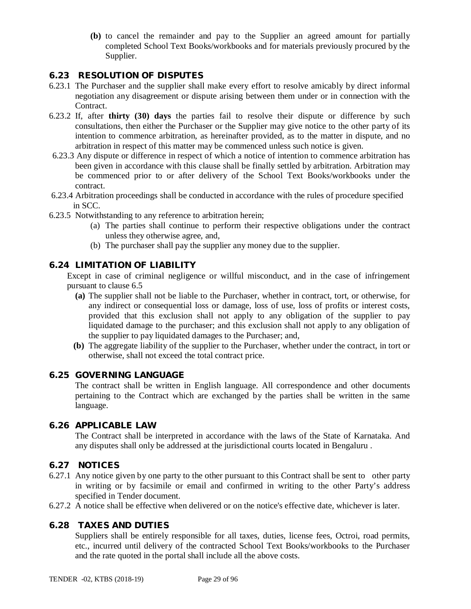**(b)** to cancel the remainder and pay to the Supplier an agreed amount for partially completed School Text Books/workbooks and for materials previously procured by the Supplier.

# **6.23 RESOLUTION OF DISPUTES**

- 6.23.1 The Purchaser and the supplier shall make every effort to resolve amicably by direct informal negotiation any disagreement or dispute arising between them under or in connection with the Contract.
- 6.23.2 If, after **thirty (30) days** the parties fail to resolve their dispute or difference by such consultations, then either the Purchaser or the Supplier may give notice to the other party of its intention to commence arbitration, as hereinafter provided, as to the matter in dispute, and no arbitration in respect of this matter may be commenced unless such notice is given.
- 6.23.3 Any dispute or difference in respect of which a notice of intention to commence arbitration has been given in accordance with this clause shall be finally settled by arbitration. Arbitration may be commenced prior to or after delivery of the School Text Books/workbooks under the contract.
- 6.23.4 Arbitration proceedings shall be conducted in accordance with the rules of procedure specified in SCC.
- 6.23.5 Notwithstanding to any reference to arbitration herein;
	- (a) The parties shall continue to perform their respective obligations under the contract unless they otherwise agree, and,
	- (b) The purchaser shall pay the supplier any money due to the supplier.

### **6.24 LIMITATION OF LIABILITY**

Except in case of criminal negligence or willful misconduct, and in the case of infringement pursuant to clause 6.5

- **(a)** The supplier shall not be liable to the Purchaser, whether in contract, tort, or otherwise, for any indirect or consequential loss or damage, loss of use, loss of profits or interest costs, provided that this exclusion shall not apply to any obligation of the supplier to pay liquidated damage to the purchaser; and this exclusion shall not apply to any obligation of the supplier to pay liquidated damages to the Purchaser; and,
- **(b)** The aggregate liability of the supplier to the Purchaser, whether under the contract, in tort or otherwise, shall not exceed the total contract price.

### **6.25 GOVERNING LANGUAGE**

The contract shall be written in English language. All correspondence and other documents pertaining to the Contract which are exchanged by the parties shall be written in the same language.

### **6.26 APPLICABLE LAW**

The Contract shall be interpreted in accordance with the laws of the State of Karnataka. And any disputes shall only be addressed at the jurisdictional courts located in Bengaluru .

### **6.27 NOTICES**

- 6.27.1 Any notice given by one party to the other pursuant to this Contract shall be sent to other party in writing or by facsimile or email and confirmed in writing to the other Party's address specified in Tender document.
- 6.27.2 A notice shall be effective when delivered or on the notice's effective date, whichever is later.

# **6.28 TAXES AND DUTIES**

Suppliers shall be entirely responsible for all taxes, duties, license fees, Octroi, road permits, etc., incurred until delivery of the contracted School Text Books/workbooks to the Purchaser and the rate quoted in the portal shall include all the above costs.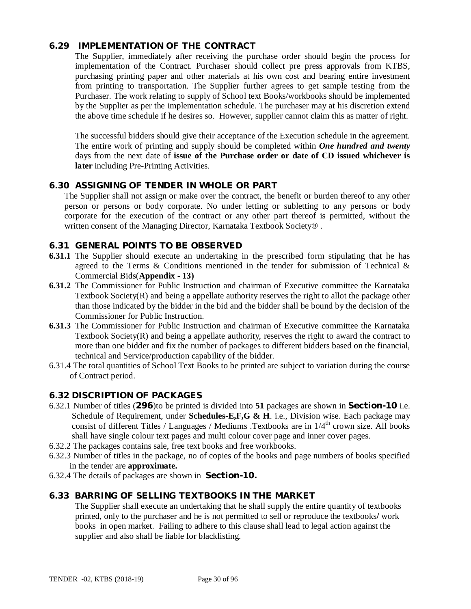### **6.29 IMPLEMENTATION OF THE CONTRACT**

The Supplier, immediately after receiving the purchase order should begin the process for implementation of the Contract. Purchaser should collect pre press approvals from KTBS, purchasing printing paper and other materials at his own cost and bearing entire investment from printing to transportation. The Supplier further agrees to get sample testing from the Purchaser. The work relating to supply of School text Books/workbooks should be implemented by the Supplier as per the implementation schedule. The purchaser may at his discretion extend the above time schedule if he desires so. However, supplier cannot claim this as matter of right.

The successful bidders should give their acceptance of the Execution schedule in the agreement. The entire work of printing and supply should be completed within *One hundred and twenty* days from the next date of **issue of the Purchase order or date of CD issued whichever is later** including Pre-Printing Activities.

# **6.30 ASSIGNING OF TENDER IN WHOLE OR PART**

The Supplier shall not assign or make over the contract, the benefit or burden thereof to any other person or persons or body corporate. No under letting or subletting to any persons or body corporate for the execution of the contract or any other part thereof is permitted, without the written consent of the Managing Director, Karnataka Textbook Society®.

### **6.31 GENERAL POINTS TO BE OBSERVED**

- **6.31.1** The Supplier should execute an undertaking in the prescribed form stipulating that he has agreed to the Terms  $\&$  Conditions mentioned in the tender for submission of Technical  $\&$ Commercial Bids(**Appendix - 13)**
- **6.31.2** The Commissioner for Public Instruction and chairman of Executive committee the Karnataka Textbook Society(R) and being a appellate authority reserves the right to allot the package other than those indicated by the bidder in the bid and the bidder shall be bound by the decision of the Commissioner for Public Instruction.
- **6.31.3** The Commissioner for Public Instruction and chairman of Executive committee the Karnataka Textbook Society $(R)$  and being a appellate authority, reserves the right to award the contract to more than one bidder and fix the number of packages to different bidders based on the financial, technical and Service/production capability of the bidder.
- 6.31.4 The total quantities of School Text Books to be printed are subject to variation during the course of Contract period.

# **6.32 DISCRIPTION OF PACKAGES**

- 6.32.1 Number of titles (**296**)to be printed is divided into **51** packages are shown in **Section-10** i.e. Schedule of Requirement, under **Schedules-E,F,G & H**. i.e., Division wise. Each package may consist of different Titles / Languages / Mediums .Textbooks are in  $1/4^{\text{th}}$  crown size. All books shall have single colour text pages and multi colour cover page and inner cover pages.
- 6.32.2 The packages contains sale, free text books and free workbooks.
- 6.32.3 Number of titles in the package, no of copies of the books and page numbers of books specified in the tender are **approximate.**
- 6.32.4 The details of packages are shown in **Section-10.**

### **6.33 BARRING OF SELLING TEXTBOOKS IN THE MARKET**

The Supplier shall execute an undertaking that he shall supply the entire quantity of textbooks printed, only to the purchaser and he is not permitted to sell or reproduce the textbooks**/** work books in open market. Failing to adhere to this clause shall lead to legal action against the supplier and also shall be liable for blacklisting.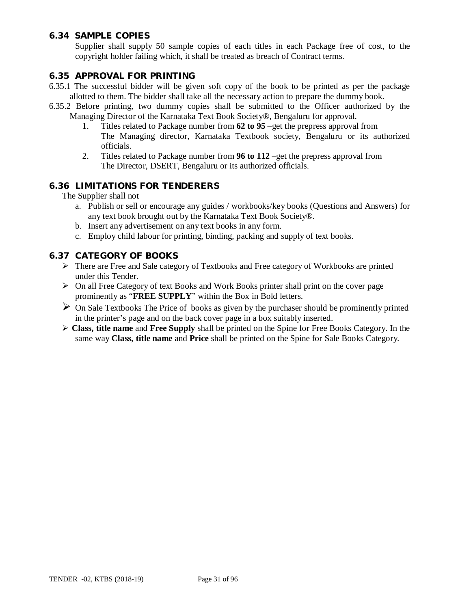# **6.34 SAMPLE COPIES**

Supplier shall supply 50 sample copies of each titles in each Package free of cost, to the copyright holder failing which, it shall be treated as breach of Contract terms.

### **6.35 APPROVAL FOR PRINTING**

- 6.35.1 The successful bidder will be given soft copy of the book to be printed as per the package allotted to them. The bidder shall take all the necessary action to prepare the dummy book.
- 6.35.2 Before printing, two dummy copies shall be submitted to the Officer authorized by the Managing Director of the Karnataka Text Book Society®, Bengaluru for approval.
	- 1. Titles related to Package number from **62 to 95** –get the prepress approval from The Managing director, Karnataka Textbook society, Bengaluru or its authorized officials.
	- 2. Titles related to Package number from **96 to 112** –get the prepress approval from The Director, DSERT, Bengaluru or its authorized officials.

### **6.36 LIMITATIONS FOR TENDERERS**

The Supplier shall not

- a. Publish or sell or encourage any guides / workbooks/key books (Questions and Answers) for any text book brought out by the Karnataka Text Book Society®.
- b. Insert any advertisement on any text books in any form.
- c. Employ child labour for printing, binding, packing and supply of text books.

### **6.37 CATEGORY OF BOOKS**

- There are Free and Sale category of Textbooks and Free category of Workbooks are printed under this Tender.
- $\triangleright$  On all Free Category of text Books and Work Books printer shall print on the cover page prominently as "**FREE SUPPLY**" within the Box in Bold letters.
- $\triangleright$  On Sale Textbooks The Price of books as given by the purchaser should be prominently printed in the printer's page and on the back cover page in a box suitably inserted.
- **Class, title name** and **Free Supply** shall be printed on the Spine for Free Books Category. In the same way **Class, title name** and **Price** shall be printed on the Spine for Sale Books Category.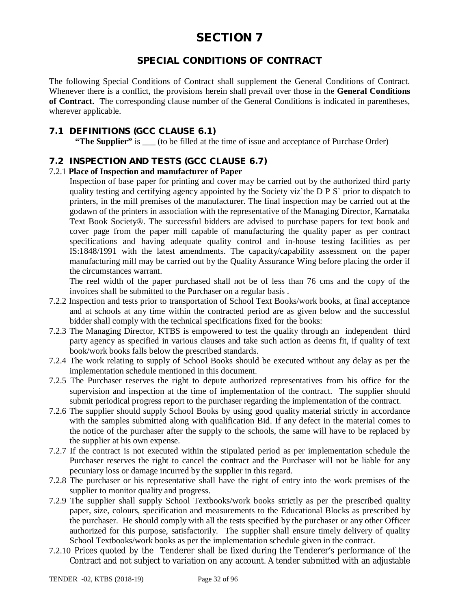# **SPECIAL CONDITIONS OF CONTRACT**

The following Special Conditions of Contract shall supplement the General Conditions of Contract. Whenever there is a conflict, the provisions herein shall prevail over those in the **General Conditions of Contract.** The corresponding clause number of the General Conditions is indicated in parentheses, wherever applicable.

## **7.1 DEFINITIONS (GCC CLAUSE 6.1)**

**"The Supplier"** is (to be filled at the time of issue and acceptance of Purchase Order)

# **7.2 INSPECTION AND TESTS (GCC CLAUSE 6.7)**

### 7.2.1 **Place of Inspection and manufacturer of Paper**

Inspection of base paper for printing and cover may be carried out by the authorized third party quality testing and certifying agency appointed by the Society viz`the D P S` prior to dispatch to printers, in the mill premises of the manufacturer. The final inspection may be carried out at the godawn of the printers in association with the representative of the Managing Director, Karnataka Text Book Society®. The successful bidders are advised to purchase papers for text book and cover page from the paper mill capable of manufacturing the quality paper as per contract specifications and having adequate quality control and in-house testing facilities as per IS:1848/1991 with the latest amendments. The capacity/capability assessment on the paper manufacturing mill may be carried out by the Quality Assurance Wing before placing the order if the circumstances warrant.

The reel width of the paper purchased shall not be of less than 76 cms and the copy of the invoices shall be submitted to the Purchaser on a regular basis .

- 7.2.2 Inspection and tests prior to transportation of School Text Books/work books, at final acceptance and at schools at any time within the contracted period are as given below and the successful bidder shall comply with the technical specifications fixed for the books:
- 7.2.3 The Managing Director, KTBS is empowered to test the quality through an independent third party agency as specified in various clauses and take such action as deems fit, if quality of text book/work books falls below the prescribed standards.
- 7.2.4 The work relating to supply of School Books should be executed without any delay as per the implementation schedule mentioned in this document.
- 7.2.5 The Purchaser reserves the right to depute authorized representatives from his office for the supervision and inspection at the time of implementation of the contract. The supplier should submit periodical progress report to the purchaser regarding the implementation of the contract.
- 7.2.6 The supplier should supply School Books by using good quality material strictly in accordance with the samples submitted along with qualification Bid. If any defect in the material comes to the notice of the purchaser after the supply to the schools, the same will have to be replaced by the supplier at his own expense.
- 7.2.7 If the contract is not executed within the stipulated period as per implementation schedule the Purchaser reserves the right to cancel the contract and the Purchaser will not be liable for any pecuniary loss or damage incurred by the supplier in this regard.
- 7.2.8 The purchaser or his representative shall have the right of entry into the work premises of the supplier to monitor quality and progress.
- 7.2.9 The supplier shall supply School Textbooks/work books strictly as per the prescribed quality paper, size, colours, specification and measurements to the Educational Blocks as prescribed by the purchaser. He should comply with all the tests specified by the purchaser or any other Officer authorized for this purpose, satisfactorily. The supplier shall ensure timely delivery of quality School Textbooks/work books as per the implementation schedule given in the contract.
- 7.2.10 Prices quoted by the Tenderer shall be fixed during the Tenderer's performance of the Contract and not subject to variation on any account. A tender submitted with an adjustable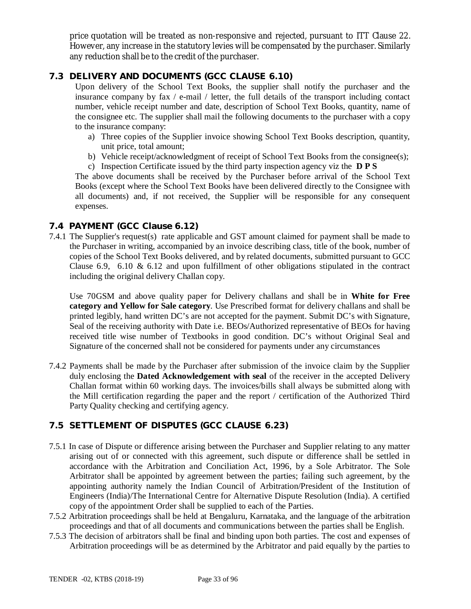price quotation will be treated as non-responsive and rejected, pursuant to ITT Clause 22. However, any increase in the statutory levies will be compensated by the purchaser. Similarly any reduction shall be to the credit of the purchaser.

# **7.3 DELIVERY AND DOCUMENTS (GCC CLAUSE 6.10)**

Upon delivery of the School Text Books, the supplier shall notify the purchaser and the insurance company by fax / e-mail / letter, the full details of the transport including contact number, vehicle receipt number and date, description of School Text Books, quantity, name of the consignee etc. The supplier shall mail the following documents to the purchaser with a copy to the insurance company:

- a) Three copies of the Supplier invoice showing School Text Books description, quantity, unit price, total amount;
- b) Vehicle receipt/acknowledgment of receipt of School Text Books from the consignee(s);
- c) Inspection Certificate issued by the third party inspection agency viz the **D P S**

The above documents shall be received by the Purchaser before arrival of the School Text Books (except where the School Text Books have been delivered directly to the Consignee with all documents) and, if not received, the Supplier will be responsible for any consequent expenses.

### **7.4 PAYMENT (GCC Clause 6.12)**

7.4.1 The Supplier's request(s) rate applicable and GST amount claimed for payment shall be made to the Purchaser in writing, accompanied by an invoice describing class, title of the book, number of copies of the School Text Books delivered, and by related documents, submitted pursuant to GCC Clause 6.9, 6.10 & 6.12 and upon fulfillment of other obligations stipulated in the contract including the original delivery Challan copy.

Use 70GSM and above quality paper for Delivery challans and shall be in **White for Free category and Yellow for Sale category**. Use Prescribed format for delivery challans and shall be printed legibly, hand written DC's are not accepted for the payment. Submit DC's with Signature, Seal of the receiving authority with Date i.e. BEOs/Authorized representative of BEOs for having received title wise number of Textbooks in good condition. DC's without Original Seal and Signature of the concerned shall not be considered for payments under any circumstances

7.4.2 Payments shall be made by the Purchaser after submission of the invoice claim by the Supplier duly enclosing the **Dated Acknowledgement with seal** of the receiver in the accepted Delivery Challan format within 60 working days. The invoices/bills shall always be submitted along with the Mill certification regarding the paper and the report / certification of the Authorized Third Party Quality checking and certifying agency.

# **7.5 SETTLEMENT OF DISPUTES (GCC CLAUSE 6.23)**

- 7.5.1 In case of Dispute or difference arising between the Purchaser and Supplier relating to any matter arising out of or connected with this agreement, such dispute or difference shall be settled in accordance with the Arbitration and Conciliation Act, 1996, by a Sole Arbitrator. The Sole Arbitrator shall be appointed by agreement between the parties; failing such agreement, by the appointing authority namely the Indian Council of Arbitration/President of the Institution of Engineers (India)/The International Centre for Alternative Dispute Resolution (India). A certified copy of the appointment Order shall be supplied to each of the Parties.
- 7.5.2 Arbitration proceedings shall be held at Bengaluru, Karnataka, and the language of the arbitration proceedings and that of all documents and communications between the parties shall be English.
- 7.5.3 The decision of arbitrators shall be final and binding upon both parties. The cost and expenses of Arbitration proceedings will be as determined by the Arbitrator and paid equally by the parties to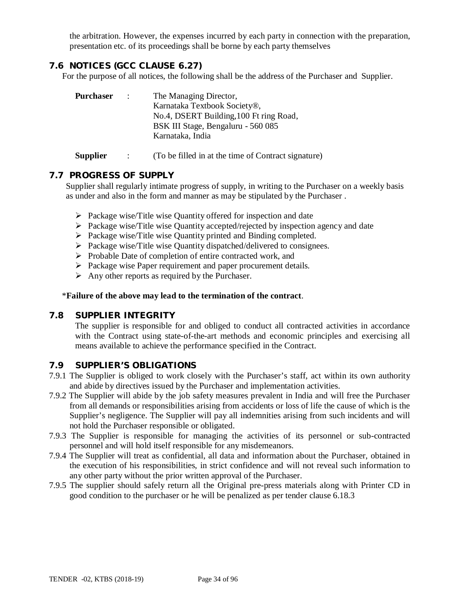the arbitration. However, the expenses incurred by each party in connection with the preparation, presentation etc. of its proceedings shall be borne by each party themselves

# **7.6 NOTICES (GCC CLAUSE 6.27)**

For the purpose of all notices, the following shall be the address of the Purchaser and Supplier.

| <b>Purchaser</b> | $\sim$ 100 $\sim$ | The Managing Director,                  |  |
|------------------|-------------------|-----------------------------------------|--|
|                  |                   | Karnataka Textbook Society®,            |  |
|                  |                   | No.4, DSERT Building, 100 Ft ring Road, |  |
|                  |                   | BSK III Stage, Bengaluru - 560 085      |  |
|                  |                   | Karnataka, India                        |  |
|                  |                   |                                         |  |

**Supplier** : (To be filled in at the time of Contract signature)

### **7.7 PROGRESS OF SUPPLY**

Supplier shall regularly intimate progress of supply, in writing to the Purchaser on a weekly basis as under and also in the form and manner as may be stipulated by the Purchaser .

- $\triangleright$  Package wise/Title wise Quantity offered for inspection and date
- $\triangleright$  Package wise/Title wise Quantity accepted/rejected by inspection agency and date
- Package wise/Title wise Quantity printed and Binding completed.
- $\triangleright$  Package wise/Title wise Quantity dispatched/delivered to consignees.
- $\triangleright$  Probable Date of completion of entire contracted work, and
- $\triangleright$  Package wise Paper requirement and paper procurement details.
- $\triangleright$  Any other reports as required by the Purchaser.

### \***Failure of the above may lead to the termination of the contract**.

### **7.8 SUPPLIER INTEGRITY**

The supplier is responsible for and obliged to conduct all contracted activities in accordance with the Contract using state-of-the-art methods and economic principles and exercising all means available to achieve the performance specified in the Contract.

# **7.9 SUPPLIER'S OBLIGATIONS**

- 7.9.1 The Supplier is obliged to work closely with the Purchaser's staff, act within its own authority and abide by directives issued by the Purchaser and implementation activities.
- 7.9.2 The Supplier will abide by the job safety measures prevalent in India and will free the Purchaser from all demands or responsibilities arising from accidents or loss of life the cause of which is the Supplier's negligence. The Supplier will pay all indemnities arising from such incidents and will not hold the Purchaser responsible or obligated.
- 7.9.3 The Supplier is responsible for managing the activities of its personnel or sub-contracted personnel and will hold itself responsible for any misdemeanors.
- 7.9.4 The Supplier will treat as confidential, all data and information about the Purchaser, obtained in the execution of his responsibilities, in strict confidence and will not reveal such information to any other party without the prior written approval of the Purchaser.
- 7.9.5 The supplier should safely return all the Original pre-press materials along with Printer CD in good condition to the purchaser or he will be penalized as per tender clause 6.18.3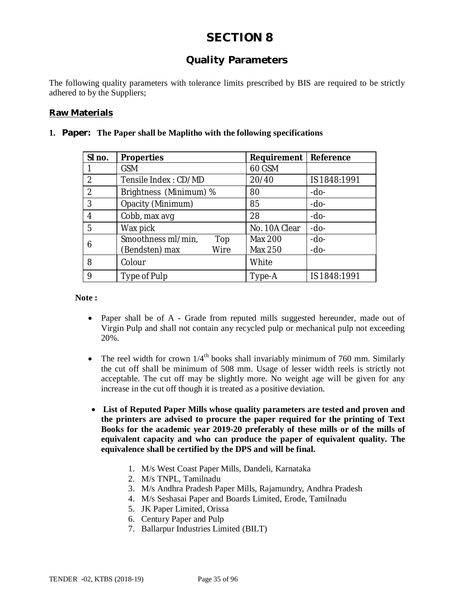# **Quality Parameters**

The following quality parameters with tolerance limits prescribed by BIS are required to be strictly adhered to by the Suppliers;

### **Raw Materials**

| SI no.         | <b>Properties</b>         | <b>Requirement</b> | Reference    |
|----------------|---------------------------|--------------------|--------------|
|                | <b>GSM</b>                | 60 GSM             |              |
| $\overline{2}$ | Tensile Index: CD/MD      | 20/40              | IS 1848:1991 |
| $\overline{2}$ | Brightness (Minimum) %    | 80                 | $-do-$       |
| 3              | Opacity (Minimum)         | 85                 | $-do-$       |
| 4              | Cobb, max avg             | 28                 | $-do-$       |
| 5              | Wax pick                  | No. 10A Clear      | $-do-$       |
| 6              | Smoothness ml/min,<br>Top | <b>Max 200</b>     | $-do-$       |
|                | (Bendsten) max<br>Wire    | Max 250            | $-do-$       |
| 8              | Colour                    | White              |              |
| 9              | Type of Pulp              | Type-A             | IS 1848:1991 |

### **1. Paper: The Paper shall be Maplitho with the following specifications**

**Note :**

- Paper shall be of A Grade from reputed mills suggested hereunder, made out of Virgin Pulp and shall not contain any recycled pulp or mechanical pulp not exceeding 20%.
- The reel width for crown  $1/4^{\text{th}}$  books shall invariably minimum of 760 mm. Similarly the cut off shall be minimum of 508 mm. Usage of lesser width reels is strictly not acceptable. The cut off may be slightly more. No weight age will be given for any increase in the cut off though it is treated as a positive deviation.
- **List of Reputed Paper Mills whose quality parameters are tested and proven and the printers are advised to procure the paper required for the printing of Text Books for the academic year 2019-20 preferably of these mills or of the mills of equivalent capacity and who can produce the paper of equivalent quality. The equivalence shall be certified by the DPS and will be final.**
	- 1. M/s West Coast Paper Mills, Dandeli, Karnataka
	- 2. M/s TNPL, Tamilnadu
	- 3. M/s Andhra Pradesh Paper Mills, Rajamundry, Andhra Pradesh
	- 4. M/s Seshasai Paper and Boards Limited, Erode, Tamilnadu
	- 5. JK Paper Limited, Orissa
	- 6. Century Paper and Pulp
	- 7. Ballarpur Industries Limited (BILT)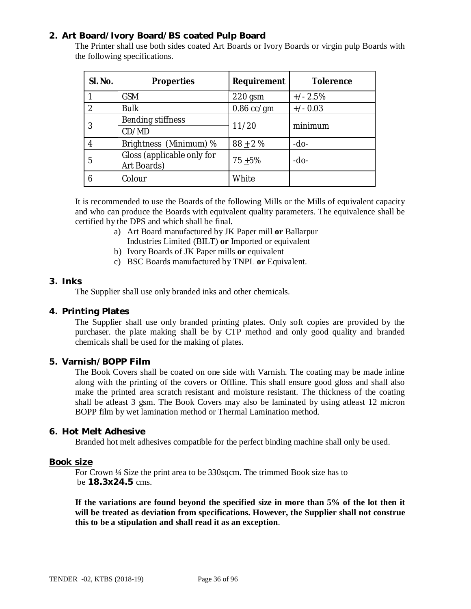## **2. Art Board/Ivory Board/BS coated Pulp Board**

The Printer shall use both sides coated Art Boards or Ivory Boards or virgin pulp Boards with the following specifications.

| SI. No.        | <b>Properties</b>                         | Requirement  | <b>Tolerence</b> |  |
|----------------|-------------------------------------------|--------------|------------------|--|
|                | <b>GSM</b>                                | $220$ gsm    | $+/- 2.5%$       |  |
| $\mathfrak{D}$ | <b>Bulk</b>                               | $0.86$ cc/gm | $+/- 0.03$       |  |
|                | Bending stiffness                         |              | minimum          |  |
|                | 11/20<br>CD/MD                            |              |                  |  |
|                | Brightness (Minimum) %                    | $88 + 2%$    | $-do-$           |  |
| 5              | Gloss (applicable only for<br>Art Boards) | $75 + 5%$    | -do-             |  |
|                | Colour                                    | White        |                  |  |

It is recommended to use the Boards of the following Mills or the Mills of equivalent capacity and who can produce the Boards with equivalent quality parameters. The equivalence shall be certified by the DPS and which shall be final.

- a) Art Board manufactured by JK Paper mill **or** Ballarpur Industries Limited (BILT) **or** Imported or equivalent
- b) Ivory Boards of JK Paper mills **or** equivalent
- c) BSC Boards manufactured by TNPL **or** Equivalent.

### **3. Inks**

The Supplier shall use only branded inks and other chemicals.

### **4. Printing Plates**

The Supplier shall use only branded printing plates. Only soft copies are provided by the purchaser. the plate making shall be by CTP method and only good quality and branded chemicals shall be used for the making of plates.

### **5. Varnish/BOPP Film**

The Book Covers shall be coated on one side with Varnish. The coating may be made inline along with the printing of the covers or Offline. This shall ensure good gloss and shall also make the printed area scratch resistant and moisture resistant. The thickness of the coating shall be atleast 3 gsm. The Book Covers may also be laminated by using atleast 12 micron BOPP film by wet lamination method or Thermal Lamination method.

### **6. Hot Melt Adhesive**

Branded hot melt adhesives compatible for the perfect binding machine shall only be used.

### **Book size**

For Crown ¼ Size the print area to be 330sqcm. The trimmed Book size has to be **18.3x24.5** cms.

**If the variations are found beyond the specified size in more than 5% of the lot then it will be treated as deviation from specifications. However, the Supplier shall not construe this to be a stipulation and shall read it as an exception**.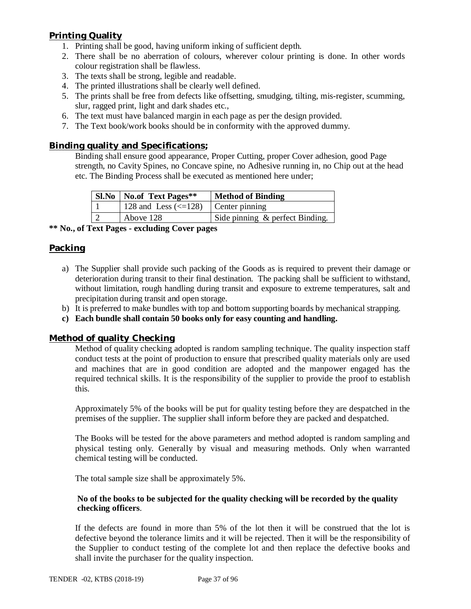### **Printing Quality**

- 1. Printing shall be good, having uniform inking of sufficient depth.
- 2. There shall be no aberration of colours, wherever colour printing is done. In other words colour registration shall be flawless.
- 3. The texts shall be strong, legible and readable.
- 4. The printed illustrations shall be clearly well defined.
- 5. The prints shall be free from defects like offsetting, smudging, tilting, mis-register, scumming, slur, ragged print, light and dark shades etc.,
- 6. The text must have balanced margin in each page as per the design provided.
- 7. The Text book/work books should be in conformity with the approved dummy.

#### **Binding quality and Specifications;**

Binding shall ensure good appearance, Proper Cutting, proper Cover adhesion, good Page strength, no Cavity Spines, no Concave spine, no Adhesive running in, no Chip out at the head etc. The Binding Process shall be executed as mentioned here under;

| <b>SI.No</b>   No.of Text Pages**<br><b>Method of Binding</b> |                                 |  |  |  |  |
|---------------------------------------------------------------|---------------------------------|--|--|--|--|
| 128 and Less $\left(\leq 128\right)$ Center pinning           |                                 |  |  |  |  |
| Above 128                                                     | Side pinning & perfect Binding. |  |  |  |  |

#### **\*\* No., of Text Pages - excluding Cover pages**

#### **Packing**

- a) The Supplier shall provide such packing of the Goods as is required to prevent their damage or deterioration during transit to their final destination. The packing shall be sufficient to withstand, without limitation, rough handling during transit and exposure to extreme temperatures, salt and precipitation during transit and open storage.
- b) It is preferred to make bundles with top and bottom supporting boards by mechanical strapping.
- **c) Each bundle shall contain 50 books only for easy counting and handling.**

#### **Method of quality Checking**

Method of quality checking adopted is random sampling technique. The quality inspection staff conduct tests at the point of production to ensure that prescribed quality materials only are used and machines that are in good condition are adopted and the manpower engaged has the required technical skills. It is the responsibility of the supplier to provide the proof to establish this.

Approximately 5% of the books will be put for quality testing before they are despatched in the premises of the supplier. The supplier shall inform before they are packed and despatched.

The Books will be tested for the above parameters and method adopted is random sampling and physical testing only. Generally by visual and measuring methods. Only when warranted chemical testing will be conducted.

The total sample size shall be approximately 5%.

#### **No of the books to be subjected for the quality checking will be recorded by the quality checking officers**.

If the defects are found in more than 5% of the lot then it will be construed that the lot is defective beyond the tolerance limits and it will be rejected. Then it will be the responsibility of the Supplier to conduct testing of the complete lot and then replace the defective books and shall invite the purchaser for the quality inspection.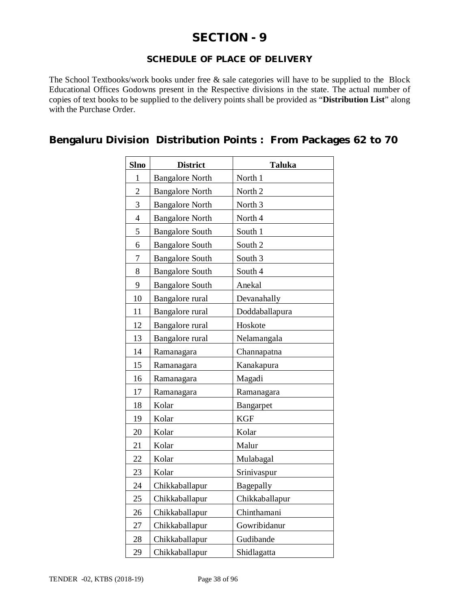## **SECTION - 9**

#### **SCHEDULE OF PLACE OF DELIVERY**

The School Textbooks/work books under free & sale categories will have to be supplied to the Block Educational Offices Godowns present in the Respective divisions in the state. The actual number of copies of text books to be supplied to the delivery points shall be provided as "**Distribution List**" along with the Purchase Order.

### **Bengaluru Division Distribution Points : From Packages 62 to 70**

| <b>Slno</b>    | <b>District</b>           | <b>Taluka</b>      |  |  |  |  |
|----------------|---------------------------|--------------------|--|--|--|--|
| 1              | <b>Bangalore North</b>    | North 1            |  |  |  |  |
| $\overline{2}$ | <b>Bangalore North</b>    | North 2            |  |  |  |  |
| 3              | <b>Bangalore North</b>    | North <sub>3</sub> |  |  |  |  |
| $\overline{4}$ | <b>Bangalore North</b>    | North 4            |  |  |  |  |
| 5              | <b>Bangalore South</b>    | South 1            |  |  |  |  |
| 6              | <b>Bangalore South</b>    | South 2            |  |  |  |  |
| 7              | <b>Bangalore South</b>    | South <sub>3</sub> |  |  |  |  |
| 8              | <b>Bangalore South</b>    | South 4            |  |  |  |  |
| 9              | <b>Bangalore South</b>    | Anekal             |  |  |  |  |
| 10             | Bangalore rural           | Devanahally        |  |  |  |  |
| 11             | Bangalore rural           | Doddaballapura     |  |  |  |  |
| 12             | Bangalore rural           | Hoskote            |  |  |  |  |
| 13             | Bangalore rural           | Nelamangala        |  |  |  |  |
| 14             | Ramanagara<br>Channapatna |                    |  |  |  |  |
| 15             | Ramanagara                | Kanakapura         |  |  |  |  |
| 16             | Ramanagara                | Magadi             |  |  |  |  |
| 17             | Ramanagara                | Ramanagara         |  |  |  |  |
| 18             | Kolar                     | Bangarpet          |  |  |  |  |
| 19             | Kolar                     | <b>KGF</b>         |  |  |  |  |
| 20             | Kolar                     | Kolar              |  |  |  |  |
| 21             | Kolar                     | Malur              |  |  |  |  |
| 22             | Kolar                     | Mulabagal          |  |  |  |  |
| 23             | Kolar                     | Srinivaspur        |  |  |  |  |
| 24             | Chikkaballapur            | Bagepally          |  |  |  |  |
| 25             | Chikkaballapur            | Chikkaballapur     |  |  |  |  |
| 26             | Chikkaballapur            | Chinthamani        |  |  |  |  |
| 27             | Chikkaballapur            | Gowribidanur       |  |  |  |  |
| 28             | Chikkaballapur            | Gudibande          |  |  |  |  |
| 29             | Chikkaballapur            | Shidlagatta        |  |  |  |  |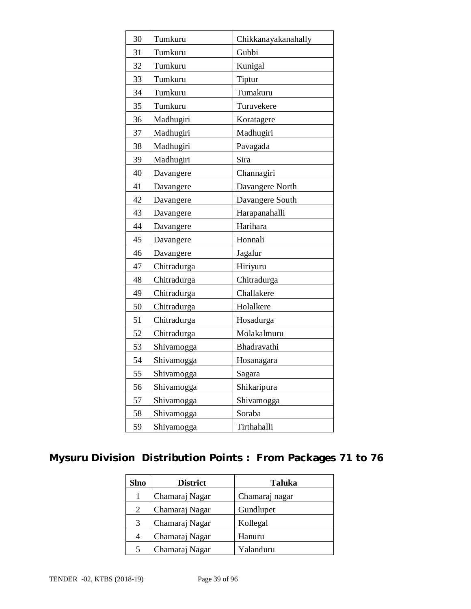| 30 | Tumkuru     | Chikkanayakanahally |  |  |  |  |
|----|-------------|---------------------|--|--|--|--|
| 31 | Tumkuru     | Gubbi               |  |  |  |  |
| 32 | Tumkuru     | Kunigal             |  |  |  |  |
| 33 | Tumkuru     | Tiptur              |  |  |  |  |
| 34 | Tumkuru     | Tumakuru            |  |  |  |  |
| 35 | Tumkuru     | Turuvekere          |  |  |  |  |
| 36 | Madhugiri   | Koratagere          |  |  |  |  |
| 37 | Madhugiri   | Madhugiri           |  |  |  |  |
| 38 | Madhugiri   | Pavagada            |  |  |  |  |
| 39 | Madhugiri   | Sira                |  |  |  |  |
| 40 | Davangere   | Channagiri          |  |  |  |  |
| 41 | Davangere   | Davangere North     |  |  |  |  |
| 42 | Davangere   | Davangere South     |  |  |  |  |
| 43 | Davangere   | Harapanahalli       |  |  |  |  |
| 44 | Davangere   | Harihara            |  |  |  |  |
| 45 | Davangere   | Honnali             |  |  |  |  |
| 46 | Davangere   | Jagalur             |  |  |  |  |
| 47 | Chitradurga | Hiriyuru            |  |  |  |  |
| 48 | Chitradurga | Chitradurga         |  |  |  |  |
| 49 | Chitradurga | Challakere          |  |  |  |  |
| 50 | Chitradurga | Holalkere           |  |  |  |  |
| 51 | Chitradurga | Hosadurga           |  |  |  |  |
| 52 | Chitradurga | Molakalmuru         |  |  |  |  |
| 53 | Shivamogga  | Bhadravathi         |  |  |  |  |
| 54 | Shivamogga  | Hosanagara          |  |  |  |  |
| 55 | Shivamogga  | Sagara              |  |  |  |  |
| 56 | Shivamogga  | Shikaripura         |  |  |  |  |
| 57 | Shivamogga  | Shivamogga          |  |  |  |  |
| 58 | Shivamogga  | Soraba              |  |  |  |  |
| 59 | Shivamogga  | Tirthahalli         |  |  |  |  |

## **Mysuru Division Distribution Points : From Packages 71 to 76**

| <b>Slno</b> | <b>District</b> | <b>Taluka</b>  |
|-------------|-----------------|----------------|
|             | Chamaraj Nagar  | Chamaraj nagar |
| 2           | Chamaraj Nagar  | Gundlupet      |
| 3           | Chamaraj Nagar  | Kollegal       |
| 4           | Chamaraj Nagar  | Hanuru         |
| 5           | Chamaraj Nagar  | Yalanduru      |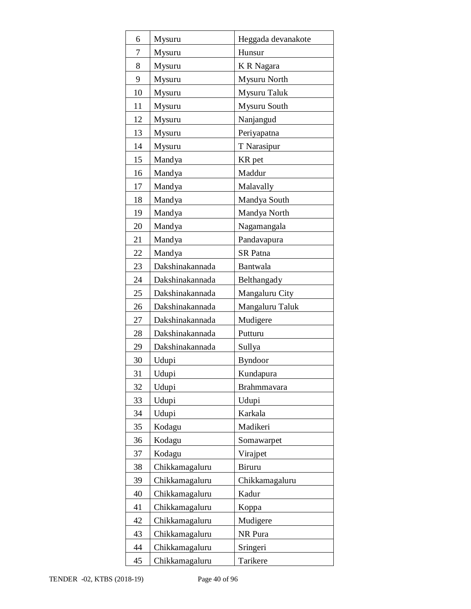| 6  | Mysuru          | Heggada devanakote |  |  |  |
|----|-----------------|--------------------|--|--|--|
| 7  | Mysuru          | Hunsur             |  |  |  |
| 8  | Mysuru          | K R Nagara         |  |  |  |
| 9  | Mysuru          | Mysuru North       |  |  |  |
| 10 | Mysuru          | Mysuru Taluk       |  |  |  |
| 11 | Mysuru          | Mysuru South       |  |  |  |
| 12 | Mysuru          | Nanjangud          |  |  |  |
| 13 | Mysuru          | Periyapatna        |  |  |  |
| 14 | Mysuru          | T Narasipur        |  |  |  |
| 15 | Mandya          | KR pet             |  |  |  |
| 16 | Mandya          | Maddur             |  |  |  |
| 17 | Mandya          | Malavally          |  |  |  |
| 18 | Mandya          | Mandya South       |  |  |  |
| 19 | Mandya          | Mandya North       |  |  |  |
| 20 | Mandya          | Nagamangala        |  |  |  |
| 21 | Mandya          | Pandavapura        |  |  |  |
| 22 | Mandya          | <b>SR</b> Patna    |  |  |  |
| 23 | Dakshinakannada | Bantwala           |  |  |  |
| 24 | Dakshinakannada | Belthangady        |  |  |  |
| 25 | Dakshinakannada | Mangaluru City     |  |  |  |
| 26 | Dakshinakannada | Mangaluru Taluk    |  |  |  |
| 27 | Dakshinakannada | Mudigere           |  |  |  |
| 28 | Dakshinakannada | Putturu            |  |  |  |
| 29 | Dakshinakannada | Sullya             |  |  |  |
| 30 | Udupi           | <b>Byndoor</b>     |  |  |  |
| 31 | Udupi           | Kundapura          |  |  |  |
| 32 | Udupi           | Brahmmavara        |  |  |  |
| 33 | Udupi           | Udupi              |  |  |  |
| 34 | Udupi           | Karkala            |  |  |  |
| 35 | Kodagu          | Madikeri           |  |  |  |
| 36 | Kodagu          | Somawarpet         |  |  |  |
| 37 | Kodagu          | Virajpet           |  |  |  |
| 38 | Chikkamagaluru  | <b>Biruru</b>      |  |  |  |
| 39 | Chikkamagaluru  | Chikkamagaluru     |  |  |  |
| 40 | Chikkamagaluru  | Kadur              |  |  |  |
| 41 | Chikkamagaluru  | Koppa              |  |  |  |
| 42 | Chikkamagaluru  | Mudigere           |  |  |  |
| 43 | Chikkamagaluru  | NR Pura            |  |  |  |
| 44 | Chikkamagaluru  | Sringeri           |  |  |  |
| 45 | Chikkamagaluru  | Tarikere           |  |  |  |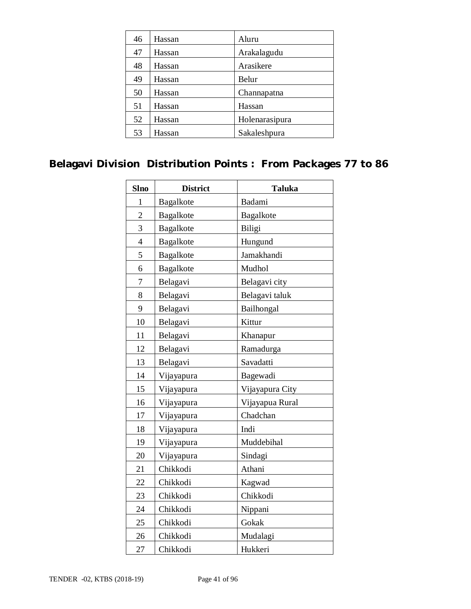| 46 | Hassan | Aluru          |
|----|--------|----------------|
| 47 | Hassan | Arakalagudu    |
| 48 | Hassan | Arasikere      |
| 49 | Hassan | Belur          |
| 50 | Hassan | Channapatna    |
| 51 | Hassan | Hassan         |
| 52 | Hassan | Holenarasipura |
| 53 | Hassan | Sakaleshpura   |

## **Belagavi Division Distribution Points : From Packages 77 to 86**

| <b>Slno</b>    | <b>District</b> | <b>Taluka</b>    |  |  |  |  |
|----------------|-----------------|------------------|--|--|--|--|
| 1              | Bagalkote       | Badami           |  |  |  |  |
| $\overline{2}$ | Bagalkote       | <b>Bagalkote</b> |  |  |  |  |
| 3              | Bagalkote       | Biligi           |  |  |  |  |
| $\overline{4}$ | Bagalkote       | Hungund          |  |  |  |  |
| 5              | Bagalkote       | Jamakhandi       |  |  |  |  |
| 6              | Bagalkote       | Mudhol           |  |  |  |  |
| 7              | Belagavi        | Belagavi city    |  |  |  |  |
| 8              | Belagavi        | Belagavi taluk   |  |  |  |  |
| 9              | Belagavi        | Bailhongal       |  |  |  |  |
| 10             | Belagavi        | Kittur           |  |  |  |  |
| 11             | Belagavi        | Khanapur         |  |  |  |  |
| 12             | Belagavi        | Ramadurga        |  |  |  |  |
| 13             | Belagavi        | Savadatti        |  |  |  |  |
| 14             | Vijayapura      | Bagewadi         |  |  |  |  |
| 15             | Vijayapura      | Vijayapura City  |  |  |  |  |
| 16             | Vijayapura      | Vijayapua Rural  |  |  |  |  |
| 17             | Vijayapura      | Chadchan         |  |  |  |  |
| 18             | Vijayapura      | Indi             |  |  |  |  |
| 19             | Vijayapura      | Muddebihal       |  |  |  |  |
| 20             | Vijayapura      | Sindagi          |  |  |  |  |
| 21             | Chikkodi        | Athani           |  |  |  |  |
| 22             | Chikkodi        | Kagwad           |  |  |  |  |
| 23             | Chikkodi        | Chikkodi         |  |  |  |  |
| 24             | Chikkodi        | Nippani          |  |  |  |  |
| 25             | Chikkodi        | Gokak            |  |  |  |  |
| 26             | Chikkodi        | Mudalagi         |  |  |  |  |
| 27             | Chikkodi        | Hukkeri          |  |  |  |  |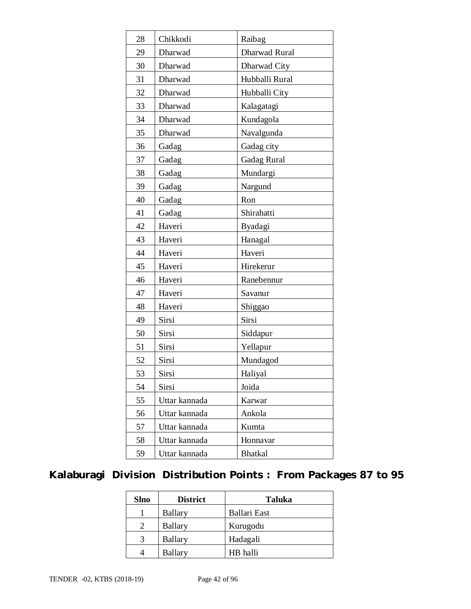| 28 | Chikkodi      | Raibag             |  |  |  |  |  |
|----|---------------|--------------------|--|--|--|--|--|
| 29 | Dharwad       | Dharwad Rural      |  |  |  |  |  |
| 30 | Dharwad       | Dharwad City       |  |  |  |  |  |
| 31 | Dharwad       | Hubballi Rural     |  |  |  |  |  |
| 32 | Dharwad       | Hubballi City      |  |  |  |  |  |
| 33 | Dharwad       | Kalagatagi         |  |  |  |  |  |
| 34 | Dharwad       | Kundagola          |  |  |  |  |  |
| 35 | Dharwad       | Navalgunda         |  |  |  |  |  |
| 36 | Gadag         | Gadag city         |  |  |  |  |  |
| 37 | Gadag         | <b>Gadag Rural</b> |  |  |  |  |  |
| 38 | Gadag         | Mundargi           |  |  |  |  |  |
| 39 | Gadag         | Nargund            |  |  |  |  |  |
| 40 | Gadag         | Ron                |  |  |  |  |  |
| 41 | Gadag         | Shirahatti         |  |  |  |  |  |
| 42 | Haveri        | Byadagi            |  |  |  |  |  |
| 43 | Haveri        | Hanagal            |  |  |  |  |  |
| 44 | Haveri        | Haveri             |  |  |  |  |  |
| 45 | Haveri        | Hirekerur          |  |  |  |  |  |
| 46 | Haveri        | Ranebennur         |  |  |  |  |  |
| 47 | Haveri        | Savanur            |  |  |  |  |  |
| 48 | Haveri        | Shiggao            |  |  |  |  |  |
| 49 | Sirsi         | Sirsi              |  |  |  |  |  |
| 50 | Sirsi         | Siddapur           |  |  |  |  |  |
| 51 | Sirsi         | Yellapur           |  |  |  |  |  |
| 52 | Sirsi         | Mundagod           |  |  |  |  |  |
| 53 | Sirsi         | Haliyal            |  |  |  |  |  |
| 54 | Sirsi         | Joida              |  |  |  |  |  |
| 55 | Uttar kannada | Karwar             |  |  |  |  |  |
| 56 | Uttar kannada | Ankola             |  |  |  |  |  |
| 57 | Uttar kannada | Kumta              |  |  |  |  |  |
| 58 | Uttar kannada | Honnavar           |  |  |  |  |  |
| 59 | Uttar kannada | <b>Bhatkal</b>     |  |  |  |  |  |

## **Kalaburagi Division Distribution Points : From Packages 87 to 95**

| <b>Slno</b> | <b>District</b> | <b>Taluka</b>       |  |  |  |  |
|-------------|-----------------|---------------------|--|--|--|--|
|             | <b>Ballary</b>  | <b>Ballari</b> East |  |  |  |  |
|             | <b>Ballary</b>  | Kurugodu            |  |  |  |  |
| 3           | <b>Ballary</b>  | Hadagali            |  |  |  |  |
|             | <b>Ballary</b>  | HB halli            |  |  |  |  |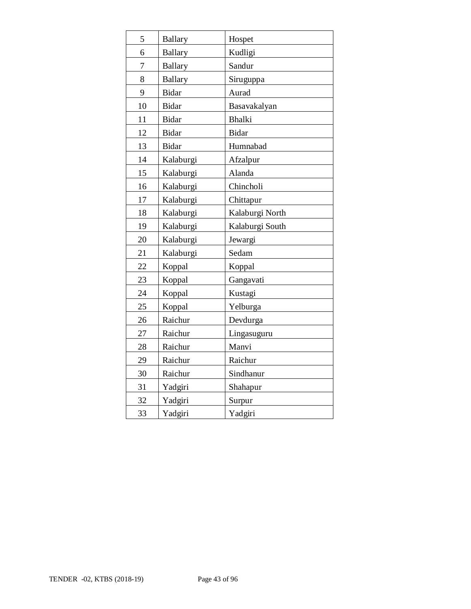| 5  | <b>Ballary</b> | Hospet          |
|----|----------------|-----------------|
| 6  | <b>Ballary</b> | Kudligi         |
| 7  | <b>Ballary</b> | Sandur          |
| 8  | <b>Ballary</b> | Siruguppa       |
| 9  | <b>Bidar</b>   | Aurad           |
| 10 | <b>Bidar</b>   | Basavakalyan    |
| 11 | <b>Bidar</b>   | <b>Bhalki</b>   |
| 12 | <b>Bidar</b>   | <b>Bidar</b>    |
| 13 | <b>Bidar</b>   | Humnabad        |
| 14 | Kalaburgi      | Afzalpur        |
| 15 | Kalaburgi      | Alanda          |
| 16 | Kalaburgi      | Chincholi       |
| 17 | Kalaburgi      | Chittapur       |
| 18 | Kalaburgi      | Kalaburgi North |
| 19 | Kalaburgi      | Kalaburgi South |
| 20 | Kalaburgi      | Jewargi         |
| 21 | Kalaburgi      | Sedam           |
| 22 | Koppal         | Koppal          |
| 23 | Koppal         | Gangavati       |
| 24 | Koppal         | Kustagi         |
| 25 | Koppal         | Yelburga        |
| 26 | Raichur        | Devdurga        |
| 27 | Raichur        | Lingasuguru     |
| 28 | Raichur        | Manvi           |
| 29 | Raichur        | Raichur         |
| 30 | Raichur        | Sindhanur       |
| 31 | Yadgiri        | Shahapur        |
| 32 | Yadgiri        | Surpur          |
| 33 | Yadgiri        | Yadgiri         |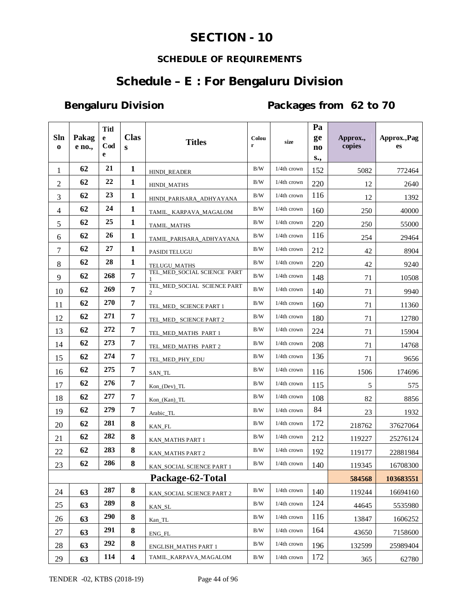## **SECTION - 10**

## **SCHEDULE OF REQUIREMENTS**

## **Schedule – E : For Bengaluru Division**

Bengaluru Division **Packages from 62 to 70** 

|                    |                 | <b>Titl</b>         |                         |                                  |            |                | Pa        |                    |                    |
|--------------------|-----------------|---------------------|-------------------------|----------------------------------|------------|----------------|-----------|--------------------|--------------------|
| Sln<br>$\mathbf 0$ | Pakag<br>e no., | $\mathbf{e}$<br>Cod | <b>Clas</b><br>S        | <b>Titles</b>                    | Colou<br>r | size           | ge<br>no  | Approx.,<br>copies | Approx., Pag<br>es |
|                    |                 | e                   |                         |                                  |            |                | S.,       |                    |                    |
| 1                  | 62              | 21                  | 1                       | HINDI_READER                     | B/W        | 1/4th crown    | 152       | 5082               | 772464             |
| $\overline{2}$     | 62              | 22                  | $\mathbf{1}$            | HINDI_MATHS                      | B/W        | 1/4th crown    | 220       | 12                 | 2640               |
| 3                  | 62              | 23                  | $\mathbf{1}$            | HINDI PARISARA ADHYAYANA         | B/W        | 1/4th crown    | 116       | 12                 | 1392               |
| $\overline{4}$     | 62              | 24                  | $\mathbf{1}$            | TAMIL_ KARPAVA_MAGALOM           | B/W        | $1/4$ th crown | 160       | 250                | 40000              |
| 5                  | 62              | 25                  | $\mathbf{1}$            | TAMIL_MATHS                      | $\rm\,B/W$ | $1/4$ th crown | 220       | 250                | 55000              |
| 6                  | 62              | 26                  | $\mathbf{1}$            | TAMIL_PARISARA_ADHYAYANA         | B/W        | 1/4th crown    | 116       | 254                | 29464              |
| $\overline{7}$     | 62              | 27                  | $\mathbf{1}$            | PASIDI TELUGU                    | $\rm\,B/W$ | 1/4th crown    | 212       | 42                 | 8904               |
| 8                  | 62              | 28                  | $\mathbf{1}$            | <b>TELUGU_MATHS</b>              | B/W        | 1/4th crown    | 220       | 42                 | 9240               |
| 9                  | 62              | 268                 | $\overline{7}$          | TEL_MED_SOCIAL SCIENCE PART<br>1 | $\rm\,B/W$ | 1/4th crown    | 148       | 71                 | 10508              |
| 10                 | 62              | 269                 | 7                       | TEL MED SOCIAL SCIENCE PART<br>2 | B/W        | 1/4th crown    | 140       | 71                 | 9940               |
| 11                 | 62              | 270                 | 7                       | TEL_MED_ SCIENCE PART 1          | B/W        | $1/4th$ crown  | 160       | 71                 | 11360              |
| 12                 | 62              | 271                 | 7                       | TEL_MED_ SCIENCE PART 2          | B/W        | 1/4th crown    | 180       | 71                 | 12780              |
| 13                 | 62              | 272                 | 7                       | TEL_MED_MATHS PART 1             | B/W        | 1/4th crown    | 224       | 71                 | 15904              |
| 14                 | 62              | 273                 | $\overline{7}$          | TEL_MED_MATHS PART 2             | B/W        | 1/4th crown    | 208       | 71                 | 14768              |
| 15                 | 62              | 274                 | $\overline{7}$          | TEL_MED_PHY_EDU                  | B/W        | $1/4$ th crown | 136       | 71                 | 9656               |
| 16                 | 62              | 275                 | 7                       | SAN_TL                           | $\rm B/W$  | $1/4$ th crown | 116       | 1506               | 174696             |
| 17                 | 62              | 276                 | $\overline{7}$          | $Kon_{o}(Dev) _TL$               | $\rm\,B/W$ | $1/4$ th crown | 115       | 5                  | 575                |
| 18                 | 62              | 277                 | $\overline{7}$          | $Kon_{Kan}$ $TL$                 | $\rm\,B/W$ | $1/4th$ crown  | 108       | 82                 | 8856               |
| 19                 | 62              | 279                 | 7                       | Arabic_TL                        | B/W        | 1/4th crown    | 84        | 23                 | 1932               |
| 20                 | 62              | 281                 | 8                       | KAN_FL                           | B/W        | 1/4th crown    | 172       | 218762             | 37627064           |
| 21                 | 62              | 282                 | 8                       | KAN_MATHS PART 1                 | B/W        | 1/4th crown    | 212       | 119227             | 25276124           |
| 22                 | 62              | 283                 | 8                       | KAN_MATHS PART 2                 | B/W        | 1/4th crown    | 192       | 119177             | 22881984           |
| 23                 | 62              | 286                 | 8                       | KAN_SOCIAL SCIENCE PART 1        | B/W        | $1/4$ th crown | 140       | 119345             | 16708300           |
| Package-62-Total   |                 |                     |                         |                                  |            | 584568         | 103683551 |                    |                    |
| 24                 | 63              | 287                 | 8                       | KAN_SOCIAL SCIENCE PART 2        | B/W        | 1/4th crown    | 140       | 119244             | 16694160           |
| 25                 | 63              | 289                 | 8                       | KAN_SL                           | B/W        | 1/4th crown    | 124       | 44645              | 5535980            |
| 26                 | 63              | 290                 | ${\bf 8}$               | Kan_TL                           | B/W        | $1/4$ th crown | 116       | 13847              | 1606252            |
| 27                 | 63              | 291                 | 8                       | ENG_FL                           | $\rm\,B/W$ | 1/4th crown    | 164       | 43650              | 7158600            |
| 28                 | 63              | 292                 | 8                       | <b>ENGLISH_MATHS PART 1</b>      | B/W        | 1/4th crown    | 196       | 132599             | 25989404           |
| 29                 | 63              | 114                 | $\overline{\mathbf{4}}$ | TAMIL_KARPAVA_MAGALOM            | B/W        | 1/4th crown    | 172       | 365                | 62780              |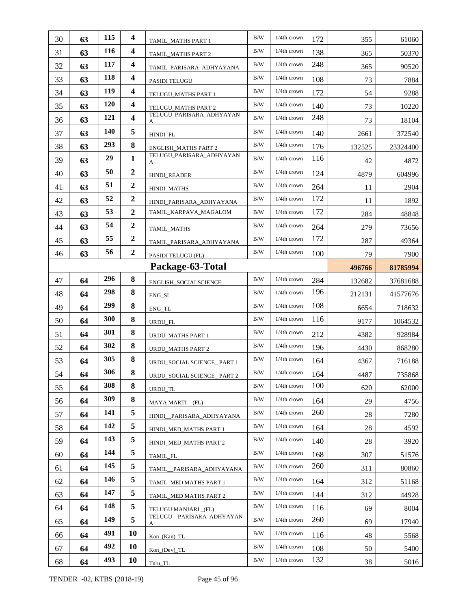| 30               | 63 | 115 | $\overline{\mathbf{4}}$ | TAMIL_MATHS PART 1            | B/W        | $1/4$ th crown | 172    | 355      | 61060    |
|------------------|----|-----|-------------------------|-------------------------------|------------|----------------|--------|----------|----------|
| 31               | 63 | 116 | $\overline{\mathbf{4}}$ | TAMIL_MATHS PART 2            | B/W        | 1/4th crown    | 138    | 365      | 50370    |
| 32               | 63 | 117 | $\overline{\mathbf{4}}$ | TAMIL_PARISARA_ADHYAYANA      | B/W        | 1/4th crown    | 248    | 365      | 90520    |
| 33               | 63 | 118 | 4                       | PASIDI TELUGU                 | B/W        | 1/4th crown    | 108    | 73       | 7884     |
| 34               | 63 | 119 | $\overline{\mathbf{4}}$ | TELUGU_MATHS PART 1           | B/W        | 1/4th crown    | 172    | 54       | 9288     |
| 35               | 63 | 120 | $\overline{\mathbf{4}}$ | TELUGU_MATHS PART 2           | B/W        | 1/4th crown    | 140    | 73       | 10220    |
| 36               | 63 | 121 | $\overline{\mathbf{4}}$ | TELUGU_PARISARA_ADHYAYAN<br>A | B/W        | 1/4th crown    | 248    | 73       | 18104    |
| 37               | 63 | 140 | 5                       | HINDI FL                      | B/W        | $1/4$ th crown | 140    | 2661     | 372540   |
| 38               | 63 | 293 | 8                       | ENGLISH_MATHS PART 2          | $\rm B/W$  | $1/4$ th crown | 176    | 132525   | 23324400 |
| 39               | 63 | 29  | $\mathbf{1}$            | TELUGU_PARISARA_ADHYAYAN<br>A | $\rm\,B/W$ | $1/4$ th crown | 116    | 42       | 4872     |
| 40               | 63 | 50  | $\overline{2}$          | HINDI_READER                  | B/W        | $1/4$ th crown | 124    | 4879     | 604996   |
| 41               | 63 | 51  | $\overline{2}$          | HINDI_MATHS                   | B/W        | $1/4$ th crown | 264    | 11       | 2904     |
| 42               | 63 | 52  | $\boldsymbol{2}$        | HINDI_PARISARA_ADHYAYANA      | B/W        | 1/4th crown    | 172    | 11       | 1892     |
| 43               | 63 | 53  | $\overline{2}$          | TAMIL_KARPAVA_MAGALOM         | B/W        | 1/4th crown    | 172    | 284      | 48848    |
| 44               | 63 | 54  | $\boldsymbol{2}$        | TAMIL_MATHS                   | B/W        | 1/4th crown    | 264    | 279      | 73656    |
| 45               | 63 | 55  | $\boldsymbol{2}$        | TAMIL_PARISARA_ADHYAYANA      | B/W        | 1/4th crown    | 172    | 287      | 49364    |
| 46               | 63 | 56  | $\boldsymbol{2}$        | PASIDI TELUGU (FL)            | $\rm B/W$  | 1/4th crown    | 100    | 79       | 7900     |
| Package-63-Total |    |     |                         |                               |            |                | 496766 | 81785994 |          |
| 47               | 64 | 296 | 8                       | ENGLISH_SOCIALSCIENCE         | B/W        | $1/4$ th crown | 284    | 132682   | 37681688 |
| 48               | 64 | 298 | 8                       | ENG_SL                        | $\rm\,B/W$ | $1/4$ th crown | 196    | 212131   | 41577676 |
| 49               | 64 | 299 | 8                       | ENG_TL                        | B/W        | 1/4th crown    | 108    | 6654     | 718632   |
| 50               | 64 | 300 | 8                       | URDU_FL                       | B/W        | $1/4$ th crown | 116    | 9177     | 1064532  |
| 51               | 64 | 301 | 8                       | <b>URDU_MATHS PART 1</b>      | $\rm B/W$  | $1/4$ th crown | 212    | 4382     | 928984   |
| 52               | 64 | 302 | 8                       | URDU_MATHS PART 2             | B/W        | $1/4$ th crown | 196    | 4430     | 868280   |
| 53               | 64 | 305 | 8                       | URDU_SOCIAL SCIENCE_PART 1    | B/W        | 1/4th crown    | 164    | 4367     | 716188   |
| 54               | 64 | 306 | 8                       | URDU_SOCIAL SCIENCE_ PART 2   | B/W        | 1/4th crown    | 164    | 4487     | 735868   |
| 55               | 64 | 308 | 8                       | URDU_TL                       | B/W        | $1/4$ th crown | 100    | 620      | 62000    |
| 56               | 64 | 309 | 8                       | MAYA MARTI (FL)               | B/W        | 1/4th crown    | 164    | 29       | 4756     |
| 57               | 64 | 141 | 5                       | HINDI_PARISARA_ADHYAYANA      | B/W        | $1/4$ th crown | 260    | 28       | 7280     |
| 58               | 64 | 142 | 5                       | HINDI_MED_MATHS PART 1        | B/W        | 1/4th crown    | 164    | 28       | 4592     |
| 59               | 64 | 143 | 5                       | HINDI_MED_MATHS PART 2        | B/W        | $1/4$ th crown | 140    | 28       | 3920     |
| 60               | 64 | 144 | 5                       | TAMIL FL                      | B/W        | $1/4$ th crown | 168    | 307      | 51576    |
| 61               | 64 | 145 | 5                       | TAMIL PARISARA ADHYAYANA      | B/W        | 1/4th crown    | 260    | 311      | 80860    |
| 62               | 64 | 146 | 5                       | TAMIL_MED MATHS PART 1        | B/W        | 1/4th crown    | 164    | 312      | 51168    |
| 63               | 64 | 147 | 5                       | TAMIL_MED MATHS PART 2        | B/W        | 1/4th crown    | 144    | 312      | 44928    |
| 64               | 64 | 148 | 5                       | TELUGU MANJARI _(FL)          | B/W        | 1/4th crown    | 116    | 69       | 8004     |
|                  |    |     | 5                       | TELUGU_PARISARA_ADHYAYAN      | B/W        | 1/4th crown    | 260    | 69       | 17940    |
| 65               | 64 | 149 |                         | A                             |            |                |        |          |          |
| 66               | 64 | 491 | 10                      | $Kon_{n}(Kan)_{n}TL$          | B/W        | $1/4$ th crown | 116    | 48       | 5568     |
| 67               | 64 | 492 | 10                      | $Kon_ (Dev) _ TL$             | B/W        | $1/4$ th crown | 108    | 50       | 5400     |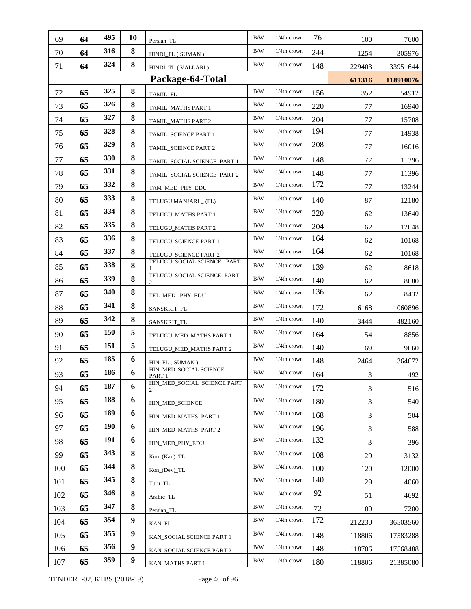| 69  | 64 | 495        | 10               | Persian TL                       | B/W        | 1/4th crown    | 76  | 100            | 7600      |
|-----|----|------------|------------------|----------------------------------|------------|----------------|-----|----------------|-----------|
| 70  | 64 | 316        | 8                | HINDI_FL (SUMAN)                 | B/W        | 1/4th crown    | 244 | 1254           | 305976    |
| 71  | 64 | 324        | 8                | HINDI_TL (VALLARI)               | $\rm\,B/W$ | $1/4$ th crown | 148 | 229403         | 33951644  |
|     |    |            |                  | Package-64-Total                 |            |                |     | 611316         | 118910076 |
| 72  | 65 | 325        | 8                | TAMIL_FL                         | $\rm\,B/W$ | $1/4th$ crown  | 156 | 352            | 54912     |
| 73  | 65 | 326        | 8                | TAMIL_MATHS PART 1               | B/W        | 1/4th crown    | 220 | 77             | 16940     |
| 74  | 65 | 327        | 8                | TAMIL_MATHS PART 2               | B/W        | 1/4th crown    | 204 | 77             | 15708     |
| 75  | 65 | 328        | 8                | TAMIL_SCIENCE PART 1             | B/W        | 1/4th crown    | 194 | 77             | 14938     |
| 76  | 65 | 329        | 8                | TAMIL_SCIENCE PART 2             | B/W        | $1/4$ th crown | 208 | $77 \,$        | 16016     |
| 77  | 65 | 330        | 8                | TAMIL_SOCIAL SCIENCE PART 1      | B/W        | $1/4$ th crown | 148 | $77 \,$        | 11396     |
| 78  | 65 | 331        | 8                | TAMIL_SOCIAL SCIENCE PART 2      | B/W        | $1/4$ th crown | 148 | 77             | 11396     |
| 79  | 65 | 332        | 8                | TAM_MED_PHY_EDU                  | B/W        | $1/4$ th crown | 172 | 77             | 13244     |
| 80  | 65 | 333        | 8                | TELUGU MANJARI _ (FL)            | B/W        | 1/4th crown    | 140 | 87             | 12180     |
| 81  | 65 | 334        | 8                | TELUGU_MATHS PART 1              | B/W        | 1/4th crown    | 220 | 62             | 13640     |
| 82  | 65 | 335        | 8                | TELUGU_MATHS PART 2              | B/W        | 1/4th crown    | 204 | 62             | 12648     |
| 83  | 65 | 336        | 8                | TELUGU_SCIENCE PART 1            | B/W        | 1/4th crown    | 164 | 62             | 10168     |
| 84  | 65 | 337        | 8                | TELUGU_SCIENCE PART 2            | $\rm\,B/W$ | 1/4th crown    | 164 | 62             | 10168     |
| 85  | 65 | 338        | 8                | TELUGU_SOCIAL SCIENCE _PART      | B/W        | $1/4$ th crown | 139 | 62             | 8618      |
| 86  | 65 | 339        | 8                | TELUGU_SOCIAL SCIENCE_PART       | B/W        | $1/4$ th crown | 140 | 62             | 8680      |
| 87  | 65 | 340        | 8                | TEL_MED_ PHY_EDU                 | B/W        | $1/4$ th crown | 136 | 62             | 8432      |
| 88  | 65 | 341        | 8                | SANSKRIT_FL                      | B/W        | $1/4$ th crown | 172 | 6168           | 1060896   |
| 89  | 65 | 342        | 8                | SANSKRIT_TL                      | $\rm\,B/W$ | $1/4$ th crown | 140 | 3444           | 482160    |
| 90  | 65 | 150        | 5                | TELUGU_MED_MATHS PART 1          | B/W        | $1/4$ th crown | 164 | 54             | 8856      |
| 91  | 65 | 151        | 5                | TELUGU_MED_MATHS PART 2          | B/W        | 1/4th crown    | 140 | 69             | 9660      |
| 92  | 65 | 185        | 6                | HIN_FL (SUMAN)                   | B/W        | $1/4$ th crown | 148 | 2464           | 364672    |
| 93  | 65 | 186        | 6                | HIN_MED_SOCIAL SCIENCE<br>PART 1 | B/W        | $1/4$ th crown | 164 | 3              | 492       |
| 94  | 65 | 187        | 6                | HIN_MED_SOCIAL SCIENCE PART<br>2 | B/W        | 1/4th crown    | 172 | 3              | 516       |
| 95  | 65 | 188        | 6                | HIN_MED_SCIENCE                  | B/W        | 1/4th crown    | 180 | 3              | 540       |
| 96  | 65 | 189        | 6                | HIN_MED_MATHS PART 1             | B/W        | 1/4th crown    | 168 | $\mathfrak{Z}$ | 504       |
| 97  | 65 | <b>190</b> | 6                | HIN MED MATHS PART 2             | B/W        | 1/4th crown    | 196 | 3              | 588       |
| 98  | 65 | 191        | 6                | HIN MED PHY EDU                  | B/W        | 1/4th crown    | 132 | 3              | 396       |
| 99  | 65 | 343        | 8                | $Kon_{Kan}$ $TL$                 | B/W        | 1/4th crown    | 108 | 29             | 3132      |
| 100 | 65 | 344        | 8                | $Kon_ (Dev) _ TL$                | B/W        | 1/4th crown    | 100 | 120            | 12000     |
| 101 | 65 | 345        | 8                | Tulu_TL                          | B/W        | 1/4th crown    | 140 | 29             | 4060      |
| 102 | 65 | 346        | 8                | Arabic_TL                        | $\rm B/W$  | 1/4th crown    | 92  | 51             | 4692      |
| 103 | 65 | 347        | 8                | Persian_TL                       | B/W        | 1/4th crown    | 72  | 100            | 7200      |
| 104 | 65 | 354        | 9                | KAN_FL                           | $\rm B/W$  | 1/4th crown    | 172 | 212230         | 36503560  |
| 105 | 65 | 355        | 9                | KAN_SOCIAL SCIENCE PART 1        | B/W        | 1/4th crown    | 148 | 118806         | 17583288  |
| 106 | 65 | 356        | 9                | KAN_SOCIAL SCIENCE PART 2        | B/W        | 1/4th crown    | 148 | 118706         | 17568488  |
| 107 | 65 | 359        | $\boldsymbol{9}$ | KAN_MATHS PART 1                 | B/W        | 1/4th crown    | 180 | 118806         | 21385080  |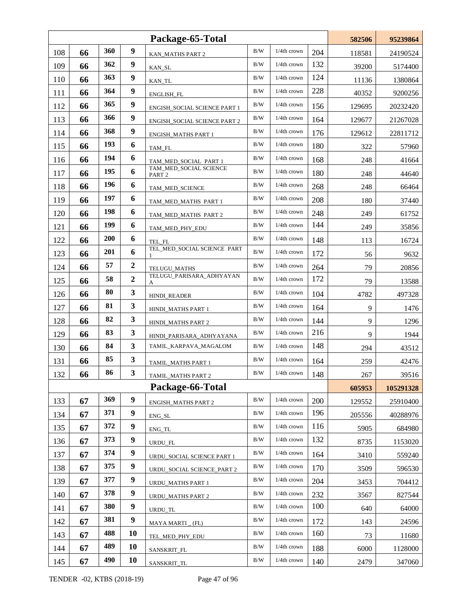|     |    |     |                  | Package-65-Total                            |            |                | 582506 | 95239864 |           |
|-----|----|-----|------------------|---------------------------------------------|------------|----------------|--------|----------|-----------|
| 108 | 66 | 360 | 9                | KAN_MATHS PART 2                            | $\rm B/W$  | 1/4th crown    | 204    | 118581   | 24190524  |
| 109 | 66 | 362 | 9                | KAN_SL                                      | B/W        | 1/4th crown    | 132    | 39200    | 5174400   |
| 110 | 66 | 363 | 9                | KAN TL                                      | B/W        | 1/4th crown    | 124    | 11136    | 1380864   |
| 111 | 66 | 364 | 9                | ENGLISH_FL                                  | B/W        | 1/4th crown    | 228    | 40352    | 9200256   |
| 112 | 66 | 365 | 9                | ENGISH_SOCIAL SCIENCE PART 1                | B/W        | 1/4th crown    | 156    | 129695   | 20232420  |
| 113 | 66 | 366 | 9                | ENGISH_SOCIAL SCIENCE PART 2                | B/W        | 1/4th crown    | 164    | 129677   | 21267028  |
| 114 | 66 | 368 | 9                | <b>ENGISH_MATHS PART 1</b>                  | B/W        | $1/4$ th crown | 176    | 129612   | 22811712  |
| 115 | 66 | 193 | 6                | TAM_FL                                      | B/W        | 1/4th crown    | 180    | 322      | 57960     |
| 116 | 66 | 194 | 6                | TAM_MED_SOCIAL PART 1                       | B/W        | $1/4$ th crown | 168    | 248      | 41664     |
| 117 | 66 | 195 | 6                | TAM_MED_SOCIAL SCIENCE<br>PART <sub>2</sub> | B/W        | $1/4$ th crown | 180    | 248      | 44640     |
| 118 | 66 | 196 | 6                | TAM_MED_SCIENCE                             | B/W        | $1/4$ th crown | 268    | 248      | 66464     |
| 119 | 66 | 197 | 6                | TAM MED MATHS PART 1                        | B/W        | 1/4th crown    | 208    | 180      | 37440     |
| 120 | 66 | 198 | 6                | TAM_MED_MATHS PART 2                        | B/W        | 1/4th crown    | 248    | 249      | 61752     |
| 121 | 66 | 199 | 6                | TAM_MED_PHY_EDU                             | B/W        | 1/4th crown    | 144    | 249      | 35856     |
| 122 | 66 | 200 | 6                | TEL_FL                                      | B/W        | $1/4$ th crown | 148    | 113      | 16724     |
| 123 | 66 | 201 | 6                | TEL_MED_SOCIAL SCIENCE PART                 | B/W        | $1/4$ th crown | 172    | 56       | 9632      |
| 124 | 66 | 57  | $\mathbf{2}$     | TELUGU_MATHS                                | B/W        | $1/4$ th crown | 264    | 79       | 20856     |
| 125 | 66 | 58  | $\overline{2}$   | TELUGU_PARISARA_ADHYAYAN<br>А               | B/W        | $1/4$ th crown | 172    | 79       | 13588     |
| 126 | 66 | 80  | 3                | HINDI_READER                                | B/W        | $1/4$ th crown | 104    | 4782     | 497328    |
| 127 | 66 | 81  | 3                | HINDI_MATHS PART 1                          | B/W        | $1/4$ th crown | 164    | 9        | 1476      |
| 128 | 66 | 82  | 3                | HINDI_MATHS PART 2                          | B/W        | $1/4$ th crown | 144    | 9        | 1296      |
| 129 | 66 | 83  | 3                | HINDI PARISARA ADHYAYANA                    | B/W        | $1/4$ th crown | 216    | 9        | 1944      |
| 130 | 66 | 84  | 3                | TAMIL_KARPAVA_MAGALOM                       | B/W        | 1/4th crown    | 148    | 294      | 43512     |
| 131 | 66 | 85  | 3                | TAMIL_MATHS PART 1                          | B/W        | $1/4$ th crown | 164    | 259      | 42476     |
| 132 | 66 | 86  | $\mathbf{3}$     | TAMIL_MATHS PART 2                          | $\rm\,B/W$ | $1/4$ th crown | 148    | $267\,$  | 39516     |
|     |    |     |                  | Package-66-Total                            |            |                |        | 605953   | 105291328 |
| 133 | 67 | 369 | $\boldsymbol{9}$ | <b>ENGISH_MATHS PART 2</b>                  | $\rm B/W$  | 1/4th crown    | 200    | 129552   | 25910400  |
| 134 | 67 | 371 | $\boldsymbol{9}$ | ENG_SL                                      | B/W        | 1/4th crown    | 196    | 205556   | 40288976  |
| 135 | 67 | 372 | 9                | ENG_TL                                      | B/W        | 1/4th crown    | 116    | 5905     | 684980    |
| 136 | 67 | 373 | $\boldsymbol{9}$ | URDU_FL                                     | B/W        | 1/4th crown    | 132    | 8735     | 1153020   |
| 137 | 67 | 374 | $\boldsymbol{9}$ | URDU_SOCIAL SCIENCE PART 1                  | B/W        | 1/4th crown    | 164    | 3410     | 559240    |
| 138 | 67 | 375 | $\boldsymbol{9}$ | URDU SOCIAL SCIENCE PART 2                  | $\rm\,B/W$ | 1/4th crown    | 170    | 3509     | 596530    |
| 139 | 67 | 377 | 9                | URDU_MATHS PART 1                           | B/W        | 1/4th crown    | 204    | 3453     | 704412    |
| 140 | 67 | 378 | 9                | URDU_MATHS PART 2                           | B/W        | 1/4th crown    | 232    | 3567     | 827544    |
| 141 | 67 | 380 | 9                | URDU_TL                                     | B/W        | 1/4th crown    | 100    | 640      | 64000     |
| 142 | 67 | 381 | $\boldsymbol{9}$ | MAYA MARTI (FL)                             | B/W        | 1/4th crown    | 172    | 143      | 24596     |
| 143 | 67 | 488 | 10               | TEL_MED_PHY_EDU                             | B/W        | 1/4th crown    | 160    | 73       | 11680     |
| 144 | 67 | 489 | 10               | SANSKRIT_FL                                 | B/W        | 1/4th crown    | 188    | 6000     | 1128000   |
| 145 | 67 | 490 | 10               | SANSKRIT_TL                                 | B/W        | $1/4$ th crown | 140    | 2479     | 347060    |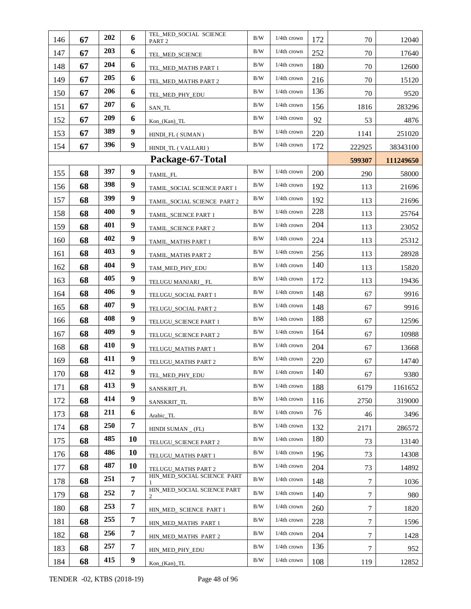| 146 | 67 | 202        | 6                | TEL_MED_SOCIAL SCIENCE<br>PART <sub>2</sub> | $\rm B/W$  | $1/4$ th crown | 172 | 70     | 12040     |
|-----|----|------------|------------------|---------------------------------------------|------------|----------------|-----|--------|-----------|
| 147 | 67 | 203        | 6                | TEL_MED_SCIENCE                             | B/W        | $1/4$ th crown | 252 | 70     | 17640     |
| 148 | 67 | 204        | 6                | TEL_MED_MATHS PART 1                        | B/W        | $1/4$ th crown | 180 | 70     | 12600     |
| 149 | 67 | 205        | 6                | TEL_MED_MATHS PART 2                        | B/W        | 1/4th crown    | 216 | 70     | 15120     |
| 150 | 67 | 206        | 6                | TEL_MED_PHY_EDU                             | B/W        | $1/4$ th crown | 136 | 70     | 9520      |
| 151 | 67 | 207        | 6                | SAN_TL                                      | B/W        | $1/4$ th crown | 156 | 1816   | 283296    |
| 152 | 67 | 209        | 6                | $Kon_{Kan}$ $TL$                            | B/W        | 1/4th crown    | 92  | 53     | 4876      |
| 153 | 67 | 389        | 9                | HINDI_FL (SUMAN)                            | B/W        | 1/4th crown    | 220 | 1141   | 251020    |
| 154 | 67 | 396        | 9                | HINDI_TL (VALLARI)                          | B/W        | $1/4$ th crown | 172 | 222925 | 38343100  |
|     |    |            |                  | Package-67-Total                            |            |                |     | 599307 | 111249650 |
| 155 | 68 | 397        | 9                | TAMIL_FL                                    | $\rm B/W$  | $1/4$ th crown | 200 | 290    | 58000     |
| 156 | 68 | 398        | 9                | TAMIL_SOCIAL SCIENCE PART 1                 | B/W        | $1/4$ th crown | 192 | 113    | 21696     |
| 157 | 68 | 399        | 9                | TAMIL_SOCIAL SCIENCE PART 2                 | B/W        | 1/4th crown    | 192 | 113    | 21696     |
| 158 | 68 | 400        | 9                | TAMIL_SCIENCE PART 1                        | B/W        | $1/4$ th crown | 228 | 113    | 25764     |
| 159 | 68 | 401        | 9                | TAMIL_SCIENCE PART 2                        | B/W        | $1/4$ th crown | 204 | 113    | 23052     |
| 160 | 68 | 402        | 9                | TAMIL_MATHS PART 1                          | B/W        | $1/4$ th crown | 224 | 113    | 25312     |
| 161 | 68 | 403        | 9                | TAMIL_MATHS PART 2                          | B/W        | 1/4th crown    | 256 | 113    | 28928     |
| 162 | 68 | 404        | 9                | TAM_MED_PHY_EDU                             | B/W        | 1/4th crown    | 140 | 113    | 15820     |
| 163 | 68 | 405        | 9                | TELUGU MANJARI _ FL                         | B/W        | $1/4$ th crown | 172 | 113    | 19436     |
| 164 | 68 | 406        | 9                | TELUGU_SOCIAL PART 1                        | B/W        | $1/4$ th crown | 148 | 67     | 9916      |
| 165 | 68 | 407        | 9                | TELUGU_SOCIAL PART 2                        | B/W        | $1/4$ th crown | 148 | 67     | 9916      |
| 166 | 68 | 408        | 9                | TELUGU_SCIENCE PART 1                       | B/W        | $1/4$ th crown | 188 | 67     | 12596     |
| 167 | 68 | 409        | 9                | TELUGU_SCIENCE PART 2                       | B/W        | $1/4$ th crown | 164 | 67     | 10988     |
| 168 | 68 | 410        | 9                | TELUGU_MATHS PART 1                         | B/W        | 1/4th crown    | 204 | 67     | 13668     |
| 169 | 68 | 411        | 9                | TELUGU_MATHS PART 2                         | B/W        | $1/4$ th crown | 220 | 67     | 14740     |
| 170 | 68 | 412        | 9                | TEL_MED_PHY_EDU                             | $\rm B/W$  | 1/4th crown    | 140 | 67     | 9380      |
| 171 | 68 | 413        | 9                | SANSKRIT FL                                 | B/W        | $1/4$ th crown | 188 | 6179   | 1161652   |
| 172 | 68 | 414        | 9                | SANSKRIT_TL                                 | $\rm\,B/W$ | 1/4th crown    | 116 | 2750   | 319000    |
| 173 | 68 | 211        | 6                | Arabic_TL                                   | B/W        | 1/4th crown    | 76  | 46     | 3496      |
| 174 | 68 | <b>250</b> | 7                | HINDI SUMAN $_{-}$ (FL)                     | B/W        | $1/4$ th crown | 132 | 2171   | 286572    |
| 175 | 68 | 485        | 10               | TELUGU_SCIENCE PART 2                       | B/W        | 1/4th crown    | 180 | 73     | 13140     |
| 176 | 68 | 486        | 10               | TELUGU_MATHS PART 1                         | B/W        | 1/4th crown    | 196 | 73     | 14308     |
| 177 | 68 | 487        | 10               | TELUGU_MATHS PART 2                         | B/W        | 1/4th crown    | 204 | 73     | 14892     |
| 178 | 68 | 251        | $\overline{7}$   | HIN_MED_SOCIAL SCIENCE PART                 | B/W        | 1/4th crown    | 148 | $\tau$ | 1036      |
| 179 | 68 | 252        | $\overline{7}$   | HIN_MED_SOCIAL SCIENCE PART<br>2            | B/W        | 1/4th crown    | 140 | 7      | 980       |
| 180 | 68 | 253        | 7                | HIN_MED_ SCIENCE PART 1                     | B/W        | 1/4th crown    | 260 | $\tau$ | 1820      |
| 181 | 68 | 255        | 7                | HIN_MED_MATHS PART 1                        | B/W        | 1/4th crown    | 228 | $\tau$ | 1596      |
| 182 | 68 | 256        | 7                | HIN_MED_MATHS_PART 2                        | B/W        | 1/4th crown    | 204 | $\tau$ | 1428      |
| 183 | 68 | 257        | 7                | HIN_MED_PHY_EDU                             | B/W        | 1/4th crown    | 136 | $\tau$ | 952       |
| 184 | 68 | 415        | $\boldsymbol{9}$ | Kon_(Kan)_TL                                | B/W        | $1/4$ th crown | 108 | 119    | 12852     |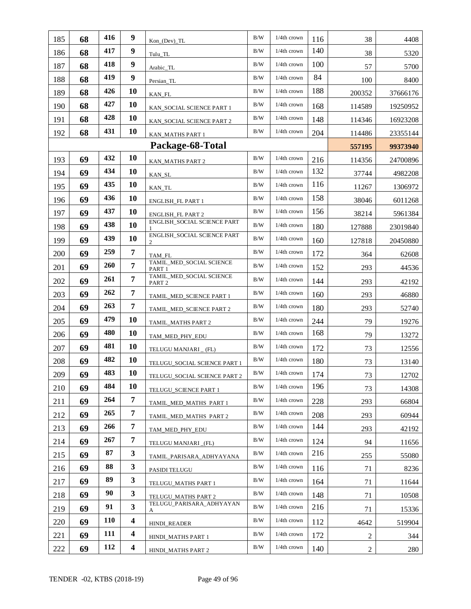|     | 68 | 416        | 9                       |                                               | B/W        | $1/4$ th crown |            |                  |          |
|-----|----|------------|-------------------------|-----------------------------------------------|------------|----------------|------------|------------------|----------|
| 185 |    | 417        | 9                       | $Kon_{o}(Dev) _TL$                            | $\rm B/W$  | 1/4th crown    | 116<br>140 | 38               | 4408     |
| 186 | 68 | 418        | 9                       | Tulu_TL                                       | B/W        | 1/4th crown    | 100        | 38               | 5320     |
| 187 | 68 | 419        | 9                       | Arabic_TL                                     | B/W        | $1/4$ th crown | 84         | 57               | 5700     |
| 188 | 68 |            |                         | Persian_TL                                    |            |                |            | 100              | 8400     |
| 189 | 68 | 426        | 10                      | KAN_FL                                        | B/W        | 1/4th crown    | 188        | 200352           | 37666176 |
| 190 | 68 | 427        | 10                      | KAN SOCIAL SCIENCE PART 1                     | B/W        | 1/4th crown    | 168        | 114589           | 19250952 |
| 191 | 68 | 428        | 10                      | KAN SOCIAL SCIENCE PART 2                     | B/W        | $1/4$ th crown | 148        | 114346           | 16923208 |
| 192 | 68 | 431        | 10                      | <b>KAN_MATHS PART 1</b>                       | B/W        | $1/4$ th crown | 204        | 114486           | 23355144 |
|     |    |            |                         | Package-68-Total                              |            |                |            | 557195           | 99373940 |
| 193 | 69 | 432        | 10                      | KAN_MATHS PART 2                              | $\rm B/W$  | $1/4$ th crown | 216        | 114356           | 24700896 |
| 194 | 69 | 434        | 10                      | KAN_SL                                        | B/W        | $1/4$ th crown | 132        | 37744            | 4982208  |
| 195 | 69 | 435        | 10                      | KAN_TL                                        | $\rm B/W$  | 1/4th crown    | 116        | 11267            | 1306972  |
| 196 | 69 | 436        | 10                      | ENGLISH_FL PART 1                             | B/W        | 1/4th crown    | 158        | 38046            | 6011268  |
| 197 | 69 | 437        | 10                      | ENGLISH_FL PART 2                             | B/W        | 1/4th crown    | 156        | 38214            | 5961384  |
| 198 | 69 | 438        | 10                      | ENGLISH_SOCIAL SCIENCE PART                   | B/W        | 1/4th crown    | 180        | 127888           | 23019840 |
| 199 | 69 | 439        | 10                      | ENGLISH_SOCIAL SCIENCE PART<br>2              | B/W        | $1/4$ th crown | 160        | 127818           | 20450880 |
| 200 | 69 | 259        | 7                       | TAM_FL                                        | B/W        | 1/4th crown    | 172        | 364              | 62608    |
| 201 | 69 | 260        | 7                       | TAMIL_MED_SOCIAL SCIENCE<br>PART 1            | B/W        | $1/4$ th crown | 152        | 293              | 44536    |
| 202 | 69 | 261        | 7                       | TAMIL_MED_SOCIAL SCIENCE<br>PART <sub>2</sub> | B/W        | $1/4$ th crown | 144        | 293              | 42192    |
| 203 | 69 | 262        | $\overline{7}$          | TAMIL_MED_SCIENCE PART 1                      | B/W        | $1/4$ th crown | 160        | 293              | 46880    |
| 204 | 69 | 263        | $\overline{7}$          | TAMIL_MED_SCIENCE PART 2                      | B/W        | $1/4$ th crown | 180        | 293              | 52740    |
| 205 | 69 | 479        | 10                      | TAMIL_MATHS PART 2                            | B/W        | $1/4$ th crown | 244        | 79               | 19276    |
| 206 | 69 | 480        | 10                      | TAM_MED_PHY_EDU                               | B/W        | $1/4$ th crown | 168        | 79               | 13272    |
| 207 | 69 | 481        | 10                      | TELUGU MANJARI _ (FL)                         | B/W        | 1/4th crown    | 172        | 73               | 12556    |
| 208 | 69 | 482        | 10                      | TELUGU_SOCIAL SCIENCE PART 1                  | B/W        | $1/4$ th crown | 180        | 73               | 13140    |
| 209 | 69 | 483        | 10                      | TELUGU_SOCIAL SCIENCE PART 2                  | $\rm\,B/W$ | $1/4$ th crown | 174        | $73\,$           | 12702    |
| 210 | 69 | 484        | 10                      | TELUGU SCIENCE PART 1                         | B/W        | 1/4th crown    | 196        | 73               | 14308    |
| 211 | 69 | 264        | 7                       | TAMIL_MED_MATHS PART 1                        | B/W        | 1/4th crown    | 228        | 293              | 66804    |
| 212 | 69 | 265        | 7                       | TAMIL MED MATHS PART 2                        | B/W        | 1/4th crown    | 208        | 293              | 60944    |
| 213 | 69 | 266        | $\overline{7}$          | TAM_MED_PHY_EDU                               | B/W        | $1/4$ th crown | 144        | 293              | 42192    |
| 214 | 69 | 267        | $\overline{7}$          | TELUGU MANJARI (FL)                           | B/W        | 1/4th crown    | 124        | 94               | 11656    |
| 215 | 69 | 87         | $\mathbf{3}$            | TAMIL_PARISARA_ADHYAYANA                      | B/W        | 1/4th crown    | 216        | 255              | 55080    |
| 216 | 69 | 88         | 3                       | PASIDI TELUGU                                 | B/W        | 1/4th crown    | 116        | 71               | 8236     |
| 217 | 69 | 89         | 3                       | TELUGU_MATHS PART 1                           | B/W        | 1/4th crown    | 164        | 71               | 11644    |
| 218 | 69 | 90         | 3                       | TELUGU_MATHS PART 2                           | B/W        | $1/4$ th crown | 148        | 71               | 10508    |
| 219 | 69 | 91         | 3                       | TELUGU_PARISARA_ADHYAYAN<br>А                 | B/W        | 1/4th crown    | 216        | 71               | 15336    |
| 220 | 69 | <b>110</b> | $\overline{\mathbf{4}}$ | HINDI_READER                                  | B/W        | 1/4th crown    | 112        | 4642             | 519904   |
| 221 | 69 | 111        | $\overline{\mathbf{4}}$ | HINDI_MATHS PART 1                            | B/W        | $1/4$ th crown | 172        | $\overline{2}$   | 344      |
| 222 | 69 | 112        | $\overline{\mathbf{4}}$ | HINDI_MATHS PART 2                            | B/W        | 1/4th crown    | 140        | $\boldsymbol{2}$ | 280      |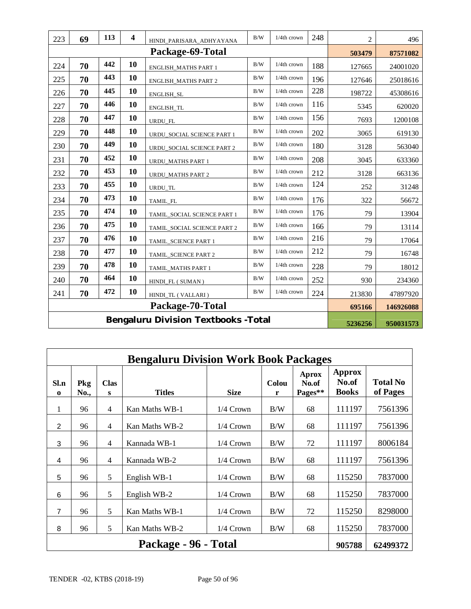| 223 | 69 | 113 | $\overline{\mathbf{4}}$ | HINDI_PARISARA_ADHYAYANA                    | B/W        | 1/4th crown | 248 | $\overline{c}$ | 496       |
|-----|----|-----|-------------------------|---------------------------------------------|------------|-------------|-----|----------------|-----------|
|     |    |     |                         | Package-69-Total                            |            |             |     | 503479         | 87571082  |
| 224 | 70 | 442 | 10                      | <b>ENGLISH_MATHS PART 1</b>                 | B/W        | 1/4th crown | 188 | 127665         | 24001020  |
| 225 | 70 | 443 | 10                      | <b>ENGLISH_MATHS PART 2</b>                 | B/W        | 1/4th crown | 196 | 127646         | 25018616  |
| 226 | 70 | 445 | 10                      | ENGLISH_SL                                  | B/W        | 1/4th crown | 228 | 198722         | 45308616  |
| 227 | 70 | 446 | 10                      | ENGLISH_TL                                  | B/W        | 1/4th crown | 116 | 5345           | 620020    |
| 228 | 70 | 447 | 10                      | URDU_FL                                     | B/W        | 1/4th crown | 156 | 7693           | 1200108   |
| 229 | 70 | 448 | 10                      | URDU_SOCIAL SCIENCE PART 1                  | B/W        | 1/4th crown | 202 | 3065           | 619130    |
| 230 | 70 | 449 | 10                      | URDU_SOCIAL SCIENCE PART 2                  | B/W        | 1/4th crown | 180 | 3128           | 563040    |
| 231 | 70 | 452 | <b>10</b>               | URDU_MATHS PART 1                           | B/W        | 1/4th crown | 208 | 3045           | 633360    |
| 232 | 70 | 453 | 10                      | <b>URDU_MATHS PART 2</b>                    | B/W        | 1/4th crown | 212 | 3128           | 663136    |
| 233 | 70 | 455 | 10                      | URDU TL                                     | B/W        | 1/4th crown | 124 | 252            | 31248     |
| 234 | 70 | 473 | 10                      | TAMIL_FL                                    | B/W        | 1/4th crown | 176 | 322            | 56672     |
| 235 | 70 | 474 | 10                      | TAMIL_SOCIAL SCIENCE PART 1                 | B/W        | 1/4th crown | 176 | 79             | 13904     |
| 236 | 70 | 475 | 10                      | TAMIL_SOCIAL SCIENCE PART 2                 | B/W        | 1/4th crown | 166 | 79             | 13114     |
| 237 | 70 | 476 | 10                      | TAMIL_SCIENCE PART 1                        | B/W        | 1/4th crown | 216 | 79             | 17064     |
| 238 | 70 | 477 | 10                      | TAMIL_SCIENCE PART 2                        | $\rm\,B/W$ | 1/4th crown | 212 | 79             | 16748     |
| 239 | 70 | 478 | 10                      | TAMIL_MATHS PART 1                          | B/W        | 1/4th crown | 228 | 79             | 18012     |
| 240 | 70 | 464 | 10                      | HINDI_FL (SUMAN)                            | B/W        | 1/4th crown | 252 | 930            | 234360    |
| 241 | 70 | 472 | 10                      | HINDI_TL (VALLARI)                          | $\rm\,B/W$ | 1/4th crown | 224 | 213830         | 47897920  |
|     |    |     |                         | Package-70-Total                            |            |             |     | 695166         | 146926088 |
|     |    |     |                         | <b>Bengaluru Division Textbooks - Total</b> |            |             |     | 5236256        | 950031573 |

|                     | <b>Bengaluru Division Work Book Packages</b> |                  |                      |             |                   |                                  |                                 |                             |  |  |  |  |  |
|---------------------|----------------------------------------------|------------------|----------------------|-------------|-------------------|----------------------------------|---------------------------------|-----------------------------|--|--|--|--|--|
| Sl.n<br>$\mathbf 0$ | Pkg<br>No.,                                  | <b>Clas</b><br>S | <b>Titles</b>        | <b>Size</b> | <b>Colou</b><br>r | <b>Aprox</b><br>No.of<br>Pages** | Approx<br>No.of<br><b>Books</b> | <b>Total No</b><br>of Pages |  |  |  |  |  |
| 1                   | 96                                           | 4                | Kan Maths WB-1       | $1/4$ Crown | B/W               | 68                               | 111197                          | 7561396                     |  |  |  |  |  |
| 2                   | 96                                           | $\overline{4}$   | Kan Maths WB-2       | $1/4$ Crown | B/W               | 68                               | 111197                          | 7561396                     |  |  |  |  |  |
| 3                   | 96                                           | $\overline{4}$   | Kannada WB-1         | $1/4$ Crown | B/W               | 72                               | 111197                          | 8006184                     |  |  |  |  |  |
| 4                   | 96                                           | 4                | Kannada WB-2         | 1/4 Crown   | B/W               | 68                               | 111197                          | 7561396                     |  |  |  |  |  |
| 5                   | 96                                           | 5                | English WB-1         | $1/4$ Crown | B/W               | 68                               | 115250                          | 7837000                     |  |  |  |  |  |
| 6                   | 96                                           | 5                | English WB-2         | 1/4 Crown   | B/W               | 68                               | 115250                          | 7837000                     |  |  |  |  |  |
| $\overline{7}$      | 96                                           | 5                | Kan Maths WB-1       | 1/4 Crown   | B/W               | 72                               | 115250                          | 8298000                     |  |  |  |  |  |
| 8                   | 96                                           | 5                | Kan Maths WB-2       | $1/4$ Crown | B/W               | 68                               | 115250                          | 7837000                     |  |  |  |  |  |
|                     |                                              |                  | Package - 96 - Total |             |                   |                                  | 905788                          | 62499372                    |  |  |  |  |  |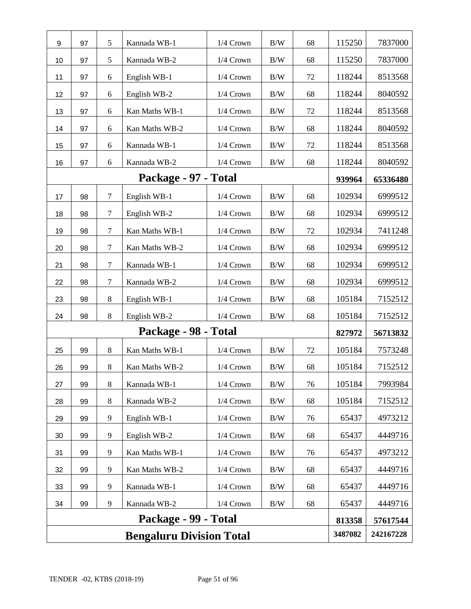| 9  | 97 | 5       | Kannada WB-1                    | 1/4 Crown   | B/W        | 68 | 115250  | 7837000   |
|----|----|---------|---------------------------------|-------------|------------|----|---------|-----------|
| 10 | 97 | 5       | Kannada WB-2                    | 1/4 Crown   | B/W        | 68 | 115250  | 7837000   |
| 11 | 97 | 6       | English WB-1                    | 1/4 Crown   | B/W        | 72 | 118244  | 8513568   |
| 12 | 97 | 6       | English WB-2                    | 1/4 Crown   | B/W        | 68 | 118244  | 8040592   |
| 13 | 97 | 6       | Kan Maths WB-1                  | 1/4 Crown   | B/W        | 72 | 118244  | 8513568   |
| 14 | 97 | 6       | Kan Maths WB-2                  | 1/4 Crown   | B/W        | 68 | 118244  | 8040592   |
| 15 | 97 | 6       | Kannada WB-1                    | $1/4$ Crown | B/W        | 72 | 118244  | 8513568   |
| 16 | 97 | 6       | Kannada WB-2                    | 1/4 Crown   | B/W        | 68 | 118244  | 8040592   |
|    |    |         | Package - 97 - Total            |             |            |    | 939964  | 65336480  |
| 17 | 98 | $\tau$  | English WB-1                    | 1/4 Crown   | B/W        | 68 | 102934  | 6999512   |
| 18 | 98 | $\tau$  | English WB-2                    | 1/4 Crown   | B/W        | 68 | 102934  | 6999512   |
| 19 | 98 | 7       | Kan Maths WB-1                  | $1/4$ Crown | B/W        | 72 | 102934  | 7411248   |
| 20 | 98 | $\tau$  | Kan Maths WB-2                  | 1/4 Crown   | B/W        | 68 | 102934  | 6999512   |
| 21 | 98 | $\tau$  | Kannada WB-1                    | 1/4 Crown   | B/W        | 68 | 102934  | 6999512   |
| 22 | 98 | $\tau$  | Kannada WB-2                    | 1/4 Crown   | B/W        | 68 | 102934  | 6999512   |
| 23 | 98 | 8       | English WB-1                    | 1/4 Crown   | B/W        | 68 | 105184  | 7152512   |
| 24 | 98 | $\,8\,$ | English WB-2                    | $1/4$ Crown | B/W        | 68 | 105184  | 7152512   |
|    |    |         | Package - 98 - Total            |             |            |    | 827972  | 56713832  |
| 25 | 99 | 8       | Kan Maths WB-1                  | 1/4 Crown   | B/W        | 72 | 105184  | 7573248   |
| 26 | 99 | 8       | Kan Maths WB-2                  | 1/4 Crown   | B/W        | 68 | 105184  | 7152512   |
| 27 | 99 | $\,8\,$ | Kannada WB-1                    | 1/4 Crown   | $\rm\,B/W$ | 76 | 105184  | 7993984   |
| 28 | 99 | $8\,$   | Kannada WB-2                    | 1/4 Crown   | B/W        | 68 | 105184  | 7152512   |
| 29 | 99 | 9       | English WB-1                    | 1/4 Crown   | B/W        | 76 | 65437   | 4973212   |
| 30 | 99 | 9       | English WB-2                    | 1/4 Crown   | B/W        | 68 | 65437   | 4449716   |
| 31 | 99 | 9       | Kan Maths WB-1                  | 1/4 Crown   | B/W        | 76 | 65437   | 4973212   |
| 32 | 99 | 9       | Kan Maths WB-2                  | $1/4$ Crown | B/W        | 68 | 65437   | 4449716   |
| 33 | 99 | 9       | Kannada WB-1                    | 1/4 Crown   | B/W        | 68 | 65437   | 4449716   |
| 34 | 99 | 9       | Kannada WB-2                    | 1/4 Crown   | $\rm B/W$  | 68 | 65437   | 4449716   |
|    |    |         | Package - 99 - Total            |             |            |    | 813358  | 57617544  |
|    |    |         | <b>Bengaluru Division Total</b> |             |            |    | 3487082 | 242167228 |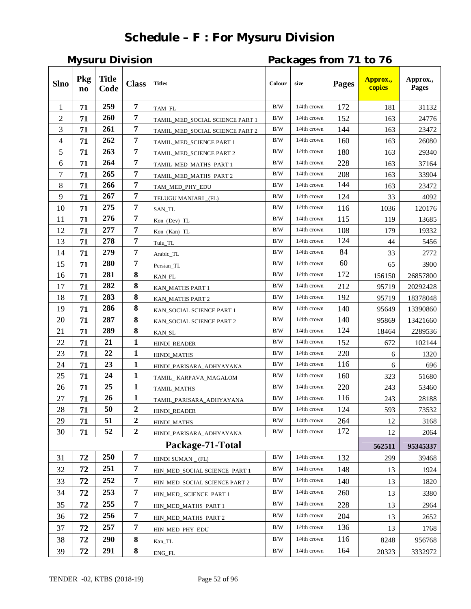# **Schedule – F : For Mysuru Division**

**Mysuru Division Packages from 71 to 76**

| <b>Slno</b> | Pkg<br>$\mathbf{n}\mathbf{o}$ | <b>Title</b><br>Code | <b>Class</b>     | <b>Titles</b>                   | Colour     | size           | <b>Pages</b> | Approx.,<br>copies | Approx.,<br>Pages |
|-------------|-------------------------------|----------------------|------------------|---------------------------------|------------|----------------|--------------|--------------------|-------------------|
| 1           | 71                            | 259                  | $\overline{7}$   | TAM FL                          | B/W        | $1/4$ th crown | 172          | 181                | 31132             |
| 2           | 71                            | 260                  | 7                | TAMIL MED SOCIAL SCIENCE PART 1 | B/W        | 1/4th crown    | 152          | 163                | 24776             |
| 3           | 71                            | 261                  | 7                | TAMIL_MED_SOCIAL SCIENCE PART 2 | B/W        | $1/4$ th crown | 144          | 163                | 23472             |
| 4           | 71                            | 262                  | 7                | TAMIL_MED_SCIENCE PART 1        | B/W        | 1/4th crown    | 160          | 163                | 26080             |
| 5           | 71                            | 263                  | $\overline{7}$   | TAMIL_MED_SCIENCE PART 2        | B/W        | $1/4$ th crown | 180          | 163                | 29340             |
| 6           | 71                            | 264                  | $\overline{7}$   | TAMIL MED MATHS PART 1          | B/W        | 1/4th crown    | 228          | 163                | 37164             |
| 7           | 71                            | 265                  | $\overline{7}$   | TAMIL_MED_MATHS PART 2          | B/W        | $1/4$ th crown | 208          | 163                | 33904             |
| 8           | 71                            | 266                  | $\overline{7}$   | TAM_MED_PHY_EDU                 | B/W        | $1/4$ th crown | 144          | 163                | 23472             |
| 9           | 71                            | 267                  | 7                | TELUGU MANJARI (FL)             | B/W        | 1/4th crown    | 124          | 33                 | 4092              |
| 10          | 71                            | 275                  | 7                | SAN_TL                          | B/W        | 1/4th crown    | 116          | 1036               | 120176            |
| 11          | 71                            | 276                  | 7                | Kon_(Dev)_TL                    | B/W        | 1/4th crown    | 115          | 119                | 13685             |
| 12          | 71                            | 277                  | $\overline{7}$   | $Kon_{Kan}$ $TL$                | $\rm\,B/W$ | $1/4$ th crown | 108          | 179                | 19332             |
| 13          | 71                            | 278                  | 7                | Tulu_TL                         | B/W        | $1/4$ th crown | 124          | 44                 | 5456              |
| 14          | 71                            | 279                  | $\overline{7}$   | Arabic_TL                       | B/W        | 1/4th crown    | 84           | 33                 | 2772              |
| 15          | 71                            | 280                  | $\overline{7}$   | Persian_TL                      | B/W        | $1/4$ th crown | 60           | 65                 | 3900              |
| 16          | 71                            | 281                  | 8                | KAN FL                          | B/W        | 1/4th crown    | 172          | 156150             | 26857800          |
| 17          | 71                            | 282                  | 8                | KAN MATHS PART 1                | B/W        | $1/4$ th crown | 212          | 95719              | 20292428          |
| 18          | 71                            | 283                  | 8                | KAN_MATHS PART 2                | B/W        | 1/4th crown    | 192          | 95719              | 18378048          |
| 19          | 71                            | 286                  | 8                | KAN_SOCIAL SCIENCE PART 1       | B/W        | 1/4th crown    | 140          | 95649              | 13390860          |
| 20          | 71                            | 287                  | 8                | KAN_SOCIAL SCIENCE PART 2       | B/W        | 1/4th crown    | 140          | 95869              | 13421660          |
| 21          | 71                            | 289                  | 8                | KAN_SL                          | B/W        | $1/4$ th crown | 124          | 18464              | 2289536           |
| 22          | 71                            | 21                   | $\mathbf{1}$     | <b>HINDI_READER</b>             | B/W        | $1/4$ th crown | 152          | 672                | 102144            |
| 23          | 71                            | 22                   | $\mathbf{1}$     | <b>HINDI MATHS</b>              | B/W        | 1/4th crown    | 220          | 6                  | 1320              |
| 24          | 71                            | 23                   | $\mathbf{1}$     | HINDI_PARISARA_ADHYAYANA        | B/W        | 1/4th crown    | 116          | 6                  | 696               |
| 25          | 71                            | 24                   | $\mathbf{1}$     | TAMIL_KARPAVA_MAGALOM           | B/W        | 1/4th crown    | 160          | 323                | 51680             |
| 26          | 71                            | 25                   | $\mathbf{1}$     | TAMIL_MATHS                     | $\rm\,B/W$ | $1/4$ th crown | 220          | 243                | 53460             |
| 27          | 71                            | 26                   | $\mathbf{1}$     | TAMIL_PARISARA_ADHYAYANA        | B/W        | $1/4$ th crown | 116          | 243                | 28188             |
| 28          | 71                            | 50                   | $\overline{2}$   | HINDI_READER                    | B/W        | $1/4$ th crown | 124          | 593                | 73532             |
| 29          | 71                            | 51                   | $\boldsymbol{2}$ | HINDI_MATHS                     | B/W        | $1/4$ th crown | 264          | 12                 | 3168              |
| 30          | 71                            | 52                   | $\boldsymbol{2}$ | HINDI_PARISARA_ADHYAYANA        | B/W        | 1/4th crown    | 172          | 12                 | 2064              |
|             |                               |                      |                  | Package-71-Total                |            |                |              | 562511             | 95345337          |
| 31          | 72                            | 250                  | $\overline{7}$   | HINDI SUMAN $_{-}$ (FL)         | B/W        | $1/4$ th crown | 132          | 299                | 39468             |
| 32          | 72                            | 251                  | 7                | HIN MED SOCIAL SCIENCE PART 1   | B/W        | $1/4$ th crown | 148          | 13                 | 1924              |
| 33          | 72                            | 252                  | $\overline{7}$   | HIN_MED_SOCIAL SCIENCE PART 2   | B/W        | $1/4$ th crown | 140          | 13                 | 1820              |
| 34          | 72                            | 253                  | 7                | HIN_MED_ SCIENCE PART 1         | B/W        | $1/4$ th crown | 260          | 13                 | 3380              |
| 35          | 72                            | 255                  | 7                | HIN_MED_MATHS PART 1            | B/W        | $1/4$ th crown | 228          | 13                 | 2964              |
| 36          | 72                            | 256                  | 7                | HIN_MED_MATHS PART 2            | B/W        | $1/4$ th crown | 204          | 13                 | 2652              |
| 37          | 72                            | 257                  | 7                | HIN_MED_PHY_EDU                 | B/W        | $1/4$ th crown | 136          | 13                 | 1768              |
| 38          | 72                            | <b>290</b>           | 8                | Kan_TL                          | B/W        | $1/4$ th crown | 116          | 8248               | 956768            |
| 39          | 72                            | 291                  | 8                | ENG_FL                          | B/W        | $1/4$ th crown | 164          | 20323              | 3332972           |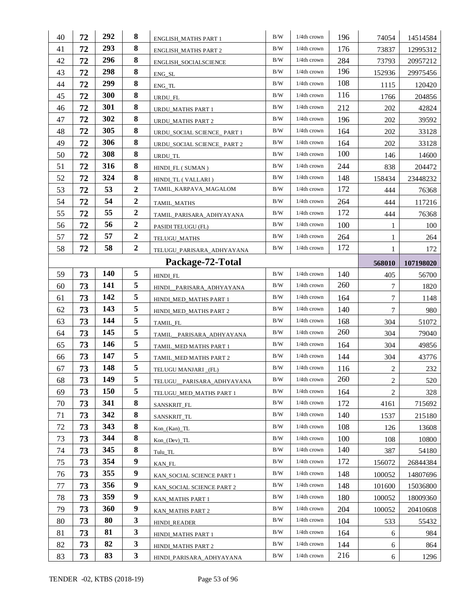| 40 | 72 | 292 | 8                | ENGLISH_MATHS PART 1                             | B/W       | 1/4th crown    | 196 | 74054          | 14514584   |
|----|----|-----|------------------|--------------------------------------------------|-----------|----------------|-----|----------------|------------|
| 41 | 72 | 293 | 8                | <b>ENGLISH_MATHS PART 2</b>                      | B/W       | $1/4$ th crown | 176 | 73837          | 12995312   |
| 42 | 72 | 296 | 8                | ENGLISH_SOCIALSCIENCE                            | B/W       | $1/4$ th crown | 284 | 73793          | 20957212   |
| 43 | 72 | 298 | 8                | ENG_SL                                           | B/W       | $1/4$ th crown | 196 | 152936         | 29975456   |
| 44 | 72 | 299 | 8                | ${\rm ENG\_TL}$                                  | B/W       | 1/4th crown    | 108 | 1115           | 120420     |
| 45 | 72 | 300 | 8                | URDU_FL                                          | B/W       | $1/4$ th crown | 116 | 1766           | 204856     |
| 46 | 72 | 301 | 8                | URDU_MATHS PART 1                                | B/W       | $1/4$ th crown | 212 | 202            | 42824      |
| 47 | 72 | 302 | 8                | URDU_MATHS PART 2                                | B/W       | 1/4th crown    | 196 | 202            | 39592      |
| 48 | 72 | 305 | 8                | URDU_SOCIAL SCIENCE_ PART 1                      | B/W       | $1/4$ th crown | 164 | 202            | 33128      |
| 49 | 72 | 306 | 8                | URDU_SOCIAL SCIENCE_ PART 2                      | B/W       | $1/4$ th crown | 164 | 202            | 33128      |
| 50 | 72 | 308 | 8                | URDU_TL                                          | B/W       | $1/4$ th crown | 100 | 146            | 14600      |
| 51 | 72 | 316 | 8                | HINDL_FL (SUMAN)                                 | B/W       | 1/4th crown    | 244 | 838            | 204472     |
| 52 | 72 | 324 | 8                | HINDLTL (VALLARI)                                | B/W       | 1/4th crown    | 148 | 158434         | 23448232   |
| 53 | 72 | 53  | $\boldsymbol{2}$ | TAMIL_KARPAVA_MAGALOM                            | B/W       | $1/4$ th crown | 172 | 444            | 76368      |
| 54 | 72 | 54  | $\boldsymbol{2}$ | TAMIL_MATHS                                      | B/W       | $1/4$ th crown | 264 | 444            | 117216     |
| 55 | 72 | 55  | $\boldsymbol{2}$ | TAMIL PARISARA ADHYAYANA                         | B/W       | $1/4$ th crown | 172 | 444            | 76368      |
| 56 | 72 | 56  | $\boldsymbol{2}$ | PASIDI TELUGU (FL)                               | B/W       | $1/4$ th crown | 100 | 1              | 100        |
| 57 | 72 | 57  | $\boldsymbol{2}$ | TELUGU MATHS                                     | B/W       | $1/4$ th crown | 264 | 1              | 264        |
| 58 | 72 | 58  | $\boldsymbol{2}$ | TELUGU_PARISARA_ADHYAYANA                        | B/W       | 1/4th crown    | 172 | $\mathbf{1}$   | 172        |
|    |    |     |                  | Package-72-Total                                 |           |                |     | 568010         | 107198020  |
| 59 | 73 | 140 | 5                | HINDI_FL                                         | B/W       | $1/4$ th crown | 140 | 405            | 56700      |
| 60 | 73 | 141 | 5                | HINDI_PARISARA_ADHYAYANA                         | B/W       | $1/4$ th crown | 260 | $\overline{7}$ | 1820       |
| 61 | 73 | 142 | 5                | HINDI_MED_MATHS PART 1                           | B/W       | $1/4$ th crown | 164 | 7              | 1148       |
| 62 | 73 | 143 | 5                | HINDI_MED_MATHS PART 2                           | B/W       | 1/4th crown    | 140 | 7              | 980        |
| 63 | 73 | 144 | 5                | TAMIL_FL                                         | B/W       | $1/4$ th crown | 168 | 304            | 51072      |
| 64 | 73 | 145 | 5                | TAMIL PARISARA ADHYAYANA                         | B/W       | $1/4$ th crown | 260 |                |            |
|    |    |     |                  |                                                  |           |                |     | 304            | 79040      |
| 65 | 73 | 146 | 5                |                                                  | B/W       | $1/4$ th crown | 164 | 304            | 49856      |
| 66 | 73 | 147 | 5                | TAMIL_MED MATHS PART 1<br>TAMIL MED MATHS PART 2 | B/W       | $1/4$ th crown | 144 | 304            |            |
| 67 | 73 | 148 | 5                |                                                  | B/W       | 1/4th crown    | 116 | $\sqrt{2}$     | 43776      |
| 68 | 73 | 149 | 5                | TELUGU MANJARI (FL)<br>TELUGU PARISARA ADHYAYANA | B/W       | 1/4th crown    | 260 | $\sqrt{2}$     | 232<br>520 |
| 69 | 73 | 150 | 5                | TELUGU_MED_MATHS PART 1                          | B/W       | 1/4th crown    | 164 | $\overline{2}$ | 328        |
| 70 | 73 | 341 | 8                | SANSKRIT_FL                                      | B/W       | $1/4$ th crown | 172 | 4161           | 715692     |
| 71 | 73 | 342 | 8                | SANSKRIT_TL                                      | B/W       | 1/4th crown    | 140 | 1537           | 215180     |
| 72 | 73 | 343 | 8                | $Kon_{Kan}$ $TL$                                 | B/W       | 1/4th crown    | 108 | 126            | 13608      |
| 73 | 73 | 344 | 8                | $Kon_ (Dev) _ TL$                                | $\rm B/W$ | 1/4th crown    | 100 | 108            | 10800      |
| 74 | 73 | 345 | 8                | Tulu_TL                                          | B/W       | 1/4th crown    | 140 | 387            | 54180      |
| 75 | 73 | 354 | 9                | KAN_FL                                           | B/W       | 1/4th crown    | 172 | 156072         | 26844384   |
| 76 | 73 | 355 | 9                | KAN_SOCIAL SCIENCE PART 1                        | B/W       | 1/4th crown    | 148 | 100052         | 14807696   |
| 77 | 73 | 356 | 9                | KAN_SOCIAL SCIENCE PART 2                        | B/W       | 1/4th crown    | 148 | 101600         | 15036800   |
| 78 | 73 | 359 | 9                | KAN_MATHS PART 1                                 | B/W       | 1/4th crown    | 180 | 100052         | 18009360   |
| 79 | 73 | 360 | $\boldsymbol{9}$ | KAN_MATHS PART 2                                 | B/W       | 1/4th crown    | 204 | 100052         | 20410608   |
| 80 | 73 | 80  | 3                | HINDI_READER                                     | B/W       | 1/4th crown    | 104 | 533            | 55432      |
| 81 | 73 | 81  | 3                | HINDI_MATHS PART 1                               | B/W       | $1/4$ th crown | 164 | 6              | 984        |
| 82 | 73 | 82  | 3                | HINDI_MATHS PART 2                               | B/W       | 1/4th crown    | 144 | 6              | 864        |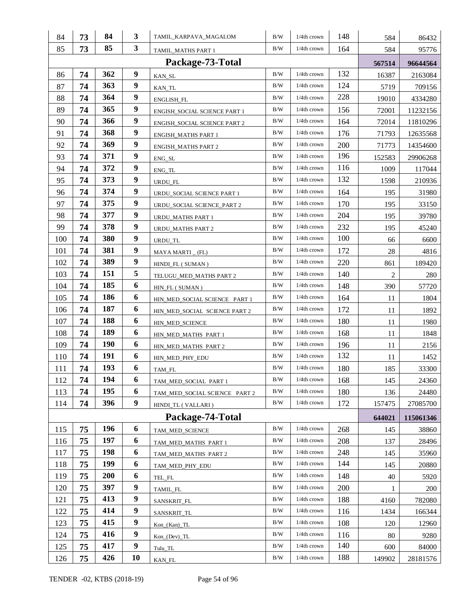| 84  | 73 | 84         | 3                | TAMIL_KARPAVA_MAGALOM         | B/W | 1/4th crown    | 148 | 584    | 86432     |
|-----|----|------------|------------------|-------------------------------|-----|----------------|-----|--------|-----------|
| 85  | 73 | 85         | $\mathbf{3}$     | TAMIL_MATHS PART 1            | B/W | $1/4$ th crown | 164 | 584    | 95776     |
|     |    |            |                  | Package-73-Total              |     |                |     | 567514 | 96644564  |
| 86  | 74 | 362        | 9                | KAN_SL                        | B/W | $1/4$ th crown | 132 | 16387  | 2163084   |
| 87  | 74 | 363        | 9                | KAN_TL                        | B/W | $1/4$ th crown | 124 | 5719   | 709156    |
| 88  | 74 | 364        | $\boldsymbol{9}$ | ENGLISH_FL                    | B/W | $1/4$ th crown | 228 | 19010  | 4334280   |
| 89  | 74 | 365        | 9                | ENGISH_SOCIAL SCIENCE PART 1  | B/W | $1/4$ th crown | 156 | 72001  | 11232156  |
| 90  | 74 | 366        | 9                | ENGISH SOCIAL SCIENCE PART 2  | B/W | $1/4$ th crown | 164 | 72014  | 11810296  |
| 91  | 74 | 368        | $\boldsymbol{9}$ | <b>ENGISH_MATHS PART 1</b>    | B/W | $1/4$ th crown | 176 | 71793  | 12635568  |
| 92  | 74 | 369        | 9                | <b>ENGISH_MATHS PART 2</b>    | B/W | $1/4$ th crown | 200 | 71773  | 14354600  |
| 93  | 74 | 371        | 9                | ENG_SL                        | B/W | $1/4$ th crown | 196 | 152583 | 29906268  |
| 94  | 74 | 372        | 9                | ENG_TL                        | B/W | $1/4$ th crown | 116 | 1009   | 117044    |
| 95  | 74 | 373        | 9                | URDU_FL                       | B/W | 1/4th crown    | 132 | 1598   | 210936    |
| 96  | 74 | 374        | 9                | URDU_SOCIAL SCIENCE PART 1    | B/W | $1/4$ th crown | 164 | 195    | 31980     |
| 97  | 74 | 375        | 9                | URDU_SOCIAL SCIENCE_PART 2    | B/W | $1/4$ th crown | 170 | 195    | 33150     |
| 98  | 74 | 377        | 9                | URDU_MATHS PART 1             | B/W | $1/4$ th crown | 204 | 195    | 39780     |
| 99  | 74 | 378        | $\boldsymbol{9}$ | URDU_MATHS PART 2             | B/W | $1/4$ th crown | 232 | 195    | 45240     |
| 100 | 74 | 380        | 9                | URDU_TL                       | B/W | $1/4$ th crown | 100 | 66     | 6600      |
| 101 | 74 | 381        | 9                | MAYA MARTI _ (FL)             | B/W | $1/4$ th crown | 172 | $28\,$ | 4816      |
| 102 | 74 | 389        | 9                | HINDL FL (SUMAN)              | B/W | $1/4$ th crown | 220 | 861    | 189420    |
| 103 | 74 | 151        | 5                | TELUGU_MED_MATHS PART 2       | B/W | $1/4$ th crown | 140 | 2      | 280       |
| 104 | 74 | 185        | 6                | HIN_FL (SUMAN)                | B/W | $1/4$ th crown | 148 | 390    | 57720     |
| 105 | 74 | 186        | 6                | HIN_MED_SOCIAL SCIENCE PART 1 | B/W | $1/4$ th crown | 164 | 11     | 1804      |
| 106 | 74 | 187        | 6                | HIN_MED_SOCIAL SCIENCE PART 2 | B/W | 1/4th crown    | 172 | 11     | 1892      |
| 107 | 74 | 188        | 6                | HIN_MED_SCIENCE               | B/W | 1/4th crown    | 180 | 11     | 1980      |
| 108 | 74 | 189        | 6                | HIN_MED_MATHS PART 1          | B/W | 1/4th crown    | 168 | 11     | 1848      |
| 109 | 74 | <b>190</b> | 6                | HIN_MED_MATHS PART 2          | B/W | $1/4$ th crown | 196 | 11     | 2156      |
| 110 | 74 | 191        | 6                | HIN_MED_PHY_EDU               | B/W | $1/4$ th crown | 132 | 11     | 1452      |
| 111 | 74 | 193        | 6                | TAM_FL                        | B/W | $1/4$ th crown | 180 | 185    | 33300     |
| 112 | 74 | 194        | 6                | TAM_MED_SOCIAL PART 1         | B/W | $1/4$ th crown | 168 | 145    | 24360     |
| 113 | 74 | 195        | 6                | TAM_MED_SOCIAL SCIENCE PART 2 | B/W | $1/4$ th crown | 180 | 136    | 24480     |
| 114 | 74 | 396        | 9                | HINDI_TL (VALLARI)            | B/W | 1/4th crown    | 172 | 157475 | 27085700  |
|     |    |            |                  | Package-74-Total              |     |                |     | 644021 | 115061346 |
| 115 | 75 | 196        | 6                | TAM_MED_SCIENCE               | B/W | $1/4$ th crown | 268 | 145    | 38860     |
| 116 | 75 | 197        | 6                | TAM_MED_MATHS PART 1          | B/W | $1/4$ th crown | 208 | 137    | 28496     |
| 117 | 75 | 198        | 6                | TAM_MED_MATHS PART 2          | B/W | $1/4$ th crown | 248 | 145    | 35960     |
| 118 | 75 | 199        | 6                | TAM MED PHY EDU               | B/W | 1/4th crown    | 144 | 145    | 20880     |
| 119 | 75 | 200        | 6                | TEL_FL                        | B/W | $1/4$ th crown | 148 | 40     | 5920      |
| 120 | 75 | 397        | 9                | TAMIL_FL                      | B/W | 1/4th crown    | 200 | 1      | 200       |
| 121 | 75 | 413        | 9                | SANSKRIT_FL                   | B/W | 1/4th crown    | 188 | 4160   | 782080    |
| 122 | 75 | 414        | 9                | SANSKRIT_TL                   | B/W | 1/4th crown    | 116 | 1434   | 166344    |
| 123 | 75 | 415        | 9                | $Kon_{Ran) _TL}$              | B/W | 1/4th crown    | 108 | 120    | 12960     |
| 124 | 75 | 416        | 9                | Kon_(Dev)_TL                  | B/W | $1/4$ th crown | 116 | 80     | 9280      |
| 125 | 75 | 417        | 9                | Tulu_TL                       | B/W | $1/4$ th crown | 140 | 600    | 84000     |
| 126 | 75 | 426        | 10               | KAN_FL                        | B/W | $1/4$ th crown | 188 | 149902 | 28181576  |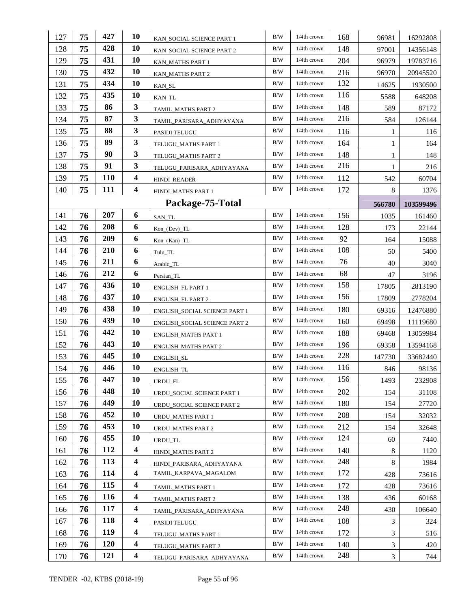| 127 | 75 | 427        | 10                      | KAN_SOCIAL SCIENCE PART 1            | B/W       | $1/4$ th crown | 168 | 96981          | 16292808  |
|-----|----|------------|-------------------------|--------------------------------------|-----------|----------------|-----|----------------|-----------|
| 128 | 75 | 428        | 10                      | KAN_SOCIAL SCIENCE PART 2            | B/W       | $1/4$ th crown | 148 | 97001          | 14356148  |
| 129 | 75 | 431        | 10                      | KAN_MATHS PART 1                     | B/W       | 1/4th crown    | 204 | 96979          | 19783716  |
| 130 | 75 | 432        | 10                      | KAN_MATHS PART 2                     | B/W       | $1/4$ th crown | 216 | 96970          | 20945520  |
| 131 | 75 | 434        | 10                      | KAN_SL                               | B/W       | $1/4$ th crown | 132 | 14625          | 1930500   |
| 132 | 75 | 435        | 10                      | KAN_TL                               | B/W       | $1/4$ th crown | 116 | 5588           | 648208    |
| 133 | 75 | 86         | $\mathbf{3}$            | TAMIL_MATHS PART 2                   | B/W       | $1/4$ th crown | 148 | 589            | 87172     |
| 134 | 75 | 87         | 3                       | TAMIL_PARISARA_ADHYAYANA             | B/W       | 1/4th crown    | 216 | 584            | 126144    |
| 135 | 75 | 88         | 3                       | PASIDI TELUGU                        | B/W       | 1/4th crown    | 116 | 1              | 116       |
| 136 | 75 | 89         | 3                       | TELUGU_MATHS PART 1                  | B/W       | $1/4$ th crown | 164 | 1              | 164       |
| 137 | 75 | 90         | $\mathbf{3}$            | TELUGU_MATHS PART 2                  | B/W       | $1/4$ th crown | 148 | 1              | 148       |
| 138 | 75 | 91         | 3                       | TELUGU_PARISARA_ADHYAYANA            | B/W       | $1/4$ th crown | 216 | 1              | 216       |
| 139 | 75 | <b>110</b> | $\boldsymbol{4}$        | <b>HINDI_READER</b>                  | B/W       | $1/4$ th crown | 112 | 542            | 60704     |
| 140 | 75 | 111        | $\overline{\mathbf{4}}$ | HINDI_MATHS PART 1                   | B/W       | $1/4$ th crown | 172 | 8              | 1376      |
|     |    |            |                         | Package-75-Total                     |           |                |     | 566780         | 103599496 |
| 141 | 76 | 207        | 6                       | SAN_TL                               | B/W       | 1/4th crown    | 156 | 1035           | 161460    |
| 142 | 76 | 208        | 6                       | $Kon_{o}(Dev) _TL$                   | B/W       | $1/4$ th crown | 128 | 173            | 22144     |
| 143 | 76 | 209        | 6                       | $Kon_{a}(Kan)_{n}TL$                 | B/W       | $1/4$ th crown | 92  | 164            | 15088     |
| 144 | 76 | 210        | 6                       | Tulu TL                              | B/W       | $1/4$ th crown | 108 | 50             | 5400      |
| 145 | 76 | 211        | 6                       | Arabic_TL                            | B/W       | 1/4th crown    | 76  | 40             | 3040      |
| 146 | 76 | 212        | 6                       | Persian_TL                           | $\rm B/W$ | $1/4$ th crown | 68  | 47             | 3196      |
| 147 | 76 | 436        | 10                      | ENGLISH_FL PART 1                    | B/W       | $1/4$ th crown | 158 | 17805          | 2813190   |
| 148 | 76 | 437        | 10                      | <b>ENGLISH_FL PART 2</b>             | B/W       | $1/4$ th crown | 156 | 17809          | 2778204   |
| 149 | 76 | 438        | 10                      | ENGLISH_SOCIAL SCIENCE PART 1        | B/W       | 1/4th crown    | 180 | 69316          | 12476880  |
| 150 | 76 | 439        | 10                      | <b>ENGLISH_SOCIAL SCIENCE PART 2</b> | B/W       | $1/4$ th crown | 160 | 69498          | 11119680  |
| 151 | 76 | 442        | 10                      | <b>ENGLISH_MATHS PART 1</b>          | B/W       | $1/4$ th crown | 188 | 69468          | 13059984  |
| 152 | 76 | 443        | 10                      | <b>ENGLISH_MATHS PART 2</b>          | B/W       | $1/4$ th crown | 196 | 69358          | 13594168  |
| 153 | 76 | 445        | 10                      | ENGLISH_SL                           | B/W       | $1/4$ th crown | 228 | 147730         | 33682440  |
| 154 | 76 | 446        | 10                      | ENGLISH_TL                           | B/W       | $1/4$ th crown | 116 | 846            | 98136     |
| 155 | 76 | 447        | 10                      | URDU FL                              | B/W       | 1/4th crown    | 156 | 1493           | 232908    |
| 156 | 76 | 448        | 10                      | URDU_SOCIAL SCIENCE PART 1           | B/W       | 1/4th crown    | 202 | 154            | 31108     |
| 157 | 76 | 449        | 10                      | URDU_SOCIAL SCIENCE PART 2           | B/W       | $1/4$ th crown | 180 | 154            | 27720     |
| 158 | 76 | 452        | 10                      | URDU_MATHS PART 1                    | B/W       | $1/4th$ crown  | 208 | 154            | 32032     |
| 159 | 76 | 453        | 10                      | URDU MATHS PART 2                    | B/W       | $1/4$ th crown | 212 | 154            | 32648     |
| 160 | 76 | 455        | 10                      | URDU_TL                              | B/W       | $1/4$ th crown | 124 | 60             | 7440      |
| 161 | 76 | 112        | $\overline{\mathbf{4}}$ | HINDI_MATHS PART 2                   | B/W       | 1/4th crown    | 140 | 8              | 1120      |
| 162 | 76 | 113        | $\overline{\mathbf{4}}$ | HINDI_PARISARA_ADHYAYANA             | B/W       | 1/4th crown    | 248 | 8              | 1984      |
| 163 | 76 | 114        | 4                       | TAMIL_KARPAVA_MAGALOM                | B/W       | $1/4th$ crown  | 172 | 428            | 73616     |
| 164 | 76 | 115        | 4                       | TAMIL_MATHS PART 1                   | B/W       | $1/4$ th crown | 172 | 428            | 73616     |
| 165 | 76 | 116        | 4                       | TAMIL_MATHS PART 2                   | B/W       | $1/4$ th crown | 138 | 436            | 60168     |
| 166 | 76 | 117        | 4                       | TAMIL_PARISARA_ADHYAYANA             | B/W       | $1/4$ th crown | 248 | 430            | 106640    |
| 167 | 76 | 118        | 4                       | PASIDI TELUGU                        | B/W       | 1/4th crown    | 108 | $\mathfrak{Z}$ | 324       |
| 168 | 76 | 119        | 4                       | TELUGU_MATHS PART 1                  | B/W       | $1/4$ th crown | 172 | 3              | 516       |
| 169 | 76 | <b>120</b> | 4                       | TELUGU_MATHS PART 2                  | B/W       | $1/4$ th crown | 140 | $\mathfrak{Z}$ | 420       |
| 170 | 76 | 121        | $\boldsymbol{4}$        | TELUGU_PARISARA_ADHYAYANA            | B/W       | $1/4$ th crown | 248 | $\overline{3}$ | 744       |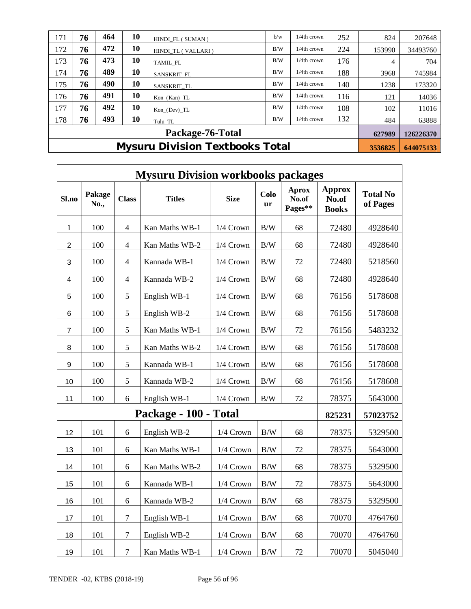| 171 | 76                                     | 464 | 10 | HINDI FL (SUMAN)   | b/w | 1/4th crown    | 252 | 824    | 207648    |
|-----|----------------------------------------|-----|----|--------------------|-----|----------------|-----|--------|-----------|
| 172 | 76                                     | 472 | 10 | HINDI TL (VALLARI) | B/W | 1/4th crown    | 224 | 153990 | 34493760  |
| 173 | 76                                     | 473 | 10 | TAMIL FL           | B/W | 1/4th crown    | 176 | 4      | 704       |
| 174 | 76                                     | 489 | 10 | SANSKRIT FL        | B/W | 1/4th crown    | 188 | 3968   | 745984    |
| 175 | 76                                     | 490 | 10 | SANSKRIT TL        | B/W | 1/4th crown    | 140 | 1238   | 173320    |
| 176 | 76                                     | 491 | 10 | $Kon_{nKan)$ _TL   | B/W | 1/4th crown    | 116 | 121    | 14036     |
| 177 | 76                                     | 492 | 10 | Kon (Dev) TL       | B/W | $1/4$ th crown | 108 | 102    | 11016     |
| 178 | 76                                     | 493 | 10 | Tulu TL            | B/W | $1/4$ th crown | 132 | 484    | 63888     |
|     |                                        |     |    | Package-76-Total   |     |                |     | 627989 | 126226370 |
|     | <b>Mysuru Division Textbooks Total</b> |     |    |                    |     |                |     |        | 644075133 |

|                  | <b>Mysuru Division workbooks packages</b> |                  |                       |             |                   |                                  |                                        |                             |  |  |  |  |
|------------------|-------------------------------------------|------------------|-----------------------|-------------|-------------------|----------------------------------|----------------------------------------|-----------------------------|--|--|--|--|
| Sl.no            | Pakage<br>No.,                            | <b>Class</b>     | <b>Titles</b>         | <b>Size</b> | Colo<br><b>ur</b> | <b>Aprox</b><br>No.of<br>Pages** | <b>Approx</b><br>No.of<br><b>Books</b> | <b>Total No</b><br>of Pages |  |  |  |  |
| 1                | 100                                       | $\overline{4}$   | Kan Maths WB-1        | 1/4 Crown   | $\rm\,B/W$        | 68                               | 72480                                  | 4928640                     |  |  |  |  |
| $\overline{2}$   | 100                                       | $\overline{4}$   | Kan Maths WB-2        | 1/4 Crown   | B/W               | 68                               | 72480                                  | 4928640                     |  |  |  |  |
| $\mathbf{3}$     | 100                                       | $\overline{4}$   | Kannada WB-1          | 1/4 Crown   | B/W               | 72                               | 72480                                  | 5218560                     |  |  |  |  |
| 4                | 100                                       | $\overline{4}$   | Kannada WB-2          | 1/4 Crown   | $\rm\,B/W$        | 68                               | 72480                                  | 4928640                     |  |  |  |  |
| 5                | 100                                       | 5                | English WB-1          | 1/4 Crown   | B/W               | 68                               | 76156                                  | 5178608                     |  |  |  |  |
| 6                | 100                                       | 5                | English WB-2          | 1/4 Crown   | B/W               | 68                               | 76156                                  | 5178608                     |  |  |  |  |
| 7                | 100                                       | 5                | Kan Maths WB-1        | 1/4 Crown   | $\rm\,B/W$        | 72                               | 76156                                  | 5483232                     |  |  |  |  |
| 8                | 100                                       | 5                | Kan Maths WB-2        | 1/4 Crown   | $\rm\,B/W$        | 68                               | 76156                                  | 5178608                     |  |  |  |  |
| $\boldsymbol{9}$ | 100                                       | 5                | Kannada WB-1          | 1/4 Crown   | $\rm\,B/W$        | 68                               | 76156                                  | 5178608                     |  |  |  |  |
| 10               | 100                                       | 5                | Kannada WB-2          | 1/4 Crown   | B/W               | 68                               | 76156                                  | 5178608                     |  |  |  |  |
| 11               | 100                                       | 6                | English WB-1          | 1/4 Crown   | B/W               | 72                               | 78375                                  | 5643000                     |  |  |  |  |
|                  |                                           |                  | Package - 100 - Total |             |                   |                                  | 825231                                 | 57023752                    |  |  |  |  |
| 12               | 101                                       | 6                | English WB-2          | 1/4 Crown   | B/W               | 68                               | 78375                                  | 5329500                     |  |  |  |  |
| 13               | 101                                       | 6                | Kan Maths WB-1        | 1/4 Crown   | $\rm\,B/W$        | 72                               | 78375                                  | 5643000                     |  |  |  |  |
| 14               | 101                                       | 6                | Kan Maths WB-2        | 1/4 Crown   | B/W               | 68                               | 78375                                  | 5329500                     |  |  |  |  |
| 15               | 101                                       | 6                | Kannada WB-1          | 1/4 Crown   | $\rm\,B/W$        | 72                               | 78375                                  | 5643000                     |  |  |  |  |
| 16               | 101                                       | 6                | Kannada WB-2          | 1/4 Crown   | B/W               | 68                               | 78375                                  | 5329500                     |  |  |  |  |
| 17               | 101                                       | $\boldsymbol{7}$ | English WB-1          | 1/4 Crown   | B/W               | 68                               | 70070                                  | 4764760                     |  |  |  |  |
| 18               | 101                                       | $\tau$           | English WB-2          | 1/4 Crown   | B/W               | 68                               | 70070                                  | 4764760                     |  |  |  |  |
| 19               | 101                                       | $\overline{7}$   | Kan Maths WB-1        | 1/4 Crown   | $\rm\,B/W$        | $72\,$                           | 70070                                  | 5045040                     |  |  |  |  |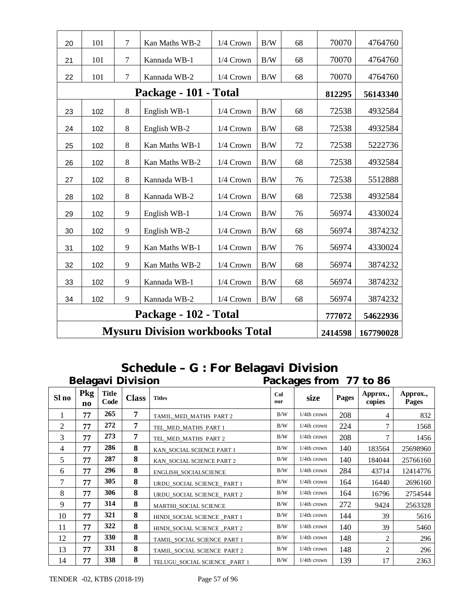| 20 | 101                                                            | 7                     | Kan Maths WB-2               | 1/4 Crown | $\rm\,B/W$ | 68 | 70070  | 4764760  |  |  |
|----|----------------------------------------------------------------|-----------------------|------------------------------|-----------|------------|----|--------|----------|--|--|
| 21 | 101                                                            | 7                     | Kannada WB-1                 | 1/4 Crown | $\rm\,B/W$ | 68 | 70070  | 4764760  |  |  |
| 22 | 101                                                            | $\overline{7}$        | Kannada WB-2                 | 1/4 Crown | B/W        | 68 | 70070  | 4764760  |  |  |
|    |                                                                | Package - 101 - Total |                              | 812295    | 56143340   |    |        |          |  |  |
| 23 | 102                                                            | $8\,$                 | 68                           | 72538     | 4932584    |    |        |          |  |  |
| 24 | 102                                                            | 8                     | English WB-1<br>English WB-2 | 1/4 Crown | B/W        | 68 | 72538  | 4932584  |  |  |
| 25 | 102                                                            | 8                     | Kan Maths WB-1               | 1/4 Crown | B/W        | 72 | 72538  | 5222736  |  |  |
| 26 | 102                                                            | $8\,$                 | Kan Maths WB-2               | 1/4 Crown | B/W        | 68 | 72538  | 4932584  |  |  |
| 27 | 102                                                            | 8                     | Kannada WB-1                 | 1/4 Crown | B/W        | 76 | 72538  | 5512888  |  |  |
| 28 | 102                                                            | 8                     | Kannada WB-2                 | 1/4 Crown | B/W        | 68 | 72538  | 4932584  |  |  |
| 29 | 102                                                            | 9                     | English WB-1                 | 1/4 Crown | B/W        | 76 | 56974  | 4330024  |  |  |
| 30 | 102                                                            | 9                     | English WB-2                 | 1/4 Crown | B/W        | 68 | 56974  | 3874232  |  |  |
| 31 | 102                                                            | 9                     | Kan Maths WB-1               | 1/4 Crown | B/W        | 76 | 56974  | 4330024  |  |  |
| 32 | 102                                                            | 9                     | Kan Maths WB-2               | 1/4 Crown | $\rm\,B/W$ | 68 | 56974  | 3874232  |  |  |
| 33 | 102                                                            | 9                     | Kannada WB-1                 | 1/4 Crown | B/W        | 68 | 56974  | 3874232  |  |  |
| 34 | 102                                                            | 9                     | Kannada WB-2                 | 1/4 Crown | B/W        | 68 | 56974  | 3874232  |  |  |
|    |                                                                |                       | Package - 102 - Total        |           |            |    | 777072 | 54622936 |  |  |
|    | <b>Mysuru Division workbooks Total</b><br>2414598<br>167790028 |                       |                              |           |            |    |        |          |  |  |

# **Schedule – G : For Belagavi Division**

|       | <b>Belagavi Division</b> |                      |                |                              |            | Packages from 77 to 86 |       |                    |                   |  |  |  |
|-------|--------------------------|----------------------|----------------|------------------------------|------------|------------------------|-------|--------------------|-------------------|--|--|--|
| Sl no | Pkg<br>no                | <b>Title</b><br>Code | <b>Class</b>   | <b>Titles</b>                | Col<br>our | size                   | Pages | Approx.,<br>copies | Approx.,<br>Pages |  |  |  |
|       | 77                       | 265                  | $\overline{7}$ | TAMIL_MED_MATHS PART 2       | B/W        | 1/4th crown            | 208   | 4                  | 832               |  |  |  |
| 2     | 77                       | 272                  | 7              | TEL_MED_MATHS PART 1         | B/W        | 1/4th crown            | 224   | $\mathcal{I}$      | 1568              |  |  |  |
| 3     | 77                       | 273                  | 7              | TEL_MED_MATHS PART 2         | B/W        | 1/4th crown            | 208   | 7                  | 1456              |  |  |  |
| 4     | 77                       | 286                  | 8              | KAN_SOCIAL SCIENCE PART 1    | B/W        | 1/4th crown            | 140   | 183564             | 25698960          |  |  |  |
| 5     | 77                       | 287                  | 8              | KAN_SOCIAL SCIENCE PART 2    | B/W        | 1/4th crown            | 140   | 184044             | 25766160          |  |  |  |
| 6     | 77                       | 296                  | 8              | ENGLISH_SOCIALSCIENCE        | B/W        | 1/4th crown            | 284   | 43714              | 12414776          |  |  |  |
| 7     | 77                       | 305                  | 8              | URDU_SOCIAL SCIENCE_ PART 1  | B/W        | 1/4th crown            | 164   | 16440              | 2696160           |  |  |  |
| 8     | 77                       | 306                  | 8              | URDU_SOCIAL SCIENCE_ PART 2  | B/W        | $1/4$ th crown         | 164   | 16796              | 2754544           |  |  |  |
| 9     | 77                       | 314                  | 8              | MARTHI SOCIAL SCIENCE        | B/W        | $1/4$ th crown         | 272   | 9424               | 2563328           |  |  |  |
| 10    | 77                       | 321                  | 8              | HINDI SOCIAL SCIENCE PART 1  | B/W        | $1/4$ th crown         | 144   | 39                 | 5616              |  |  |  |
| 11    | 77                       | 322                  | 8              | HINDI_SOCIAL SCIENCE _PART 2 | B/W        | 1/4th crown            | 140   | 39                 | 5460              |  |  |  |
| 12    | 77                       | <b>330</b>           | 8              | TAMIL SOCIAL SCIENCE PART 1  | B/W        | $1/4$ th crown         | 148   | $\overline{2}$     | 296               |  |  |  |
| 13    | 77                       | 331                  | 8              | TAMIL_SOCIAL SCIENCE PART 2  | B/W        | $1/4$ th crown         | 148   | $\overline{2}$     | 296               |  |  |  |
| 14    | 77                       | 338                  | 8              | TELUGU SOCIAL SCIENCE PART 1 | B/W        | $1/4$ th crown         | 139   | 17                 | 2363              |  |  |  |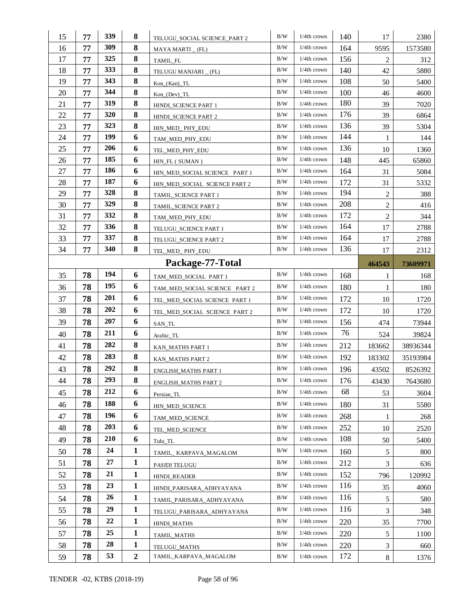| 15       | 77       | 339        | 8                | TELUGU_SOCIAL SCIENCE_PART 2          | $\rm B/W$  | $1/4th$ crown  | 140        | 17             | 2380         |
|----------|----------|------------|------------------|---------------------------------------|------------|----------------|------------|----------------|--------------|
| 16       | 77       | 309        | 8                | MAYA MARTI _ (FL)                     | $\rm\,B/W$ | $1/4$ th crown | 164        | 9595           | 1573580      |
| 17       | 77       | 325        | 8                | TAMIL_FL                              | B/W        | $1/4th$ crown  | 156        | 2              | 312          |
| 18       | 77       | 333        | 8                | TELUGU MANJARI _ (FL)                 | B/W        | $1/4$ th crown | 140        | 42             | 5880         |
| 19       | 77       | 343        | 8                | $Kon_{Ran}$                           | B/W        | $1/4$ th crown | 108        | 50             | 5400         |
| 20       | 77       | 344        | 8                | $Kon_{o}(Dev) _T L$                   | B/W        | $1/4$ th crown | 100        | 46             | 4600         |
| 21       | 77       | 319        | 8                | HINDI_SCIENCE PART 1                  | B/W        | $1/4$ th crown | 180        | 39             | 7020         |
| 22       | 77       | <b>320</b> | 8                | HINDI_SCIENCE PART 2                  | B/W        | 1/4th crown    | 176        | 39             | 6864         |
| 23       | 77       | 323        | 8                | HIN_MED_ PHY_EDU                      | B/W        | 1/4th crown    | 136        | 39             | 5304         |
| 24       | 77       | 199        | 6                | TAM_MED_PHY_EDU                       | B/W        | 1/4th crown    | 144        | 1              | 144          |
| 25       | 77       | 206        | 6                | TEL_MED_PHY_EDU                       | B/W        | $1/4$ th crown | 136        | 10             | 1360         |
| 26       | 77       | 185        | 6                | HIN_FL (SUMAN)                        | B/W        | $1/4$ th crown | 148        | 445            | 65860        |
| 27       | 77       | 186        | 6                | HIN_MED_SOCIAL SCIENCE PART 1         | $\rm\,B/W$ | $1/4th$ crown  | 164        | 31             | 5084         |
| 28       | 77       | 187        | 6                | HIN_MED_SOCIAL SCIENCE PART 2         | B/W        | $1/4th$ crown  | 172        | 31             | 5332         |
| 29       | 77       | 328        | 8                | TAMIL_SCIENCE PART 1                  | B/W        | $1/4$ th crown | 194        | 2              | 388          |
| 30       | 77       | 329        | 8                | TAMIL_SCIENCE PART 2                  | B/W        | $1/4th$ crown  | 208        | $\overline{c}$ | 416          |
| 31       | 77       | 332        | 8                | TAM_MED_PHY_EDU                       | B/W        | $1/4$ th crown | 172        | $\overline{c}$ | 344          |
| 32       | 77       | 336        | 8                | TELUGU_SCIENCE PART 1                 | B/W        | $1/4$ th crown | 164        | 17             | 2788         |
| 33       | 77       | 337        | 8                | TELUGU_SCIENCE PART 2                 | B/W        | $1/4$ th crown | 164        | 17             | 2788         |
| 34       | 77       | 340        | 8                | TEL_MED_PHY_EDU                       | B/W        | $1/4$ th crown | 136        | 17             | 2312         |
|          |          |            |                  | Package-77-Total                      |            |                |            | 464543         | 73609971     |
| 35       | 78       | 194        | 6                | TAM_MED_SOCIAL PART 1                 | B/W        | 1/4th crown    | 168        | 1              | 168          |
| 36       | 78       | 195        | 6                | TAM_MED_SOCIAL SCIENCE PART 2         | B/W        | $1/4$ th crown | 180        | 1              | 180          |
| 37       | 78       | 201        | 6                | TEL_MED_SOCIAL SCIENCE PART 1         | B/W        | $1/4$ th crown | 172        | 10             | 1720         |
| 38       | 78       | 202        | 6                | TEL_MED_SOCIAL SCIENCE PART 2         | B/W        | $1/4th$ crown  | 172        | 10             | 1720         |
| 39       |          |            |                  |                                       |            |                |            |                |              |
|          | 78       | 207        | 6                | SAN_TL                                | B/W        | $1/4$ th crown | 156        | 474            | 73944        |
| 40       | 78       | 211        | 6                | Arabic_TL                             | B/W        | $1/4$ th crown | 76         | 524            | 39824        |
| 41       | 78       | 282        | 8                | KAN_MATHS PART 1                      | B/W        | 1/4th crown    | 212        | 183662         | 38936344     |
| 42       | 78       | 283        | 8                | KAN_MATHS PART 2                      | B/W        | 1/4th crown    | 192        | 183302         | 35193984     |
| 43       | 78       | 292        | 8                | ENGLISH_MATHS PART 1                  | B/W        | $1/4$ th crown | 196        | 43502          | 8526392      |
| 44       | 78       | 293        | 8                | ENGLISH_MATHS PART 2                  | $\rm B/W$  | 1/4th crown    | 176        | 43430          | 7643680      |
| 45       | 78       | 212        | 6                | Persian_TL                            | B/W        | 1/4th crown    | 68         | 53             | 3604         |
| 46       | 78       | 188        | 6                | HIN_MED_SCIENCE                       | B/W        | 1/4th crown    | 180        | 31             | 5580         |
| 47       | 78       | 196        | 6                | TAM MED SCIENCE                       | B/W        | $1/4$ th crown | 268        | $\mathbf{1}$   | 268          |
| 48       | 78       | 203        | 6                | TEL_MED_SCIENCE                       | B/W        | $1/4$ th crown | 252        | 10             | 2520         |
| 49       | 78       | 210        | 6                | Tulu_TL                               | B/W        | $1/4$ th crown | 108        | 50             | 5400         |
| 50       | 78       | 24         | $\mathbf{1}$     | TAMIL KARPAVA MAGALOM                 | B/W        | $1/4$ th crown | 160        | 5              | 800          |
| 51       | 78       | 27         | $\mathbf{1}$     | PASIDI TELUGU                         | B/W        | $1/4$ th crown | 212        | 3              | 636          |
| 52       | 78       | 21         | $\mathbf{1}$     | HINDI_READER                          | B/W        | $1/4$ th crown | 152        | 796            | 120992       |
| 53       | 78       | 23         | $\mathbf{1}$     | HINDI_PARISARA_ADHYAYANA              | B/W        | 1/4th crown    | 116        | 35             | 4060         |
| 54       | 78       | 26         | $\mathbf{1}$     |                                       | B/W        | $1/4$ th crown | 116        | 5              | 580          |
| 55       | 78       | 29         | $\mathbf{1}$     | TAMIL_PARISARA_ADHYAYANA              | B/W        | $1/4$ th crown | 116        | 3              |              |
|          | 78       | 22         | $\mathbf{1}$     | TELUGU_PARISARA_ADHYAYANA             | B/W        | $1/4$ th crown | 220        | 35             | 348          |
| 56       |          | 25         | $\mathbf{1}$     | HINDI_MATHS                           | B/W        | $1/4$ th crown |            |                | 7700<br>1100 |
| 57       | 78       | 28         | $\mathbf{1}$     | TAMIL_MATHS                           | B/W        | $1/4$ th crown | 220        | 5              |              |
| 58<br>59 | 78<br>78 | 53         | $\boldsymbol{2}$ | TELUGU_MATHS<br>TAMIL_KARPAVA_MAGALOM | B/W        | $1/4$ th crown | 220<br>172 | 3<br>8         | 660<br>1376  |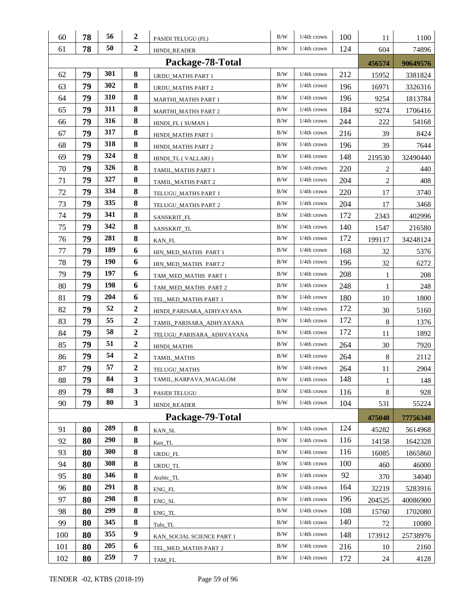| 60  | 78 | 56         | 2                | PASIDI TELUGU (FL)         | B/W       | $1/4th$ crown  | 100 | 11     | 1100     |
|-----|----|------------|------------------|----------------------------|-----------|----------------|-----|--------|----------|
| 61  | 78 | 50         | $\boldsymbol{2}$ | <b>HINDI_READER</b>        | B/W       | $1/4$ th crown | 124 | 604    | 74896    |
|     |    |            |                  | Package-78-Total           |           |                |     | 456574 | 90649576 |
| 62  | 79 | 301        | 8                | URDU MATHS PART 1          | B/W       | $1/4$ th crown | 212 | 15952  | 3381824  |
| 63  | 79 | 302        | 8                | URDU_MATHS PART 2          | B/W       | $1/4$ th crown | 196 | 16971  | 3326316  |
| 64  | 79 | 310        | 8                | MARTHI_MATHS PART 1        | B/W       | $1/4th$ crown  | 196 | 9254   | 1813784  |
| 65  | 79 | 311        | 8                | <b>MARTHI_MATHS PART 2</b> | B/W       | 1/4th crown    | 184 | 9274   | 1706416  |
| 66  | 79 | 316        | 8                | HINDI FL (SUMAN)           | B/W       | $1/4$ th crown | 244 | 222    | 54168    |
| 67  | 79 | 317        | 8                | HINDI MATHS PART 1         | B/W       | $1/4$ th crown | 216 | 39     | 8424     |
| 68  | 79 | 318        | 8                | HINDI_MATHS PART 2         | B/W       | $1/4$ th crown | 196 | 39     | 7644     |
| 69  | 79 | 324        | 8                | HINDI_TL (VALLARI)         | B/W       | $1/4$ th crown | 148 | 219530 | 32490440 |
| 70  | 79 | 326        | 8                | TAMIL_MATHS PART 1         | B/W       | $1/4$ th crown | 220 | 2      | 440      |
| 71  | 79 | 327        | 8                | TAMIL_MATHS PART 2         | B/W       | $1/4$ th crown | 204 | 2      | 408      |
| 72  | 79 | 334        | 8                | TELUGU_MATHS PART 1        | B/W       | $1/4$ th crown | 220 | 17     | 3740     |
| 73  | 79 | 335        | 8                | TELUGU_MATHS PART 2        | B/W       | $1/4$ th crown | 204 | 17     | 3468     |
| 74  | 79 | 341        | 8                | SANSKRIT_FL                | B/W       | 1/4th crown    | 172 | 2343   | 402996   |
| 75  | 79 | 342        | 8                | SANSKRIT_TL                | B/W       | $1/4th$ crown  | 140 | 1547   | 216580   |
| 76  | 79 | 281        | 8                | KAN_FL                     | B/W       | 1/4th crown    | 172 | 199117 | 34248124 |
| 77  | 79 | 189        | 6                | HIN_MED_MATHS PART 1       | B/W       | $1/4$ th crown | 168 | 32     | 5376     |
| 78  | 79 | 190        | 6                | HIN_MED_MATHS PART 2       | B/W       | $1/4$ th crown | 196 | 32     | 6272     |
| 79  | 79 | 197        | 6                | TAM_MED_MATHS PART 1       | B/W       | $1/4$ th crown | 208 | 1      | 208      |
| 80  | 79 | 198        | 6                | TAM_MED_MATHS PART 2       | B/W       | $1/4$ th crown | 248 | 1      | 248      |
| 81  | 79 | 204        | 6                | TEL_MED_MATHS PART 1       | B/W       | $1/4$ th crown | 180 | 10     | 1800     |
| 82  | 79 | 52         | $\boldsymbol{2}$ | HINDI_PARISARA_ADHYAYANA   | B/W       | $1/4$ th crown | 172 | 30     | 5160     |
| 83  | 79 | 55         | $\boldsymbol{2}$ | TAMIL_PARISARA_ADHYAYANA   | B/W       | $1/4$ th crown | 172 | 8      | 1376     |
| 84  | 79 | 58         | $\boldsymbol{2}$ | TELUGU_PARISARA_ADHYAYANA  | B/W       | $1/4$ th crown | 172 | 11     | 1892     |
| 85  | 79 | 51         | $\boldsymbol{2}$ | HINDI_MATHS                | B/W       | 1/4th crown    | 264 | 30     | 7920     |
| 86  | 79 | 54         | $\boldsymbol{2}$ | TAMIL_MATHS                | B/W       | $1/4$ th crown | 264 | 8      | 2112     |
| 87  | 79 | 57         | $\boldsymbol{2}$ | TELUGU_MATHS               | B/W       | $1/4$ th crown | 264 | 11     | 2904     |
| 88  | 79 | 84         | 3                | TAMIL_KARPAVA_MAGALOM      | $\rm B/W$ | 1/4th crown    | 148 | 1      | 148      |
| 89  | 79 | 88         | 3                | PASIDI TELUGU              | $\rm B/W$ | 1/4th crown    | 116 | 8      | 928      |
| 90  | 79 | 80         | 3                | <b>HINDI READER</b>        | B/W       | $1/4$ th crown | 104 | 531    | 55224    |
|     |    |            |                  | Package-79-Total           |           |                |     | 475040 | 77756340 |
| 91  | 80 | 289        | 8                | KAN_SL                     | $\rm B/W$ | 1/4th crown    | 124 | 45282  | 5614968  |
| 92  | 80 | 290        | 8                | Kan_TL                     | B/W       | $1/4$ th crown | 116 | 14158  | 1642328  |
| 93  | 80 | <b>300</b> | 8                | URDU FL                    | B/W       | 1/4th crown    | 116 | 16085  | 1865860  |
| 94  | 80 | 308        | 8                | URDU_TL                    | B/W       | 1/4th crown    | 100 | 460    | 46000    |
| 95  | 80 | 346        | 8                | Arabic_TL                  | $\rm B/W$ | 1/4th crown    | 92  | 370    | 34040    |
| 96  | 80 | 291        | 8                | ENG_FL                     | B/W       | 1/4th crown    | 164 | 32219  | 5283916  |
| 97  | 80 | 298        | 8                | ENG_SL                     | $\rm B/W$ | $1/4$ th crown | 196 | 204525 | 40086900 |
| 98  | 80 | 299        | 8                | $ENG_TL$                   | B/W       | 1/4th crown    | 108 | 15760  | 1702080  |
| 99  | 80 | 345        | 8                | Tulu_TL                    | B/W       | 1/4th crown    | 140 | 72     | 10080    |
| 100 | 80 | 355        | $\boldsymbol{9}$ | KAN_SOCIAL SCIENCE PART 1  | B/W       | 1/4th crown    | 148 | 173912 | 25738976 |
| 101 | 80 | 205        | 6                | TEL_MED_MATHS PART 2       | B/W       | $1/4$ th crown | 216 | 10     | 2160     |
| 102 | 80 | 259        | $\overline{7}$   | TAM_FL                     | B/W       | $1/4$ th crown | 172 | 24     | 4128     |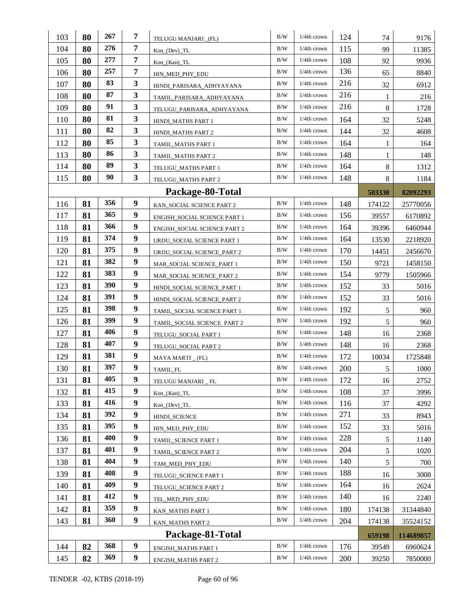| 103 | 80 | 267 | 7 | TELUGU MANJARI _(FL)         | B/W       | $1/4$ th crown | 124 | 74     | 9176      |
|-----|----|-----|---|------------------------------|-----------|----------------|-----|--------|-----------|
| 104 | 80 | 276 | 7 | $Kon_{o}(Dev) _TL$           | $\rm B/W$ | 1/4th crown    | 115 | 99     | 11385     |
| 105 | 80 | 277 | 7 | $Kon_{Kan}$ $TL$             | $\rm B/W$ | $1/4$ th crown | 108 | 92     | 9936      |
| 106 | 80 | 257 | 7 | HIN_MED_PHY_EDU              | B/W       | $1/4$ th crown | 136 | 65     | 8840      |
| 107 | 80 | 83  | 3 | HINDI_PARISARA_ADHYAYANA     | B/W       | 1/4th crown    | 216 | 32     | 6912      |
| 108 | 80 | 87  | 3 | TAMIL_PARISARA_ADHYAYANA     | B/W       | $1/4$ th crown | 216 | 1      | 216       |
| 109 | 80 | 91  | 3 | TELUGU_PARISARA_ADHYAYANA    | B/W       | $1/4$ th crown | 216 | 8      | 1728      |
| 110 | 80 | 81  | 3 | HINDI_MATHS PART 1           | B/W       | $1/4$ th crown | 164 | 32     | 5248      |
| 111 | 80 | 82  | 3 | HINDI_MATHS PART 2           | B/W       | 1/4th crown    | 144 | 32     | 4608      |
| 112 | 80 | 85  | 3 | TAMIL_MATHS PART 1           | B/W       | $1/4th$ crown  | 164 | 1      | 164       |
| 113 | 80 | 86  | 3 | TAMIL_MATHS PART 2           | B/W       | $1/4$ th crown | 148 | 1      | 148       |
| 114 | 80 | 89  | 3 | TELUGU_MATHS PART 1          | B/W       | $1/4$ th crown | 164 | 8      | 1312      |
| 115 | 80 | 90  | 3 | TELUGU_MATHS PART 2          | B/W       | $1/4$ th crown | 148 | 8      | 1184      |
|     |    |     |   | Package-80-Total             |           |                |     | 503330 | 82092293  |
| 116 | 81 | 356 | 9 | KAN_SOCIAL SCIENCE PART 2    | $\rm B/W$ | 1/4th crown    | 148 | 174122 | 25770056  |
| 117 | 81 | 365 | 9 | ENGISH_SOCIAL SCIENCE PART 1 | B/W       | $1/4$ th crown | 156 | 39557  | 6170892   |
| 118 | 81 | 366 | 9 | ENGISH_SOCIAL SCIENCE PART 2 | B/W       | $1/4$ th crown | 164 | 39396  | 6460944   |
| 119 | 81 | 374 | 9 | URDU_SOCIAL SCIENCE PART 1   | B/W       | $1/4$ th crown | 164 | 13530  | 2218920   |
| 120 | 81 | 375 | 9 | URDU SOCIAL SCIENCE PART 2   | B/W       | 1/4th crown    | 170 | 14451  | 2456670   |
| 121 | 81 | 382 | 9 | MAR_SOCIAL SCIENCE_PART 1    | B/W       | 1/4th crown    | 150 | 9721   | 1458150   |
| 122 | 81 | 383 | 9 | MAR_SOCIAL SCIENCE_PART 2    | B/W       | 1/4th crown    | 154 | 9779   | 1505966   |
| 123 | 81 | 390 | 9 | HINDI_SOCIAL SCIENCE_PART 1  | B/W       | $1/4$ th crown | 152 | 33     | 5016      |
| 124 | 81 | 391 | 9 | HINDI_SOCIAL SCIENCE_PART 2  | B/W       | 1/4th crown    | 152 | 33     | 5016      |
| 125 | 81 | 398 | 9 | TAMIL_SOCIAL SCIENCE PART 1  | B/W       | $1/4$ th crown | 192 | 5      | 960       |
| 126 | 81 | 399 | 9 | TAMIL_SOCIAL SCIENCE PART 2  | B/W       | $1/4$ th crown | 192 | 5      | 960       |
| 127 | 81 | 406 | 9 | TELUGU_SOCIAL PART 1         | B/W       | $1/4th$ crown  | 148 | 16     | 2368      |
| 128 | 81 | 407 | 9 | TELUGU_SOCIAL PART 2         | B/W       | 1/4th crown    | 148 | 16     | 2368      |
| 129 | 81 | 381 | 9 | $MAYA$ MARTI $_{-}$ (FL)     | B/W       | $1/4$ th crown | 172 | 10034  | 1725848   |
| 130 | 81 | 397 | 9 | TAMIL_FL                     | B/W       | $1/4$ th crown | 200 | 5      | 1000      |
| 131 | 81 | 405 | 9 | TELUGU MANJARI _ FL          | B/W       | 1/4th crown    | 172 | 16     | 2752      |
| 132 | 81 | 415 | 9 | Kon_(Kan)_TL                 | B/W       | 1/4th crown    | 108 | 37     | 3996      |
| 133 | 81 | 416 | 9 | $Kon_{o}(Dev) _TL$           | $\rm B/W$ | $1/4$ th crown | 116 | 37     | 4292      |
| 134 | 81 | 392 | 9 | HINDI_SCIENCE                | B/W       | 1/4th crown    | 271 | 33     | 8943      |
| 135 | 81 | 395 | 9 | HIN_MED_PHY_EDU              | B/W       | 1/4th crown    | 152 | 33     | 5016      |
| 136 | 81 | 400 | 9 | TAMIL_SCIENCE PART 1         | B/W       | 1/4th crown    | 228 | 5      | 1140      |
| 137 | 81 | 401 | 9 | TAMIL_SCIENCE PART 2         | B/W       | $1/4$ th crown | 204 | 5      | 1020      |
| 138 | 81 | 404 | 9 | TAM MED PHY EDU              | B/W       | 1/4th crown    | 140 | 5      | 700       |
| 139 | 81 | 408 | 9 | TELUGU_SCIENCE PART 1        | B/W       | 1/4th crown    | 188 | 16     | 3008      |
| 140 | 81 | 409 | 9 | TELUGU_SCIENCE PART 2        | B/W       | $1/4$ th crown | 164 | 16     | 2624      |
| 141 | 81 | 412 | 9 | TEL_MED_PHY_EDU              | B/W       | 1/4th crown    | 140 | 16     | 2240      |
| 142 | 81 | 359 | 9 | KAN_MATHS PART 1             | B/W       | $1/4$ th crown | 180 | 174138 | 31344840  |
| 143 | 81 | 360 | 9 | KAN_MATHS PART 2             | B/W       | $1/4$ th crown | 204 | 174138 | 35524152  |
|     |    |     |   | Package-81-Total             |           |                |     | 659198 | 114689857 |
| 144 | 82 | 368 | 9 | ENGISH_MATHS PART 1          | B/W       | $1/4$ th crown | 176 | 39549  | 6960624   |
| 145 | 82 | 369 | 9 | <b>ENGISH_MATHS PART 2</b>   | B/W       | $1/4$ th crown | 200 | 39250  | 7850000   |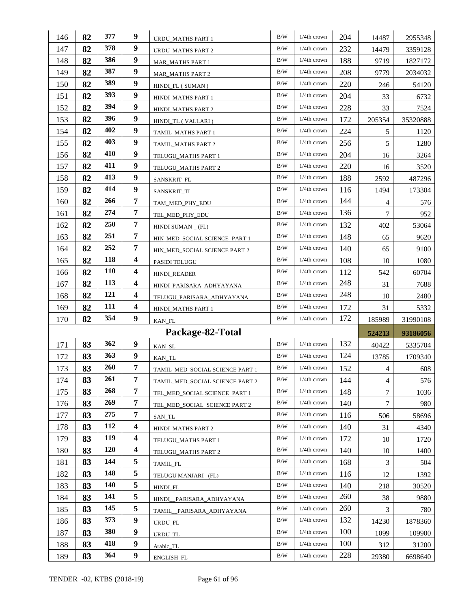| 146        | 82       | 377        | 9                       | URDU_MATHS PART 1               | B/W        | $1/4$ th crown                   | 204        | 14487        | 2955348  |
|------------|----------|------------|-------------------------|---------------------------------|------------|----------------------------------|------------|--------------|----------|
| 147        | 82       | 378        | 9                       | URDU MATHS PART 2               | B/W        | $1/4$ th crown                   | 232        | 14479        | 3359128  |
| 148        | 82       | 386        | 9                       | <b>MAR_MATHS PART 1</b>         | B/W        | 1/4th crown                      | 188        | 9719         | 1827172  |
| 149        | 82       | 387        | 9                       | MAR MATHS PART 2                | B/W        | $1/4$ th crown                   | 208        | 9779         | 2034032  |
| 150        | 82       | 389        | 9                       | HINDL_FL (SUMAN)                | B/W        | $1/4$ th crown                   | 220        | 246          | 54120    |
| 151        | 82       | 393        | 9                       | HINDI_MATHS PART 1              | B/W        | $1/4$ th crown                   | 204        | 33           | 6732     |
| 152        | 82       | 394        | 9                       | HINDI_MATHS PART 2              | B/W        | $1/4$ th crown                   | 228        | 33           | 7524     |
| 153        | 82       | 396        | 9                       | HINDI_TL (VALLARI)              | B/W        | $1/4$ th crown                   | 172        | 205354       | 35320888 |
| 154        | 82       | 402        | 9                       | TAMIL_MATHS PART 1              | B/W        | $1/4$ th crown                   | 224        | 5            | 1120     |
| 155        | 82       | 403        | 9                       | TAMIL_MATHS PART 2              | B/W        | $1/4$ th crown                   | 256        | 5            | 1280     |
| 156        | 82       | 410        | 9                       | TELUGU_MATHS PART 1             | B/W        | $1/4$ th crown                   | 204        | 16           | 3264     |
| 157        | 82       | 411        | 9                       | TELUGU_MATHS PART 2             | B/W        | $1/4$ th crown                   | 220        | 16           | 3520     |
| 158        | 82       | 413        | 9                       | SANSKRIT_FL                     | B/W        | $1/4$ th crown                   | 188        | 2592         | 487296   |
| 159        | 82       | 414        | 9                       | SANSKRIT_TL                     | B/W        | 1/4th crown                      | 116        | 1494         | 173304   |
| 160        | 82       | 266        | 7                       | TAM_MED_PHY_EDU                 | B/W        | $1/4$ th crown                   | 144        | 4            | 576      |
| 161        | 82       | 274        | 7                       | TEL_MED_PHY_EDU                 | B/W        | $1/4$ th crown                   | 136        | 7            | 952      |
| 162        | 82       | <b>250</b> | $\overline{7}$          | HINDI SUMAN $_{-}$ (FL)         | B/W        | 1/4th crown                      | 132        | 402          | 53064    |
| 163        | 82       | 251        | $\overline{7}$          | HIN MED SOCIAL SCIENCE PART 1   | B/W        | $1/4$ th crown                   | 148        | 65           | 9620     |
| 164        | 82       | 252        | 7                       | HIN_MED_SOCIAL SCIENCE PART 2   | B/W        | $1/4$ th crown                   | 140        | 65           | 9100     |
| 165        | 82       | 118        | $\overline{\mathbf{4}}$ | PASIDI TELUGU                   | B/W        | $1/4$ th crown                   | 108        | 10           | 1080     |
| 166        | 82       | <b>110</b> | $\overline{\mathbf{4}}$ | <b>HINDI_READER</b>             | B/W        | $1/4$ th crown                   | 112        | 542          | 60704    |
| 167        | 82       | <b>113</b> | $\overline{\mathbf{4}}$ | HINDI_PARISARA_ADHYAYANA        | B/W        | $1/4$ th crown                   | 248        | 31           | 7688     |
|            |          |            |                         |                                 |            |                                  |            |              |          |
| 168        | 82       | 121        | $\overline{\mathbf{4}}$ | TELUGU_PARISARA_ADHYAYANA       | B/W        | $1/4$ th crown                   | 248        | 10           | 2480     |
| 169        | 82       | 111        | $\overline{\mathbf{4}}$ | HINDI_MATHS PART 1              | B/W        | $1/4$ th crown                   | 172        | 31           | 5332     |
| 170        | 82       | 354        | 9                       | KAN_FL                          | B/W        | 1/4th crown                      | 172        | 185989       | 31990108 |
|            |          |            |                         | Package-82-Total                |            |                                  |            | 524213       | 93186056 |
| 171        | 83       | 362        | 9                       | KAN_SL                          | $\rm B/W$  | $1/4$ th crown                   | 132        | 40422        | 5335704  |
| 172        | 83       | 363        | 9                       | KAN_TL                          | B/W        | $1/4$ th crown                   | 124        | 13785        | 1709340  |
| 173        | 83       | 260        | 7                       | TAMIL_MED_SOCIAL SCIENCE PART 1 | B/W        | 1/4th crown                      | 152        | 4            | 608      |
| 174        | 83       | 261        | 7                       | TAMIL MED SOCIAL SCIENCE PART 2 | B/W        | $1/4$ th crown                   | 144        | 4            | 576      |
| 175        | 83       | 268        | 7                       | TEL_MED_SOCIAL SCIENCE PART 1   | B/W        | 1/4th crown                      | 148        | 7            | 1036     |
| 176        | 83       | 269        | 7                       | TEL_MED_SOCIAL SCIENCE PART 2   | B/W        | $1/4$ th crown                   | 140        | 7            | 980      |
| 177        | 83       | 275        | 7                       | SAN_TL                          | B/W        | 1/4th crown                      | 116        | 506          | 58696    |
| 178        | 83       | 112        | $\overline{\mathbf{4}}$ | HINDI_MATHS PART 2              | B/W        | $1/4$ th crown                   | 140        | 31           | 4340     |
| 179        | 83       | 119        | $\overline{\mathbf{4}}$ | TELUGU_MATHS PART 1             | B/W        | $1/4$ th crown                   | 172        | 10           | 1720     |
| 180        | 83       | <b>120</b> | $\boldsymbol{4}$        | TELUGU MATHS PART 2             | B/W        | $1/4$ th crown                   | 140        | 10           | 1400     |
| 181        | 83       | 144        | 5                       | TAMIL_FL                        | B/W        | $1/4$ th crown                   | 168        | 3            | 504      |
| 182        | 83       | 148        | 5                       | TELUGU MANJARI (FL)             | B/W        | $1/4$ th crown                   | 116        | 12           | 1392     |
| 183        | 83       | 140        | 5                       | HINDI_FL                        | B/W        | $1/4$ th crown                   | 140        | 218          | 30520    |
| 184        | 83       | 141        | 5                       | HINDI_PARISARA_ADHYAYANA        | B/W        | $1/4$ th crown                   | 260        | 38           | 9880     |
| 185        | 83       | 145        | 5                       | TAMIL_PARISARA_ADHYAYANA        | B/W        | $1/4$ th crown                   | 260        | 3            | 780      |
| 186        | 83       | 373        | 9                       | URDU_FL                         | B/W        | 1/4th crown                      | 132        | 14230        | 1878360  |
| 187        | 83       | 380        | 9                       | URDU_TL                         | B/W        | $1/4$ th crown                   | 100        | 1099         | 109900   |
| 188<br>189 | 83<br>83 | 418<br>364 | 9<br>9                  | Arabic_TL                       | B/W<br>B/W | $1/4$ th crown<br>$1/4$ th crown | 100<br>228 | 312<br>29380 | 31200    |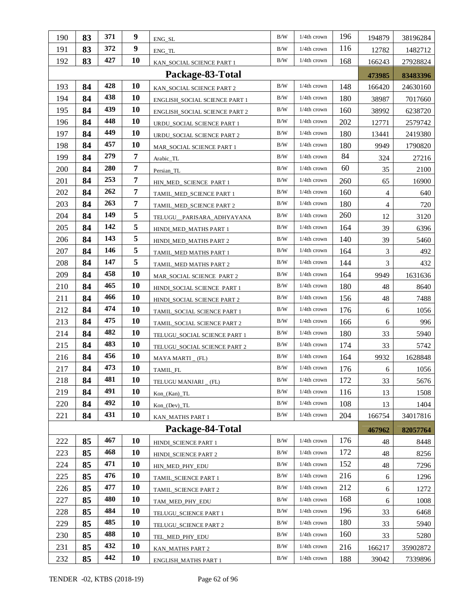| 190 | 83 | 371        | 9         | ENG_SL                        | B/W       | $1/4$ th crown | 196 | 194879     | 38196284 |
|-----|----|------------|-----------|-------------------------------|-----------|----------------|-----|------------|----------|
| 191 | 83 | 372        | 9         | ENG_TL                        | B/W       | $1/4$ th crown | 116 | 12782      | 1482712  |
| 192 | 83 | 427        | 10        | KAN_SOCIAL SCIENCE PART 1     | B/W       | $1/4$ th crown | 168 | 166243     | 27928824 |
|     |    |            |           | Package-83-Total              |           |                |     | 473985     | 83483396 |
| 193 | 84 | 428        | <b>10</b> | KAN_SOCIAL SCIENCE PART 2     | B/W       | 1/4th crown    | 148 | 166420     | 24630160 |
| 194 | 84 | 438        | 10        | ENGLISH_SOCIAL SCIENCE PART 1 | B/W       | $1/4$ th crown | 180 | 38987      | 7017660  |
| 195 | 84 | 439        | 10        | ENGLISH_SOCIAL SCIENCE PART 2 | B/W       | 1/4th crown    | 160 | 38992      | 6238720  |
| 196 | 84 | 448        | 10        | URDU_SOCIAL SCIENCE PART 1    | B/W       | $1/4th$ crown  | 202 | 12771      | 2579742  |
| 197 | 84 | 449        | 10        | URDU_SOCIAL SCIENCE PART 2    | B/W       | $1/4$ th crown | 180 | 13441      | 2419380  |
| 198 | 84 | 457        | 10        | MAR_SOCIAL SCIENCE PART 1     | B/W       | $1/4$ th crown | 180 | 9949       | 1790820  |
| 199 | 84 | 279        | 7         | Arabic_TL                     | B/W       | 1/4th crown    | 84  | 324        | 27216    |
| 200 | 84 | <b>280</b> | 7         | Persian_TL                    | B/W       | $1/4$ th crown | 60  | 35         | 2100     |
| 201 | 84 | 253        | 7         | HIN_MED_ SCIENCE PART 1       | B/W       | 1/4th crown    | 260 | 65         | 16900    |
| 202 | 84 | 262        | 7         | TAMIL_MED_SCIENCE PART 1      | B/W       | $1/4$ th crown | 160 | 4          | 640      |
| 203 | 84 | 263        | 7         | TAMIL_MED_SCIENCE PART 2      | B/W       | $1/4$ th crown | 180 | 4          | 720      |
| 204 | 84 | 149        | 5         | TELUGU PARISARA ADHYAYANA     | B/W       | $1/4$ th crown | 260 | 12         | 3120     |
| 205 | 84 | 142        | 5         | HINDI_MED_MATHS PART 1        | B/W       | $1/4$ th crown | 164 | 39         | 6396     |
| 206 | 84 | 143        | 5         | HINDI_MED_MATHS PART 2        | B/W       | $1/4$ th crown | 140 | 39         | 5460     |
| 207 | 84 | 146        | 5         | TAMIL_MED MATHS PART 1        | B/W       | $1/4$ th crown | 164 | 3          | 492      |
| 208 | 84 | 147        | 5         | TAMIL_MED MATHS PART 2        | B/W       | $1/4$ th crown | 144 | 3          | 432      |
| 209 | 84 | 458        | 10        | MAR_SOCIAL SCIENCE PART 2     | B/W       | $1/4$ th crown | 164 | 9949       | 1631636  |
| 210 | 84 | 465        | 10        | HINDI_SOCIAL SCIENCE PART 1   | B/W       | $1/4$ th crown | 180 | 48         | 8640     |
| 211 | 84 | 466        | 10        | HINDI_SOCIAL SCIENCE PART 2   | B/W       | 1/4th crown    | 156 | 48         | 7488     |
| 212 | 84 | 474        | 10        | TAMIL_SOCIAL SCIENCE PART 1   | B/W       | $1/4$ th crown | 176 | 6          | 1056     |
| 213 | 84 | 475        | 10        | TAMIL_SOCIAL SCIENCE PART 2   | B/W       | $1/4$ th crown | 166 | 6          | 996      |
| 214 | 84 | 482        | 10        | TELUGU_SOCIAL SCIENCE PART 1  | B/W       | $1/4$ th crown | 180 | 33         | 5940     |
| 215 | 84 | 483        | 10        | TELUGU_SOCIAL SCIENCE PART 2  | B/W       | $1/4$ th crown | 174 | 33         | 5742     |
| 216 | 84 | 456        | 10        | MAYA MARTI _ (FL)             | B/W       | $1/4$ th crown | 164 | 9932       | 1628848  |
| 217 | 84 | 473        | <b>10</b> | TAMIL_FL                      | B/W       | $1/4$ th crown | 176 | $\sqrt{6}$ | 1056     |
| 218 | 84 | 481        | 10        | TELUGU MANJARI _ (FL)         | $\rm B/W$ | $1/4th$ crown  | 172 | 33         | 5676     |
| 219 | 84 | 491        | <b>10</b> | Kon_(Kan)_TL                  | $\rm B/W$ | $1/4$ th crown | 116 | 13         | 1508     |
| 220 | 84 | 492        | <b>10</b> | $Kon_{0}(Dev) _TL$            | B/W       | $1/4$ th crown | 108 | 13         | 1404     |
| 221 | 84 | 431        | <b>10</b> | KAN_MATHS PART 1              | B/W       | $1/4$ th crown | 204 | 166754     | 34017816 |
|     |    |            |           | Package-84-Total              |           |                |     | 467962     | 82057764 |
| 222 | 85 | 467        | 10        | HINDI SCIENCE PART 1          | $\rm B/W$ | 1/4th crown    | 176 | 48         | 8448     |
| 223 | 85 | 468        | 10        | HINDI_SCIENCE PART 2          | B/W       | 1/4th crown    | 172 | 48         | 8256     |
| 224 | 85 | 471        | <b>10</b> | HIN_MED_PHY_EDU               | B/W       | 1/4th crown    | 152 | 48         | 7296     |
| 225 | 85 | 476        | 10        | TAMIL_SCIENCE PART 1          | B/W       | $1/4$ th crown | 216 | 6          | 1296     |
| 226 | 85 | 477        | <b>10</b> | TAMIL_SCIENCE PART 2          | B/W       | 1/4th crown    | 212 | 6          | 1272     |
| 227 | 85 | 480        | 10        | TAM_MED_PHY_EDU               | B/W       | 1/4th crown    | 168 | 6          | 1008     |
| 228 | 85 | 484        | <b>10</b> | TELUGU_SCIENCE PART 1         | B/W       | 1/4th crown    | 196 | 33         | 6468     |
| 229 | 85 | 485        | <b>10</b> | TELUGU_SCIENCE PART 2         | B/W       | $1/4$ th crown | 180 | 33         | 5940     |
| 230 | 85 | 488        | <b>10</b> | TEL_MED_PHY_EDU               | B/W       | $1/4$ th crown | 160 | 33         | 5280     |
| 231 | 85 | 432        | 10        | KAN_MATHS PART 2              | B/W       | $1/4$ th crown | 216 | 166217     | 35902872 |
| 232 | 85 | 442        | 10        | ENGLISH_MATHS PART 1          | B/W       | 1/4th crown    | 188 | 39042      | 7339896  |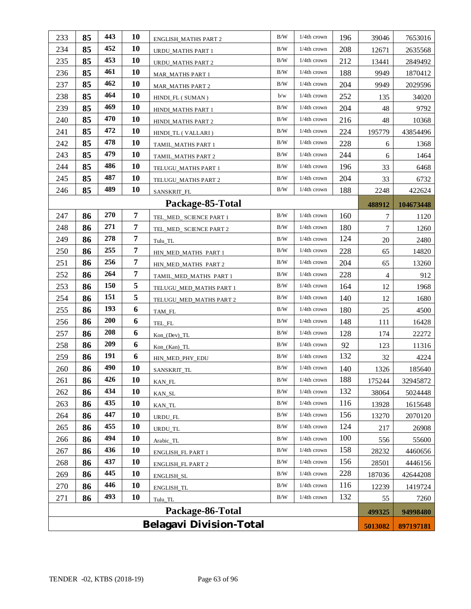| 249              | 86                             | 278        | $\overline{7}$ | Tulu TL                  | B/W       | 1/4th crown    | 124 | 20             | 2480     |  |
|------------------|--------------------------------|------------|----------------|--------------------------|-----------|----------------|-----|----------------|----------|--|
| 248              | 86                             | 271        | 7              | TEL_MED_ SCIENCE PART 2  | B/W       | 1/4th crown    | 180 | 7              | 1260     |  |
|                  |                                |            |                |                          |           |                |     |                |          |  |
| 250              | 86                             | 255        | $\overline{7}$ | HIN_MED_MATHS PART 1     | B/W       | 1/4th crown    | 228 | 65             | 14820    |  |
| 251              | 86                             | 256        | $\overline{7}$ | HIN_MED_MATHS PART 2     | B/W       | $1/4$ th crown | 204 | 65             | 13260    |  |
| 252              | 86                             | 264        | 7              | TAMIL_MED_MATHS PART 1   | B/W       | $1/4$ th crown | 228 | $\overline{4}$ | 912      |  |
| 253              | 86                             | <b>150</b> | 5              | TELUGU_MED_MATHS PART 1  | B/W       | 1/4th crown    | 164 | 12             | 1968     |  |
| 254              | 86                             | 151        | 5              | TELUGU_MED_MATHS PART 2  | B/W       | 1/4th crown    | 140 | 12             | 1680     |  |
| 255              | 86                             | 193        | 6              | TAM_FL                   | B/W       | $1/4$ th crown | 180 | 25             | 4500     |  |
| 256              | 86                             | <b>200</b> | 6              | TEL_FL                   | B/W       | 1/4th crown    | 148 | 111            | 16428    |  |
| 257              | 86                             | 208        | 6              | $Kon_{o}(Dev) _T L$      | B/W       | $1/4$ th crown | 128 | 174            | 22272    |  |
| 258              | 86                             | 209        | 6              | $Kon_{Kan}$ $TL$         | B/W       | $1/4$ th crown | 92  | 123            | 11316    |  |
| 259              | 86                             | 191        | 6              | HIN_MED_PHY_EDU          | B/W       | 1/4th crown    | 132 | 32             | 4224     |  |
| 260              | 86                             | 490        | 10             | SANSKRIT_TL              | B/W       | $1/4th$ crown  | 140 | 1326           | 185640   |  |
| 261              | 86                             | 426        | 10             | KAN_FL                   | B/W       | 1/4th crown    | 188 | 175244         | 32945872 |  |
| 262              | 86                             | 434        | 10             | KAN_SL                   | B/W       | $1/4$ th crown | 132 | 38064          | 5024448  |  |
| 263              | 86                             | 435        | 10             | KAN_TL                   | B/W       | $1/4$ th crown | 116 | 13928          | 1615648  |  |
| 264              | 86                             | 447        | 10             |                          | B/W       | 1/4th crown    | 156 | 13270          | 2070120  |  |
| 265              | 86                             | 455        | 10             | URDU_FL                  | B/W       | $1/4$ th crown | 124 |                |          |  |
|                  |                                | 494        | 10             | URDU_TL                  | B/W       | 1/4th crown    | 100 | 217            | 26908    |  |
| 266              | 86                             |            |                | Arabic_TL                |           |                |     | 556            | 55600    |  |
| 267              | 86                             | 436        | 10             | ENGLISH_FL PART 1        | B/W       | 1/4th crown    | 158 | 28232          | 4460656  |  |
| 268              | 86                             | 437        | 10             | <b>ENGLISH_FL PART 2</b> | $\rm B/W$ | $1/4$ th crown | 156 | 28501          | 4446156  |  |
| 269              | 86                             | 445        | 10             | ENGLISH_SL               | B/W       | 1/4th crown    | 228 | 187036         | 42644208 |  |
| 270              | 86                             | 446        | 10             | <b>ENGLISH_TL</b>        | B/W       | 1/4th crown    | 116 | 12239          | 1419724  |  |
| 271              | 86                             | 493        | 10             | Tulu_TL                  | B/W       | 1/4th crown    | 132 | 55             | 7260     |  |
| Package-86-Total |                                |            |                |                          |           |                |     |                | 94998480 |  |
|                  | <b>Belagavi Division-Total</b> |            |                |                          |           |                |     |                |          |  |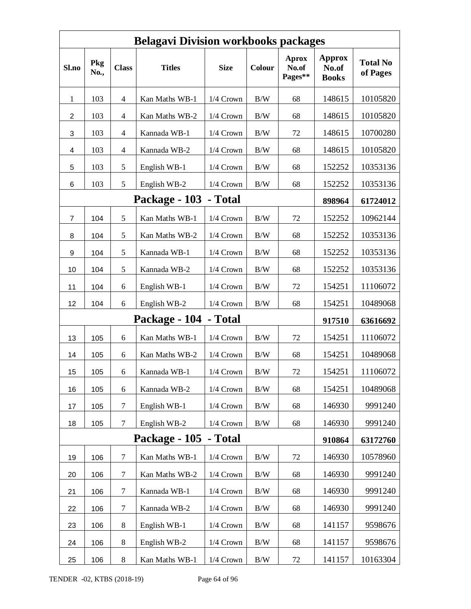| <b>Belagavi Division workbooks packages</b> |             |                  |                       |             |            |                                  |                                        |                             |  |  |  |  |
|---------------------------------------------|-------------|------------------|-----------------------|-------------|------------|----------------------------------|----------------------------------------|-----------------------------|--|--|--|--|
| Sl.no                                       | Pkg<br>No., | <b>Class</b>     | <b>Titles</b>         | <b>Size</b> | Colour     | <b>Aprox</b><br>No.of<br>Pages** | <b>Approx</b><br>No.of<br><b>Books</b> | <b>Total No</b><br>of Pages |  |  |  |  |
| $\mathbf{1}$                                | 103         | 4                | Kan Maths WB-1        | $1/4$ Crown | B/W        | 68                               | 148615                                 | 10105820                    |  |  |  |  |
| 2                                           | 103         | 4                | Kan Maths WB-2        | 1/4 Crown   | B/W        | 68                               | 148615                                 | 10105820                    |  |  |  |  |
| 3                                           | 103         | 4                | Kannada WB-1          | 1/4 Crown   | B/W        | 72                               | 148615                                 | 10700280                    |  |  |  |  |
| 4                                           | 103         | 4                | Kannada WB-2          | 1/4 Crown   | B/W        | 68                               | 148615                                 | 10105820                    |  |  |  |  |
| 5                                           | 103         | 5                | English WB-1          | 1/4 Crown   | $\rm\,B/W$ | 68                               | 152252                                 | 10353136                    |  |  |  |  |
| 6                                           | 103         | 5                | English WB-2          | 1/4 Crown   | $\rm\,B/W$ | 68                               | 152252                                 | 10353136                    |  |  |  |  |
|                                             |             |                  | Package - 103 - Total |             |            |                                  | 898964                                 | 61724012                    |  |  |  |  |
| $\overline{7}$                              | 104         | 5                | Kan Maths WB-1        | 1/4 Crown   | B/W        | 72                               | 152252                                 | 10962144                    |  |  |  |  |
| 8                                           | 104         | 5                | Kan Maths WB-2        | 1/4 Crown   | B/W        | 68                               | 152252                                 | 10353136                    |  |  |  |  |
| 9                                           | 104         | 5                | Kannada WB-1          | 1/4 Crown   | B/W        | 68                               | 152252                                 | 10353136                    |  |  |  |  |
| 10                                          | 104         | 5                | Kannada WB-2          | $1/4$ Crown | B/W        | 68                               | 152252                                 | 10353136                    |  |  |  |  |
| 11                                          | 104         | 6                | English WB-1          | 1/4 Crown   | $\rm\,B/W$ | 72                               | 154251                                 | 11106072                    |  |  |  |  |
| 12                                          | 104         | 6                | English WB-2          | 1/4 Crown   | B/W        | 68                               | 154251                                 | 10489068                    |  |  |  |  |
|                                             |             |                  | Package - 104 - Total |             |            |                                  | 917510                                 | 63616692                    |  |  |  |  |
| 13                                          | 105         | 6                | Kan Maths WB-1        | 1/4 Crown   | $\rm\,B/W$ | 72                               | 154251                                 | 11106072                    |  |  |  |  |
| 14                                          | 105         | 6                | Kan Maths WB-2        | 1/4 Crown   | B/W        | 68                               | 154251                                 | 10489068                    |  |  |  |  |
| 15                                          | 105         | 6                | Kannada WB-1          | $1/4$ Crown | B/W        | 72                               | 154251                                 | 11106072                    |  |  |  |  |
| 16                                          | 105         | 6                | Kannada WB-2          | 1/4 Crown   | B/W        | 68                               | 154251                                 | 10489068                    |  |  |  |  |
| 17                                          | 105         | $\tau$           | English WB-1          | 1/4 Crown   | B/W        | 68                               | 146930                                 | 9991240                     |  |  |  |  |
| 18                                          | 105         | $\tau$           | English WB-2          | 1/4 Crown   | B/W        | 68                               | 146930                                 | 9991240                     |  |  |  |  |
|                                             |             |                  | Package - 105         | - Total     |            |                                  | 910864                                 | 63172760                    |  |  |  |  |
| 19                                          | 106         | $\tau$           | Kan Maths WB-1        | 1/4 Crown   | $\rm\,B/W$ | 72                               | 146930                                 | 10578960                    |  |  |  |  |
| 20                                          | 106         | 7                | Kan Maths WB-2        | 1/4 Crown   | B/W        | 68                               | 146930                                 | 9991240                     |  |  |  |  |
| 21                                          | 106         | $\boldsymbol{7}$ | Kannada WB-1          | 1/4 Crown   | B/W        | 68                               | 146930                                 | 9991240                     |  |  |  |  |
| 22                                          | 106         | $\tau$           | Kannada WB-2          | 1/4 Crown   | $\rm\,B/W$ | 68                               | 146930                                 | 9991240                     |  |  |  |  |
| 23                                          | 106         | 8                | English WB-1          | 1/4 Crown   | B/W        | 68                               | 141157                                 | 9598676                     |  |  |  |  |
| 24                                          | 106         | 8                | English WB-2          | 1/4 Crown   | B/W        | 68                               | 141157                                 | 9598676                     |  |  |  |  |
| 25                                          | 106         | 8                | Kan Maths WB-1        | 1/4 Crown   | $\rm\,B/W$ | 72                               | 141157                                 | 10163304                    |  |  |  |  |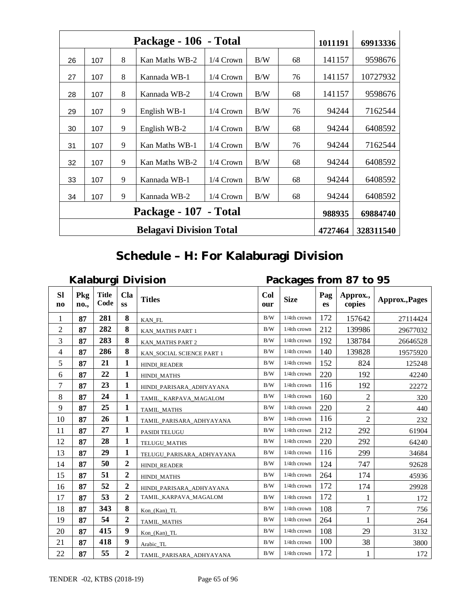|    |     | Package - 106 - Total |                       | 1011191     | 69913336 |    |        |          |
|----|-----|-----------------------|-----------------------|-------------|----------|----|--------|----------|
| 26 | 107 | 8                     | Kan Maths WB-2        | 1/4 Crown   | B/W      | 68 | 141157 | 9598676  |
| 27 | 107 | 8                     | Kannada WB-1          | $1/4$ Crown | B/W      | 76 | 141157 | 10727932 |
| 28 | 107 | 8                     | Kannada WB-2          | $1/4$ Crown | B/W      | 68 | 141157 | 9598676  |
| 29 | 107 | 9                     | English WB-1          | $1/4$ Crown | B/W      | 76 | 94244  | 7162544  |
| 30 | 107 | 9                     | English WB-2          | $1/4$ Crown | B/W      | 68 | 94244  | 6408592  |
| 31 | 107 | 9                     | Kan Maths WB-1        | 1/4 Crown   | B/W      | 76 | 94244  | 7162544  |
| 32 | 107 | 9                     | Kan Maths WB-2        | 1/4 Crown   | B/W      | 68 | 94244  | 6408592  |
| 33 | 107 | 9                     | Kannada WB-1          | $1/4$ Crown | B/W      | 68 | 94244  | 6408592  |
| 34 | 107 | 9                     | Kannada WB-2          | $1/4$ Crown | B/W      | 68 | 94244  | 6408592  |
|    |     |                       | Package - 107 - Total |             |          |    | 988935 | 69884740 |
|    |     | 4727464               | 328311540             |             |          |    |        |          |

# **Schedule – H: For Kalaburagi Division**

**Kalaburgi Division Packages from 87 to 95**

| <b>Sl</b><br>$\bf{no}$ | Pkg<br>no., | <b>Title</b><br>Code | Cla<br><b>SS</b> | <b>Titles</b>             | Col<br>our | <b>Size</b>    | Pag<br>es | Approx.,<br>copies | Approx., Pages |
|------------------------|-------------|----------------------|------------------|---------------------------|------------|----------------|-----------|--------------------|----------------|
| 1                      | 87          | 281                  | 8                | KAN FL                    | B/W        | $1/4$ th crown | 172       | 157642             | 27114424       |
| $\overline{c}$         | 87          | 282                  | 8                | KAN_MATHS PART 1          | B/W        | 1/4th crown    | 212       | 139986             | 29677032       |
| 3                      | 87          | 283                  | 8                | KAN_MATHS PART 2          | B/W        | 1/4th crown    | 192       | 138784             | 26646528       |
| 4                      | 87          | 286                  | 8                | KAN SOCIAL SCIENCE PART 1 | B/W        | 1/4th crown    | 140       | 139828             | 19575920       |
| 5                      | 87          | 21                   | 1                | <b>HINDI READER</b>       | B/W        | $1/4$ th crown | 152       | 824                | 125248         |
| 6                      | 87          | 22                   | $\mathbf{1}$     | HINDI MATHS               | B/W        | 1/4th crown    | 220       | 192                | 42240          |
| $\tau$                 | 87          | 23                   | 1                | HINDI_PARISARA_ADHYAYANA  | B/W        | 1/4th crown    | 116       | 192                | 22272          |
| 8                      | 87          | 24                   | 1                | TAMIL KARPAVA MAGALOM     | B/W        | 1/4th crown    | 160       | $\overline{2}$     | 320            |
| 9                      | 87          | 25                   | 1                | TAMIL_MATHS               | B/W        | 1/4th crown    | 220       | $\overline{c}$     | 440            |
| 10                     | 87          | 26                   | 1                | TAMIL PARISARA ADHYAYANA  | B/W        | 1/4th crown    | 116       | $\overline{2}$     | 232            |
| 11                     | 87          | 27                   | 1                | PASIDI TELUGU             | B/W        | 1/4th crown    | 212       | 292                | 61904          |
| 12                     | 87          | 28                   | 1                | <b>TELUGU MATHS</b>       | B/W        | 1/4th crown    | 220       | 292                | 64240          |
| 13                     | 87          | 29                   | $\mathbf{1}$     | TELUGU_PARISARA_ADHYAYANA | B/W        | 1/4th crown    | 116       | 299                | 34684          |
| 14                     | 87          | 50                   | $\overline{2}$   | HINDI_READER              | B/W        | 1/4th crown    | 124       | 747                | 92628          |
| 15                     | 87          | 51                   | $\overline{2}$   | <b>HINDI MATHS</b>        | B/W        | 1/4th crown    | 264       | 174                | 45936          |
| 16                     | 87          | 52                   | $\mathbf{2}$     | HINDI PARISARA ADHYAYANA  | B/W        | 1/4th crown    | 172       | 174                | 29928          |
| 17                     | 87          | 53                   | $\overline{2}$   | TAMIL KARPAVA MAGALOM     | B/W        | 1/4th crown    | 172       | 1                  | 172            |
| 18                     | 87          | 343                  | 8                | Kon (Kan) TL              | B/W        | $1/4$ th crown | 108       | $\overline{7}$     | 756            |
| 19                     | 87          | 54                   | $\overline{2}$   | TAMIL MATHS               | B/W        | $1/4$ th crown | 264       | $\mathbf{1}$       | 264            |
| 20                     | 87          | 415                  | 9                | Kon_(Kan)_TL              | B/W        | $1/4$ th crown | 108       | 29                 | 3132           |
| 21                     | 87          | 418                  | 9                | Arabic_TL                 | B/W        | 1/4th crown    | 100       | 38                 | 3800           |
| 22                     | 87          | 55                   | $\overline{2}$   | TAMIL_PARISARA_ADHYAYANA  | B/W        | 1/4th crown    | 172       | 1                  | 172            |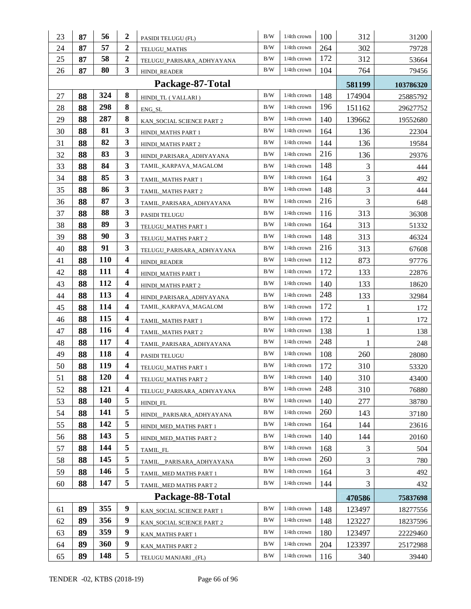| 23 | 87               | 56         | $\boldsymbol{2}$        | PASIDI TELUGU (FL)        | B/W        | 1/4th crown    | 100 | 312          | 31200     |
|----|------------------|------------|-------------------------|---------------------------|------------|----------------|-----|--------------|-----------|
| 24 | 87               | 57         | $\boldsymbol{2}$        | TELUGU_MATHS              | B/W        | $1/4$ th crown | 264 | 302          | 79728     |
| 25 | 87               | 58         | $\boldsymbol{2}$        | TELUGU_PARISARA_ADHYAYANA | B/W        | $1/4$ th crown | 172 | 312          | 53664     |
| 26 | 87               | 80         | 3                       | <b>HINDI READER</b>       | B/W        | $1/4$ th crown | 104 | 764          | 79456     |
|    | Package-87-Total |            |                         |                           |            |                |     |              | 103786320 |
| 27 | 88               | 324        | 8                       | HINDI_TL (VALLARI)        | B/W        | $1/4$ th crown | 148 | 174904       | 25885792  |
| 28 | 88               | 298        | 8                       | ENG_SL                    | B/W        | $1/4$ th crown | 196 | 151162       | 29627752  |
| 29 | 88               | 287        | 8                       | KAN_SOCIAL SCIENCE PART 2 | B/W        | $1/4$ th crown | 140 | 139662       | 19552680  |
| 30 | 88               | 81         | 3                       | HINDI_MATHS PART 1        | B/W        | $1/4$ th crown | 164 | 136          | 22304     |
| 31 | 88               | 82         | 3                       | HINDI_MATHS PART 2        | B/W        | $1/4$ th crown | 144 | 136          | 19584     |
| 32 | 88               | 83         | 3                       | HINDI_PARISARA_ADHYAYANA  | B/W        | $1/4$ th crown | 216 | 136          | 29376     |
| 33 | 88               | 84         | 3                       | TAMIL_KARPAVA_MAGALOM     | B/W        | 1/4th crown    | 148 | 3            | 444       |
| 34 | 88               | 85         | 3                       | TAMIL MATHS PART 1        | B/W        | $1/4$ th crown | 164 | 3            | 492       |
| 35 | 88               | 86         | 3                       | TAMIL MATHS PART 2        | B/W        | $1/4$ th crown | 148 | 3            | 444       |
| 36 | 88               | 87         | 3                       | TAMIL_PARISARA_ADHYAYANA  | B/W        | $1/4$ th crown | 216 | 3            | 648       |
| 37 | 88               | 88         | 3                       | PASIDI TELUGU             | B/W        | $1/4$ th crown | 116 | 313          | 36308     |
| 38 | 88               | 89         | 3                       | TELUGU_MATHS PART 1       | B/W        | 1/4th crown    | 164 | 313          | 51332     |
| 39 | 88               | 90         | 3                       | TELUGU_MATHS PART 2       | B/W        | $1/4$ th crown | 148 | 313          | 46324     |
| 40 | 88               | 91         | 3                       | TELUGU_PARISARA_ADHYAYANA | B/W        | $1/4$ th crown | 216 | 313          | 67608     |
| 41 | 88               | <b>110</b> | $\boldsymbol{4}$        | HINDI_READER              | B/W        | $1/4$ th crown | 112 | 873          | 97776     |
| 42 | 88               | 111        | 4                       | HINDI_MATHS PART 1        | B/W        | $1/4$ th crown | 172 | 133          | 22876     |
| 43 | 88               | 112        | 4                       | HINDI_MATHS PART 2        | B/W        | $1/4$ th crown | 140 | 133          | 18620     |
| 44 | 88               | 113        | 4                       | HINDI_PARISARA_ADHYAYANA  | B/W        | 1/4th crown    | 248 | 133          | 32984     |
| 45 | 88               | 114        | $\overline{\mathbf{4}}$ | TAMIL_KARPAVA_MAGALOM     | B/W        | 1/4th crown    | 172 | 1            | 172       |
| 46 | 88               | 115        | $\boldsymbol{4}$        | TAMIL_MATHS PART 1        | B/W        | $1/4$ th crown | 172 | 1            | 172       |
| 47 | 88               | <b>116</b> | 4                       | TAMIL_MATHS PART 2        | B/W        | $1/4$ th crown | 138 | $\mathbf{1}$ | 138       |
| 48 | 88               | 117        | $\overline{\mathbf{4}}$ | TAMIL_PARISARA_ADHYAYANA  | B/W        | $1/4$ th crown | 248 | 1            | 248       |
| 49 | 88               | 118        | 4                       | PASIDI TELUGU             | B/W        | $1/4$ th crown | 108 | 260          | 28080     |
| 50 | 88               | 119        | 4                       | TELUGU_MATHS PART 1       | B/W        | $1/4$ th crown | 172 | 310          | 53320     |
| 51 | 88               | 120        | $\overline{\mathbf{4}}$ | TELUGU_MATHS PART 2       | $\rm\,B/W$ | $1/4$ th crown | 140 | 310          | 43400     |
| 52 | 88               | 121        | 4                       | TELUGU_PARISARA_ADHYAYANA | B/W        | 1/4th crown    | 248 | 310          | 76880     |
| 53 | 88               | <b>140</b> | 5                       | HINDI_FL                  | B/W        | 1/4th crown    | 140 | 277          | 38780     |
| 54 | 88               | 141        | 5                       | HINDI PARISARA ADHYAYANA  | B/W        | 1/4th crown    | 260 | 143          | 37180     |
| 55 | 88               | 142        | 5                       | HINDI_MED_MATHS PART 1    | B/W        | 1/4th crown    | 164 | 144          | 23616     |
| 56 | 88               | 143        | 5                       | HINDI_MED_MATHS PART 2    | B/W        | 1/4th crown    | 140 | 144          | 20160     |
| 57 | 88               | 144        | 5                       | TAMIL_FL                  | B/W        | 1/4th crown    | 168 | 3            | 504       |
| 58 | 88               | 145        | 5                       | TAMIL_PARISARA_ADHYAYANA  | B/W        | 1/4th crown    | 260 | 3            | 780       |
| 59 | 88               | 146        | 5                       | TAMIL_MED MATHS PART 1    | $\rm\,B/W$ | 1/4th crown    | 164 | 3            | 492       |
| 60 | 88               | 147        | 5                       | TAMIL_MED MATHS PART 2    | B/W        | 1/4th crown    | 144 | 3            | 432       |
|    |                  |            |                         | Package-88-Total          |            |                |     | 470586       | 75837698  |
| 61 | 89               | 355        | 9                       | KAN_SOCIAL SCIENCE PART 1 | B/W        | 1/4th crown    | 148 | 123497       | 18277556  |
| 62 | 89               | 356        | 9                       | KAN_SOCIAL SCIENCE PART 2 | B/W        | 1/4th crown    | 148 | 123227       | 18237596  |
| 63 | 89               | 359        | 9                       | KAN_MATHS PART 1          | B/W        | 1/4th crown    | 180 | 123497       | 22229460  |
| 64 | 89               | 360        | $\boldsymbol{9}$        | KAN_MATHS PART 2          | B/W        | 1/4th crown    | 204 | 123397       | 25172988  |
| 65 | 89               | 148        | 5                       | TELUGU MANJARI _(FL)      | $\rm\,B/W$ | $1/4$ th crown | 116 | 340          | 39440     |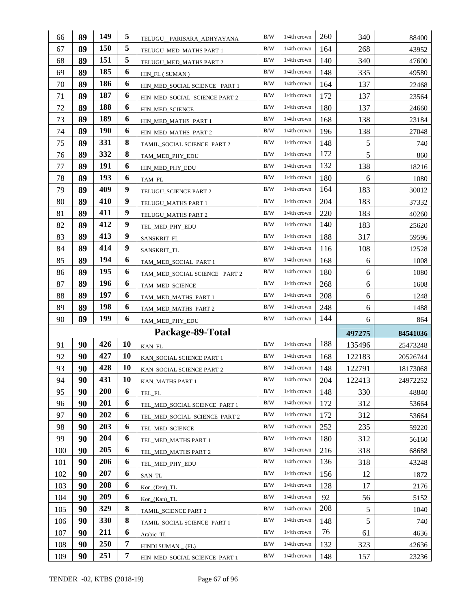| 66         | 89       | 149               | 5                | TELUGU_PARISARA_ADHYAYANA     | B/W        | 1/4th crown    | 260        | 340           | 88400    |
|------------|----------|-------------------|------------------|-------------------------------|------------|----------------|------------|---------------|----------|
| 67         | 89       | 150               | 5                | TELUGU_MED_MATHS PART 1       | $\rm\,B/W$ | $1/4$ th crown | 164        | 268           | 43952    |
| 68         | 89       | 151               | 5                | TELUGU_MED_MATHS PART 2       | B/W        | $1/4$ th crown | 140        | 340           | 47600    |
| 69         | 89       | 185               | 6                | HIN_FL (SUMAN)                | B/W        | 1/4th crown    | 148        | 335           | 49580    |
| 70         | 89       | 186               | 6                | HIN_MED_SOCIAL SCIENCE PART 1 | B/W        | $1/4$ th crown | 164        | 137           | 22468    |
| 71         | 89       | 187               | 6                | HIN_MED_SOCIAL SCIENCE PART 2 | B/W        | $1/4$ th crown | 172        | 137           | 23564    |
| 72         | 89       | 188               | 6                | HIN_MED_SCIENCE               | B/W        | 1/4th crown    | 180        | 137           | 24660    |
| 73         | 89       | 189               | 6                | HIN_MED_MATHS PART 1          | B/W        | $1/4$ th crown | 168        | 138           | 23184    |
| 74         | 89       | <b>190</b>        | 6                | HIN_MED_MATHS PART 2          | B/W        | $1/4$ th crown | 196        | 138           | 27048    |
| 75         | 89       | 331               | 8                | TAMIL_SOCIAL SCIENCE PART 2   | B/W        | $1/4$ th crown | 148        | $\mathfrak s$ | 740      |
| 76         | 89       | 332               | 8                | TAM_MED_PHY_EDU               | B/W        | $1/4$ th crown | 172        | 5             | 860      |
| 77         | 89       | 191               | 6                | HIN_MED_PHY_EDU               | B/W        | $1/4$ th crown | 132        | 138           | 18216    |
| 78         | 89       | 193               | 6                | TAM_FL                        | B/W        | $1/4$ th crown | 180        | 6             | 1080     |
| 79         | 89       | 409               | 9                | TELUGU_SCIENCE PART 2         | B/W        | 1/4th crown    | 164        | 183           | 30012    |
| 80         | 89       | 410               | 9                | TELUGU_MATHS PART 1           | B/W        | 1/4th crown    | 204        | 183           | 37332    |
| 81         | 89       | 411               | 9                | TELUGU_MATHS PART 2           | B/W        | $1/4$ th crown | 220        | 183           | 40260    |
| 82         | 89       | 412               | $\boldsymbol{9}$ | TEL_MED_PHY_EDU               | B/W        | 1/4th crown    | 140        | 183           | 25620    |
| 83         | 89       | 413               | $\boldsymbol{9}$ | SANSKRIT_FL                   | B/W        | 1/4th crown    | 188        | 317           | 59596    |
| 84         | 89       | 414               | 9                | SANSKRIT_TL                   | B/W        | $1/4$ th crown | 116        | 108           | 12528    |
| 85         | 89       | 194               | 6                | TAM_MED_SOCIAL PART 1         | B/W        | $1/4$ th crown | 168        | 6             | 1008     |
| 86         | 89       | 195               | 6                | TAM_MED_SOCIAL SCIENCE PART 2 | B/W        | $1/4$ th crown | 180        | 6             | 1080     |
| 87         | 89       | 196               | 6                | TAM_MED_SCIENCE               | B/W        | $1/4$ th crown | 268        | 6             | 1608     |
|            |          |                   |                  |                               |            |                |            |               |          |
| 88         | 89       | 197               | 6                | TAM_MED_MATHS PART 1          | B/W        | 1/4th crown    | 208        | 6             | 1248     |
| 89         | 89       | 198               | 6                | TAM_MED_MATHS PART 2          | B/W        | $1/4$ th crown | 248        | 6             | 1488     |
| 90         | 89       | 199               | 6                | TAM_MED_PHY_EDU               | B/W        | $1/4$ th crown | 144        | 6             | 864      |
|            |          |                   |                  | Package-89-Total              |            |                |            | 497275        | 84541036 |
| 91         | 90       | 426               | 10               | KAN_FL                        | B/W        | $1/4$ th crown | 188        | 135496        | 25473248 |
| 92         | 90       | 427               | 10               | KAN_SOCIAL SCIENCE PART 1     | B/W        | $1/4$ th crown | 168        | 122183        | 20526744 |
| 93         | 90       | 428               | 10               | KAN_SOCIAL SCIENCE PART 2     | B/W        | $1/4$ th crown | 148        | 122791        | 18173068 |
| 94         | 90       | 431               | 10               | KAN_MATHS PART 1              | B/W        | $1/4$ th crown | 204        | 122413        | 24972252 |
| 95         | 90       | 200               | 6                | TEL_FL                        | B/W        | 1/4th crown    | 148        | 330           | 48840    |
| 96         | 90       | 201               | 6                | TEL MED SOCIAL SCIENCE PART 1 | B/W        | 1/4th crown    | 172        | 312           | 53664    |
| 97         | 90       | 202               | 6                | TEL_MED_SOCIAL SCIENCE PART 2 | B/W        | $1/4$ th crown | 172        | 312           | 53664    |
| 98         | 90       | 203               | 6                | TEL_MED_SCIENCE               | B/W        | 1/4th crown    | 252        | 235           | 59220    |
| 99         | 90       | 204               | 6                | TEL_MED_MATHS PART 1          | B/W        | 1/4th crown    | 180        | 312           | 56160    |
| 100        | 90       | 205               | 6                | TEL MED MATHS PART 2          | B/W        | 1/4th crown    | 216        | 318           | 68688    |
| 101        | 90       | 206               | 6                | TEL_MED_PHY_EDU               | B/W        | 1/4th crown    | 136        | 318           | 43248    |
| 102        | 90       | 207               | 6                | SAN_TL                        | B/W        | 1/4th crown    | 156        | 12            | 1872     |
| 103        | 90       | 208               | 6                | $Kon_ (Dev) _ TL$             | B/W        | 1/4th crown    | 128        | 17            | 2176     |
| 104        | 90       | 209               | 6                | Kon_(Kan)_TL                  | B/W        | 1/4th crown    | 92         | 56            | 5152     |
| 105        | 90       | 329               | 8                | TAMIL_SCIENCE PART 2          | B/W        | 1/4th crown    | 208        | 5             | 1040     |
| 106        | 90       | 330               | 8                | TAMIL_SOCIAL SCIENCE PART 1   | B/W        | 1/4th crown    | 148        | 5             | 740      |
| 107        | 90       | 211               | 6                | Arabic_TL                     | B/W        | $1/4$ th crown | 76         | 61            | 4636     |
| 108<br>109 | 90<br>90 | <b>250</b><br>251 | 7<br>7           | HINDI SUMAN $_{-}$ (FL)       | B/W<br>B/W | 1/4th crown    | 132<br>148 | 323           | 42636    |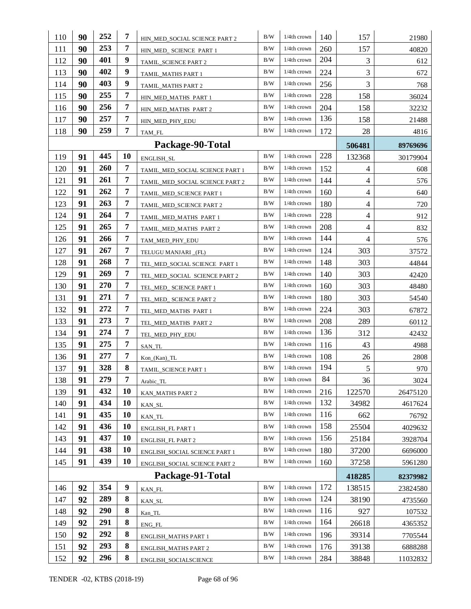| 110 | 90 | 252 | 7                | HIN_MED_SOCIAL SCIENCE PART 2   | B/W        | 1/4th crown    | 140 | 157            | 21980    |
|-----|----|-----|------------------|---------------------------------|------------|----------------|-----|----------------|----------|
| 111 | 90 | 253 | 7                | HIN_MED_ SCIENCE PART 1         | B/W        | $1/4$ th crown | 260 | 157            | 40820    |
| 112 | 90 | 401 | 9                | TAMIL_SCIENCE PART 2            | B/W        | $1/4$ th crown | 204 | 3              | 612      |
| 113 | 90 | 402 | 9                | TAMIL_MATHS PART 1              | B/W        | $1/4$ th crown | 224 | 3              | 672      |
| 114 | 90 | 403 | 9                | TAMIL_MATHS PART 2              | B/W        | $1/4$ th crown | 256 | 3              | 768      |
| 115 | 90 | 255 | $\overline{7}$   | HIN_MED_MATHS PART 1            | B/W        | $1/4$ th crown | 228 | 158            | 36024    |
| 116 | 90 | 256 | 7                | HIN_MED_MATHS PART 2            | B/W        | $1/4$ th crown | 204 | 158            | 32232    |
| 117 | 90 | 257 | 7                | HIN_MED_PHY_EDU                 | B/W        | $1/4$ th crown | 136 | 158            | 21488    |
| 118 | 90 | 259 | $\overline{7}$   | TAM_FL                          | B/W        | 1/4th crown    | 172 | 28             | 4816     |
|     |    |     |                  | Package-90-Total                |            |                |     | 506481         | 89769696 |
| 119 | 91 | 445 | 10               | ENGLISH_SL                      | B/W        | 1/4th crown    | 228 | 132368         | 30179904 |
| 120 | 91 | 260 | 7                | TAMIL_MED_SOCIAL SCIENCE PART 1 | B/W        | 1/4th crown    | 152 | $\overline{4}$ | 608      |
| 121 | 91 | 261 | 7                | TAMIL_MED_SOCIAL SCIENCE PART 2 | B/W        | $1/4$ th crown | 144 | $\overline{4}$ | 576      |
| 122 | 91 | 262 | 7                | TAMIL_MED_SCIENCE PART 1        | B/W        | 1/4th crown    | 160 | 4              | 640      |
| 123 | 91 | 263 | 7                | TAMIL_MED_SCIENCE PART 2        | B/W        | $1/4$ th crown | 180 | 4              | 720      |
| 124 | 91 | 264 | 7                | TAMIL_MED_MATHS PART 1          | B/W        | 1/4th crown    | 228 | $\overline{4}$ | 912      |
| 125 | 91 | 265 | $\overline{7}$   | TAMIL_MED_MATHS PART 2          | B/W        | $1/4$ th crown | 208 | 4              | 832      |
| 126 | 91 | 266 | $\overline{7}$   | TAM_MED_PHY_EDU                 | B/W        | 1/4th crown    | 144 | $\overline{4}$ | 576      |
| 127 | 91 | 267 | $\overline{7}$   | TELUGU MANJARI _(FL)            | B/W        | $1/4$ th crown | 124 | 303            | 37572    |
| 128 | 91 | 268 | 7                | TEL_MED_SOCIAL SCIENCE PART 1   | B/W        | $1/4$ th crown | 148 | 303            | 44844    |
| 129 | 91 | 269 | 7                | TEL_MED_SOCIAL SCIENCE PART 2   | B/W        | $1/4$ th crown | 140 | 303            | 42420    |
| 130 | 91 | 270 | 7                | TEL_MED_ SCIENCE PART 1         | B/W        | $1/4$ th crown | 160 | 303            | 48480    |
| 131 | 91 | 271 | 7                | TEL_MED_ SCIENCE PART 2         | B/W        | 1/4th crown    | 180 | 303            | 54540    |
| 132 | 91 | 272 | 7                | TEL_MED_MATHS PART 1            | B/W        | $1/4$ th crown | 224 | 303            | 67872    |
| 133 | 91 | 273 | 7                | TEL_MED_MATHS PART 2            | B/W        | 1/4th crown    | 208 | 289            | 60112    |
| 134 | 91 | 274 | 7                | TEL_MED_PHY_EDU                 | B/W        | $1/4$ th crown | 136 | 312            | 42432    |
| 135 | 91 | 275 | $\overline{7}$   | SAN_TL                          | B/W        | $1/4$ th crown | 116 | 43             | 4988     |
| 136 | 91 | 277 | $\overline{7}$   | Kon_(Kan)_TL                    | B/W        | 1/4th crown    | 108 | 26             | 2808     |
| 137 | 91 | 328 | 8                | TAMIL_SCIENCE PART 1            | B/W        | 1/4th crown    | 194 | $\mathfrak s$  | 970      |
| 138 | 91 | 279 | 7                | Arabic_TL                       | B/W        | 1/4th crown    | 84  | 36             | 3024     |
| 139 | 91 | 432 | 10               | KAN MATHS PART 2                | B/W        | 1/4th crown    | 216 | 122570         | 26475120 |
| 140 | 91 | 434 | 10               | KAN_SL                          | B/W        | 1/4th crown    | 132 | 34982          | 4617624  |
| 141 | 91 | 435 | <b>10</b>        | KAN_TL                          | B/W        | 1/4th crown    | 116 | 662            | 76792    |
| 142 | 91 | 436 | 10               | ENGLISH_FL PART 1               | B/W        | 1/4th crown    | 158 | 25504          | 4029632  |
| 143 | 91 | 437 | 10               | <b>ENGLISH FL PART 2</b>        | B/W        | 1/4th crown    | 156 | 25184          | 3928704  |
| 144 | 91 | 438 | 10               | ENGLISH_SOCIAL SCIENCE PART 1   | B/W        | 1/4th crown    | 180 | 37200          | 6696000  |
| 145 | 91 | 439 | 10               | ENGLISH_SOCIAL SCIENCE PART 2   | B/W        | 1/4th crown    | 160 | 37258          | 5961280  |
|     |    |     |                  | Package-91-Total                |            |                |     | 418285         | 82379982 |
| 146 | 92 | 354 | $\boldsymbol{9}$ | $\text{KAN\_FL}$                | B/W        | 1/4th crown    | 172 | 138515         | 23824580 |
| 147 | 92 | 289 | 8                | KAN_SL                          | B/W        | 1/4th crown    | 124 | 38190          | 4735560  |
| 148 | 92 | 290 | 8                | Kan_TL                          | B/W        | 1/4th crown    | 116 | 927            | 107532   |
| 149 | 92 | 291 | 8                | ENG_FL                          | B/W        | 1/4th crown    | 164 | 26618          | 4365352  |
| 150 | 92 | 292 | 8                | <b>ENGLISH_MATHS PART 1</b>     | B/W        | 1/4th crown    | 196 | 39314          | 7705544  |
| 151 | 92 | 293 | 8                | <b>ENGLISH_MATHS PART 2</b>     | B/W        | 1/4th crown    | 176 | 39138          | 6888288  |
| 152 | 92 | 296 | 8                | ENGLISH_SOCIALSCIENCE           | $\rm\,B/W$ | 1/4th crown    | 284 | 38848          | 11032832 |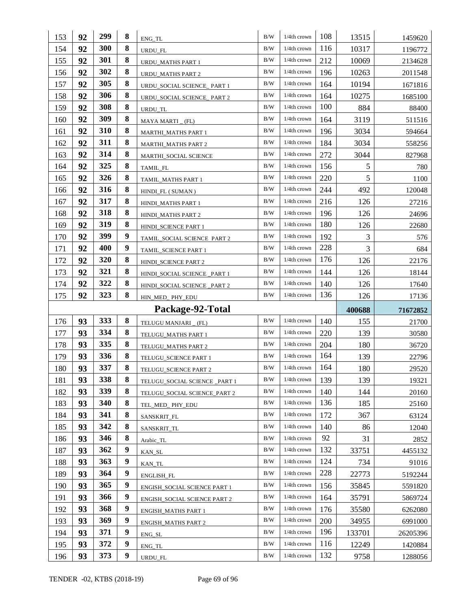| 153 | 92 | 299 | 8                | ENG_TL                        | B/W        | 1/4th crown    | 108 | 13515  | 1459620  |
|-----|----|-----|------------------|-------------------------------|------------|----------------|-----|--------|----------|
| 154 | 92 | 300 | 8                | URDU_FL                       | B/W        | $1/4$ th crown | 116 | 10317  | 1196772  |
| 155 | 92 | 301 | 8                | URDU_MATHS PART 1             | B/W        | $1/4$ th crown | 212 | 10069  | 2134628  |
| 156 | 92 | 302 | 8                | <b>URDU_MATHS PART 2</b>      | B/W        | 1/4th crown    | 196 | 10263  | 2011548  |
| 157 | 92 | 305 | 8                | URDU SOCIAL SCIENCE PART 1    | B/W        | $1/4$ th crown | 164 | 10194  | 1671816  |
| 158 | 92 | 306 | 8                | URDU_SOCIAL SCIENCE_ PART 2   | B/W        | $1/4$ th crown | 164 | 10275  | 1685100  |
| 159 | 92 | 308 | 8                | URDU_TL                       | $\rm\,B/W$ | $1/4$ th crown | 100 | 884    | 88400    |
| 160 | 92 | 309 | 8                | MAYA MARTI (FL)               | $\rm\,B/W$ | $1/4$ th crown | 164 | 3119   | 511516   |
| 161 | 92 | 310 | 8                | <b>MARTHI_MATHS PART 1</b>    | B/W        | $1/4$ th crown | 196 | 3034   | 594664   |
| 162 | 92 | 311 | 8                | <b>MARTHI_MATHS PART 2</b>    | B/W        | 1/4th crown    | 184 | 3034   | 558256   |
| 163 | 92 | 314 | 8                | MARTHI_SOCIAL SCIENCE         | B/W        | $1/4$ th crown | 272 | 3044   | 827968   |
| 164 | 92 | 325 | 8                | TAMIL_FL                      | B/W        | $1/4$ th crown | 156 | 5      | 780      |
| 165 | 92 | 326 | 8                | TAMIL_MATHS PART 1            | B/W        | $1/4$ th crown | 220 | 5      | 1100     |
| 166 | 92 | 316 | 8                | HINDI_FL (SUMAN)              | B/W        | $1/4$ th crown | 244 | 492    | 120048   |
| 167 | 92 | 317 | 8                | HINDI MATHS PART 1            | B/W        | 1/4th crown    | 216 | 126    | 27216    |
| 168 | 92 | 318 | 8                | HINDI_MATHS PART 2            | B/W        | $1/4$ th crown | 196 | 126    | 24696    |
| 169 | 92 | 319 | 8                | HINDI SCIENCE PART 1          | B/W        | $1/4$ th crown | 180 | 126    | 22680    |
| 170 | 92 | 399 | 9                | TAMIL_SOCIAL SCIENCE PART 2   | $\rm\,B/W$ | $1/4$ th crown | 192 | 3      | 576      |
| 171 | 92 | 400 | 9                | TAMIL_SCIENCE PART 1          | B/W        | $1/4$ th crown | 228 | 3      | 684      |
| 172 | 92 | 320 | 8                | HINDI_SCIENCE PART 2          | B/W        | $1/4$ th crown | 176 | 126    | 22176    |
| 173 | 92 | 321 | 8                | HINDI_SOCIAL SCIENCE _PART 1  | B/W        | 1/4th crown    | 144 | 126    | 18144    |
| 174 | 92 | 322 | 8                | HINDI_SOCIAL SCIENCE _PART 2  | B/W        | $1/4$ th crown | 140 | 126    | 17640    |
|     |    |     |                  |                               |            |                |     |        |          |
| 175 | 92 | 323 | 8                | HIN_MED_ PHY_EDU              | B/W        | $1/4$ th crown | 136 | 126    | 17136    |
|     |    |     |                  | Package-92-Total              |            |                |     | 400688 | 71672852 |
| 176 | 93 | 333 | 8                | TELUGU MANJARI _ (FL)         | B/W        | $1/4$ th crown | 140 | 155    | 21700    |
| 177 | 93 | 334 | 8                | TELUGU_MATHS PART 1           | B/W        | $1/4$ th crown | 220 | 139    | 30580    |
| 178 | 93 | 335 | 8                | TELUGU_MATHS PART 2           | B/W        | $1/4$ th crown | 204 | 180    | 36720    |
| 179 | 93 | 336 | 8                | TELUGU_SCIENCE PART 1         | B/W        | 1/4th crown    | 164 | 139    | 22796    |
| 180 | 93 | 337 | 8                | TELUGU_SCIENCE PART 2         | $\rm\,B/W$ | $1/4$ th crown | 164 | 180    | 29520    |
| 181 | 93 | 338 | 8                | TELUGU_SOCIAL SCIENCE _PART 1 | B/W        | 1/4th crown    | 139 | 139    | 19321    |
| 182 | 93 | 339 | 8                | TELUGU_SOCIAL SCIENCE_PART 2  | B/W        | 1/4th crown    | 140 | 144    | 20160    |
| 183 | 93 | 340 | 8                | TEL MED PHY EDU               | B/W        | 1/4th crown    | 136 | 185    | 25160    |
| 184 | 93 | 341 | 8                | SANSKRIT_FL                   | B/W        | 1/4th crown    | 172 | 367    | 63124    |
| 185 | 93 | 342 | 8                | SANSKRIT_TL                   | B/W        | 1/4th crown    | 140 | 86     | 12040    |
| 186 | 93 | 346 | 8                | Arabic_TL                     | B/W        | 1/4th crown    | 92  | 31     | 2852     |
| 187 | 93 | 362 | $\boldsymbol{9}$ | KAN_SL                        | B/W        | 1/4th crown    | 132 | 33751  | 4455132  |
| 188 | 93 | 363 | 9                | KAN_TL                        | B/W        | 1/4th crown    | 124 | 734    | 91016    |
| 189 | 93 | 364 | 9                | ENGLISH_FL                    | B/W        | 1/4th crown    | 228 | 22773  | 5192244  |
| 190 | 93 | 365 | $\boldsymbol{9}$ | ENGISH_SOCIAL SCIENCE PART 1  | B/W        | 1/4th crown    | 156 | 35845  | 5591820  |
| 191 | 93 | 366 | 9                | ENGISH_SOCIAL SCIENCE PART 2  | B/W        | $1/4$ th crown | 164 | 35791  | 5869724  |
| 192 | 93 | 368 | $\boldsymbol{9}$ | ENGISH_MATHS PART 1           | B/W        | 1/4th crown    | 176 | 35580  | 6262080  |
| 193 | 93 | 369 | 9                | <b>ENGISH_MATHS PART 2</b>    | B/W        | 1/4th crown    | 200 | 34955  | 6991000  |
| 194 | 93 | 371 | 9                | ENG_SL                        | B/W        | 1/4th crown    | 196 | 133701 | 26205396 |
| 195 | 93 | 372 | $\boldsymbol{9}$ | $ENG_TL$                      | B/W        | 1/4th crown    | 116 | 12249  | 1420884  |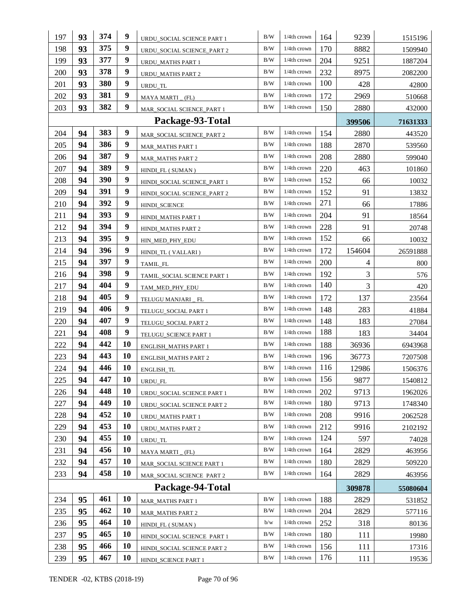| 197 | 93 | 374 | 9         | URDU_SOCIAL SCIENCE PART 1  | B/W        | 1/4th crown    | 164 | 9239           | 1515196  |
|-----|----|-----|-----------|-----------------------------|------------|----------------|-----|----------------|----------|
| 198 | 93 | 375 | 9         | URDU_SOCIAL SCIENCE_PART 2  | B/W        | $1/4$ th crown | 170 | 8882           | 1509940  |
| 199 | 93 | 377 | 9         | URDU_MATHS PART 1           | B/W        | $1/4$ th crown | 204 | 9251           | 1887204  |
| 200 | 93 | 378 | 9         | <b>URDU MATHS PART 2</b>    | B/W        | $1/4th$ crown  | 232 | 8975           | 2082200  |
| 201 | 93 | 380 | 9         | URDU_TL                     | B/W        | $1/4$ th crown | 100 | 428            | 42800    |
| 202 | 93 | 381 | 9         | MAYA MARTI (FL)             | B/W        | $1/4$ th crown | 172 | 2969           | 510668   |
| 203 | 93 | 382 | 9         | MAR_SOCIAL SCIENCE_PART 1   | B/W        | $1/4$ th crown | 150 | 2880           | 432000   |
|     |    |     |           | Package-93-Total            |            |                |     | 399506         | 71631333 |
| 204 | 94 | 383 | 9         | MAR_SOCIAL SCIENCE_PART 2   | B/W        | $1/4$ th crown | 154 | 2880           | 443520   |
| 205 | 94 | 386 | 9         | <b>MAR_MATHS PART 1</b>     | B/W        | $1/4$ th crown | 188 | 2870           | 539560   |
| 206 | 94 | 387 | 9         | <b>MAR_MATHS PART 2</b>     | B/W        | $1/4$ th crown | 208 | 2880           | 599040   |
| 207 | 94 | 389 | 9         | HINDI_FL (SUMAN)            | B/W        | $1/4$ th crown | 220 | 463            | 101860   |
| 208 | 94 | 390 | 9         | HINDI_SOCIAL SCIENCE_PART 1 | B/W        | $1/4$ th crown | 152 | 66             | 10032    |
| 209 | 94 | 391 | 9         | HINDI_SOCIAL SCIENCE_PART 2 | $\rm\,B/W$ | $1/4$ th crown | 152 | 91             | 13832    |
| 210 | 94 | 392 | 9         | <b>HINDI_SCIENCE</b>        | B/W        | $1/4$ th crown | 271 | 66             | 17886    |
| 211 | 94 | 393 | 9         | HINDI_MATHS PART 1          | B/W        | $1/4$ th crown | 204 | 91             | 18564    |
| 212 | 94 | 394 | 9         | HINDI_MATHS PART 2          | B/W        | $1/4th$ crown  | 228 | 91             | 20748    |
| 213 | 94 | 395 | 9         | HIN MED PHY EDU             | B/W        | 1/4th crown    | 152 | 66             | 10032    |
| 214 | 94 | 396 | 9         | HINDI_TL (VALLARI)          | B/W        | 1/4th crown    | 172 | 154604         | 26591888 |
| 215 | 94 | 397 | 9         | TAMIL_FL                    | B/W        | $1/4$ th crown | 200 | $\overline{4}$ | 800      |
| 216 | 94 | 398 | 9         | TAMIL_SOCIAL SCIENCE PART 1 | B/W        | $1/4$ th crown | 192 | 3              | 576      |
| 217 | 94 | 404 | 9         | TAM_MED_PHY_EDU             | B/W        | $1/4$ th crown | 140 | $\mathfrak{Z}$ | 420      |
| 218 | 94 | 405 | 9         | TELUGU MANJARI _ FL         | B/W        | $1/4$ th crown | 172 | 137            | 23564    |
| 219 | 94 | 406 | 9         | TELUGU_SOCIAL PART 1        | B/W        | $1/4$ th crown | 148 | 283            | 41884    |
| 220 | 94 | 407 | 9         | TELUGU_SOCIAL PART 2        | B/W        | $1/4$ th crown | 148 | 183            | 27084    |
| 221 | 94 | 408 | 9         | TELUGU_SCIENCE PART 1       | B/W        | 1/4th crown    | 188 | 183            | 34404    |
| 222 | 94 | 442 | 10        | <b>ENGLISH_MATHS PART 1</b> | B/W        | $1/4$ th crown | 188 | 36936          | 6943968  |
| 223 | 94 | 443 | 10        | <b>ENGLISH_MATHS PART 2</b> | B/W        | $1/4th$ crown  | 196 | 36773          | 7207508  |
| 224 | 94 | 446 | 10        | ENGLISH_TL                  | B/W        | 1/4th crown    | 116 | 12986          | 1506376  |
| 225 | 94 | 447 | <b>10</b> | URDU FL                     | B/W        | 1/4th crown    | 156 | 9877           | 1540812  |
| 226 | 94 | 448 | 10        | URDU_SOCIAL SCIENCE PART 1  | B/W        | 1/4th crown    | 202 | 9713           | 1962026  |
| 227 | 94 | 449 | <b>10</b> | URDU_SOCIAL SCIENCE PART 2  | B/W        | 1/4th crown    | 180 | 9713           | 1748340  |
| 228 | 94 | 452 | <b>10</b> | <b>URDU_MATHS PART 1</b>    | B/W        | 1/4th crown    | 208 | 9916           | 2062528  |
| 229 | 94 | 453 | 10        | <b>URDU MATHS PART 2</b>    | B/W        | 1/4th crown    | 212 | 9916           | 2102192  |
| 230 | 94 | 455 | 10        | URDU_TL                     | B/W        | 1/4th crown    | 124 | 597            | 74028    |
| 231 | 94 | 456 | 10        | MAYA MARTI (FL)             | B/W        | 1/4th crown    | 164 | 2829           | 463956   |
| 232 | 94 | 457 | 10        | MAR_SOCIAL SCIENCE PART 1   | B/W        | 1/4th crown    | 180 | 2829           | 509220   |
| 233 | 94 | 458 | 10        | MAR_SOCIAL SCIENCE PART 2   | B/W        | 1/4th crown    | 164 | 2829           | 463956   |
|     |    |     |           | Package-94-Total            |            |                |     | 309878         | 55080604 |
| 234 | 95 | 461 | 10        | <b>MAR_MATHS PART 1</b>     | B/W        | 1/4th crown    | 188 | 2829           | 531852   |
| 235 | 95 | 462 | 10        | <b>MAR_MATHS PART 2</b>     | B/W        | 1/4th crown    | 204 | 2829           | 577116   |
| 236 | 95 | 464 | 10        | HINDI_FL (SUMAN)            | b/w        | $1/4$ th crown | 252 | 318            | 80136    |
| 237 | 95 | 465 | 10        | HINDI_SOCIAL SCIENCE PART 1 | B/W        | 1/4th crown    | 180 | 111            | 19980    |
| 238 | 95 | 466 | 10        | HINDI_SOCIAL SCIENCE PART 2 | B/W        | 1/4th crown    | 156 | 111            | 17316    |
| 239 | 95 | 467 | <b>10</b> | HINDI_SCIENCE PART 1        | B/W        | 1/4th crown    | 176 | 111            | 19536    |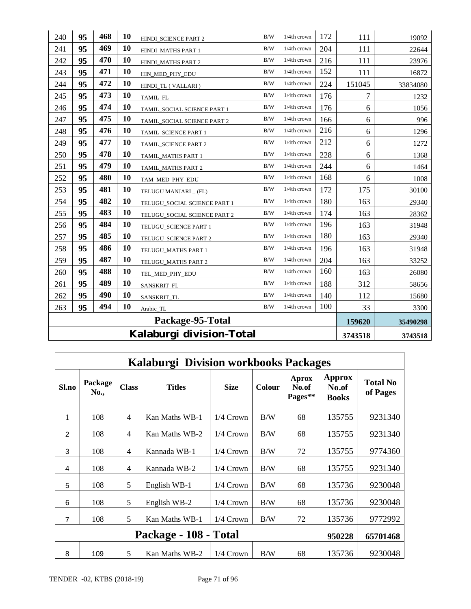| 240 | 95                       | 468 | 10 | HINDI_SCIENCE PART 2         | B/W        | 1/4th crown    | 172 | 111        | 19092    |
|-----|--------------------------|-----|----|------------------------------|------------|----------------|-----|------------|----------|
| 241 | 95                       | 469 | 10 | HINDI_MATHS PART 1           | B/W        | 1/4th crown    | 204 | 111        | 22644    |
| 242 | 95                       | 470 | 10 | HINDI_MATHS PART 2           | B/W        | 1/4th crown    | 216 | 111        | 23976    |
| 243 | 95                       | 471 | 10 | HIN_MED_PHY_EDU              | B/W        | 1/4th crown    | 152 | 111        | 16872    |
| 244 | 95                       | 472 | 10 | HINDI_TL (VALLARI)           | B/W        | $1/4$ th crown | 224 | 151045     | 33834080 |
| 245 | 95                       | 473 | 10 | TAMIL_FL                     | B/W        | 1/4th crown    | 176 | 7          | 1232     |
| 246 | 95                       | 474 | 10 | TAMIL_SOCIAL SCIENCE PART 1  | B/W        | 1/4th crown    | 176 | 6          | 1056     |
| 247 | 95                       | 475 | 10 | TAMIL_SOCIAL SCIENCE PART 2  | B/W        | 1/4th crown    | 166 | 6          | 996      |
| 248 | 95                       | 476 | 10 | TAMIL_SCIENCE PART 1         | B/W        | 1/4th crown    | 216 | $\sqrt{6}$ | 1296     |
| 249 | 95                       | 477 | 10 | TAMIL_SCIENCE PART 2         | B/W        | 1/4th crown    | 212 | 6          | 1272     |
| 250 | 95                       | 478 | 10 | TAMIL_MATHS PART 1           | B/W        | 1/4th crown    | 228 | 6          | 1368     |
| 251 | 95                       | 479 | 10 | TAMIL_MATHS PART 2           | B/W        | 1/4th crown    | 244 | 6          | 1464     |
| 252 | 95                       | 480 | 10 | TAM_MED_PHY_EDU              | B/W        | 1/4th crown    | 168 | 6          | 1008     |
| 253 | 95                       | 481 | 10 | TELUGU MANJARI _ (FL)        | B/W        | 1/4th crown    | 172 | 175        | 30100    |
| 254 | 95                       | 482 | 10 | TELUGU_SOCIAL SCIENCE PART 1 | B/W        | 1/4th crown    | 180 | 163        | 29340    |
| 255 | 95                       | 483 | 10 | TELUGU_SOCIAL SCIENCE PART 2 | B/W        | 1/4th crown    | 174 | 163        | 28362    |
| 256 | 95                       | 484 | 10 | TELUGU SCIENCE PART 1        | B/W        | 1/4th crown    | 196 | 163        | 31948    |
| 257 | 95                       | 485 | 10 | TELUGU_SCIENCE PART 2        | B/W        | 1/4th crown    | 180 | 163        | 29340    |
| 258 | 95                       | 486 | 10 | TELUGU_MATHS PART 1          | $\rm\,B/W$ | 1/4th crown    | 196 | 163        | 31948    |
| 259 | 95                       | 487 | 10 | TELUGU_MATHS PART 2          | B/W        | 1/4th crown    | 204 | 163        | 33252    |
| 260 | 95                       | 488 | 10 | TEL_MED_PHY_EDU              | B/W        | 1/4th crown    | 160 | 163        | 26080    |
| 261 | 95                       | 489 | 10 | SANSKRIT_FL                  | B/W        | 1/4th crown    | 188 | 312        | 58656    |
| 262 | 95                       | 490 | 10 | SANSKRIT_TL                  | B/W        | 1/4th crown    | 140 | 112        | 15680    |
| 263 | 95                       | 494 | 10 | Arabic_TL                    | B/W        | 1/4th crown    | 100 | 33         | 3300     |
|     |                          |     |    | Package-95-Total             |            |                |     | 159620     | 35490298 |
|     | Kalaburgi division-Total |     |    |                              |            |                |     |            | 3743518  |

|                | Kalaburgi Division workbooks Packages                                       |              |                       |             |               |                                  |                                 |                             |  |  |  |
|----------------|-----------------------------------------------------------------------------|--------------|-----------------------|-------------|---------------|----------------------------------|---------------------------------|-----------------------------|--|--|--|
| Sl.no          | Package<br>No.,                                                             | <b>Class</b> | <b>Titles</b>         | <b>Size</b> | <b>Colour</b> | <b>Aprox</b><br>No.of<br>Pages** | Approx<br>No.of<br><b>Books</b> | <b>Total No</b><br>of Pages |  |  |  |
| 1              | 108                                                                         | 4            | Kan Maths WB-1        | $1/4$ Crown | B/W           | 68                               | 135755                          | 9231340                     |  |  |  |
| 2              | 108                                                                         | 4            | Kan Maths WB-2        | $1/4$ Crown | B/W           | 68                               | 135755                          | 9231340                     |  |  |  |
| 3              | 108                                                                         | 4            | Kannada WB-1          | $1/4$ Crown | B/W           | 72                               | 135755                          | 9774360                     |  |  |  |
| 4              | 108                                                                         | 4            | Kannada WB-2          | $1/4$ Crown | B/W           | 68                               | 135755                          | 9231340                     |  |  |  |
| 5              | 108                                                                         | 5            | English WB-1          | $1/4$ Crown | B/W           | 68                               | 135736                          | 9230048                     |  |  |  |
| 6              | 108                                                                         | 5            | English WB-2          | $1/4$ Crown | B/W           | 68                               | 135736                          | 9230048                     |  |  |  |
| $\overline{7}$ | 108                                                                         | 5            | Kan Maths WB-1        | $1/4$ Crown | B/W           | 72                               | 135736                          | 9772992                     |  |  |  |
|                |                                                                             |              | Package - 108 - Total |             |               |                                  | 950228                          | 65701468                    |  |  |  |
| 8              | 5<br>135736<br>9230048<br>B/W<br>68<br>Kan Maths WB-2<br>$1/4$ Crown<br>109 |              |                       |             |               |                                  |                                 |                             |  |  |  |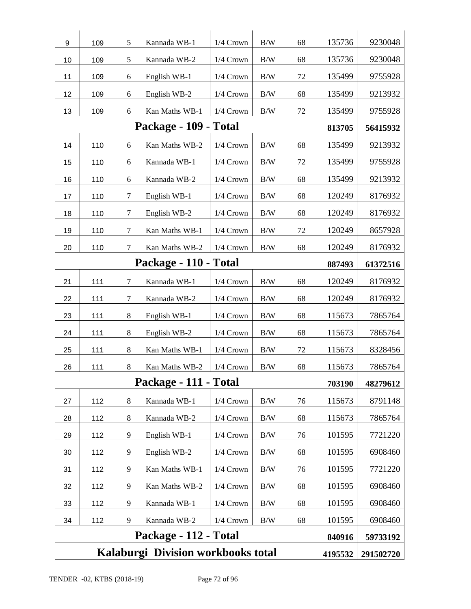|    | Kalaburgi Division workbooks total<br>4195532<br>291502720 |                  |                       |             |            |    |        |          |  |  |
|----|------------------------------------------------------------|------------------|-----------------------|-------------|------------|----|--------|----------|--|--|
|    |                                                            |                  | Package - 112 - Total |             |            |    | 840916 | 59733192 |  |  |
| 34 | 112                                                        | 9                | Kannada WB-2          | $1/4$ Crown | $\rm\,B/W$ | 68 | 101595 | 6908460  |  |  |
| 33 | 112                                                        | 9                | Kannada WB-1          | 1/4 Crown   | $\rm\,B/W$ | 68 | 101595 | 6908460  |  |  |
| 32 | 112                                                        | 9                | Kan Maths WB-2        | 1/4 Crown   | $\rm\,B/W$ | 68 | 101595 | 6908460  |  |  |
| 31 | 112                                                        | 9                | Kan Maths WB-1        | 1/4 Crown   | B/W        | 76 | 101595 | 7721220  |  |  |
| 30 | 112                                                        | 9                | English WB-2          | 1/4 Crown   | B/W        | 68 | 101595 | 6908460  |  |  |
| 29 | 112                                                        | 9                | English WB-1          | 1/4 Crown   | B/W        | 76 | 101595 | 7721220  |  |  |
| 28 | 112                                                        | $8\,$            | Kannada WB-2          | 1/4 Crown   | B/W        | 68 | 115673 | 7865764  |  |  |
| 27 | 112                                                        | 8                | Kannada WB-1          | 1/4 Crown   | $\rm\,B/W$ | 76 | 115673 | 8791148  |  |  |
|    |                                                            |                  | Package - 111 - Total |             |            |    | 703190 | 48279612 |  |  |
| 26 | 111                                                        | $\,8\,$          | Kan Maths WB-2        | 1/4 Crown   | $\rm\,B/W$ | 68 | 115673 | 7865764  |  |  |
| 25 | 111                                                        | $8\,$            | Kan Maths WB-1        | 1/4 Crown   | B/W        | 72 | 115673 | 8328456  |  |  |
| 24 | 111                                                        | $8\,$            | English WB-2          | 1/4 Crown   | $\rm B/W$  | 68 | 115673 | 7865764  |  |  |
| 23 | 111                                                        | 8                | English WB-1          | 1/4 Crown   | $\rm\,B/W$ | 68 | 115673 | 7865764  |  |  |
| 22 | 111                                                        | $\tau$           | Kannada WB-2          | 1/4 Crown   | $\rm B/W$  | 68 | 120249 | 8176932  |  |  |
| 21 | 111                                                        | $\tau$           | Kannada WB-1          | 1/4 Crown   | $\rm\,B/W$ | 68 | 120249 | 8176932  |  |  |
|    |                                                            |                  | 887493                | 61372516    |            |    |        |          |  |  |
| 20 | 110                                                        | $\tau$           | Kan Maths WB-2        | 1/4 Crown   | B/W        | 68 | 120249 | 8176932  |  |  |
| 19 | 110                                                        | $\tau$           | Kan Maths WB-1        | 1/4 Crown   | B/W        | 72 | 120249 | 8657928  |  |  |
| 18 | 110                                                        | $\tau$           | English WB-2          | 1/4 Crown   | $\rm\,B/W$ | 68 | 120249 | 8176932  |  |  |
| 17 | 110                                                        | $\tau$           | English WB-1          | $1/4$ Crown | B/W        | 68 | 120249 | 8176932  |  |  |
| 16 | 110                                                        | 6                | Kannada WB-2          | 1/4 Crown   | B/W        | 68 | 135499 | 9213932  |  |  |
| 15 | 110                                                        | 6                | Kannada WB-1          | 1/4 Crown   | B/W        | 72 | 135499 | 9755928  |  |  |
| 14 | 110                                                        | 6                | Kan Maths WB-2        | 1/4 Crown   | B/W        | 68 | 135499 | 9213932  |  |  |
|    |                                                            |                  | Package - 109 - Total |             |            |    | 813705 | 56415932 |  |  |
| 13 | 109                                                        | 6                | Kan Maths WB-1        | 1/4 Crown   | $\rm B/W$  | 72 | 135499 | 9755928  |  |  |
| 12 | 109                                                        | 6                | English WB-2          | 1/4 Crown   | $\rm\,B/W$ | 68 | 135499 | 9213932  |  |  |
| 11 | 109                                                        | $\boldsymbol{6}$ | English WB-1          | 1/4 Crown   | $\rm\,B/W$ | 72 | 135499 | 9755928  |  |  |
| 10 | 109                                                        | 5                | Kannada WB-2          | 1/4 Crown   | $\rm\,B/W$ | 68 | 135736 | 9230048  |  |  |
| 9  | 109                                                        | 5                | Kannada WB-1          | 1/4 Crown   | $\rm B/W$  | 68 | 135736 | 9230048  |  |  |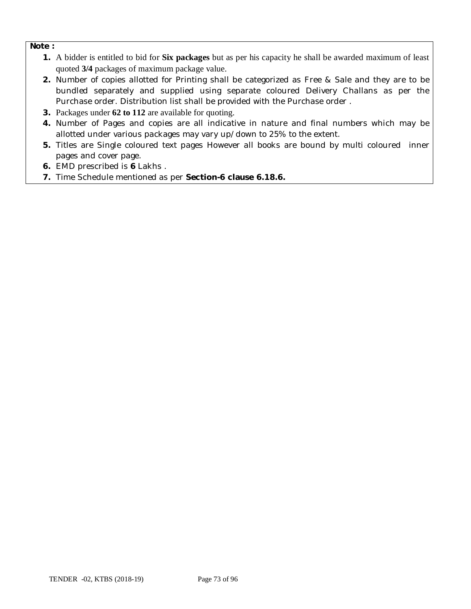#### **Note :**

- **1.** A bidder is entitled to bid for **Six packages** but as per his capacity he shall be awarded maximum of least quoted **3/4** packages of maximum package value.
- **2.** Number of copies allotted for Printing shall be categorized as Free & Sale and they are to be bundled separately and supplied using separate coloured Delivery Challans as per the Purchase order. Distribution list shall be provided with the Purchase order .
- **3.** Packages under **62 to 112** are available for quoting.
- **4.** Number of Pages and copies are all indicative in nature and final numbers which may be allotted under various packages may vary up/down to 25% to the extent.
- **5.** Titles are Single coloured text pages However all books are bound by multi coloured inner pages and cover page.
- **6.** EMD prescribed is **6** Lakhs .
- **7.** Time Schedule mentioned as per **Section-6 clause 6.18.6.**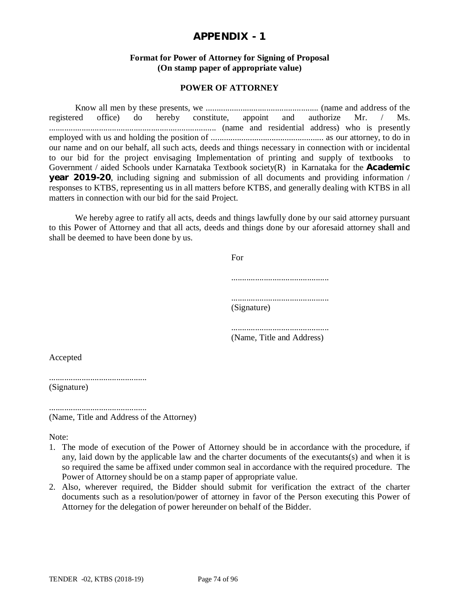#### **Format for Power of Attorney for Signing of Proposal (On stamp paper of appropriate value)**

#### **POWER OF ATTORNEY**

Know all men by these presents, we .................................................... (name and address of the registered office) do hereby constitute, appoint and authorize Mr. / Ms. ............................................................................. (name and residential address) who is presently employed with us and holding the position of .................................................... as our attorney, to do in our name and on our behalf, all such acts, deeds and things necessary in connection with or incidental to our bid for the project envisaging Implementation of printing and supply of textbooks to Government / aided Schools under Karnataka Textbook society(R) in Karnataka for the **Academic year 2019-20**, including signing and submission of all documents and providing information / responses to KTBS, representing us in all matters before KTBS, and generally dealing with KTBS in all matters in connection with our bid for the said Project.

We hereby agree to ratify all acts, deeds and things lawfully done by our said attorney pursuant to this Power of Attorney and that all acts, deeds and things done by our aforesaid attorney shall and shall be deemed to have been done by us.

For

............................................. ............................................. (Signature)

............................................. (Name, Title and Address)

Accepted

.............................................

(Signature)

............................................. (Name, Title and Address of the Attorney)

Note:

- 1. The mode of execution of the Power of Attorney should be in accordance with the procedure, if any, laid down by the applicable law and the charter documents of the executants(s) and when it is so required the same be affixed under common seal in accordance with the required procedure. The Power of Attorney should be on a stamp paper of appropriate value.
- 2. Also, wherever required, the Bidder should submit for verification the extract of the charter documents such as a resolution/power of attorney in favor of the Person executing this Power of Attorney for the delegation of power hereunder on behalf of the Bidder.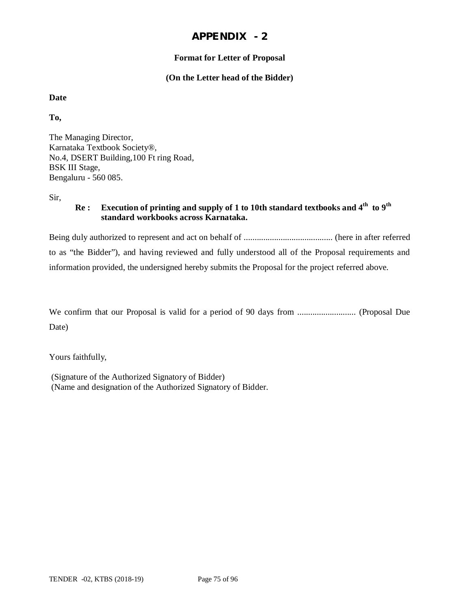#### **Format for Letter of Proposal**

#### **(On the Letter head of the Bidder)**

#### **Date**

**To,**

The Managing Director, Karnataka Textbook Society®, No.4, DSERT Building,100 Ft ring Road, BSK III Stage, Bengaluru - 560 085.

Sir,

#### **Re : Execution of printing and supply of 1 to 10th standard textbooks and 4th to 9th standard workbooks across Karnataka.**

Being duly authorized to represent and act on behalf of ......................................... (here in after referred to as "the Bidder"), and having reviewed and fully understood all of the Proposal requirements and information provided, the undersigned hereby submits the Proposal for the project referred above.

We confirm that our Proposal is valid for a period of 90 days from ........................... (Proposal Due Date)

Yours faithfully,

(Signature of the Authorized Signatory of Bidder) (Name and designation of the Authorized Signatory of Bidder.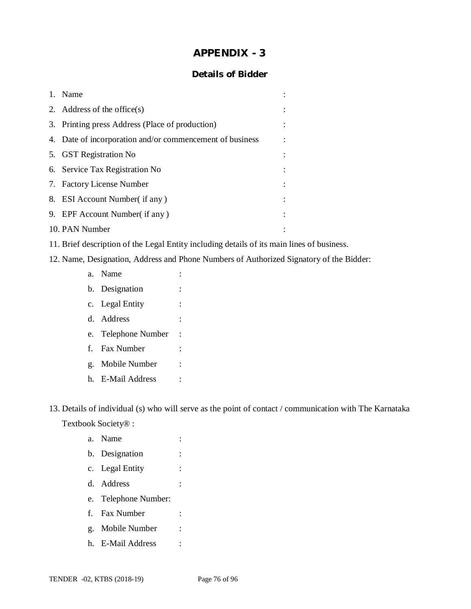#### **Details of Bidder**

|    | 1. Name                                                  |  |
|----|----------------------------------------------------------|--|
|    | 2. Address of the office $(s)$                           |  |
|    | 3. Printing press Address (Place of production)          |  |
|    | 4. Date of incorporation and/or commencement of business |  |
|    | 5. GST Registration No                                   |  |
|    | 6. Service Tax Registration No                           |  |
|    | 7. Factory License Number                                |  |
|    | 8. ESI Account Number (if any)                           |  |
| 9. | EPF Account Number( if any)                              |  |
|    | 10. PAN Number                                           |  |

- 11. Brief description of the Legal Entity including details of its main lines of business.
- 12. Name, Designation, Address and Phone Numbers of Authorized Signatory of the Bidder:
	- a. Name : b. Designation : c. Legal Entity : d. Address : e. Telephone Number : f. Fax Number : g. Mobile Number : h. E-Mail Address :

13. Details of individual (s) who will serve as the point of contact / communication with The Karnataka

Textbook Society® :

- a. Name : b. Designation : c. Legal Entity : d. Address : e. Telephone Number: f. Fax Number : g. Mobile Number : h. E-Mail Address :
- TENDER -02, KTBS (2018-19) Page 76 of 96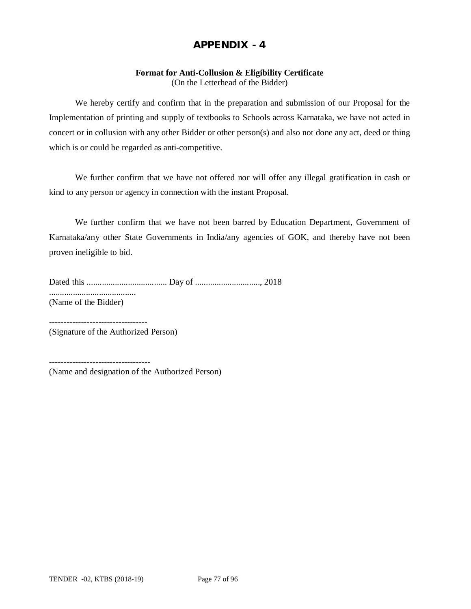#### **Format for Anti-Collusion & Eligibility Certificate**

(On the Letterhead of the Bidder)

We hereby certify and confirm that in the preparation and submission of our Proposal for the Implementation of printing and supply of textbooks to Schools across Karnataka, we have not acted in concert or in collusion with any other Bidder or other person(s) and also not done any act, deed or thing which is or could be regarded as anti-competitive.

We further confirm that we have not offered nor will offer any illegal gratification in cash or kind to any person or agency in connection with the instant Proposal.

We further confirm that we have not been barred by Education Department, Government of Karnataka/any other State Governments in India/any agencies of GOK, and thereby have not been proven ineligible to bid.

Dated this ..................................... Day of .............................., 2018 ........................................ (Name of the Bidder)

(Signature of the Authorized Person)

----------------------------------

-----------------------------------

(Name and designation of the Authorized Person)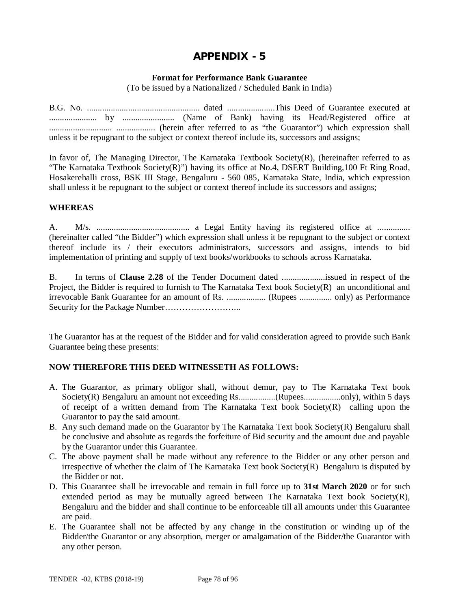#### **Format for Performance Bank Guarantee**

(To be issued by a Nationalized / Scheduled Bank in India)

B.G. No. .................................................... dated ......................This Deed of Guarantee executed at ...................... by ........................ (Name of Bank) having its Head/Registered office at ............................. .................. (herein after referred to as "the Guarantor") which expression shall unless it be repugnant to the subject or context thereof include its, successors and assigns;

In favor of, The Managing Director, The Karnataka Textbook Society $(R)$ , (hereinafter referred to as "The Karnataka Textbook Society(R)") having its office at No.4, DSERT Building,100 Ft Ring Road, Hosakerehalli cross, BSK III Stage, Bengaluru - 560 085, Karnataka State, India, which expression shall unless it be repugnant to the subject or context thereof include its successors and assigns;

#### **WHEREAS**

A. M/s. ........................................... a Legal Entity having its registered office at ............... (hereinafter called "the Bidder") which expression shall unless it be repugnant to the subject or context thereof include its / their executors administrators, successors and assigns, intends to bid implementation of printing and supply of text books/workbooks to schools across Karnataka.

B. In terms of **Clause 2.28** of the Tender Document dated ....................issued in respect of the Project, the Bidder is required to furnish to The Karnataka Text book Society(R) an unconditional and irrevocable Bank Guarantee for an amount of Rs. .................. (Rupees ............... only) as Performance Security for the Package Number……………………...

The Guarantor has at the request of the Bidder and for valid consideration agreed to provide such Bank Guarantee being these presents:

#### **NOW THEREFORE THIS DEED WITNESSETH AS FOLLOWS:**

- A. The Guarantor, as primary obligor shall, without demur, pay to The Karnataka Text book Society(R) Bengaluru an amount not exceeding Rs.................(Rupees.................only), within 5 days of receipt of a written demand from The Karnataka Text book Society(R) calling upon the Guarantor to pay the said amount.
- B. Any such demand made on the Guarantor by The Karnataka Text book Society(R) Bengaluru shall be conclusive and absolute as regards the forfeiture of Bid security and the amount due and payable by the Guarantor under this Guarantee.
- C. The above payment shall be made without any reference to the Bidder or any other person and irrespective of whether the claim of The Karnataka Text book Society(R) Bengaluru is disputed by the Bidder or not.
- D. This Guarantee shall be irrevocable and remain in full force up to **31st March 2020** or for such extended period as may be mutually agreed between The Karnataka Text book Society(R), Bengaluru and the bidder and shall continue to be enforceable till all amounts under this Guarantee are paid.
- E. The Guarantee shall not be affected by any change in the constitution or winding up of the Bidder/the Guarantor or any absorption, merger or amalgamation of the Bidder/the Guarantor with any other person.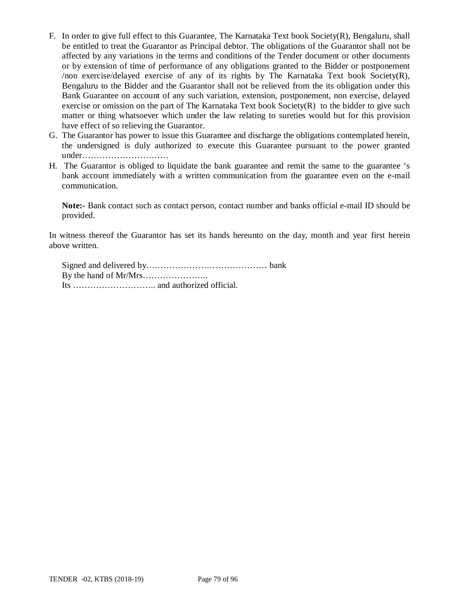- F. In order to give full effect to this Guarantee, The Karnataka Text book Society(R), Bengaluru, shall be entitled to treat the Guarantor as Principal debtor. The obligations of the Guarantor shall not be affected by any variations in the terms and conditions of the Tender document or other documents or by extension of time of performance of any obligations granted to the Bidder or postponement /non exercise/delayed exercise of any of its rights by The Karnataka Text book Society(R), Bengaluru to the Bidder and the Guarantor shall not be relieved from the its obligation under this Bank Guarantee on account of any such variation, extension, postponement, non exercise, delayed exercise or omission on the part of The Karnataka Text book Society(R) to the bidder to give such matter or thing whatsoever which under the law relating to sureties would but for this provision have effect of so relieving the Guarantor.
- G. The Guarantor has power to issue this Guarantee and discharge the obligations contemplated herein, the undersigned is duly authorized to execute this Guarantee pursuant to the power granted under…………………………
- H. The Guarantor is obliged to liquidate the bank guarantee and remit the same to the guarantee 's bank account immediately with a written communication from the guarantee even on the e-mail communication.

**Note:-** Bank contact such as contact person, contact number and banks official e-mail ID should be provided.

In witness thereof the Guarantor has set its hands hereunto on the day, month and year first herein above written.

Signed and delivered by…………………………………… bank By the hand of Mr/Mrs………………….. Its ……………………….. and authorized official.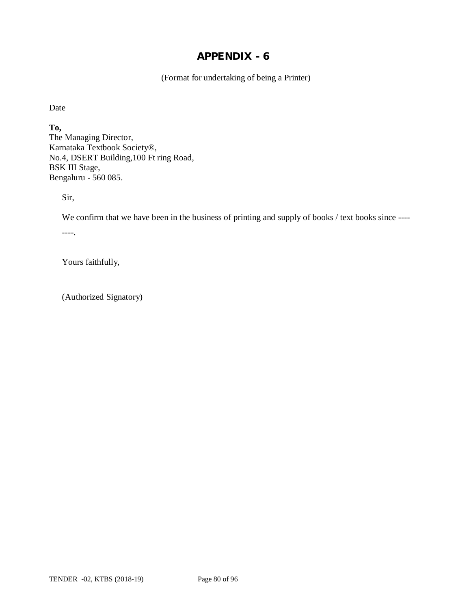(Format for undertaking of being a Printer)

Date

**To,** The Managing Director, Karnataka Textbook Society®, No.4, DSERT Building,100 Ft ring Road, BSK III Stage, Bengaluru - 560 085.

Sir,

We confirm that we have been in the business of printing and supply of books / text books since ----

----.

Yours faithfully,

(Authorized Signatory)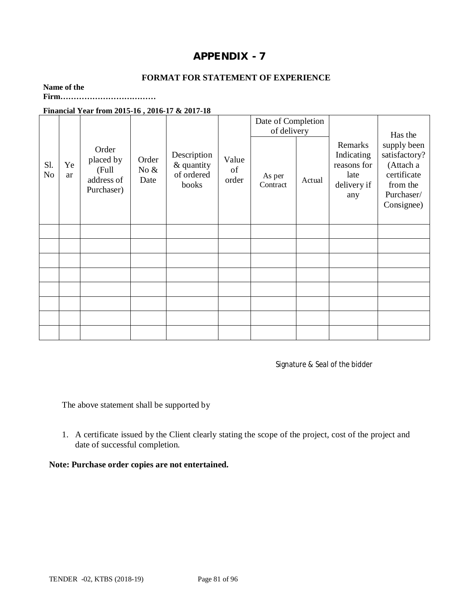#### **FORMAT FOR STATEMENT OF EXPERIENCE**

### **Name of the**

**Firm………………………………**

#### **Financial Year from 2015-16 , 2016-17 & 2017-18**

|                       |          |                                                         |                          |                                                  |                      | Date of Completion<br>of delivery |        |                                                                    | Has the                                                                                          |
|-----------------------|----------|---------------------------------------------------------|--------------------------|--------------------------------------------------|----------------------|-----------------------------------|--------|--------------------------------------------------------------------|--------------------------------------------------------------------------------------------------|
| Sl.<br>N <sub>o</sub> | Ye<br>ar | Order<br>placed by<br>(Full<br>address of<br>Purchaser) | Order<br>No $\&$<br>Date | Description<br>& quantity<br>of ordered<br>books | Value<br>of<br>order | As per<br>Contract                | Actual | Remarks<br>Indicating<br>reasons for<br>late<br>delivery if<br>any | supply been<br>satisfactory?<br>(Attach a<br>certificate<br>from the<br>Purchaser/<br>Consignee) |
|                       |          |                                                         |                          |                                                  |                      |                                   |        |                                                                    |                                                                                                  |
|                       |          |                                                         |                          |                                                  |                      |                                   |        |                                                                    |                                                                                                  |
|                       |          |                                                         |                          |                                                  |                      |                                   |        |                                                                    |                                                                                                  |
|                       |          |                                                         |                          |                                                  |                      |                                   |        |                                                                    |                                                                                                  |
|                       |          |                                                         |                          |                                                  |                      |                                   |        |                                                                    |                                                                                                  |
|                       |          |                                                         |                          |                                                  |                      |                                   |        |                                                                    |                                                                                                  |
|                       |          |                                                         |                          |                                                  |                      |                                   |        |                                                                    |                                                                                                  |
|                       |          |                                                         |                          |                                                  |                      |                                   |        |                                                                    |                                                                                                  |

Signature & Seal of the bidder

The above statement shall be supported by

1. A certificate issued by the Client clearly stating the scope of the project, cost of the project and date of successful completion.

**Note: Purchase order copies are not entertained.**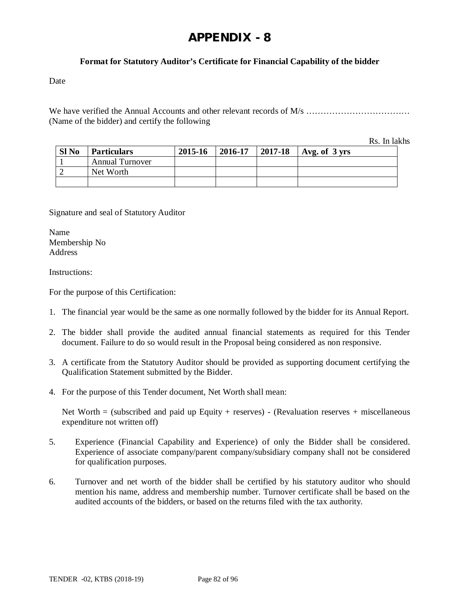#### **Format for Statutory Auditor's Certificate for Financial Capability of the bidder**

Date

We have verified the Annual Accounts and other relevant records of M/s ………………………………………… (Name of the bidder) and certify the following

Rs. In lakhs

| Sl <sub>No</sub> | <b>Particulars</b>     | 2015-16 | 2016-17 | 2017-18 | $\vert$ Avg. of 3 yrs |
|------------------|------------------------|---------|---------|---------|-----------------------|
|                  | <b>Annual Turnover</b> |         |         |         |                       |
|                  | Net Worth              |         |         |         |                       |
|                  |                        |         |         |         |                       |

Signature and seal of Statutory Auditor

Name Membership No Address

Instructions:

For the purpose of this Certification:

- 1. The financial year would be the same as one normally followed by the bidder for its Annual Report.
- 2. The bidder shall provide the audited annual financial statements as required for this Tender document. Failure to do so would result in the Proposal being considered as non responsive.
- 3. A certificate from the Statutory Auditor should be provided as supporting document certifying the Qualification Statement submitted by the Bidder.
- 4. For the purpose of this Tender document, Net Worth shall mean:

Net Worth  $=$  (subscribed and paid up Equity + reserves) - (Revaluation reserves + miscellaneous expenditure not written off)

- 5. Experience (Financial Capability and Experience) of only the Bidder shall be considered. Experience of associate company/parent company/subsidiary company shall not be considered for qualification purposes.
- 6. Turnover and net worth of the bidder shall be certified by his statutory auditor who should mention his name, address and membership number. Turnover certificate shall be based on the audited accounts of the bidders, or based on the returns filed with the tax authority.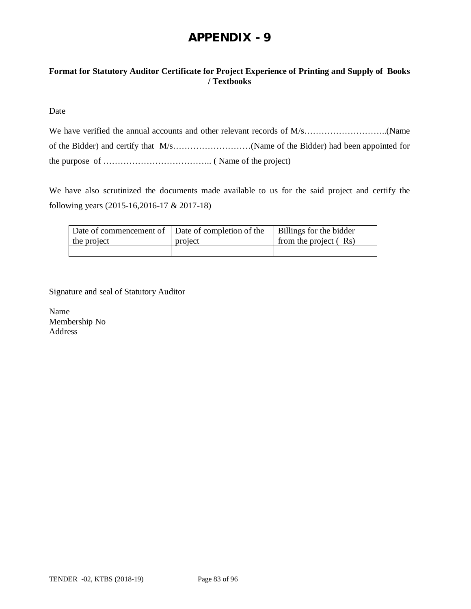#### **Format for Statutory Auditor Certificate for Project Experience of Printing and Supply of Books / Textbooks**

Date

We have also scrutinized the documents made available to us for the said project and certify the following years (2015-16,2016-17 & 2017-18)

| Date of commencement of Date of completion of the |         | Billings for the bidder |
|---------------------------------------------------|---------|-------------------------|
| the project                                       | project | from the project (Rs)   |
|                                                   |         |                         |

Signature and seal of Statutory Auditor

Name Membership No Address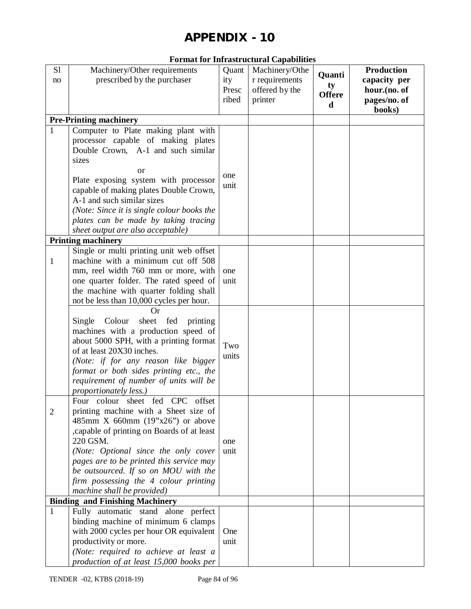| <b>Format for Infrastructural Capabilities</b> |  |
|------------------------------------------------|--|
|------------------------------------------------|--|

| S1             | Machinery/Other requirements                                                  | Quant | Machinery/Othe |                     | <b>Production</b> |
|----------------|-------------------------------------------------------------------------------|-------|----------------|---------------------|-------------------|
| no             | prescribed by the purchaser                                                   | ity   | r requirements | Quanti              | capacity per      |
|                |                                                                               | Presc | offered by the | ty<br><b>Offere</b> | hour.(no. of      |
|                |                                                                               | ribed | printer        | d                   | pages/no. of      |
|                |                                                                               |       |                |                     | books)            |
|                | <b>Pre-Printing machinery</b>                                                 |       |                |                     |                   |
| $\mathbf{1}$   | Computer to Plate making plant with                                           |       |                |                     |                   |
|                | processor capable of making plates                                            |       |                |                     |                   |
|                | Double Crown, A-1 and such similar                                            |       |                |                     |                   |
|                | sizes                                                                         |       |                |                     |                   |
|                | or                                                                            | one   |                |                     |                   |
|                | Plate exposing system with processor                                          | unit  |                |                     |                   |
|                | capable of making plates Double Crown,                                        |       |                |                     |                   |
|                | A-1 and such similar sizes                                                    |       |                |                     |                   |
|                | (Note: Since it is single colour books the                                    |       |                |                     |                   |
|                | plates can be made by taking tracing                                          |       |                |                     |                   |
|                | sheet output are also acceptable)                                             |       |                |                     |                   |
|                | <b>Printing machinery</b>                                                     |       |                |                     |                   |
|                | Single or multi printing unit web offset                                      |       |                |                     |                   |
| $\mathbf{1}$   | machine with a minimum cut off 508                                            |       |                |                     |                   |
|                | mm, reel width 760 mm or more, with                                           | one   |                |                     |                   |
|                | one quarter folder. The rated speed of                                        | unit  |                |                     |                   |
|                | the machine with quarter folding shall                                        |       |                |                     |                   |
|                | not be less than 10,000 cycles per hour.                                      |       |                |                     |                   |
|                | <b>Or</b>                                                                     |       |                |                     |                   |
|                | Colour<br>sheet fed printing<br>Single<br>machines with a production speed of |       |                |                     |                   |
|                | about 5000 SPH, with a printing format                                        |       |                |                     |                   |
|                | of at least 20X30 inches.                                                     | Two   |                |                     |                   |
|                | (Note: if for any reason like bigger                                          | units |                |                     |                   |
|                | format or both sides printing etc., the                                       |       |                |                     |                   |
|                | requirement of number of units will be                                        |       |                |                     |                   |
|                | proportionately less.)                                                        |       |                |                     |                   |
|                | Four colour sheet fed CPC offset                                              |       |                |                     |                   |
| $\overline{2}$ | printing machine with a Sheet size of                                         |       |                |                     |                   |
|                | 485mm X 660mm (19"x26") or above                                              |       |                |                     |                   |
|                | , capable of printing on Boards of at least                                   |       |                |                     |                   |
|                | 220 GSM.                                                                      | one   |                |                     |                   |
|                | (Note: Optional since the only cover                                          | unit  |                |                     |                   |
|                | pages are to be printed this service may                                      |       |                |                     |                   |
|                | be outsourced. If so on MOU with the                                          |       |                |                     |                   |
|                | firm possessing the 4 colour printing                                         |       |                |                     |                   |
|                | machine shall be provided)                                                    |       |                |                     |                   |
|                | <b>Binding and Finishing Machinery</b>                                        |       |                |                     |                   |
| $\mathbf{1}$   | Fully automatic stand alone perfect                                           |       |                |                     |                   |
|                | binding machine of minimum 6 clamps                                           |       |                |                     |                   |
|                | with 2000 cycles per hour OR equivalent                                       | One   |                |                     |                   |
|                | productivity or more.                                                         | unit  |                |                     |                   |
|                | (Note: required to achieve at least a                                         |       |                |                     |                   |
|                | production of at least 15,000 books per                                       |       |                |                     |                   |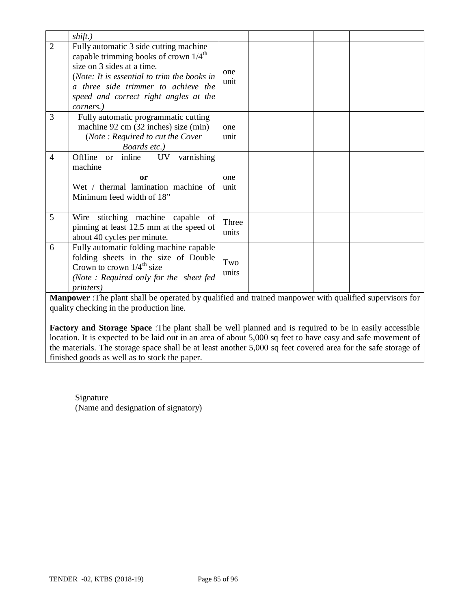|                | shift.)                                                                                                                                                                                                                                                               |                |                                                                                                                |
|----------------|-----------------------------------------------------------------------------------------------------------------------------------------------------------------------------------------------------------------------------------------------------------------------|----------------|----------------------------------------------------------------------------------------------------------------|
| $\overline{2}$ | Fully automatic 3 side cutting machine<br>capable trimming books of crown $1/4^{\text{th}}$<br>size on 3 sides at a time.<br>(Note: It is essential to trim the books in<br>a three side trimmer to achieve the<br>speed and correct right angles at the<br>corners.) | one<br>unit    |                                                                                                                |
| 3              | Fully automatic programmatic cutting<br>machine 92 cm (32 inches) size (min)<br>(Note: Required to cut the Cover<br>Boards etc.)                                                                                                                                      | one<br>unit    |                                                                                                                |
| $\overline{4}$ | varnishing<br>Offline or inline<br>UV<br>machine<br>or<br>Wet / thermal lamination machine of<br>Minimum feed width of 18"                                                                                                                                            | one<br>unit    |                                                                                                                |
| 5              | stitching machine capable of<br>Wire<br>pinning at least 12.5 mm at the speed of<br>about 40 cycles per minute.                                                                                                                                                       | Three<br>units |                                                                                                                |
| 6              | Fully automatic folding machine capable<br>folding sheets in the size of Double<br>Crown to crown $1/4^{\text{th}}$ size<br>(Note: Required only for the sheet fed<br><i>printers</i> )                                                                               | Two<br>units   |                                                                                                                |
|                |                                                                                                                                                                                                                                                                       |                | <b>Manpower</b> : The plant shall be operated by qualified and trained manpower with qualified supervisors for |

quality checking in the production line.

**Factory and Storage Space** :The plant shall be well planned and is required to be in easily accessible location. It is expected to be laid out in an area of about 5,000 sq feet to have easy and safe movement of the materials. The storage space shall be at least another 5,000 sq feet covered area for the safe storage of finished goods as well as to stock the paper.

Signature (Name and designation of signatory)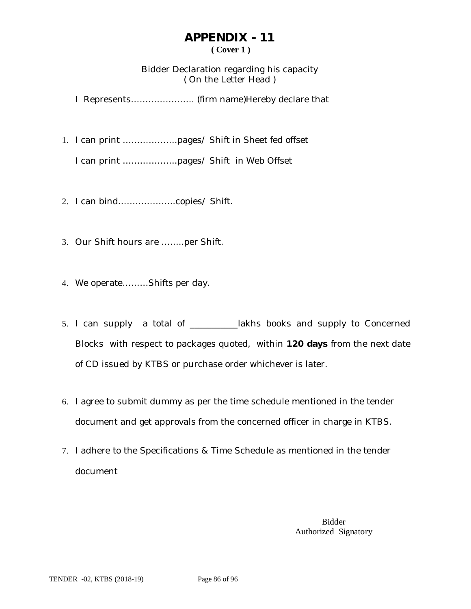## **APPENDIX - 11 ( Cover 1 )**

### Bidder Declaration regarding his capacity ( On the Letter Head )

I Represents…………………. (firm name)Hereby declare that

1. I can print ……………….pages/ Shift in Sheet fed offset

I can print ……………….pages/ Shift in Web Offset

- 2. I can bind………………..copies/ Shift.
- 3. Our Shift hours are ……..per Shift.
- 4. We operate………Shifts per day.
- 5. I can supply a total of \_\_\_\_\_\_\_\_\_\_\_lakhs books and supply to Concerned Blocks with respect to packages quoted, within **120 days** from the next date of CD issued by KTBS or purchase order whichever is later.
- 6. I agree to submit dummy as per the time schedule mentioned in the tender document and get approvals from the concerned officer in charge in KTBS.
- 7. I adhere to the Specifications & Time Schedule as mentioned in the tender document

Bidder Authorized Signatory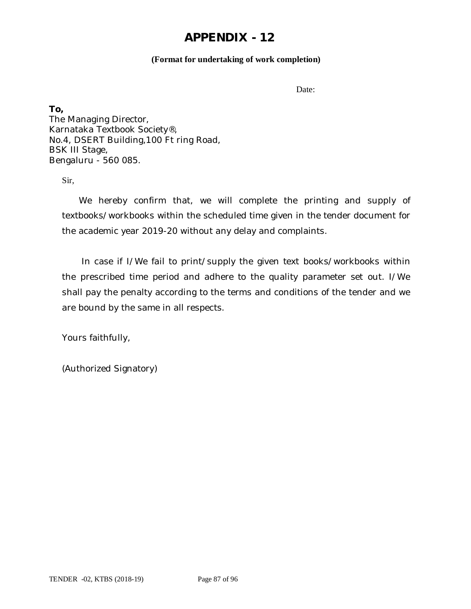#### **(Format for undertaking of work completion)**

Date:

**To,** The Managing Director, Karnataka Textbook Society®, No.4, DSERT Building,100 Ft ring Road, BSK III Stage, Bengaluru - 560 085.

Sir,

 We hereby confirm that, we will complete the printing and supply of textbooks/workbooks within the scheduled time given in the tender document for the academic year 2019-20 without any delay and complaints.

 In case if I/We fail to print/supply the given text books/workbooks within the prescribed time period and adhere to the quality parameter set out. I/We shall pay the penalty according to the terms and conditions of the tender and we are bound by the same in all respects.

Yours faithfully,

(Authorized Signatory)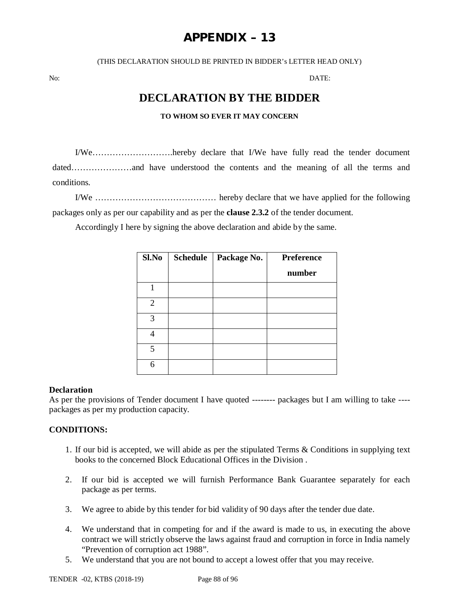# **APPENDIX – 13**

(THIS DECLARATION SHOULD BE PRINTED IN BIDDER's LETTER HEAD ONLY)

No: DATE:

# **DECLARATION BY THE BIDDER**

#### **TO WHOM SO EVER IT MAY CONCERN**

I/We……………………….hereby declare that I/We have fully read the tender document dated…………………and have understood the contents and the meaning of all the terms and conditions.

I/We …………………………………… hereby declare that we have applied for the following packages only as per our capability and as per the **clause 2.3.2** of the tender document.

Accordingly I here by signing the above declaration and abide by the same.

| Sl.No | <b>Schedule</b> | Package No. | <b>Preference</b> |
|-------|-----------------|-------------|-------------------|
|       |                 |             | number            |
|       |                 |             |                   |
| 2     |                 |             |                   |
| 3     |                 |             |                   |
|       |                 |             |                   |
| 5     |                 |             |                   |
| 6     |                 |             |                   |

#### **Declaration**

As per the provisions of Tender document I have quoted -------- packages but I am willing to take --- packages as per my production capacity.

#### **CONDITIONS:**

- 1. If our bid is accepted, we will abide as per the stipulated Terms & Conditions in supplying text books to the concerned Block Educational Offices in the Division .
- 2. If our bid is accepted we will furnish Performance Bank Guarantee separately for each package as per terms.
- 3. We agree to abide by this tender for bid validity of 90 days after the tender due date.
- 4. We understand that in competing for and if the award is made to us, in executing the above contract we will strictly observe the laws against fraud and corruption in force in India namely "Prevention of corruption act 1988".
- 5. We understand that you are not bound to accept a lowest offer that you may receive.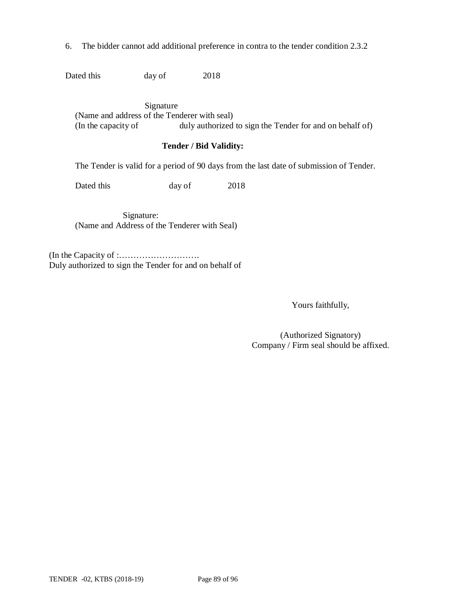6. The bidder cannot add additional preference in contra to the tender condition 2.3.2

Dated this day of 2018

 Signature (Name and address of the Tenderer with seal) (In the capacity of duly authorized to sign the Tender for and on behalf of)

#### **Tender / Bid Validity:**

The Tender is valid for a period of 90 days from the last date of submission of Tender.

Dated this day of 2018

 Signature: (Name and Address of the Tenderer with Seal)

(In the Capacity of :………………………. Duly authorized to sign the Tender for and on behalf of

Yours faithfully,

(Authorized Signatory) Company / Firm seal should be affixed.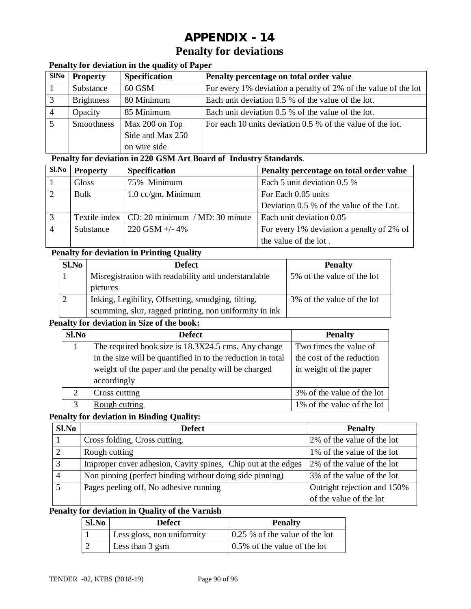# **APPENDIX - 14 Penalty for deviations**

### **Penalty for deviation in the quality of Paper**

| <b>SINo</b> | <b>Property</b>   | <b>Specification</b> | Penalty percentage on total order value                        |
|-------------|-------------------|----------------------|----------------------------------------------------------------|
|             | Substance         | 60 GSM               | For every 1% deviation a penalty of 2% of the value of the lot |
|             | <b>Brightness</b> | 80 Minimum           | Each unit deviation 0.5 % of the value of the lot.             |
|             | Opacity           | 85 Minimum           | Each unit deviation 0.5 % of the value of the lot.             |
|             | Smoothness        | Max 200 on Top       | For each 10 units deviation 0.5 % of the value of the lot.     |
|             |                   | Side and Max 250     |                                                                |
|             |                   | on wire side         |                                                                |

#### **Penalty for deviation in 220 GSM Art Board of Industry Standards**.

| Sl.No | <b>Property</b> | <b>Specification</b>                           | Penalty percentage on total order value   |
|-------|-----------------|------------------------------------------------|-------------------------------------------|
|       | Gloss           | 75% Minimum                                    | Each 5 unit deviation 0.5 %               |
|       | Bulk            | $1.0$ cc/gm, Minimum                           | For Each 0.05 units                       |
|       |                 |                                                | Deviation 0.5 % of the value of the Lot.  |
| 3     |                 | Textile index   CD: 20 minimum / MD: 30 minute | Each unit deviation 0.05                  |
|       | Substance       | $220$ GSM +/- 4%                               | For every 1% deviation a penalty of 2% of |
|       |                 |                                                | the value of the lot.                     |

### **Penalty for deviation in Printing Quality**

| Sl.No | <b>Defect</b>                                          | <b>Penalty</b>             |
|-------|--------------------------------------------------------|----------------------------|
|       | Misregistration with readability and understandable    | 5% of the value of the lot |
|       | pictures                                               |                            |
|       | Inking, Legibility, Offsetting, smudging, tilting,     | 3% of the value of the lot |
|       | scumming, slur, ragged printing, non uniformity in ink |                            |

#### **Penalty for deviation in Size of the book:**

| Sl.No         | <b>Defect</b>                                               | <b>Penalty</b>             |
|---------------|-------------------------------------------------------------|----------------------------|
|               | The required book size is 18.3X24.5 cms. Any change         | Two times the value of     |
|               | in the size will be quantified in to the reduction in total | the cost of the reduction  |
|               | weight of the paper and the penalty will be charged         | in weight of the paper     |
|               | accordingly                                                 |                            |
| 2             | Cross cutting                                               | 3% of the value of the lot |
| $\mathcal{R}$ | Rough cutting                                               | 1% of the value of the lot |

#### **Penalty for deviation in Binding Quality:**

| Sl.No | <b>Defect</b>                                                 | <b>Penalty</b>              |
|-------|---------------------------------------------------------------|-----------------------------|
|       | Cross folding, Cross cutting,                                 | 2% of the value of the lot  |
|       | Rough cutting                                                 | 1% of the value of the lot  |
| 3     | Improper cover adhesion, Cavity spines, Chip out at the edges | 2% of the value of the lot  |
|       | Non pinning (perfect binding without doing side pinning)      | 3% of the value of the lot  |
|       | Pages peeling off, No adhesive running                        | Outright rejection and 150% |
|       |                                                               | of the value of the lot     |

#### **Penalty for deviation in Quality of the Varnish**

| Sl.No | <b>Defect</b>              | <b>Penalty</b>                         |
|-------|----------------------------|----------------------------------------|
|       | Less gloss, non uniformity | $\vert$ 0.25 % of the value of the lot |
|       | Less than 3 gsm            | 0.5% of the value of the lot           |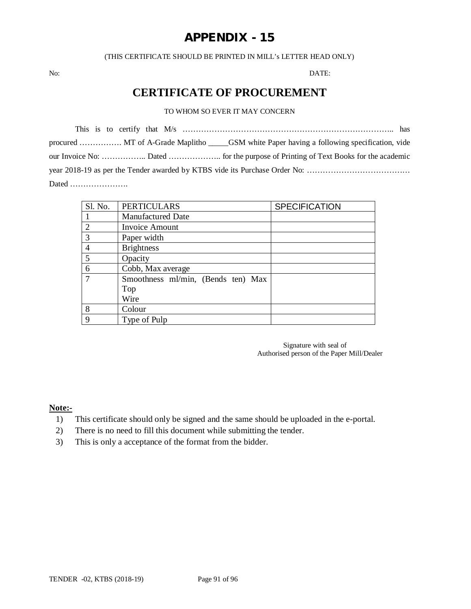(THIS CERTIFICATE SHOULD BE PRINTED IN MILL's LETTER HEAD ONLY)

No: DATE:

# **CERTIFICATE OF PROCUREMENT**

#### TO WHOM SO EVER IT MAY CONCERN

| Sl. No.        | <b>PERTICULARS</b>                 | <b>SPECIFICATION</b> |
|----------------|------------------------------------|----------------------|
|                | <b>Manufactured Date</b>           |                      |
| $\overline{2}$ | Invoice Amount                     |                      |
| 3              | Paper width                        |                      |
| 4              | <b>Brightness</b>                  |                      |
| 5              | Opacity                            |                      |
| 6              | Cobb, Max average                  |                      |
|                | Smoothness ml/min, (Bends ten) Max |                      |
|                | Top                                |                      |
|                | Wire                               |                      |
| 8              | Colour                             |                      |
| 9              | Type of Pulp                       |                      |

Signature with seal of Authorised person of the Paper Mill/Dealer

**Note:-**

- 1) This certificate should only be signed and the same should be uploaded in the e-portal.
- 2) There is no need to fill this document while submitting the tender.
- 3) This is only a acceptance of the format from the bidder.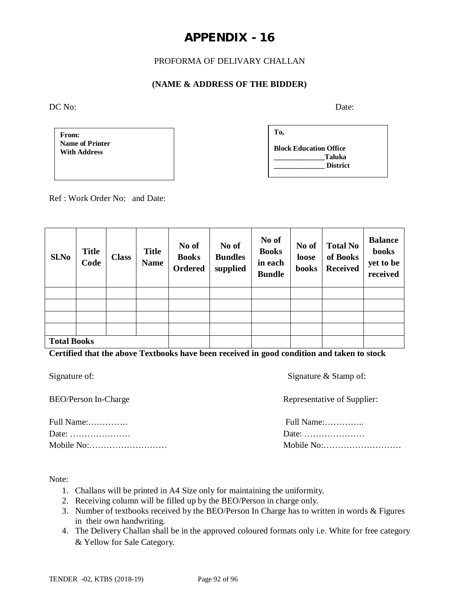#### PROFORMA OF DELIVARY CHALLAN

#### **(NAME & ADDRESS OF THE BIDDER)**

DC No: Date:

**From: Name of Printer With Address**

| To, |                               |  |
|-----|-------------------------------|--|
|     | <b>Block Education Office</b> |  |
|     | Taluka<br><b>District</b>     |  |

Ref : Work Order No: and Date:

| Sl.No              | <b>Title</b><br>Code | <b>Class</b> | <b>Title</b><br><b>Name</b> | No of<br><b>Books</b><br>Ordered | No of<br><b>Bundles</b><br>supplied | No of<br><b>Books</b><br>in each<br><b>Bundle</b> | No of<br>loose<br>books | <b>Total No</b><br>of Books<br><b>Received</b> | <b>Balance</b><br>books<br>yet to be<br>received |
|--------------------|----------------------|--------------|-----------------------------|----------------------------------|-------------------------------------|---------------------------------------------------|-------------------------|------------------------------------------------|--------------------------------------------------|
|                    |                      |              |                             |                                  |                                     |                                                   |                         |                                                |                                                  |
|                    |                      |              |                             |                                  |                                     |                                                   |                         |                                                |                                                  |
|                    |                      |              |                             |                                  |                                     |                                                   |                         |                                                |                                                  |
|                    |                      |              |                             |                                  |                                     |                                                   |                         |                                                |                                                  |
| <b>Total Books</b> |                      |              |                             |                                  |                                     |                                                   |                         |                                                |                                                  |

**Certified that the above Textbooks have been received in good condition and taken to stock**

| Signature of: |
|---------------|
|---------------|

Full Name:………….. Full Name:………….. Date: ………………… Date: ………………… Mobile No:……………………… Mobile No:……………………… Signature & Stamp of:

Representative of Supplier:

| Full Name: |
|------------|
| Date:      |
|            |

Note:

- 1. Challans will be printed in A4 Size only for maintaining the uniformity.
- 2. Receiving column will be filled up by the BEO/Person in charge only.
- 3. Number of textbooks received by the BEO/Person In Charge has to written in words & Figures in their own handwriting.
- 4. The Delivery Challan shall be in the approved coloured formats only i.e. White for free category & Yellow for Sale Category.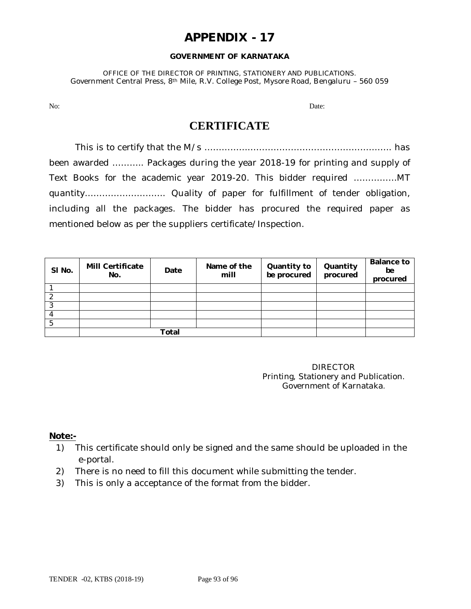#### **GOVERNMENT OF KARNATAKA**

OFFICE OF THE DIRECTOR OF PRINTING, STATIONERY AND PUBLICATIONS. Government Central Press, 8th Mile, R.V. College Post, Mysore Road, Bengaluru – 560 059

No: Date: Department of the contract of the contract of the contract of the contract of the contract of the contract of the contract of the contract of the contract of the contract of the contract of the contract of the co

## **CERTIFICATE**

This is to certify that the M/s ……………………………………………………….. has been awarded ……….. Packages during the year 2018-19 for printing and supply of Text Books for the academic year 2019-20. This bidder required ……………MT quantity………………………. Quality of paper for fulfillment of tender obligation, including all the packages. The bidder has procured the required paper as mentioned below as per the suppliers certificate/Inspection.

| SI No. | <b>Mill Certificate</b><br>No. | Date  | Name of the<br>mill | Quantity to<br>be procured | Quantity<br>procured | <b>Balance to</b><br>be<br>procured |
|--------|--------------------------------|-------|---------------------|----------------------------|----------------------|-------------------------------------|
|        |                                |       |                     |                            |                      |                                     |
|        |                                |       |                     |                            |                      |                                     |
| っ      |                                |       |                     |                            |                      |                                     |
|        |                                |       |                     |                            |                      |                                     |
|        |                                |       |                     |                            |                      |                                     |
|        |                                | Total |                     |                            |                      |                                     |

DIRECTOR Printing, Stationery and Publication. Government of Karnataka.

#### **Note:-**

- 1) This certificate should only be signed and the same should be uploaded in the e-portal.
- 2) There is no need to fill this document while submitting the tender.
- 3) This is only a acceptance of the format from the bidder.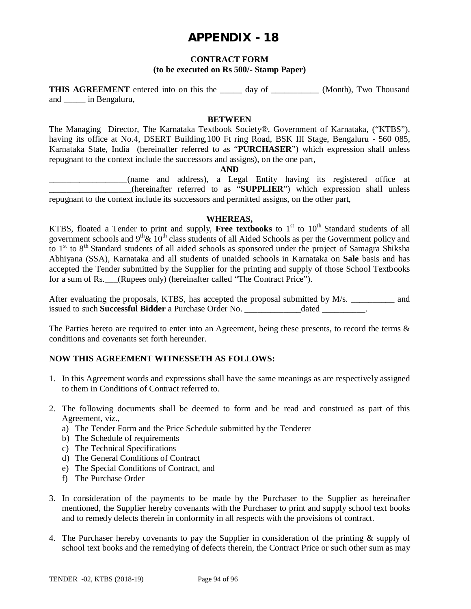#### **CONTRACT FORM**

#### **(to be executed on Rs 500/- Stamp Paper)**

**THIS AGREEMENT** entered into on this the day of (Month), Two Thousand and \_\_\_\_\_ in Bengaluru,

#### **BETWEEN**

The Managing Director, The Karnataka Textbook Society®, Government of Karnataka, ("KTBS"), having its office at No.4, DSERT Building,100 Ft ring Road, BSK III Stage, Bengaluru - 560 085, Karnataka State, India (hereinafter referred to as "**PURCHASER**") which expression shall unless repugnant to the context include the successors and assigns), on the one part,

#### **AND**

\_\_\_\_\_\_\_\_\_\_\_\_\_\_\_\_\_\_(name and address), a Legal Entity having its registered office at \_\_\_\_\_\_\_\_\_\_\_\_\_\_\_\_\_\_\_(hereinafter referred to as "**SUPPLIER**") which expression shall unless repugnant to the context include its successors and permitted assigns, on the other part,

#### **WHEREAS,**

KTBS, floated a Tender to print and supply, Free textbooks to 1<sup>st</sup> to 10<sup>th</sup> Standard students of all government schools and  $9<sup>th</sup>$ &  $10<sup>th</sup>$  class students of all Aided Schools as per the Government policy and to 1<sup>st</sup> to 8<sup>th</sup> Standard students of all aided schools as sponsored under the project of Samagra Shiksha Abhiyana (SSA), Karnataka and all students of unaided schools in Karnataka on **Sale** basis and has accepted the Tender submitted by the Supplier for the printing and supply of those School Textbooks for a sum of Rs. (Rupees only) (hereinafter called "The Contract Price").

After evaluating the proposals, KTBS, has accepted the proposal submitted by M/s. \_\_\_\_\_\_\_\_\_\_ and issued to such **Successful Bidder** a Purchase Order No. \_\_\_\_\_\_\_\_\_\_\_\_\_dated \_\_\_\_\_\_\_\_\_\_.

The Parties hereto are required to enter into an Agreement, being these presents, to record the terms & conditions and covenants set forth hereunder.

#### **NOW THIS AGREEMENT WITNESSETH AS FOLLOWS:**

- 1. In this Agreement words and expressions shall have the same meanings as are respectively assigned to them in Conditions of Contract referred to.
- 2. The following documents shall be deemed to form and be read and construed as part of this Agreement, viz.,
	- a) The Tender Form and the Price Schedule submitted by the Tenderer
	- b) The Schedule of requirements
	- c) The Technical Specifications
	- d) The General Conditions of Contract
	- e) The Special Conditions of Contract, and
	- f) The Purchase Order
- 3. In consideration of the payments to be made by the Purchaser to the Supplier as hereinafter mentioned, the Supplier hereby covenants with the Purchaser to print and supply school text books and to remedy defects therein in conformity in all respects with the provisions of contract.
- 4. The Purchaser hereby covenants to pay the Supplier in consideration of the printing & supply of school text books and the remedying of defects therein, the Contract Price or such other sum as may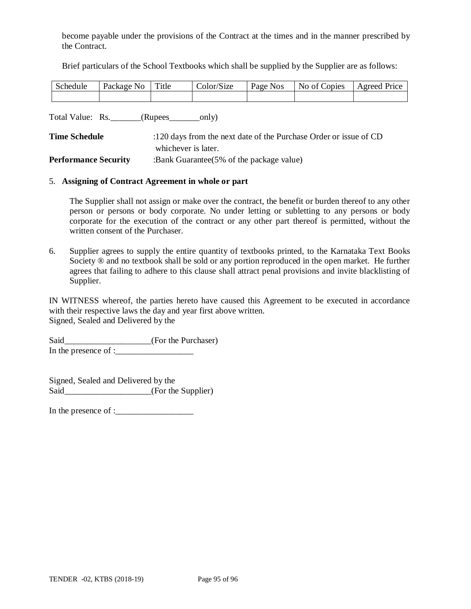become payable under the provisions of the Contract at the times and in the manner prescribed by the Contract.

Brief particulars of the School Textbooks which shall be supplied by the Supplier are as follows:

| Schedule | Package No | Title | Color/Size | Page Nos | No of Copies | Agreed Price |
|----------|------------|-------|------------|----------|--------------|--------------|
|          |            |       |            |          |              |              |

Total Value: Rs. \_\_\_\_\_\_\_(Rupees\_\_\_\_\_\_\_only)

| <b>Time Schedule</b>        | :120 days from the next date of the Purchase Order or issue of CD |
|-----------------------------|-------------------------------------------------------------------|
|                             | whichever is later.                                               |
| <b>Performance Security</b> | :Bank Guarantee $(5\% \text{ of the package value})$              |

#### 5. **Assigning of Contract Agreement in whole or part**

The Supplier shall not assign or make over the contract, the benefit or burden thereof to any other person or persons or body corporate. No under letting or subletting to any persons or body corporate for the execution of the contract or any other part thereof is permitted, without the written consent of the Purchaser.

6. Supplier agrees to supply the entire quantity of textbooks printed, to the Karnataka Text Books Society  $\otimes$  and no textbook shall be sold or any portion reproduced in the open market. He further agrees that failing to adhere to this clause shall attract penal provisions and invite blacklisting of Supplier.

IN WITNESS whereof, the parties hereto have caused this Agreement to be executed in accordance with their respective laws the day and year first above written. Signed, Sealed and Delivered by the

Said\_\_\_\_\_\_\_\_\_\_\_\_\_\_\_\_\_\_\_(For the Purchaser) In the presence of : $\frac{1}{2}$ 

Signed, Sealed and Delivered by the Said (For the Supplier)

In the presence of :\_\_\_\_\_\_\_\_\_\_\_\_\_\_\_\_\_\_